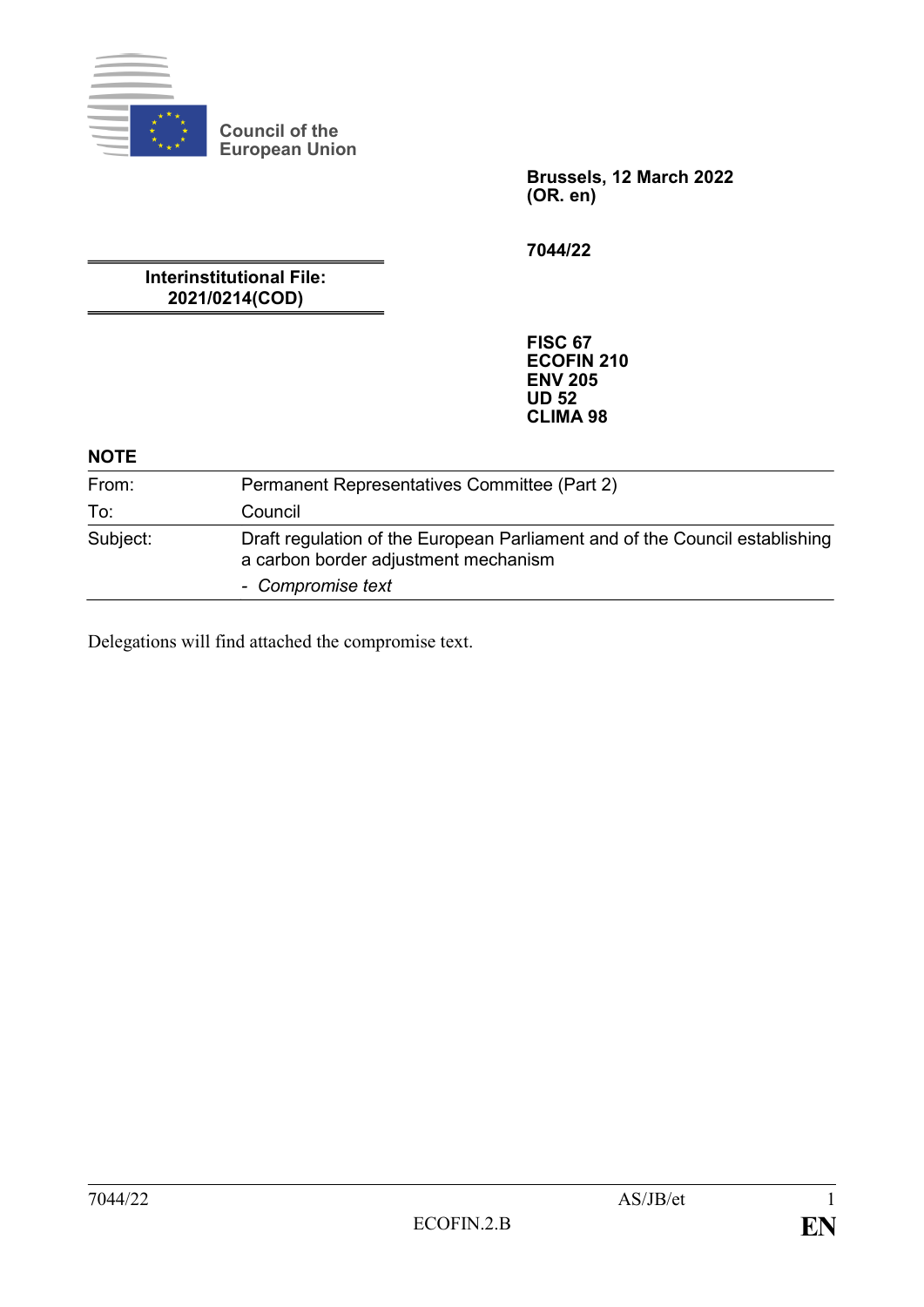

**Council of the European Union**

> **Brussels, 12 March 2022 (OR. en)**

**7044/22**

**Interinstitutional File: 2021/0214(COD)**

> **FISC 67 ECOFIN 210 ENV 205 UD 52 CLIMA 98**

#### **NOTE**

| From:    | Permanent Representatives Committee (Part 2)                                                                        |
|----------|---------------------------------------------------------------------------------------------------------------------|
| To:      | Council                                                                                                             |
| Subject: | Draft regulation of the European Parliament and of the Council establishing<br>a carbon border adjustment mechanism |
|          | - Compromise text                                                                                                   |

Delegations will find attached the compromise text.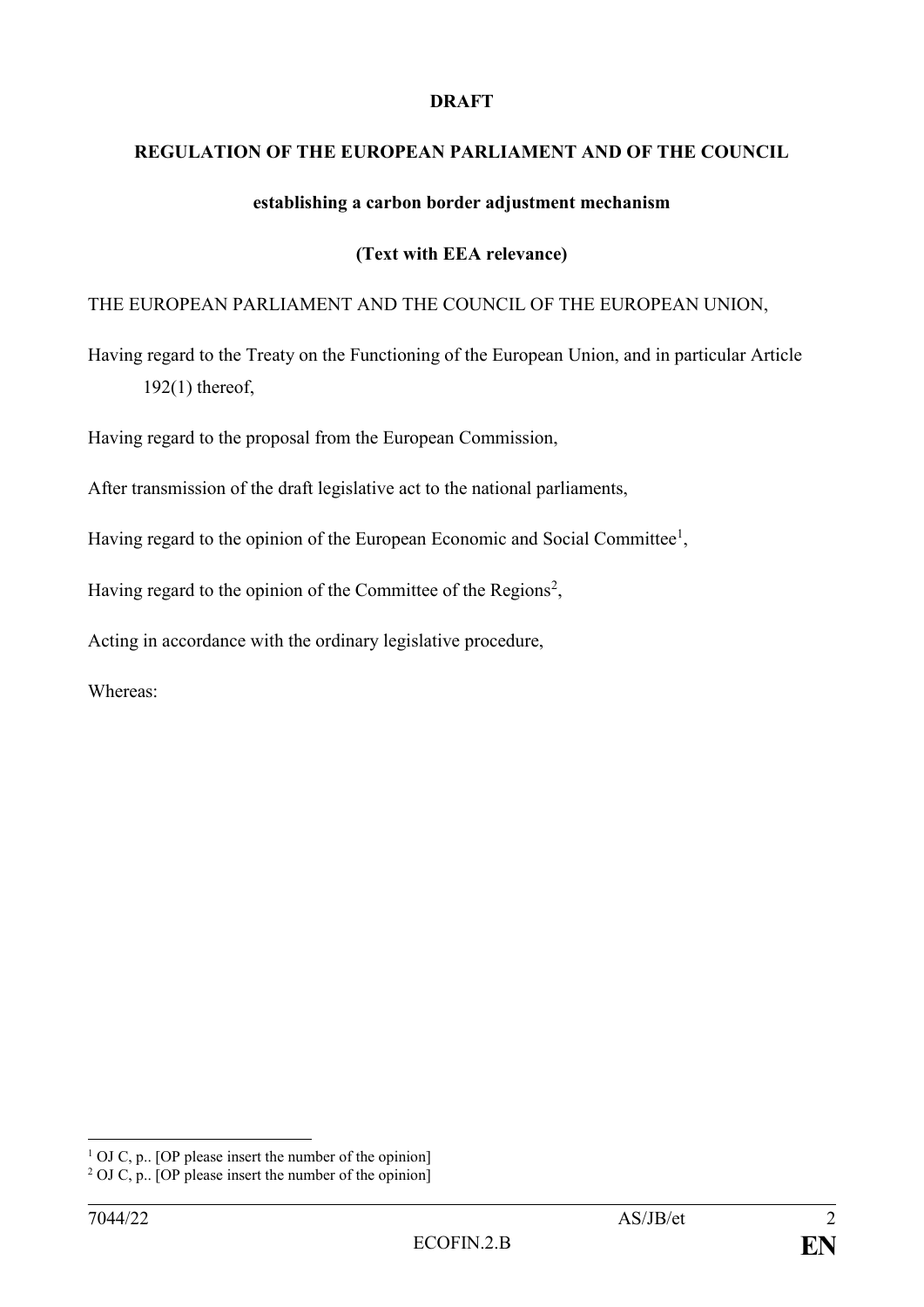#### **DRAFT**

#### **REGULATION OF THE EUROPEAN PARLIAMENT AND OF THE COUNCIL**

#### **establishing a carbon border adjustment mechanism**

#### **(Text with EEA relevance)**

## THE EUROPEAN PARLIAMENT AND THE COUNCIL OF THE EUROPEAN UNION,

Having regard to the Treaty on the Functioning of the European Union, and in particular Article 192(1) thereof,

Having regard to the proposal from the European Commission,

After transmission of the draft legislative act to the national parliaments,

Having regard to the opinion of the European Economic and Social Committee<sup>1</sup>,

Having regard to the opinion of the Committee of the Regions<sup>2</sup>,

Acting in accordance with the ordinary legislative procedure,

Whereas:

 $1$  OJ C, p.. [OP please insert the number of the opinion]

<sup>&</sup>lt;sup>2</sup> OJ C, p.. [OP please insert the number of the opinion]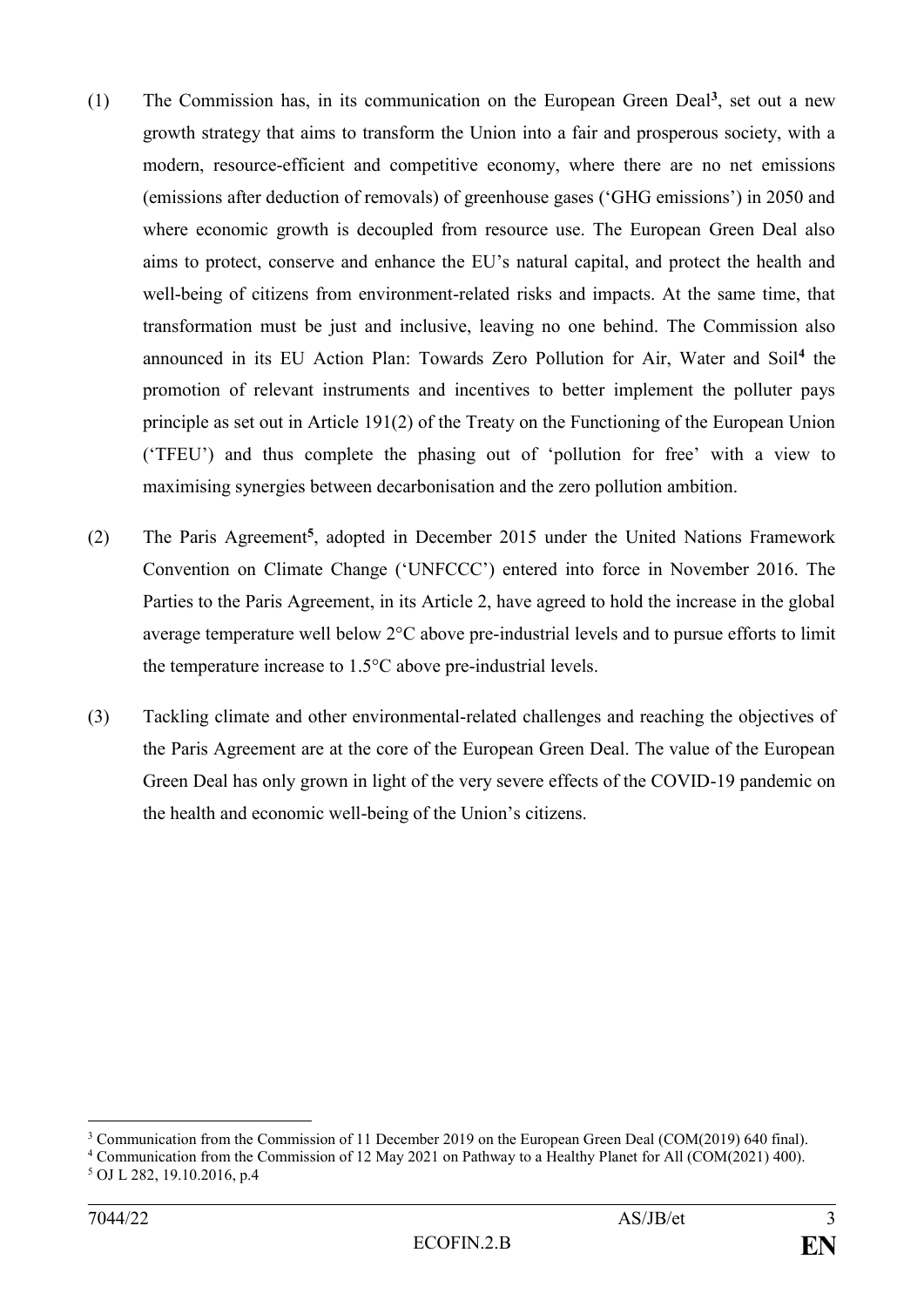- (1) The Commission has, in its communication on the European Green Deal**<sup>3</sup>** , set out a new growth strategy that aims to transform the Union into a fair and prosperous society, with a modern, resource-efficient and competitive economy, where there are no net emissions (emissions after deduction of removals) of greenhouse gases ('GHG emissions') in 2050 and where economic growth is decoupled from resource use. The European Green Deal also aims to protect, conserve and enhance the EU's natural capital, and protect the health and well-being of citizens from environment-related risks and impacts. At the same time, that transformation must be just and inclusive, leaving no one behind. The Commission also announced in its EU Action Plan: Towards Zero Pollution for Air, Water and Soil**<sup>4</sup>** the promotion of relevant instruments and incentives to better implement the polluter pays principle as set out in Article 191(2) of the Treaty on the Functioning of the European Union ('TFEU') and thus complete the phasing out of 'pollution for free' with a view to maximising synergies between decarbonisation and the zero pollution ambition.
- (2) The Paris Agreement**<sup>5</sup>** , adopted in December 2015 under the United Nations Framework Convention on Climate Change ('UNFCCC') entered into force in November 2016. The Parties to the Paris Agreement, in its Article 2, have agreed to hold the increase in the global average temperature well below 2°C above pre-industrial levels and to pursue efforts to limit the temperature increase to 1.5°C above pre-industrial levels.
- (3) Tackling climate and other environmental-related challenges and reaching the objectives of the Paris Agreement are at the core of the European Green Deal. The value of the European Green Deal has only grown in light of the very severe effects of the COVID-19 pandemic on the health and economic well-being of the Union's citizens.

<sup>3</sup> Communication from the Commission of 11 December 2019 on the European Green Deal (COM(2019) 640 final).

<sup>4</sup> Communication from the Commission of 12 May 2021 on Pathway to a Healthy Planet for All (COM(2021) 400).

<sup>5</sup> OJ L 282, 19.10.2016, p.4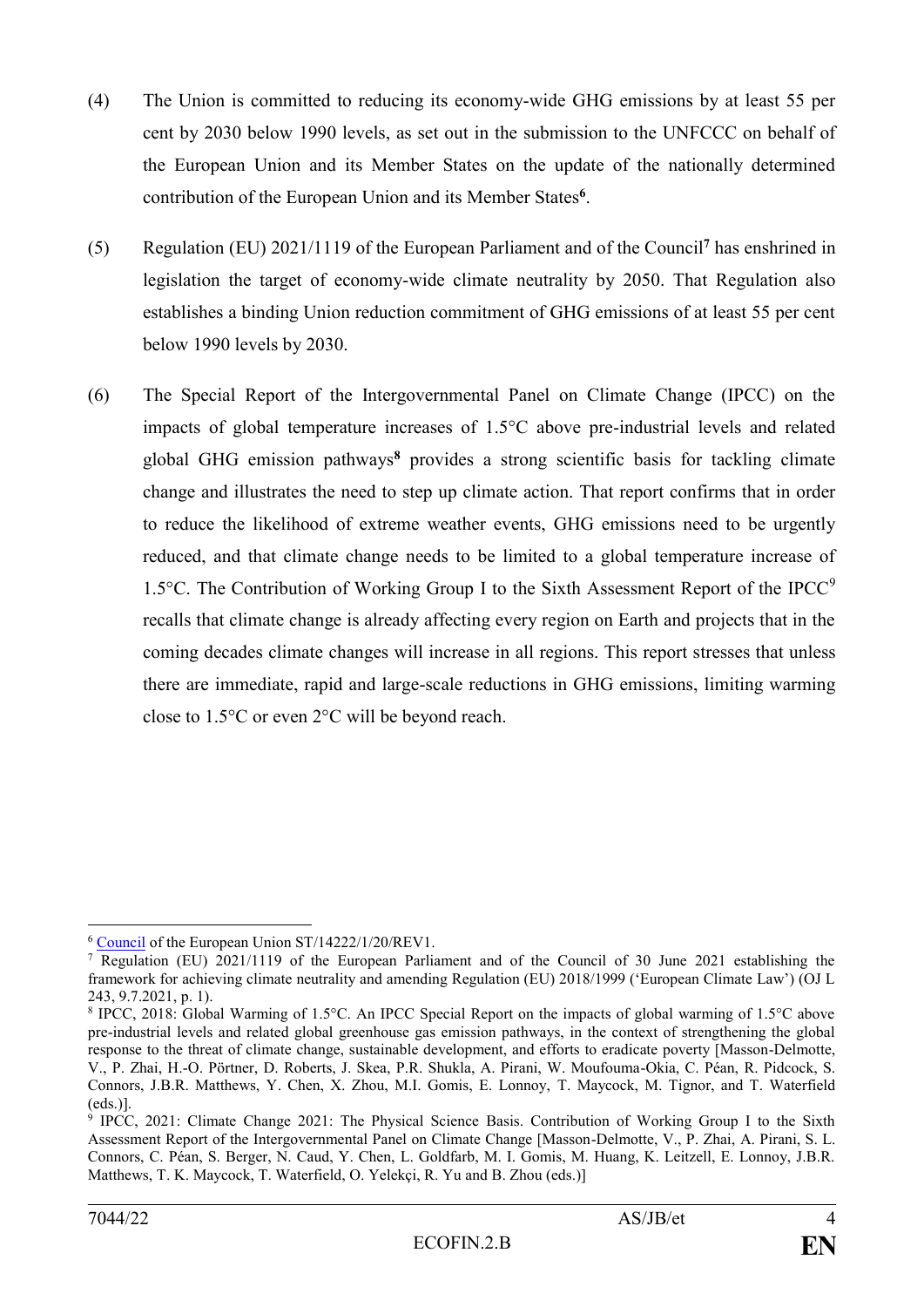- (4) The Union is committed to reducing its economy-wide GHG emissions by at least 55 per cent by 2030 below 1990 levels, as set out in the submission to the UNFCCC on behalf of the European Union and its Member States on the update of the nationally determined contribution of the European Union and its Member States**<sup>6</sup>** .
- (5) Regulation (EU) 2021/1119 of the European Parliament and of the Council**<sup>7</sup>** has enshrined in legislation the target of economy-wide climate neutrality by 2050. That Regulation also establishes a binding Union reduction commitment of GHG emissions of at least 55 per cent below 1990 levels by 2030.
- (6) The Special Report of the Intergovernmental Panel on Climate Change (IPCC) on the impacts of global temperature increases of 1.5°C above pre-industrial levels and related global GHG emission pathways**<sup>8</sup>** provides a strong scientific basis for tackling climate change and illustrates the need to step up climate action. That report confirms that in order to reduce the likelihood of extreme weather events, GHG emissions need to be urgently reduced, and that climate change needs to be limited to a global temperature increase of 1.5 $\degree$ C. The Contribution of Working Group I to the Sixth Assessment Report of the IPCC $\degree$ recalls that climate change is already affecting every region on Earth and projects that in the coming decades climate changes will increase in all regions. This report stresses that unless there are immediate, rapid and large-scale reductions in GHG emissions, limiting warming close to 1.5°C or even 2°C will be beyond reach.

<sup>&</sup>lt;u>.</u> <sup>6</sup> [Council](https://myintracomm-collab.ec.europa.eu/dg/TAXUD/unitc2/CBAM/Council) of the European Union ST/14222/1/20/REV1.

<sup>&</sup>lt;sup>7</sup> Regulation (EU) 2021/1119 of the European Parliament and of the Council of 30 June 2021 establishing the framework for achieving climate neutrality and amending Regulation (EU) 2018/1999 ('European Climate Law') (OJ L 243, 9.7.2021, p. 1).

<sup>8</sup> IPCC, 2018: Global Warming of 1.5°C. An IPCC Special Report on the impacts of global warming of 1.5°C above pre-industrial levels and related global greenhouse gas emission pathways, in the context of strengthening the global response to the threat of climate change, sustainable development, and efforts to eradicate poverty [Masson-Delmotte, V., P. Zhai, H.-O. Pörtner, D. Roberts, J. Skea, P.R. Shukla, A. Pirani, W. Moufouma-Okia, C. Péan, R. Pidcock, S. Connors, J.B.R. Matthews, Y. Chen, X. Zhou, M.I. Gomis, E. Lonnoy, T. Maycock, M. Tignor, and T. Waterfield (eds.)].

<sup>9</sup> IPCC, 2021: Climate Change 2021: The Physical Science Basis. Contribution of Working Group I to the Sixth Assessment Report of the Intergovernmental Panel on Climate Change [Masson-Delmotte, V., P. Zhai, A. Pirani, S. L. Connors, C. Péan, S. Berger, N. Caud, Y. Chen, L. Goldfarb, M. I. Gomis, M. Huang, K. Leitzell, E. Lonnoy, J.B.R. Matthews, T. K. Maycock, T. Waterfield, O. Yelekçi, R. Yu and B. Zhou (eds.)]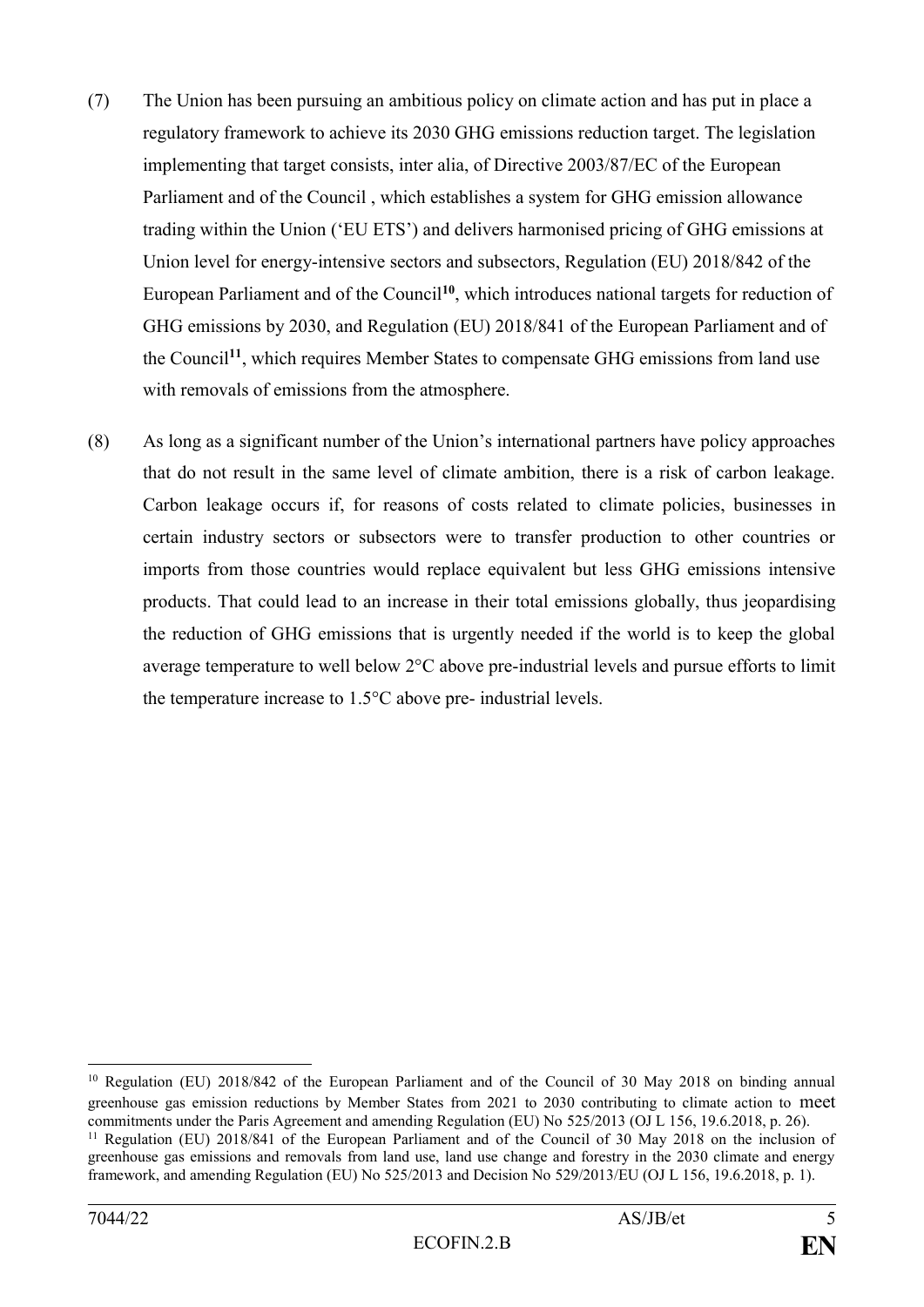- (7) The Union has been pursuing an ambitious policy on climate action and has put in place a regulatory framework to achieve its 2030 GHG emissions reduction target. The legislation implementing that target consists, inter alia, of Directive 2003/87/EC of the European Parliament and of the Council , which establishes a system for GHG emission allowance trading within the Union ('EU ETS') and delivers harmonised pricing of GHG emissions at Union level for energy-intensive sectors and subsectors, Regulation (EU) 2018/842 of the European Parliament and of the Council**<sup>10</sup>**, which introduces national targets for reduction of GHG emissions by 2030, and Regulation (EU) 2018/841 of the European Parliament and of the Council**<sup>11</sup>**, which requires Member States to compensate GHG emissions from land use with removals of emissions from the atmosphere.
- (8) As long as a significant number of the Union's international partners have policy approaches that do not result in the same level of climate ambition, there is a risk of carbon leakage. Carbon leakage occurs if, for reasons of costs related to climate policies, businesses in certain industry sectors or subsectors were to transfer production to other countries or imports from those countries would replace equivalent but less GHG emissions intensive products. That could lead to an increase in their total emissions globally, thus jeopardising the reduction of GHG emissions that is urgently needed if the world is to keep the global average temperature to well below 2°C above pre-industrial levels and pursue efforts to limit the temperature increase to 1.5°C above pre- industrial levels.

<sup>10</sup> Regulation (EU) 2018/842 of the European Parliament and of the Council of 30 May 2018 on binding annual greenhouse gas emission reductions by Member States from 2021 to 2030 contributing to climate action to meet commitments under the Paris Agreement and amending Regulation (EU) No 525/2013 (OJ L 156, 19.6.2018, p. 26). <sup>11</sup> Regulation (EU) 2018/841 of the European Parliament and of the Council of 30 May 2018 on the inclusion of

greenhouse gas emissions and removals from land use, land use change and forestry in the 2030 climate and energy framework, and amending Regulation (EU) No 525/2013 and Decision No 529/2013/EU (OJ L 156, 19.6.2018, p. 1).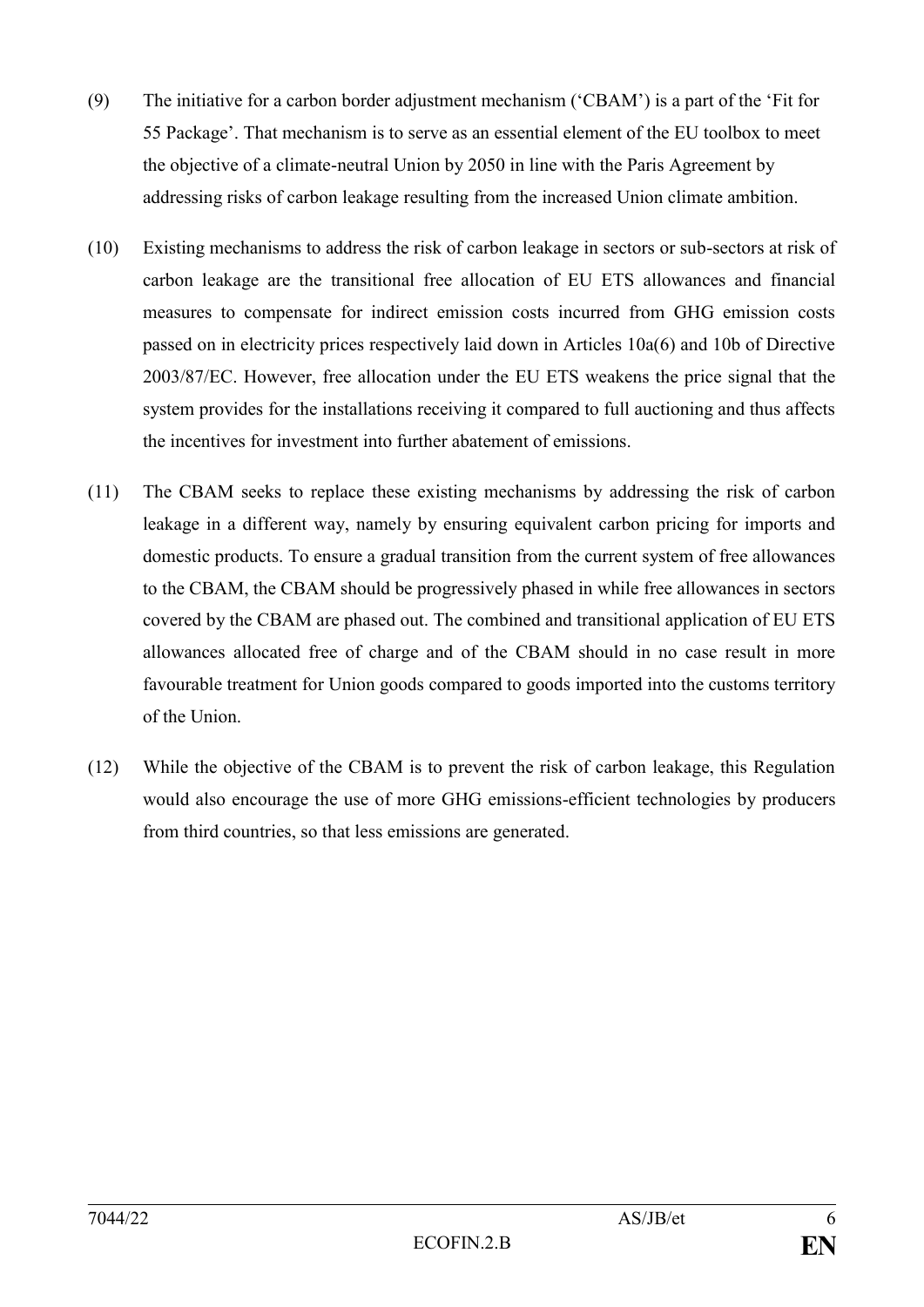- (9) The initiative for a carbon border adjustment mechanism ('CBAM') is a part of the 'Fit for 55 Package'. That mechanism is to serve as an essential element of the EU toolbox to meet the objective of a climate-neutral Union by 2050 in line with the Paris Agreement by addressing risks of carbon leakage resulting from the increased Union climate ambition.
- (10) Existing mechanisms to address the risk of carbon leakage in sectors or sub-sectors at risk of carbon leakage are the transitional free allocation of EU ETS allowances and financial measures to compensate for indirect emission costs incurred from GHG emission costs passed on in electricity prices respectively laid down in Articles 10a(6) and 10b of Directive 2003/87/EC. However, free allocation under the EU ETS weakens the price signal that the system provides for the installations receiving it compared to full auctioning and thus affects the incentives for investment into further abatement of emissions.
- (11) The CBAM seeks to replace these existing mechanisms by addressing the risk of carbon leakage in a different way, namely by ensuring equivalent carbon pricing for imports and domestic products. To ensure a gradual transition from the current system of free allowances to the CBAM, the CBAM should be progressively phased in while free allowances in sectors covered by the CBAM are phased out. The combined and transitional application of EU ETS allowances allocated free of charge and of the CBAM should in no case result in more favourable treatment for Union goods compared to goods imported into the customs territory of the Union.
- (12) While the objective of the CBAM is to prevent the risk of carbon leakage, this Regulation would also encourage the use of more GHG emissions-efficient technologies by producers from third countries, so that less emissions are generated.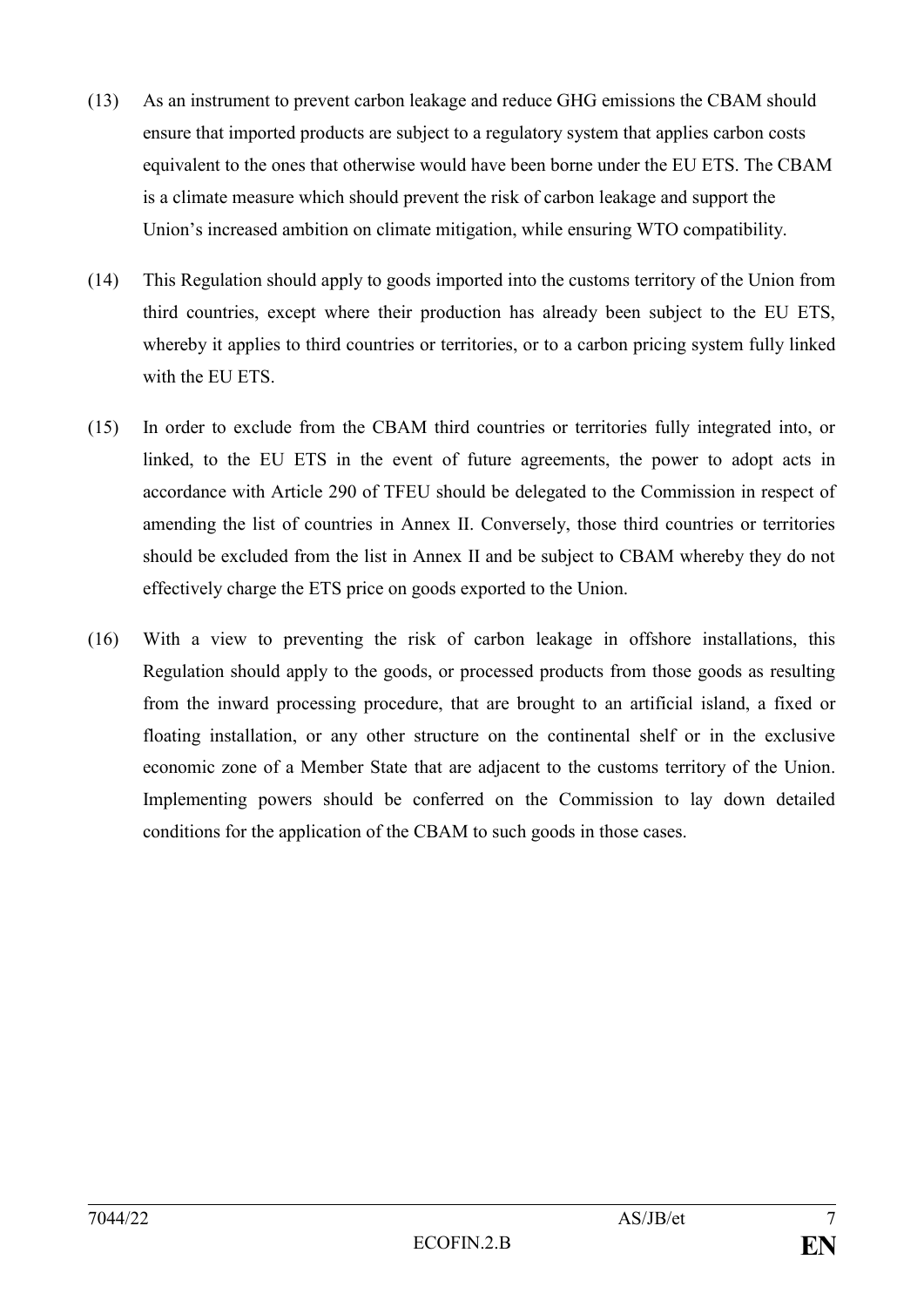- (13) As an instrument to prevent carbon leakage and reduce GHG emissions the CBAM should ensure that imported products are subject to a regulatory system that applies carbon costs equivalent to the ones that otherwise would have been borne under the EU ETS. The CBAM is a climate measure which should prevent the risk of carbon leakage and support the Union's increased ambition on climate mitigation, while ensuring WTO compatibility.
- (14) This Regulation should apply to goods imported into the customs territory of the Union from third countries, except where their production has already been subject to the EU ETS, whereby it applies to third countries or territories, or to a carbon pricing system fully linked with the EU ETS.
- (15) In order to exclude from the CBAM third countries or territories fully integrated into, or linked, to the EU ETS in the event of future agreements, the power to adopt acts in accordance with Article 290 of TFEU should be delegated to the Commission in respect of amending the list of countries in Annex II. Conversely, those third countries or territories should be excluded from the list in Annex II and be subject to CBAM whereby they do not effectively charge the ETS price on goods exported to the Union.
- (16) With a view to preventing the risk of carbon leakage in offshore installations, this Regulation should apply to the goods, or processed products from those goods as resulting from the inward processing procedure, that are brought to an artificial island, a fixed or floating installation, or any other structure on the continental shelf or in the exclusive economic zone of a Member State that are adjacent to the customs territory of the Union. Implementing powers should be conferred on the Commission to lay down detailed conditions for the application of the CBAM to such goods in those cases.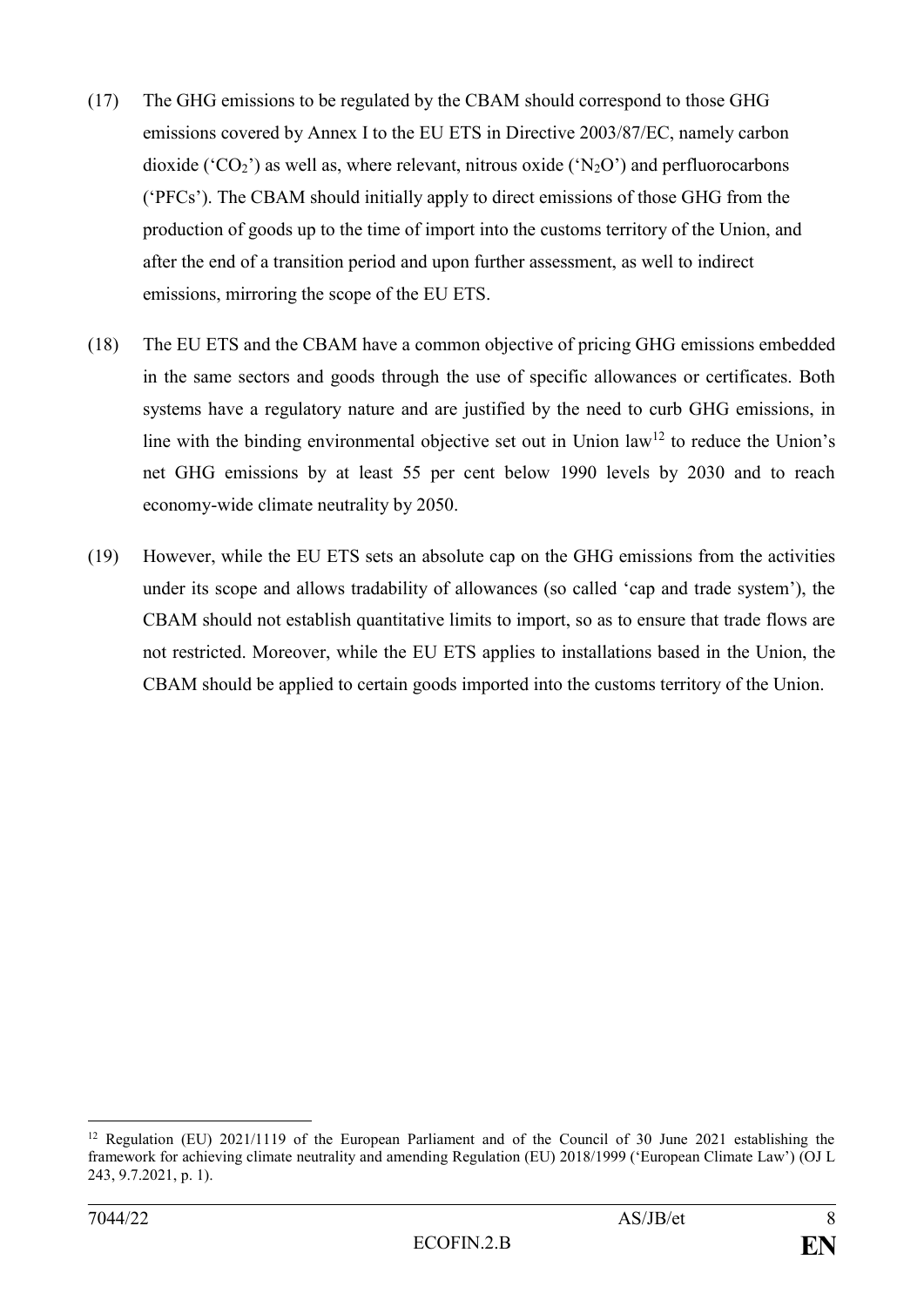- (17) The GHG emissions to be regulated by the CBAM should correspond to those GHG emissions covered by Annex I to the EU ETS in Directive 2003/87/EC, namely carbon dioxide ( $^{\circ}CO_{2}$ ) as well as, where relevant, nitrous oxide ( $^{\circ}N_{2}O$ ) and perfluorocarbons ('PFCs'). The CBAM should initially apply to direct emissions of those GHG from the production of goods up to the time of import into the customs territory of the Union, and after the end of a transition period and upon further assessment, as well to indirect emissions, mirroring the scope of the EU ETS.
- (18) The EU ETS and the CBAM have a common objective of pricing GHG emissions embedded in the same sectors and goods through the use of specific allowances or certificates. Both systems have a regulatory nature and are justified by the need to curb GHG emissions, in line with the binding environmental objective set out in Union  $law<sup>12</sup>$  to reduce the Union's net GHG emissions by at least 55 per cent below 1990 levels by 2030 and to reach economy-wide climate neutrality by 2050.
- (19) However, while the EU ETS sets an absolute cap on the GHG emissions from the activities under its scope and allows tradability of allowances (so called 'cap and trade system'), the CBAM should not establish quantitative limits to import, so as to ensure that trade flows are not restricted. Moreover, while the EU ETS applies to installations based in the Union, the CBAM should be applied to certain goods imported into the customs territory of the Union.

<sup>1</sup> <sup>12</sup> Regulation (EU) 2021/1119 of the European Parliament and of the Council of 30 June 2021 establishing the framework for achieving climate neutrality and amending Regulation (EU) 2018/1999 ('European Climate Law') (OJ L 243, 9.7.2021, p. 1).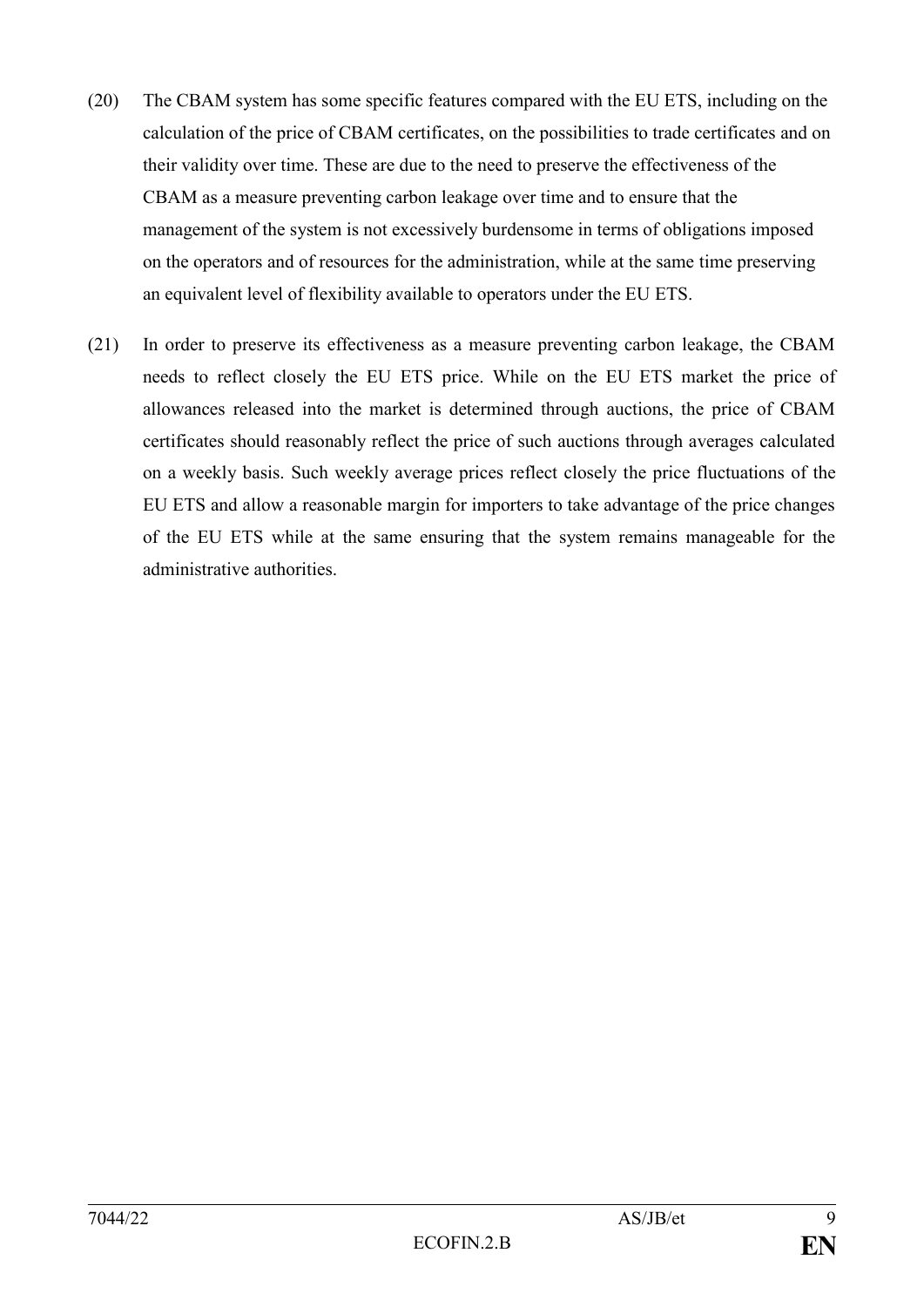- (20) The CBAM system has some specific features compared with the EU ETS, including on the calculation of the price of CBAM certificates, on the possibilities to trade certificates and on their validity over time. These are due to the need to preserve the effectiveness of the CBAM as a measure preventing carbon leakage over time and to ensure that the management of the system is not excessively burdensome in terms of obligations imposed on the operators and of resources for the administration, while at the same time preserving an equivalent level of flexibility available to operators under the EU ETS.
- (21) In order to preserve its effectiveness as a measure preventing carbon leakage, the CBAM needs to reflect closely the EU ETS price. While on the EU ETS market the price of allowances released into the market is determined through auctions, the price of CBAM certificates should reasonably reflect the price of such auctions through averages calculated on a weekly basis. Such weekly average prices reflect closely the price fluctuations of the EU ETS and allow a reasonable margin for importers to take advantage of the price changes of the EU ETS while at the same ensuring that the system remains manageable for the administrative authorities.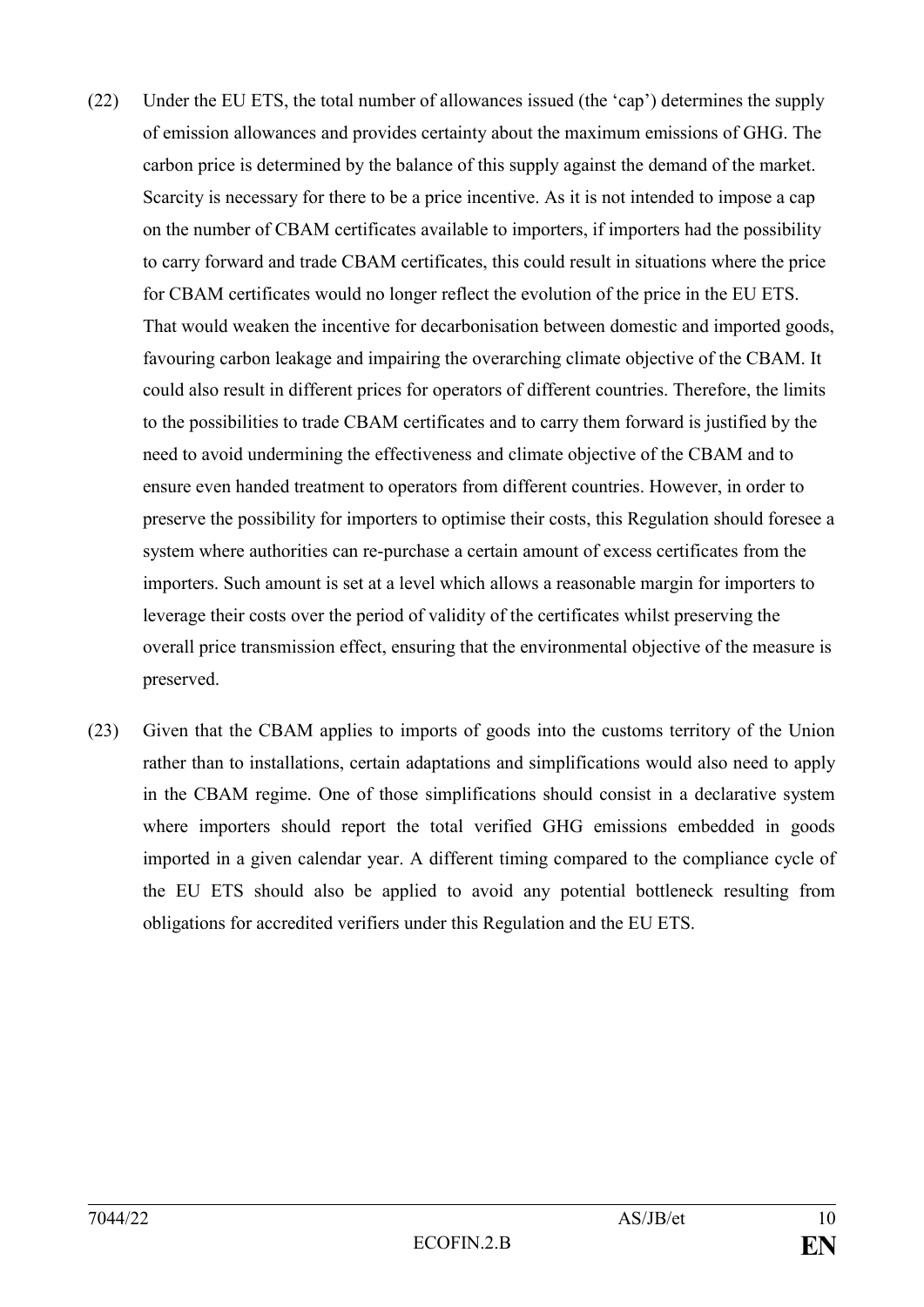- (22) Under the EU ETS, the total number of allowances issued (the 'cap') determines the supply of emission allowances and provides certainty about the maximum emissions of GHG. The carbon price is determined by the balance of this supply against the demand of the market. Scarcity is necessary for there to be a price incentive. As it is not intended to impose a cap on the number of CBAM certificates available to importers, if importers had the possibility to carry forward and trade CBAM certificates, this could result in situations where the price for CBAM certificates would no longer reflect the evolution of the price in the EU ETS. That would weaken the incentive for decarbonisation between domestic and imported goods, favouring carbon leakage and impairing the overarching climate objective of the CBAM. It could also result in different prices for operators of different countries. Therefore, the limits to the possibilities to trade CBAM certificates and to carry them forward is justified by the need to avoid undermining the effectiveness and climate objective of the CBAM and to ensure even handed treatment to operators from different countries. However, in order to preserve the possibility for importers to optimise their costs, this Regulation should foresee a system where authorities can re-purchase a certain amount of excess certificates from the importers. Such amount is set at a level which allows a reasonable margin for importers to leverage their costs over the period of validity of the certificates whilst preserving the overall price transmission effect, ensuring that the environmental objective of the measure is preserved.
- (23) Given that the CBAM applies to imports of goods into the customs territory of the Union rather than to installations, certain adaptations and simplifications would also need to apply in the CBAM regime. One of those simplifications should consist in a declarative system where importers should report the total verified GHG emissions embedded in goods imported in a given calendar year. A different timing compared to the compliance cycle of the EU ETS should also be applied to avoid any potential bottleneck resulting from obligations for accredited verifiers under this Regulation and the EU ETS.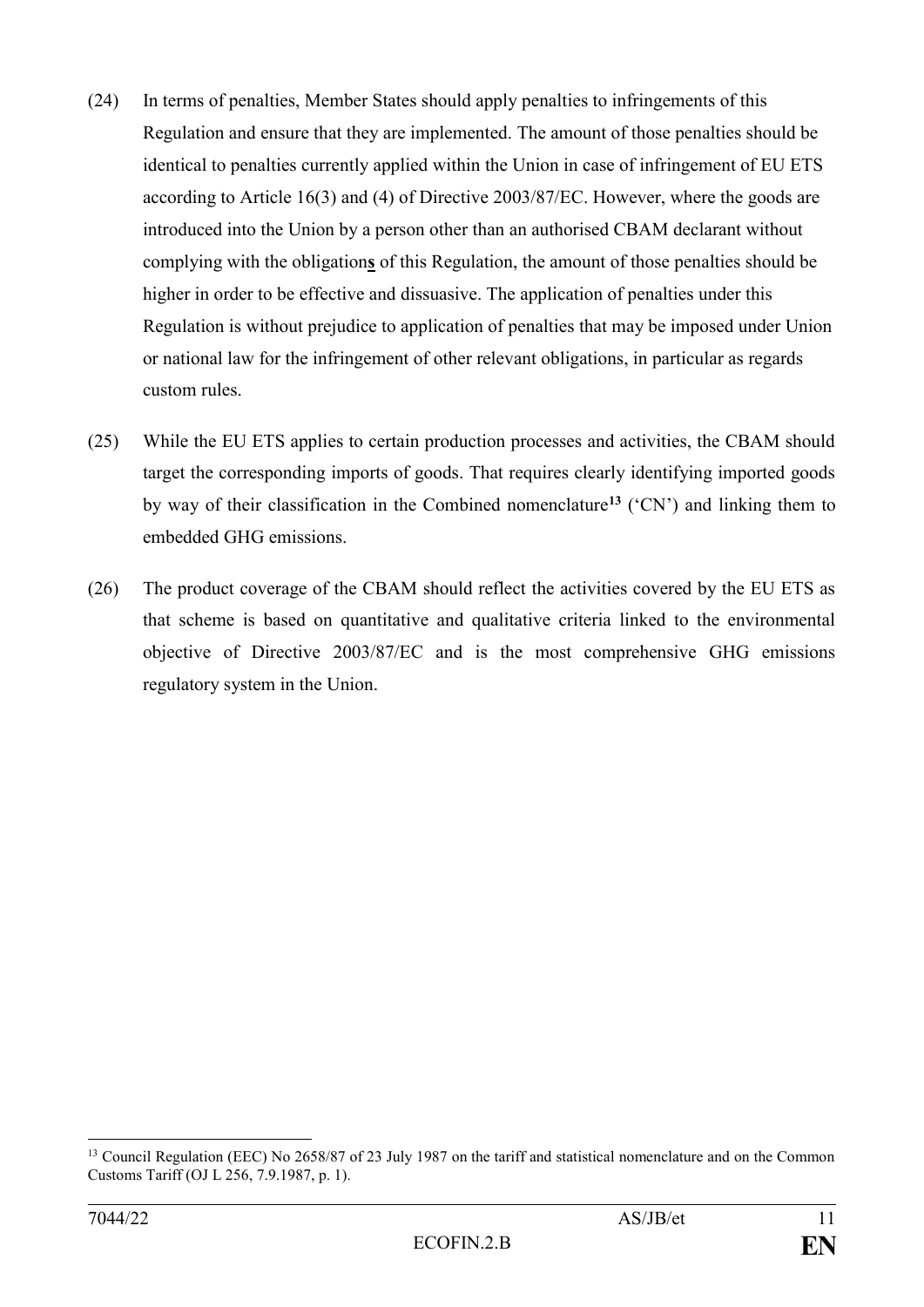- (24) In terms of penalties, Member States should apply penalties to infringements of this Regulation and ensure that they are implemented. The amount of those penalties should be identical to penalties currently applied within the Union in case of infringement of EU ETS according to Article 16(3) and (4) of Directive 2003/87/EC. However, where the goods are introduced into the Union by a person other than an authorised CBAM declarant without complying with the obligation**s** of this Regulation, the amount of those penalties should be higher in order to be effective and dissuasive. The application of penalties under this Regulation is without prejudice to application of penalties that may be imposed under Union or national law for the infringement of other relevant obligations, in particular as regards custom rules.
- (25) While the EU ETS applies to certain production processes and activities, the CBAM should target the corresponding imports of goods. That requires clearly identifying imported goods by way of their classification in the Combined nomenclature**<sup>13</sup>** ('CN') and linking them to embedded GHG emissions.
- (26) The product coverage of the CBAM should reflect the activities covered by the EU ETS as that scheme is based on quantitative and qualitative criteria linked to the environmental objective of Directive 2003/87/EC and is the most comprehensive GHG emissions regulatory system in the Union.

<sup>&</sup>lt;sup>13</sup> Council Regulation (EEC) No 2658/87 of 23 July 1987 on the tariff and statistical nomenclature and on the Common Customs Tariff (OJ L 256, 7.9.1987, p. 1).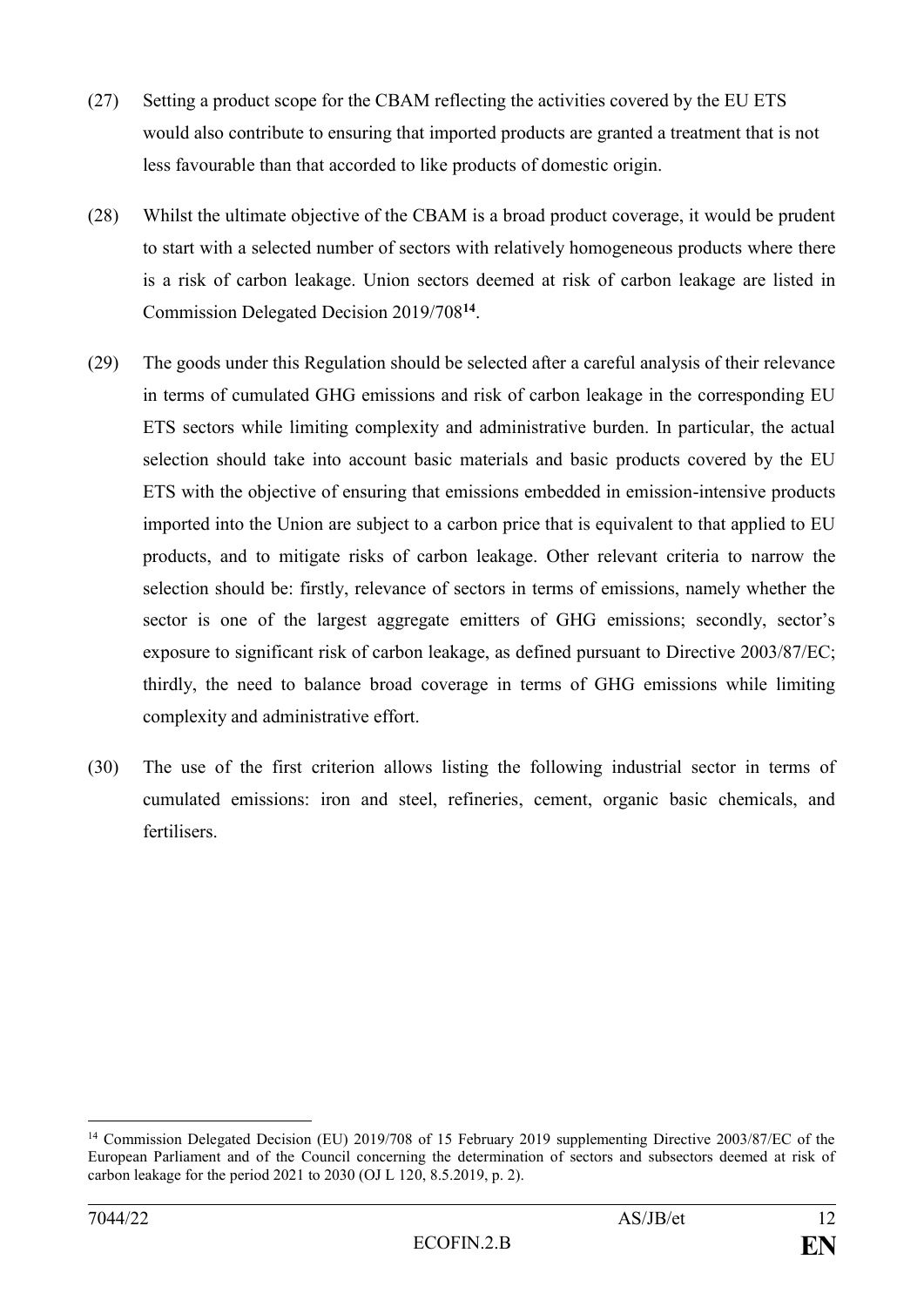- (27) Setting a product scope for the CBAM reflecting the activities covered by the EU ETS would also contribute to ensuring that imported products are granted a treatment that is not less favourable than that accorded to like products of domestic origin.
- (28) Whilst the ultimate objective of the CBAM is a broad product coverage, it would be prudent to start with a selected number of sectors with relatively homogeneous products where there is a risk of carbon leakage. Union sectors deemed at risk of carbon leakage are listed in Commission Delegated Decision 2019/708**<sup>14</sup>** .
- (29) The goods under this Regulation should be selected after a careful analysis of their relevance in terms of cumulated GHG emissions and risk of carbon leakage in the corresponding EU ETS sectors while limiting complexity and administrative burden. In particular, the actual selection should take into account basic materials and basic products covered by the EU ETS with the objective of ensuring that emissions embedded in emission-intensive products imported into the Union are subject to a carbon price that is equivalent to that applied to EU products, and to mitigate risks of carbon leakage. Other relevant criteria to narrow the selection should be: firstly, relevance of sectors in terms of emissions, namely whether the sector is one of the largest aggregate emitters of GHG emissions; secondly, sector's exposure to significant risk of carbon leakage, as defined pursuant to Directive 2003/87/EC; thirdly, the need to balance broad coverage in terms of GHG emissions while limiting complexity and administrative effort.
- (30) The use of the first criterion allows listing the following industrial sector in terms of cumulated emissions: iron and steel, refineries, cement, organic basic chemicals, and fertilisers.

<sup>&</sup>lt;sup>14</sup> Commission Delegated Decision (EU) 2019/708 of 15 February 2019 supplementing Directive 2003/87/EC of the European Parliament and of the Council concerning the determination of sectors and subsectors deemed at risk of carbon leakage for the period 2021 to 2030 (OJ L 120, 8.5.2019, p. 2).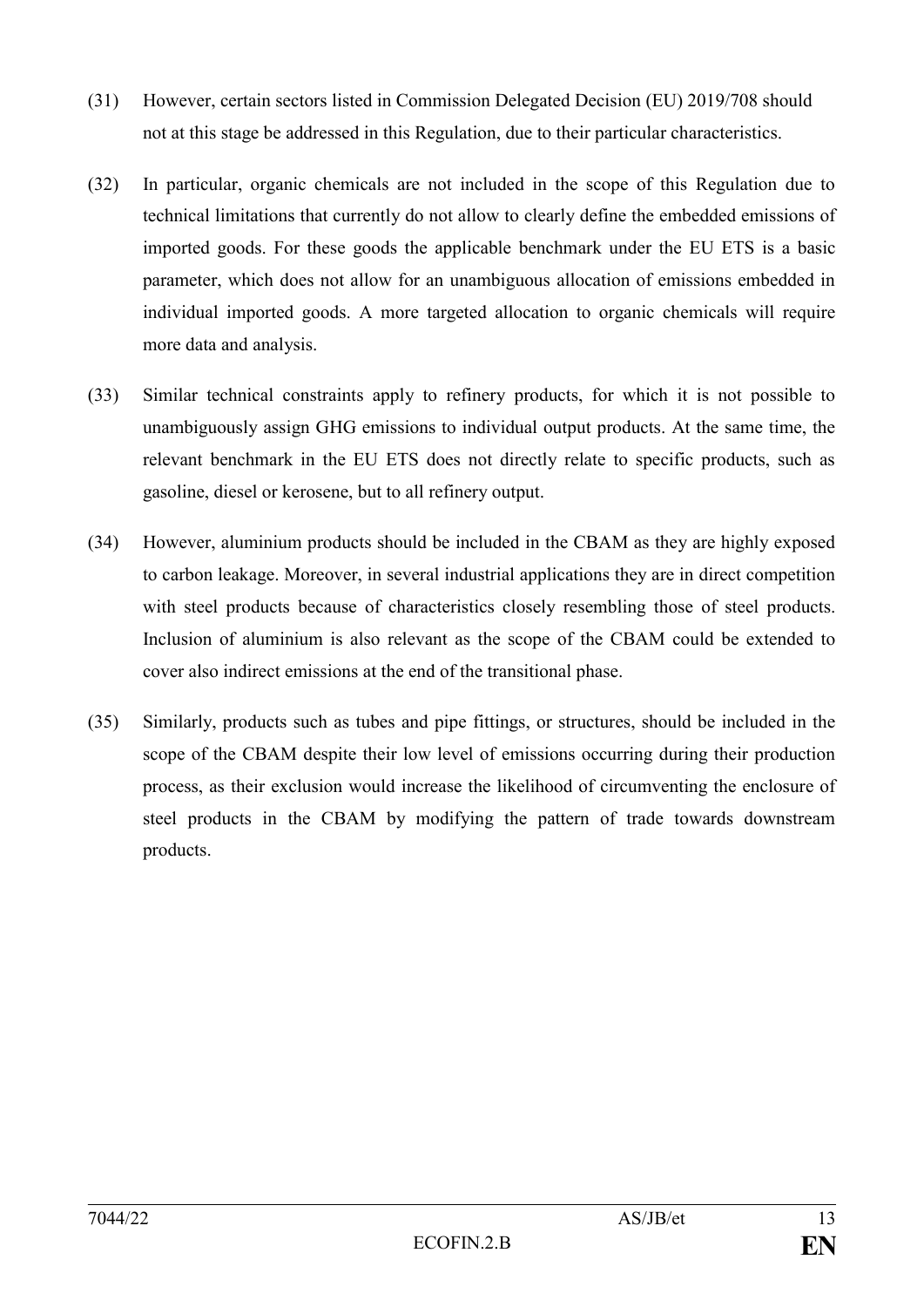- (31) However, certain sectors listed in Commission Delegated Decision (EU) 2019/708 should not at this stage be addressed in this Regulation, due to their particular characteristics.
- (32) In particular, organic chemicals are not included in the scope of this Regulation due to technical limitations that currently do not allow to clearly define the embedded emissions of imported goods. For these goods the applicable benchmark under the EU ETS is a basic parameter, which does not allow for an unambiguous allocation of emissions embedded in individual imported goods. A more targeted allocation to organic chemicals will require more data and analysis.
- (33) Similar technical constraints apply to refinery products, for which it is not possible to unambiguously assign GHG emissions to individual output products. At the same time, the relevant benchmark in the EU ETS does not directly relate to specific products, such as gasoline, diesel or kerosene, but to all refinery output.
- (34) However, aluminium products should be included in the CBAM as they are highly exposed to carbon leakage. Moreover, in several industrial applications they are in direct competition with steel products because of characteristics closely resembling those of steel products. Inclusion of aluminium is also relevant as the scope of the CBAM could be extended to cover also indirect emissions at the end of the transitional phase.
- (35) Similarly, products such as tubes and pipe fittings, or structures, should be included in the scope of the CBAM despite their low level of emissions occurring during their production process, as their exclusion would increase the likelihood of circumventing the enclosure of steel products in the CBAM by modifying the pattern of trade towards downstream products.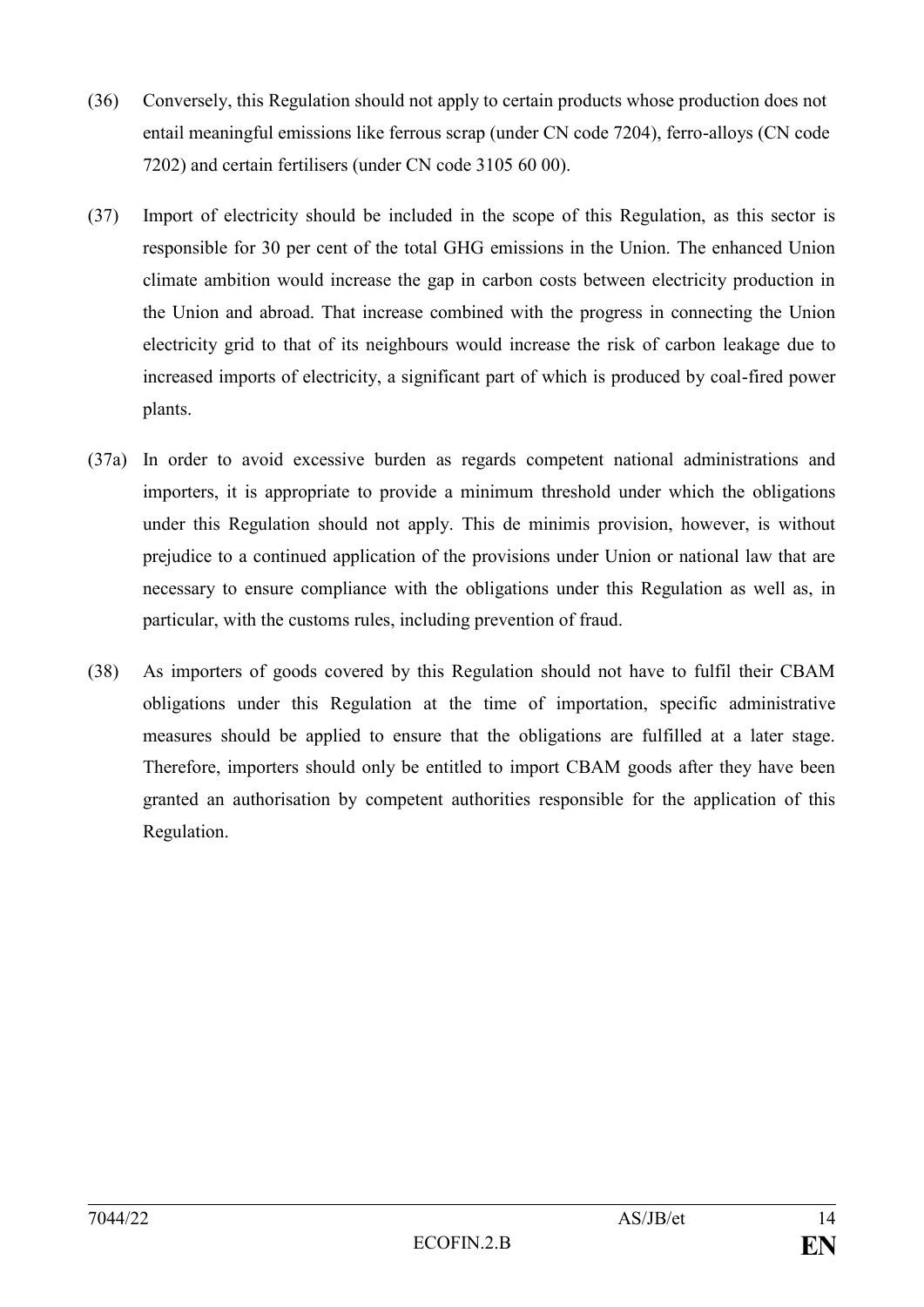- (36) Conversely, this Regulation should not apply to certain products whose production does not entail meaningful emissions like ferrous scrap (under CN code 7204), ferro-alloys (CN code 7202) and certain fertilisers (under CN code 3105 60 00).
- (37) Import of electricity should be included in the scope of this Regulation, as this sector is responsible for 30 per cent of the total GHG emissions in the Union. The enhanced Union climate ambition would increase the gap in carbon costs between electricity production in the Union and abroad. That increase combined with the progress in connecting the Union electricity grid to that of its neighbours would increase the risk of carbon leakage due to increased imports of electricity, a significant part of which is produced by coal-fired power plants.
- (37a) In order to avoid excessive burden as regards competent national administrations and importers, it is appropriate to provide a minimum threshold under which the obligations under this Regulation should not apply. This de minimis provision, however, is without prejudice to a continued application of the provisions under Union or national law that are necessary to ensure compliance with the obligations under this Regulation as well as, in particular, with the customs rules, including prevention of fraud.
- (38) As importers of goods covered by this Regulation should not have to fulfil their CBAM obligations under this Regulation at the time of importation, specific administrative measures should be applied to ensure that the obligations are fulfilled at a later stage. Therefore, importers should only be entitled to import CBAM goods after they have been granted an authorisation by competent authorities responsible for the application of this Regulation.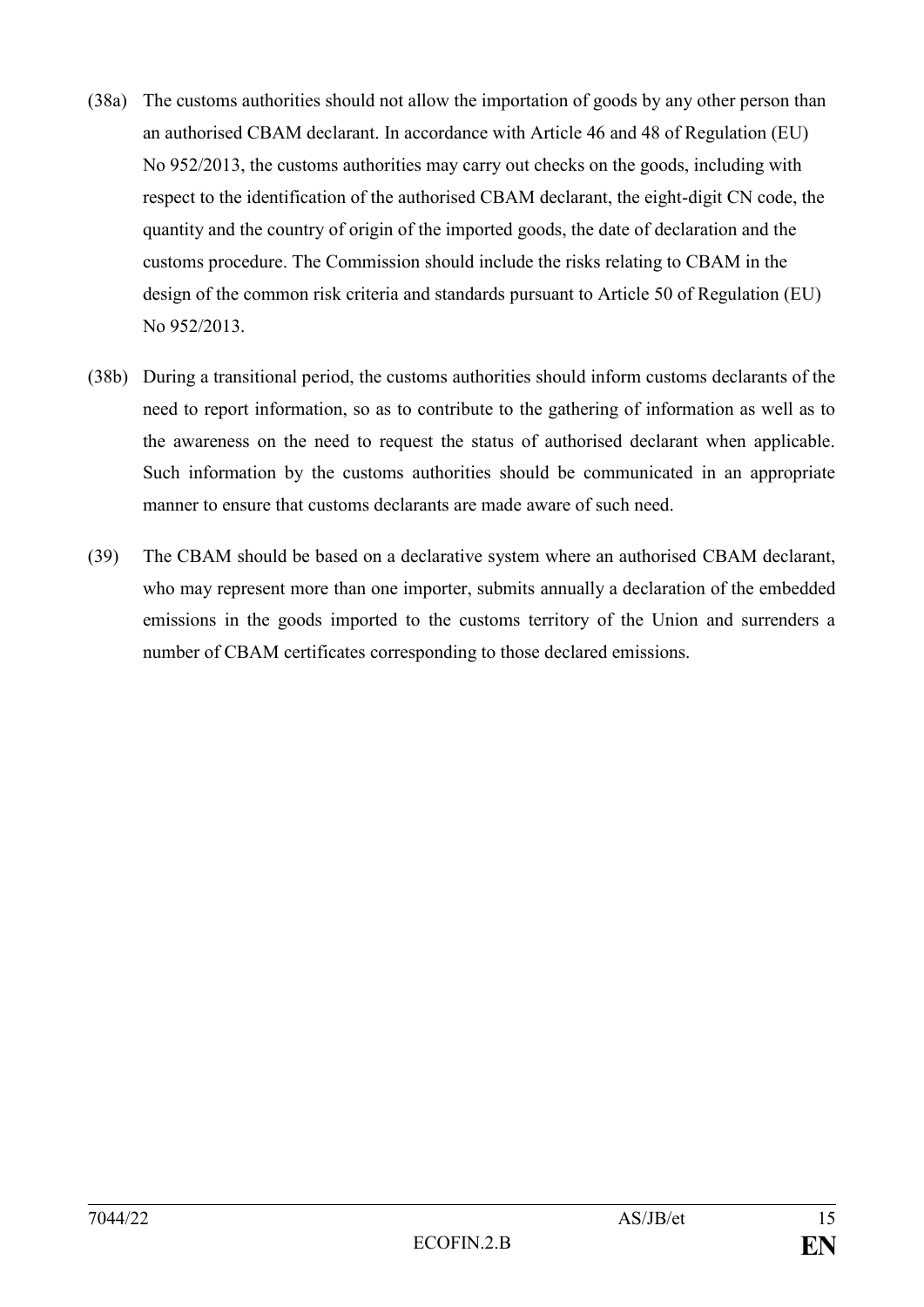- (38a) The customs authorities should not allow the importation of goods by any other person than an authorised CBAM declarant. In accordance with Article 46 and 48 of Regulation (EU) No 952/2013, the customs authorities may carry out checks on the goods, including with respect to the identification of the authorised CBAM declarant, the eight-digit CN code, the quantity and the country of origin of the imported goods, the date of declaration and the customs procedure. The Commission should include the risks relating to CBAM in the design of the common risk criteria and standards pursuant to Article 50 of Regulation (EU) No 952/2013.
- (38b) During a transitional period, the customs authorities should inform customs declarants of the need to report information, so as to contribute to the gathering of information as well as to the awareness on the need to request the status of authorised declarant when applicable. Such information by the customs authorities should be communicated in an appropriate manner to ensure that customs declarants are made aware of such need.
- (39) The CBAM should be based on a declarative system where an authorised CBAM declarant, who may represent more than one importer, submits annually a declaration of the embedded emissions in the goods imported to the customs territory of the Union and surrenders a number of CBAM certificates corresponding to those declared emissions.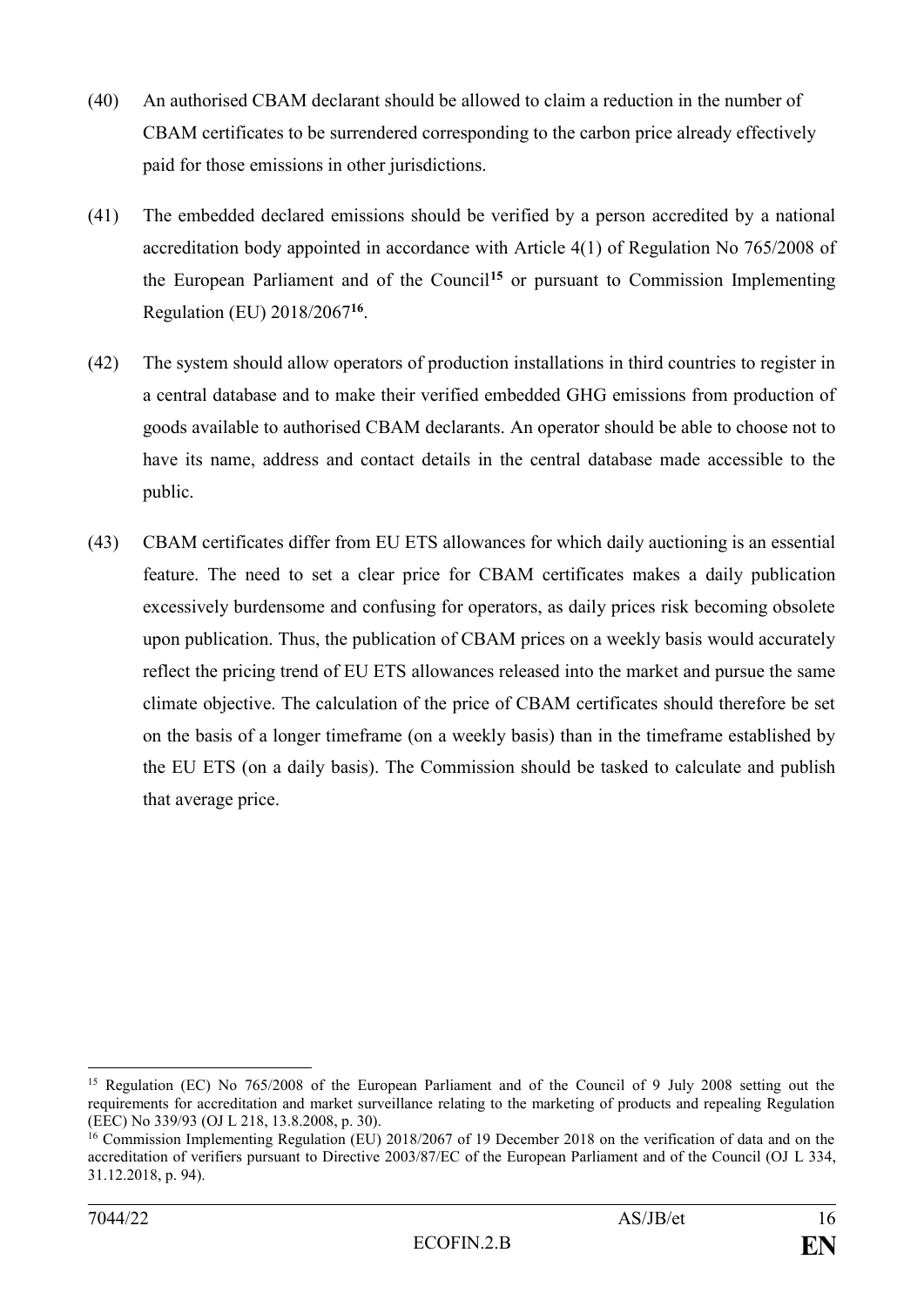- (40) An authorised CBAM declarant should be allowed to claim a reduction in the number of CBAM certificates to be surrendered corresponding to the carbon price already effectively paid for those emissions in other jurisdictions.
- (41) The embedded declared emissions should be verified by a person accredited by a national accreditation body appointed in accordance with Article 4(1) of Regulation No 765/2008 of the European Parliament and of the Council**<sup>15</sup>** or pursuant to Commission Implementing Regulation (EU) 2018/2067**<sup>16</sup>** .
- (42) The system should allow operators of production installations in third countries to register in a central database and to make their verified embedded GHG emissions from production of goods available to authorised CBAM declarants. An operator should be able to choose not to have its name, address and contact details in the central database made accessible to the public.
- (43) CBAM certificates differ from EU ETS allowances for which daily auctioning is an essential feature. The need to set a clear price for CBAM certificates makes a daily publication excessively burdensome and confusing for operators, as daily prices risk becoming obsolete upon publication. Thus, the publication of CBAM prices on a weekly basis would accurately reflect the pricing trend of EU ETS allowances released into the market and pursue the same climate objective. The calculation of the price of CBAM certificates should therefore be set on the basis of a longer timeframe (on a weekly basis) than in the timeframe established by the EU ETS (on a daily basis). The Commission should be tasked to calculate and publish that average price.

<sup>15</sup> Regulation (EC) No 765/2008 of the European Parliament and of the Council of 9 July 2008 setting out the requirements for accreditation and market surveillance relating to the marketing of products and repealing Regulation (EEC) No 339/93 (OJ L 218, 13.8.2008, p. 30).

<sup>&</sup>lt;sup>16</sup> Commission Implementing Regulation (EU) 2018/2067 of 19 December 2018 on the verification of data and on the accreditation of verifiers pursuant to Directive 2003/87/EC of the European Parliament and of the Council (OJ L 334, 31.12.2018, p. 94).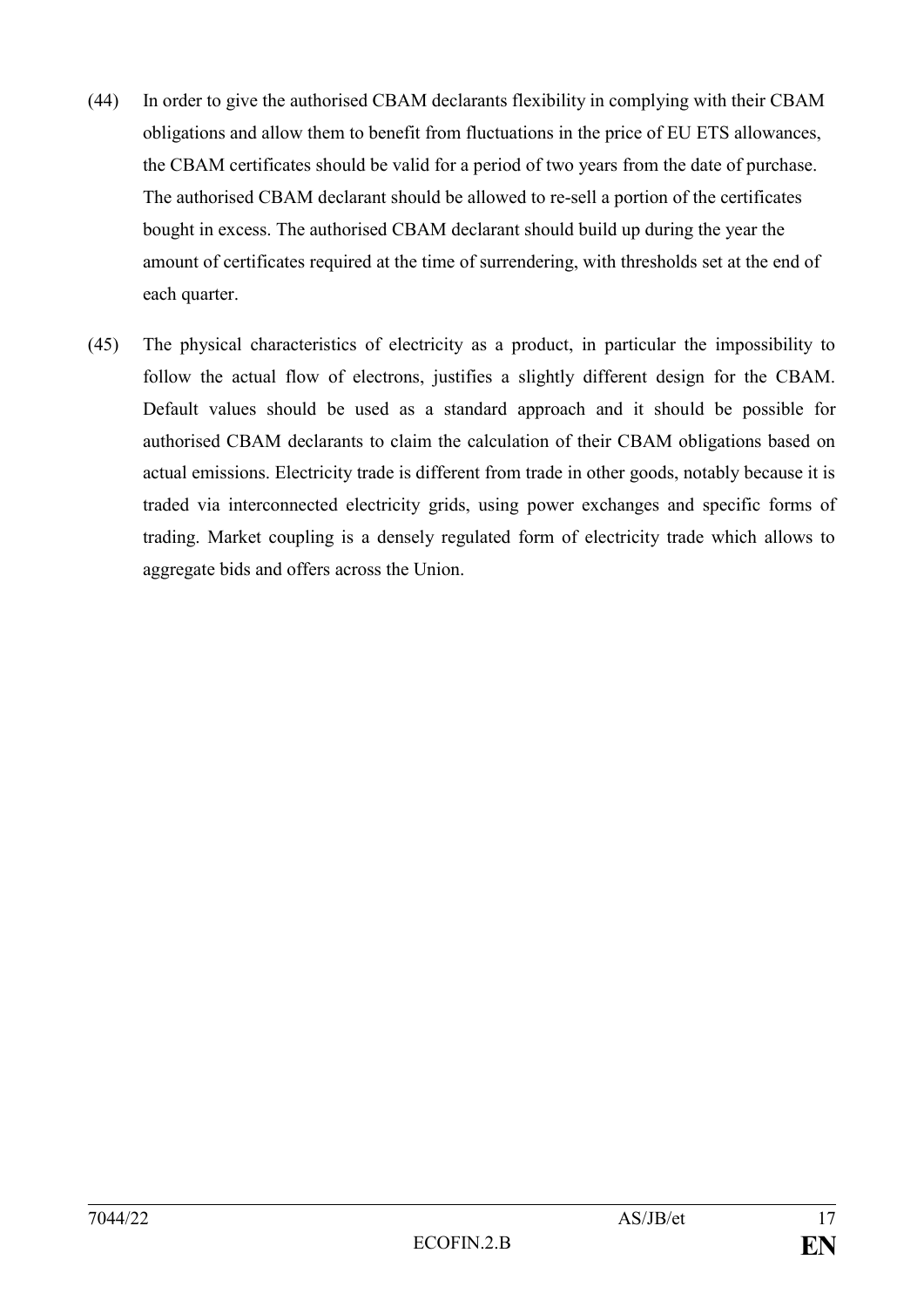- (44) In order to give the authorised CBAM declarants flexibility in complying with their CBAM obligations and allow them to benefit from fluctuations in the price of EU ETS allowances, the CBAM certificates should be valid for a period of two years from the date of purchase. The authorised CBAM declarant should be allowed to re-sell a portion of the certificates bought in excess. The authorised CBAM declarant should build up during the year the amount of certificates required at the time of surrendering, with thresholds set at the end of each quarter.
- (45) The physical characteristics of electricity as a product, in particular the impossibility to follow the actual flow of electrons, justifies a slightly different design for the CBAM. Default values should be used as a standard approach and it should be possible for authorised CBAM declarants to claim the calculation of their CBAM obligations based on actual emissions. Electricity trade is different from trade in other goods, notably because it is traded via interconnected electricity grids, using power exchanges and specific forms of trading. Market coupling is a densely regulated form of electricity trade which allows to aggregate bids and offers across the Union.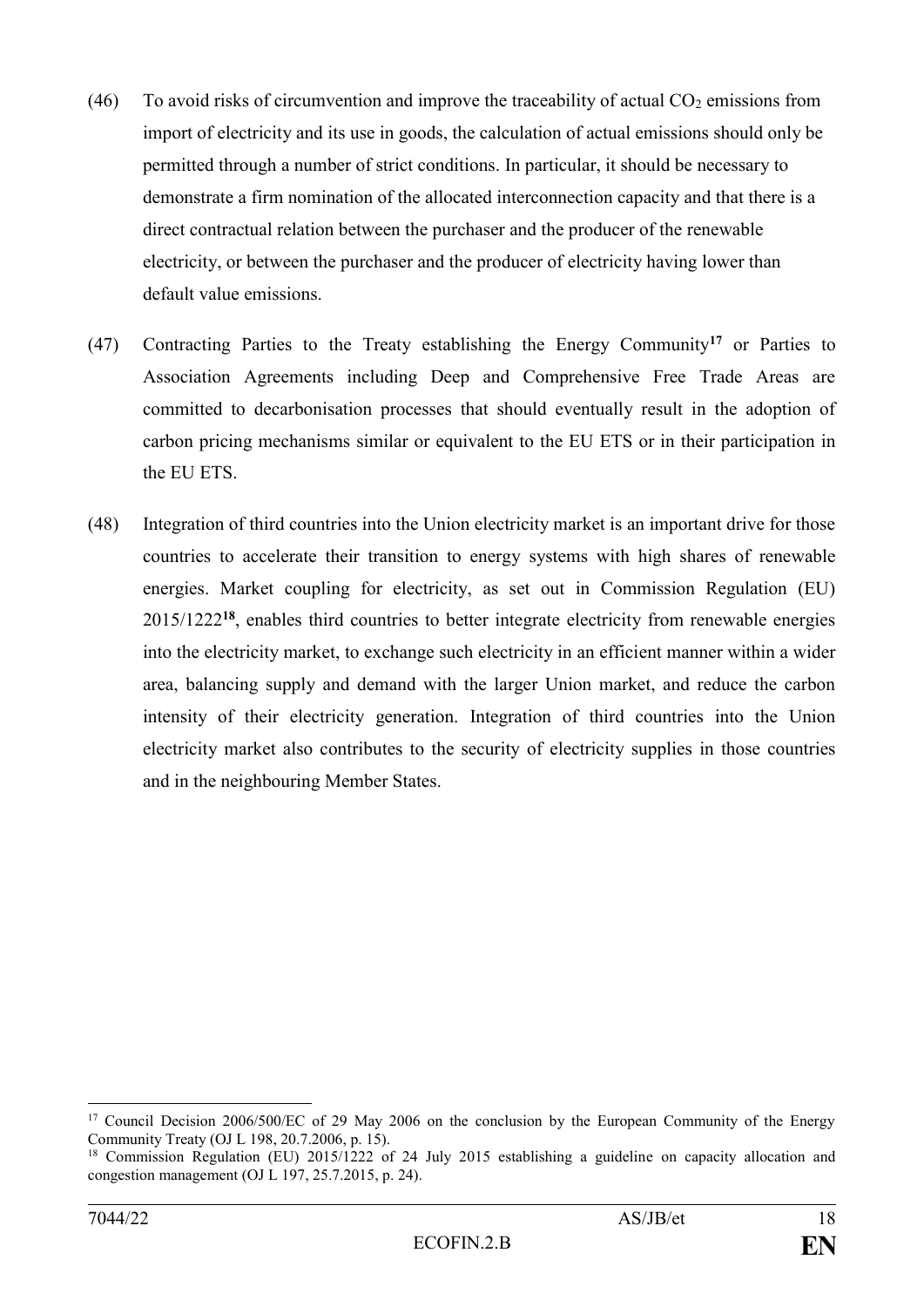- (46) To avoid risks of circumvention and improve the traceability of actual  $CO<sub>2</sub>$  emissions from import of electricity and its use in goods, the calculation of actual emissions should only be permitted through a number of strict conditions. In particular, it should be necessary to demonstrate a firm nomination of the allocated interconnection capacity and that there is a direct contractual relation between the purchaser and the producer of the renewable electricity, or between the purchaser and the producer of electricity having lower than default value emissions.
- (47) Contracting Parties to the Treaty establishing the Energy Community**<sup>17</sup>** or Parties to Association Agreements including Deep and Comprehensive Free Trade Areas are committed to decarbonisation processes that should eventually result in the adoption of carbon pricing mechanisms similar or equivalent to the EU ETS or in their participation in the EU ETS.
- (48) Integration of third countries into the Union electricity market is an important drive for those countries to accelerate their transition to energy systems with high shares of renewable energies. Market coupling for electricity, as set out in Commission Regulation (EU) 2015/1222**<sup>18</sup>**, enables third countries to better integrate electricity from renewable energies into the electricity market, to exchange such electricity in an efficient manner within a wider area, balancing supply and demand with the larger Union market, and reduce the carbon intensity of their electricity generation. Integration of third countries into the Union electricity market also contributes to the security of electricity supplies in those countries and in the neighbouring Member States.

<u>.</u>

<sup>&</sup>lt;sup>17</sup> Council Decision 2006/500/EC of 29 May 2006 on the conclusion by the European Community of the Energy Community Treaty (OJ L 198, 20.7.2006, p. 15).

<sup>&</sup>lt;sup>18</sup> Commission Regulation (EU) 2015/1222 of 24 July 2015 establishing a guideline on capacity allocation and congestion management (OJ L 197, 25.7.2015, p. 24).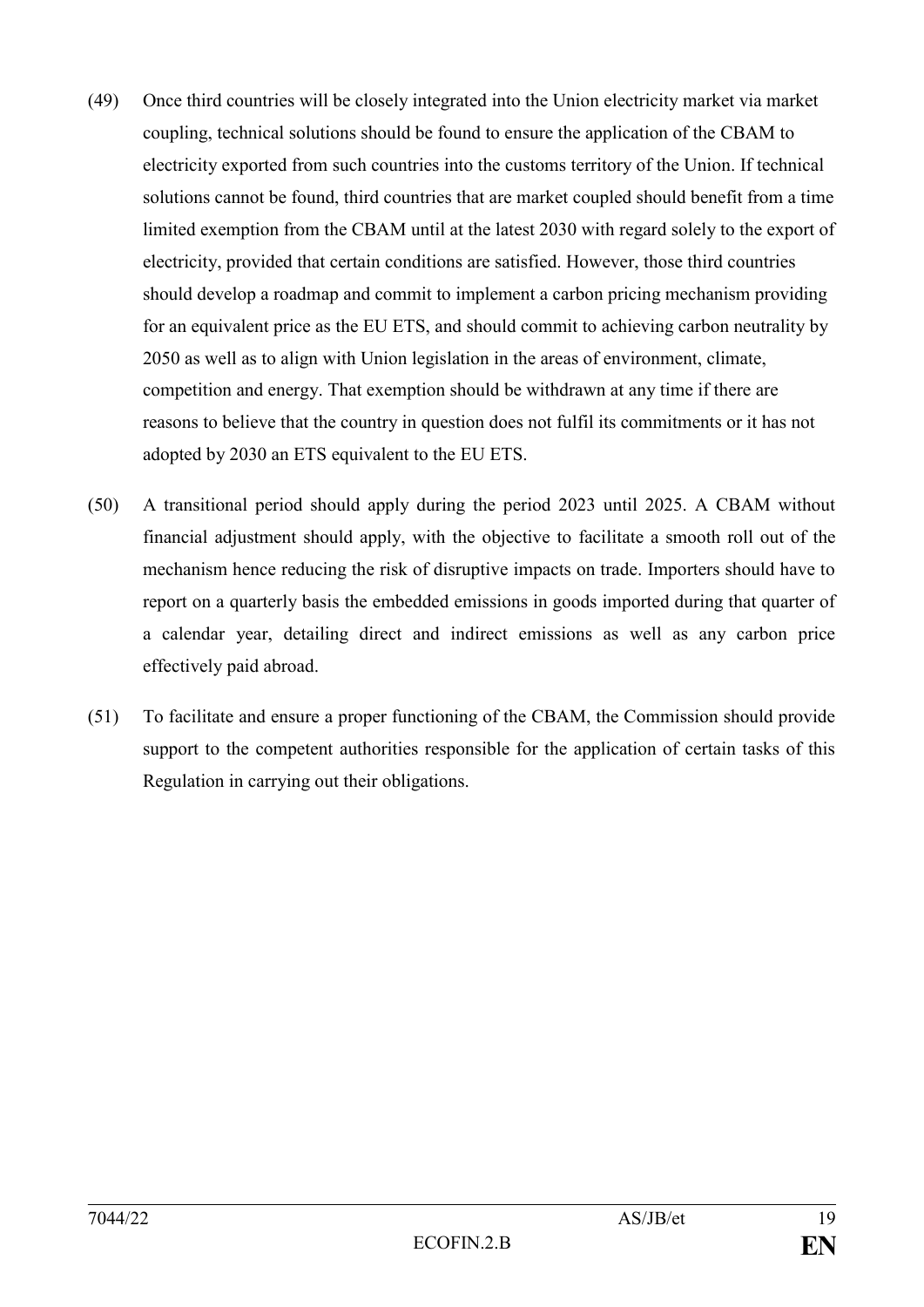- (49) Once third countries will be closely integrated into the Union electricity market via market coupling, technical solutions should be found to ensure the application of the CBAM to electricity exported from such countries into the customs territory of the Union. If technical solutions cannot be found, third countries that are market coupled should benefit from a time limited exemption from the CBAM until at the latest 2030 with regard solely to the export of electricity, provided that certain conditions are satisfied. However, those third countries should develop a roadmap and commit to implement a carbon pricing mechanism providing for an equivalent price as the EU ETS, and should commit to achieving carbon neutrality by 2050 as well as to align with Union legislation in the areas of environment, climate, competition and energy. That exemption should be withdrawn at any time if there are reasons to believe that the country in question does not fulfil its commitments or it has not adopted by 2030 an ETS equivalent to the EU ETS.
- (50) A transitional period should apply during the period 2023 until 2025. A CBAM without financial adjustment should apply, with the objective to facilitate a smooth roll out of the mechanism hence reducing the risk of disruptive impacts on trade. Importers should have to report on a quarterly basis the embedded emissions in goods imported during that quarter of a calendar year, detailing direct and indirect emissions as well as any carbon price effectively paid abroad.
- (51) To facilitate and ensure a proper functioning of the CBAM, the Commission should provide support to the competent authorities responsible for the application of certain tasks of this Regulation in carrying out their obligations.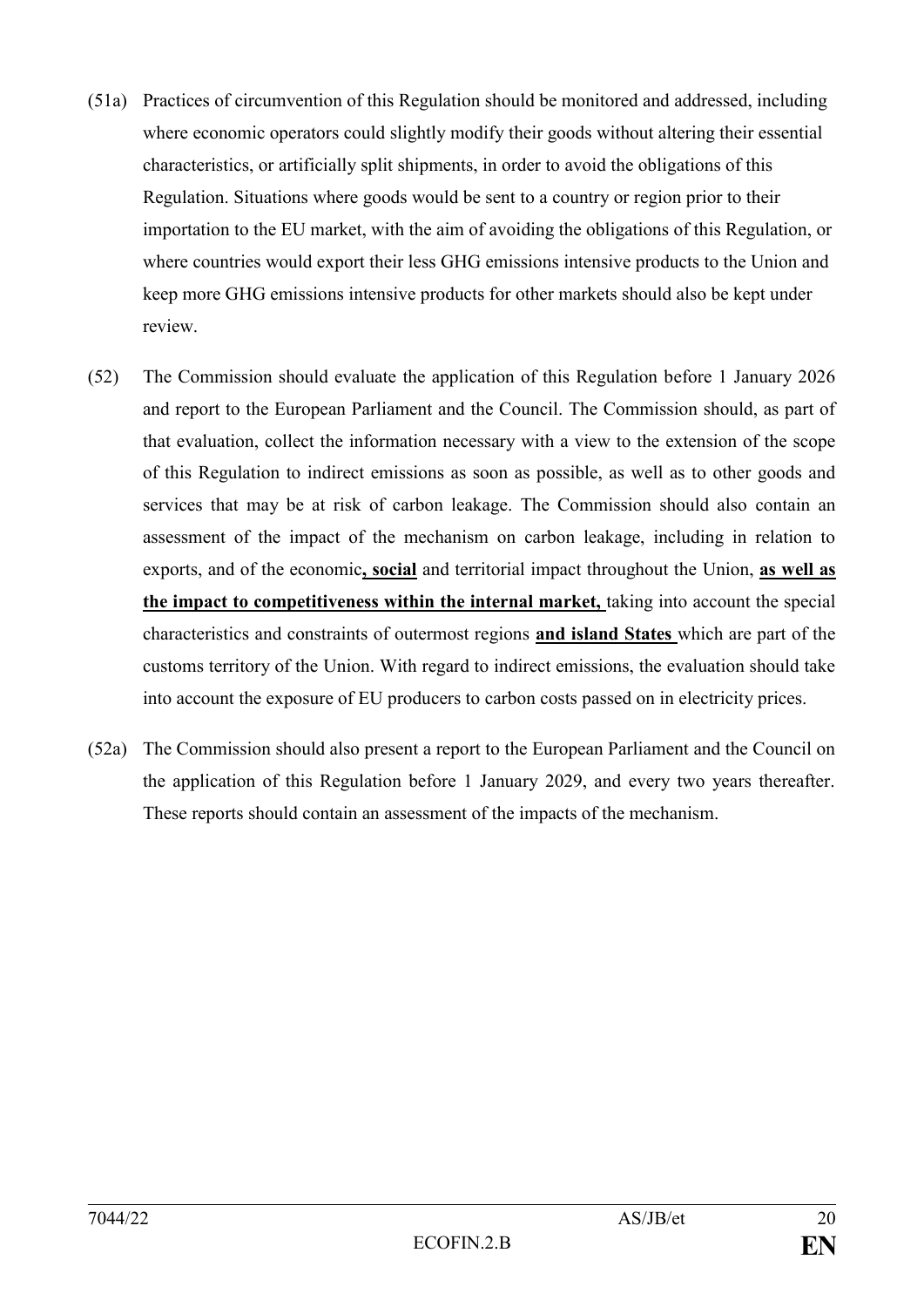- (51a) Practices of circumvention of this Regulation should be monitored and addressed, including where economic operators could slightly modify their goods without altering their essential characteristics, or artificially split shipments, in order to avoid the obligations of this Regulation. Situations where goods would be sent to a country or region prior to their importation to the EU market, with the aim of avoiding the obligations of this Regulation, or where countries would export their less GHG emissions intensive products to the Union and keep more GHG emissions intensive products for other markets should also be kept under review.
- (52) The Commission should evaluate the application of this Regulation before 1 January 2026 and report to the European Parliament and the Council. The Commission should, as part of that evaluation, collect the information necessary with a view to the extension of the scope of this Regulation to indirect emissions as soon as possible, as well as to other goods and services that may be at risk of carbon leakage. The Commission should also contain an assessment of the impact of the mechanism on carbon leakage, including in relation to exports, and of the economic**, social** and territorial impact throughout the Union, **as well as the impact to competitiveness within the internal market,** taking into account the special characteristics and constraints of outermost regions **and island States** which are part of the customs territory of the Union. With regard to indirect emissions, the evaluation should take into account the exposure of EU producers to carbon costs passed on in electricity prices.
- (52a) The Commission should also present a report to the European Parliament and the Council on the application of this Regulation before 1 January 2029, and every two years thereafter. These reports should contain an assessment of the impacts of the mechanism.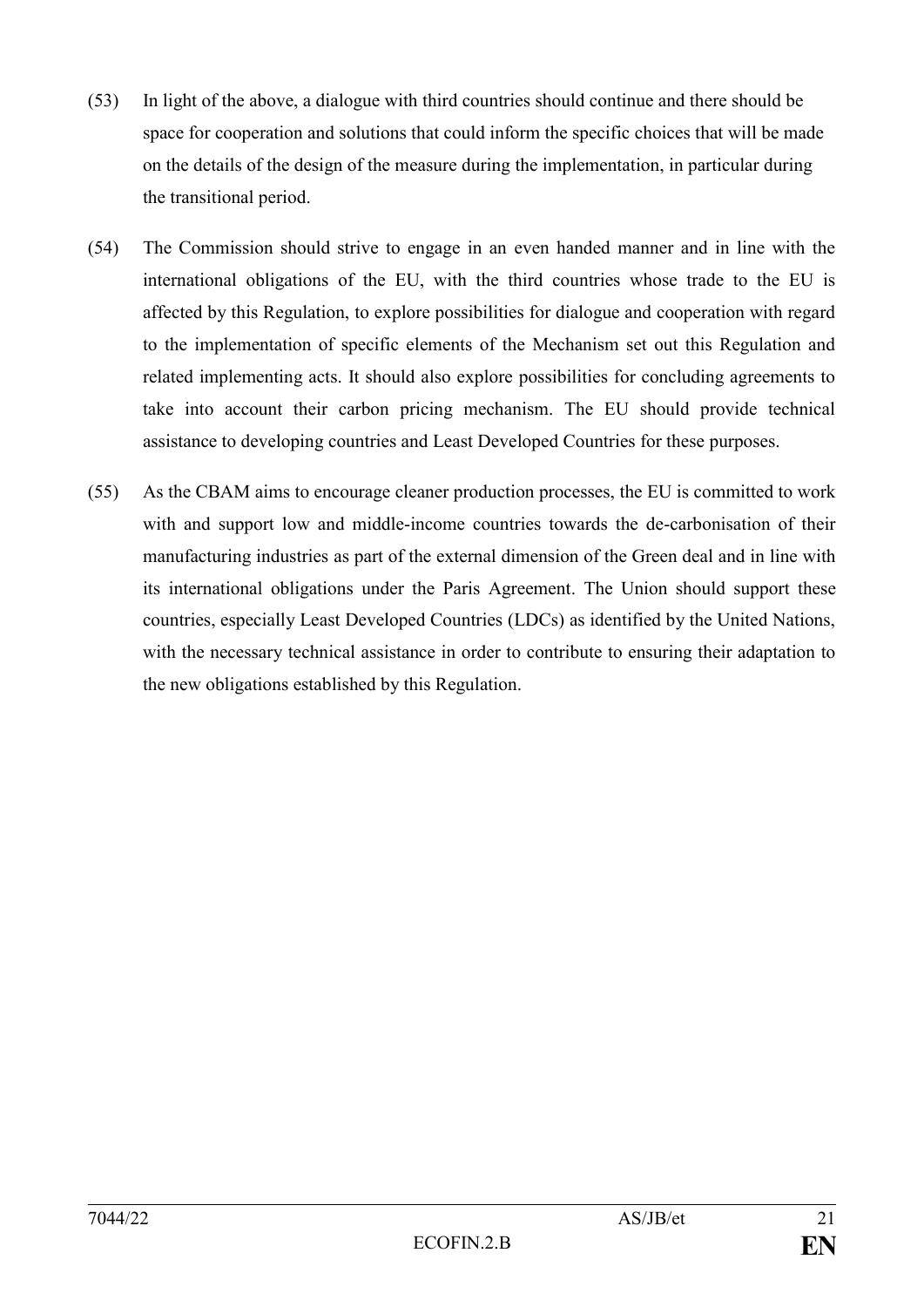- (53) In light of the above, a dialogue with third countries should continue and there should be space for cooperation and solutions that could inform the specific choices that will be made on the details of the design of the measure during the implementation, in particular during the transitional period.
- (54) The Commission should strive to engage in an even handed manner and in line with the international obligations of the EU, with the third countries whose trade to the EU is affected by this Regulation, to explore possibilities for dialogue and cooperation with regard to the implementation of specific elements of the Mechanism set out this Regulation and related implementing acts. It should also explore possibilities for concluding agreements to take into account their carbon pricing mechanism. The EU should provide technical assistance to developing countries and Least Developed Countries for these purposes.
- (55) As the CBAM aims to encourage cleaner production processes, the EU is committed to work with and support low and middle-income countries towards the de-carbonisation of their manufacturing industries as part of the external dimension of the Green deal and in line with its international obligations under the Paris Agreement. The Union should support these countries, especially Least Developed Countries (LDCs) as identified by the United Nations, with the necessary technical assistance in order to contribute to ensuring their adaptation to the new obligations established by this Regulation.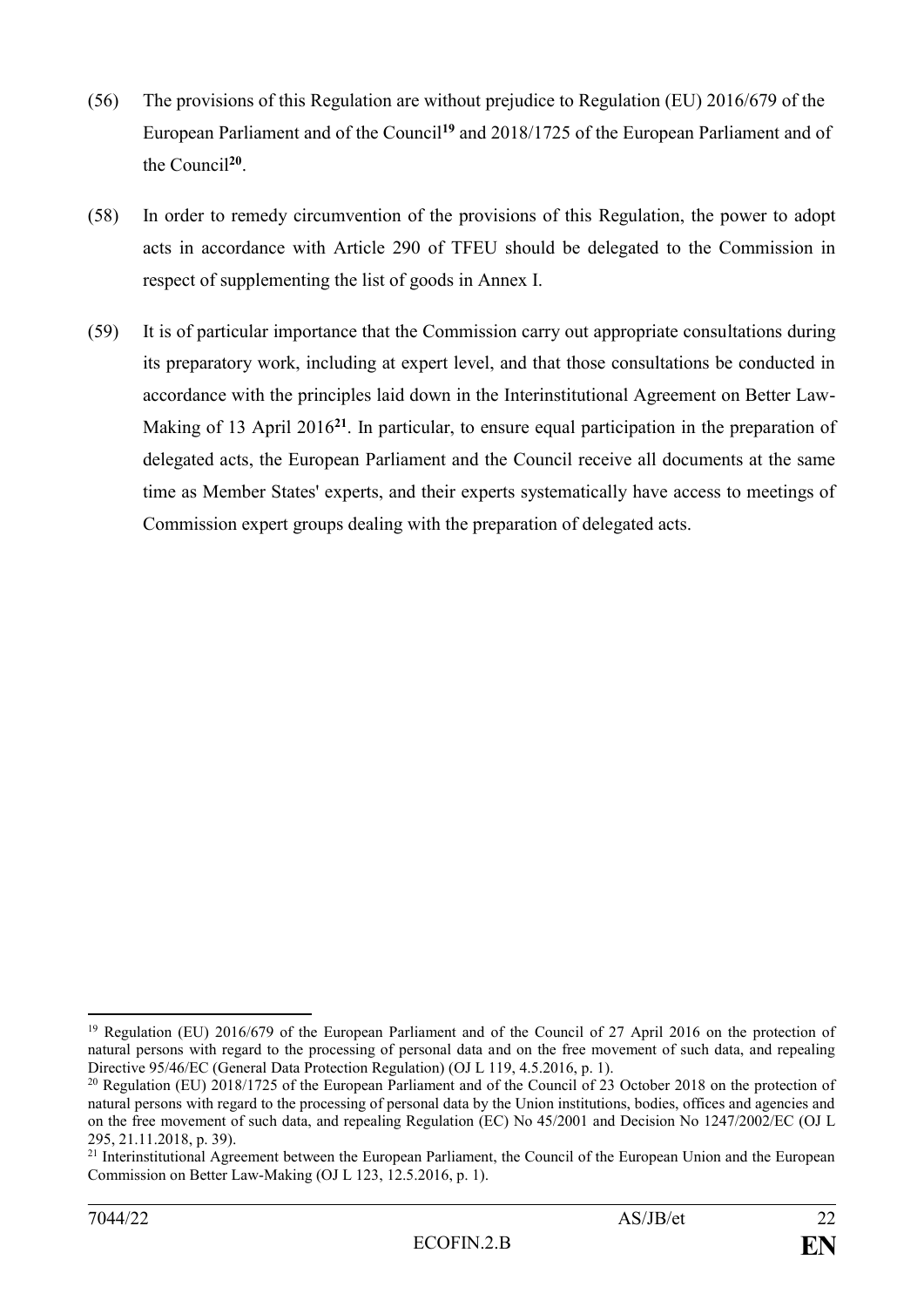- (56) The provisions of this Regulation are without prejudice to Regulation (EU) 2016/679 of the European Parliament and of the Council**<sup>19</sup>** and 2018/1725 of the European Parliament and of the Council**<sup>20</sup>** .
- (58) In order to remedy circumvention of the provisions of this Regulation, the power to adopt acts in accordance with Article 290 of TFEU should be delegated to the Commission in respect of supplementing the list of goods in Annex I.
- (59) It is of particular importance that the Commission carry out appropriate consultations during its preparatory work, including at expert level, and that those consultations be conducted in accordance with the principles laid down in the Interinstitutional Agreement on Better Law-Making of 13 April 2016**<sup>21</sup>**. In particular, to ensure equal participation in the preparation of delegated acts, the European Parliament and the Council receive all documents at the same time as Member States' experts, and their experts systematically have access to meetings of Commission expert groups dealing with the preparation of delegated acts.

<sup>1</sup> <sup>19</sup> Regulation (EU) 2016/679 of the European Parliament and of the Council of 27 April 2016 on the protection of natural persons with regard to the processing of personal data and on the free movement of such data, and repealing Directive 95/46/EC (General Data Protection Regulation) (OJ L 119, 4.5.2016, p. 1).

<sup>&</sup>lt;sup>20</sup> Regulation (EU) 2018/1725 of the European Parliament and of the Council of 23 October 2018 on the protection of natural persons with regard to the processing of personal data by the Union institutions, bodies, offices and agencies and on the free movement of such data, and repealing Regulation (EC) No 45/2001 and Decision No 1247/2002/EC (OJ L 295, 21.11.2018, p. 39).

<sup>&</sup>lt;sup>21</sup> Interinstitutional Agreement between the European Parliament, the Council of the European Union and the European Commission on Better Law-Making (OJ L 123, 12.5.2016, p. 1).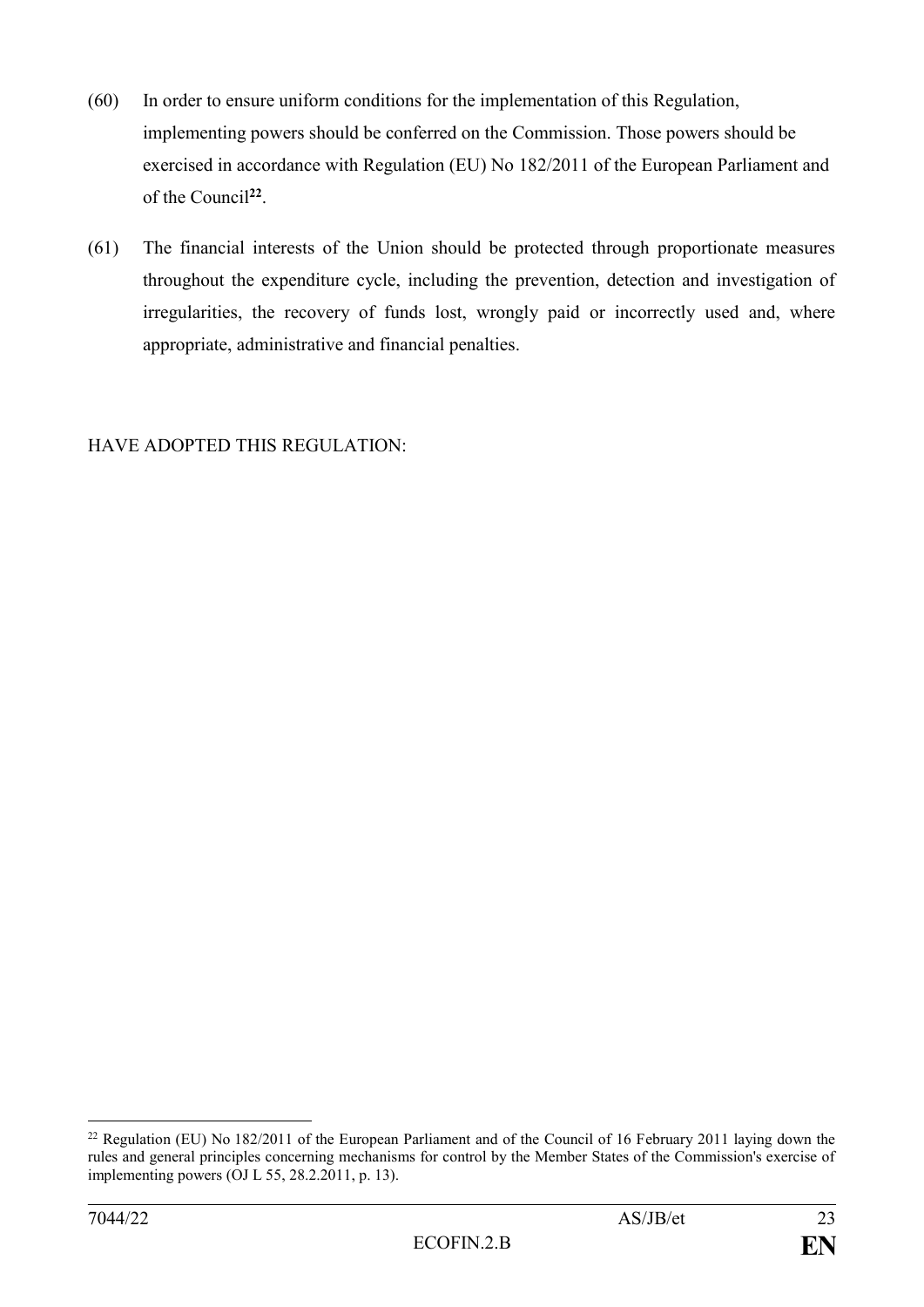- (60) In order to ensure uniform conditions for the implementation of this Regulation, implementing powers should be conferred on the Commission. Those powers should be exercised in accordance with Regulation (EU) No 182/2011 of the European Parliament and of the Council**<sup>22</sup>** .
- (61) The financial interests of the Union should be protected through proportionate measures throughout the expenditure cycle, including the prevention, detection and investigation of irregularities, the recovery of funds lost, wrongly paid or incorrectly used and, where appropriate, administrative and financial penalties.

## HAVE ADOPTED THIS REGULATION:

<sup>&</sup>lt;sup>22</sup> Regulation (EU) No 182/2011 of the European Parliament and of the Council of 16 February 2011 laying down the rules and general principles concerning mechanisms for control by the Member States of the Commission's exercise of implementing powers (OJ L 55, 28.2.2011, p. 13).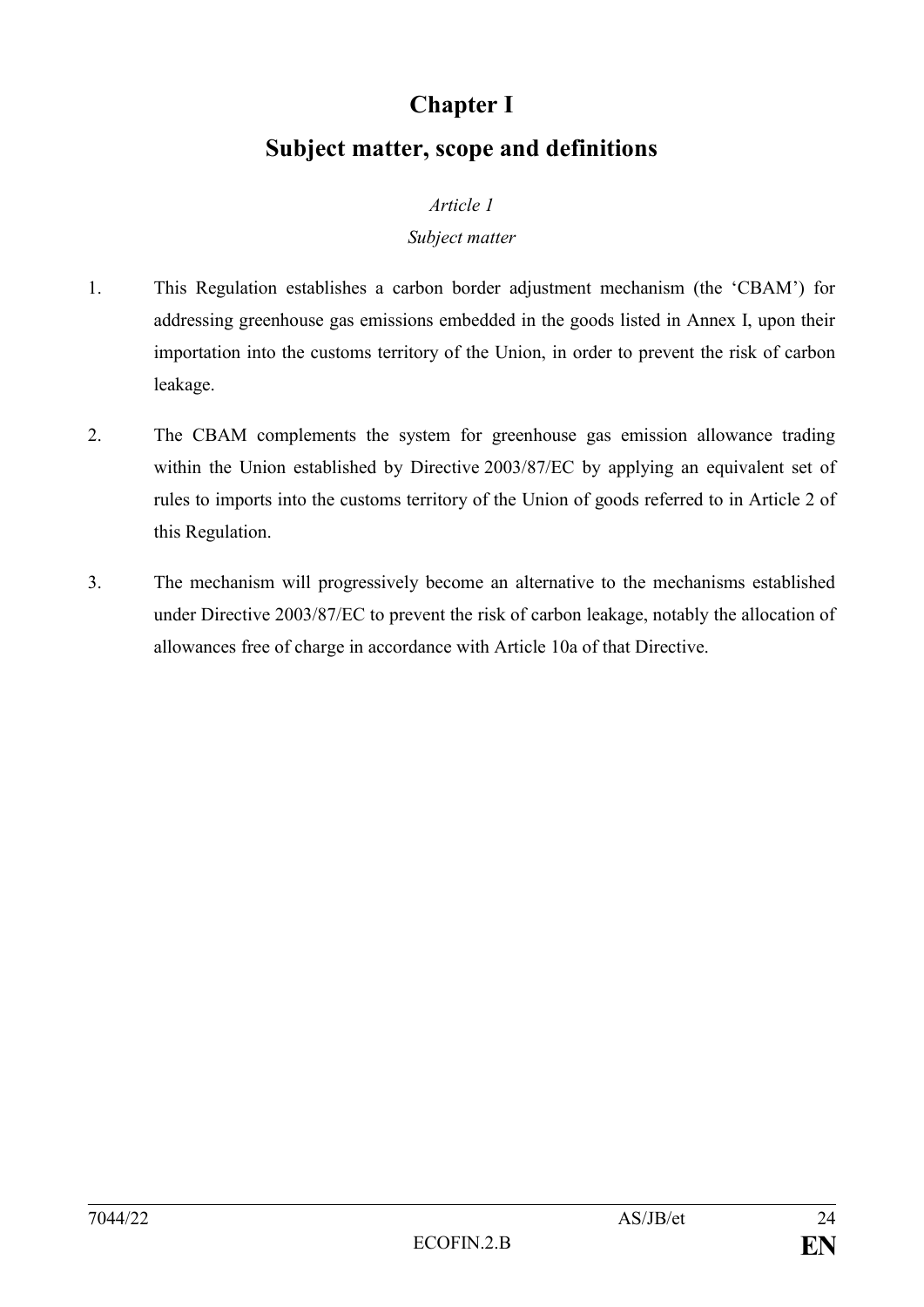# **Chapter I**

# **Subject matter, scope and definitions**

## *Article 1*

## *Subject matter*

- 1. This Regulation establishes a carbon border adjustment mechanism (the 'CBAM') for addressing greenhouse gas emissions embedded in the goods listed in Annex I, upon their importation into the customs territory of the Union, in order to prevent the risk of carbon leakage.
- 2. The CBAM complements the system for greenhouse gas emission allowance trading within the Union established by Directive 2003/87/EC by applying an equivalent set of rules to imports into the customs territory of the Union of goods referred to in Article 2 of this Regulation.
- 3. The mechanism will progressively become an alternative to the mechanisms established under Directive 2003/87/EC to prevent the risk of carbon leakage, notably the allocation of allowances free of charge in accordance with Article 10a of that Directive.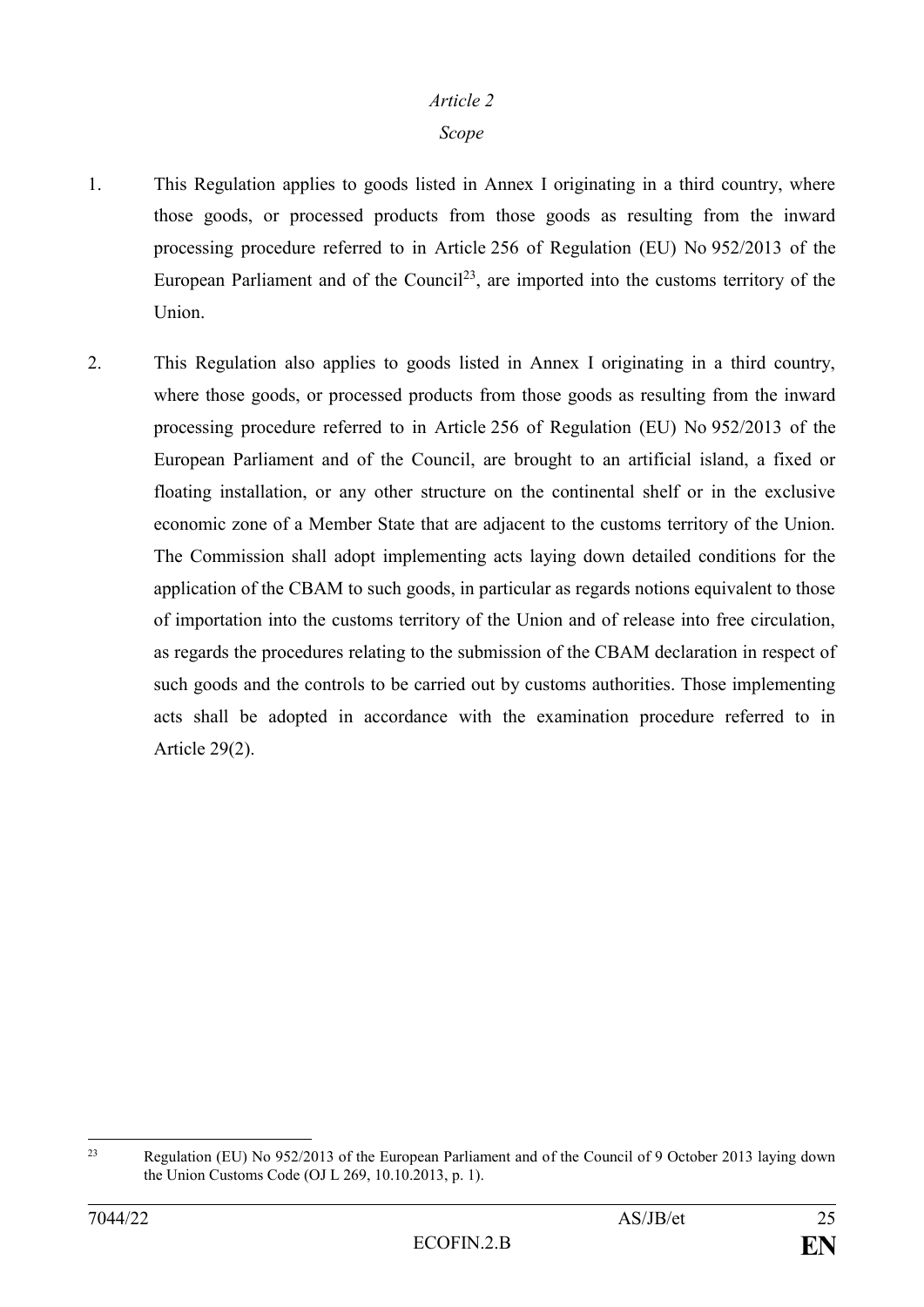#### *Article 2*

#### *Scope*

- 1. This Regulation applies to goods listed in Annex I originating in a third country, where those goods, or processed products from those goods as resulting from the inward processing procedure referred to in Article 256 of Regulation (EU) No 952/2013 of the European Parliament and of the Council<sup>23</sup>, are imported into the customs territory of the Union.
- 2. This Regulation also applies to goods listed in Annex I originating in a third country, where those goods, or processed products from those goods as resulting from the inward processing procedure referred to in Article 256 of Regulation (EU) No 952/2013 of the European Parliament and of the Council, are brought to an artificial island, a fixed or floating installation, or any other structure on the continental shelf or in the exclusive economic zone of a Member State that are adjacent to the customs territory of the Union. The Commission shall adopt implementing acts laying down detailed conditions for the application of the CBAM to such goods, in particular as regards notions equivalent to those of importation into the customs territory of the Union and of release into free circulation, as regards the procedures relating to the submission of the CBAM declaration in respect of such goods and the controls to be carried out by customs authorities. Those implementing acts shall be adopted in accordance with the examination procedure referred to in Article 29(2).

 $23$ Regulation (EU) No 952/2013 of the European Parliament and of the Council of 9 October 2013 laying down the Union Customs Code (OJ L 269, 10.10.2013, p. 1).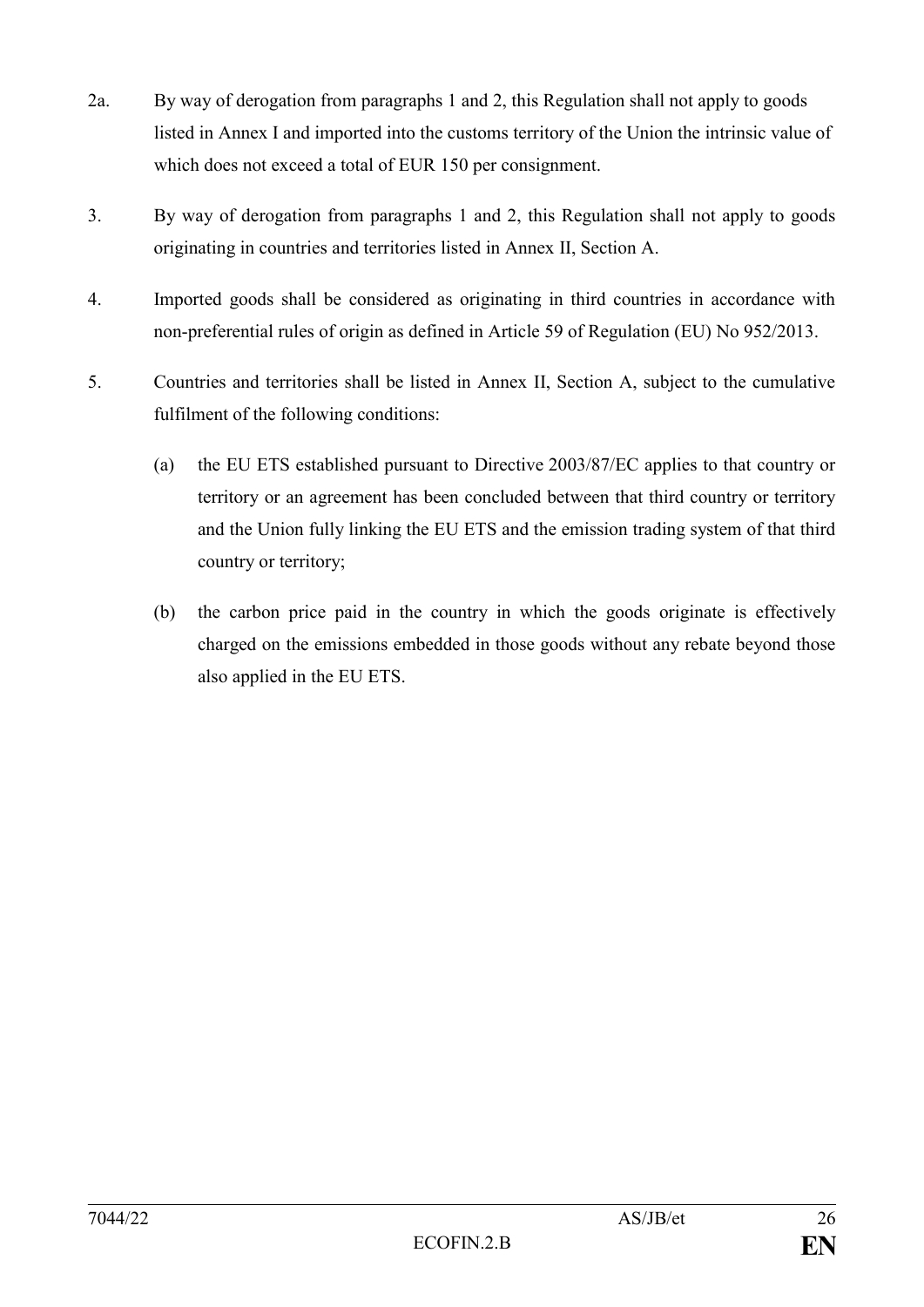- 2a. By way of derogation from paragraphs 1 and 2, this Regulation shall not apply to goods listed in Annex I and imported into the customs territory of the Union the intrinsic value of which does not exceed a total of EUR 150 per consignment.
- 3. By way of derogation from paragraphs 1 and 2, this Regulation shall not apply to goods originating in countries and territories listed in Annex II, Section A.
- 4. Imported goods shall be considered as originating in third countries in accordance with non-preferential rules of origin as defined in Article 59 of Regulation (EU) No 952/2013.
- 5. Countries and territories shall be listed in Annex II, Section A, subject to the cumulative fulfilment of the following conditions:
	- (a) the EU ETS established pursuant to Directive 2003/87/EC applies to that country or territory or an agreement has been concluded between that third country or territory and the Union fully linking the EU ETS and the emission trading system of that third country or territory;
	- (b) the carbon price paid in the country in which the goods originate is effectively charged on the emissions embedded in those goods without any rebate beyond those also applied in the EU ETS.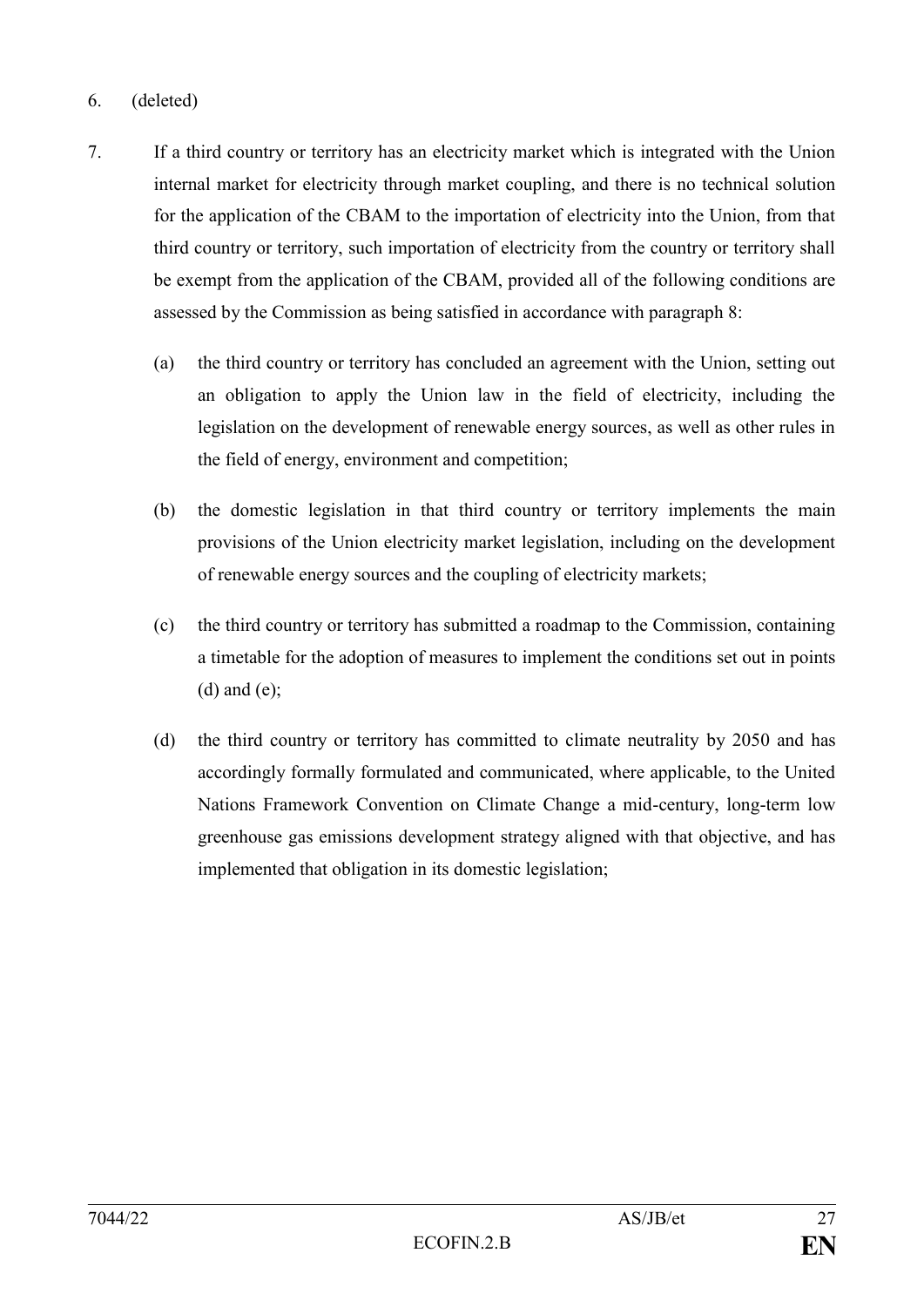## 6. (deleted)

- 7. If a third country or territory has an electricity market which is integrated with the Union internal market for electricity through market coupling, and there is no technical solution for the application of the CBAM to the importation of electricity into the Union, from that third country or territory, such importation of electricity from the country or territory shall be exempt from the application of the CBAM, provided all of the following conditions are assessed by the Commission as being satisfied in accordance with paragraph 8:
	- (a) the third country or territory has concluded an agreement with the Union, setting out an obligation to apply the Union law in the field of electricity, including the legislation on the development of renewable energy sources, as well as other rules in the field of energy, environment and competition;
	- (b) the domestic legislation in that third country or territory implements the main provisions of the Union electricity market legislation, including on the development of renewable energy sources and the coupling of electricity markets;
	- (c) the third country or territory has submitted a roadmap to the Commission, containing a timetable for the adoption of measures to implement the conditions set out in points  $(d)$  and  $(e)$ ;
	- (d) the third country or territory has committed to climate neutrality by 2050 and has accordingly formally formulated and communicated, where applicable, to the United Nations Framework Convention on Climate Change a mid-century, long-term low greenhouse gas emissions development strategy aligned with that objective, and has implemented that obligation in its domestic legislation;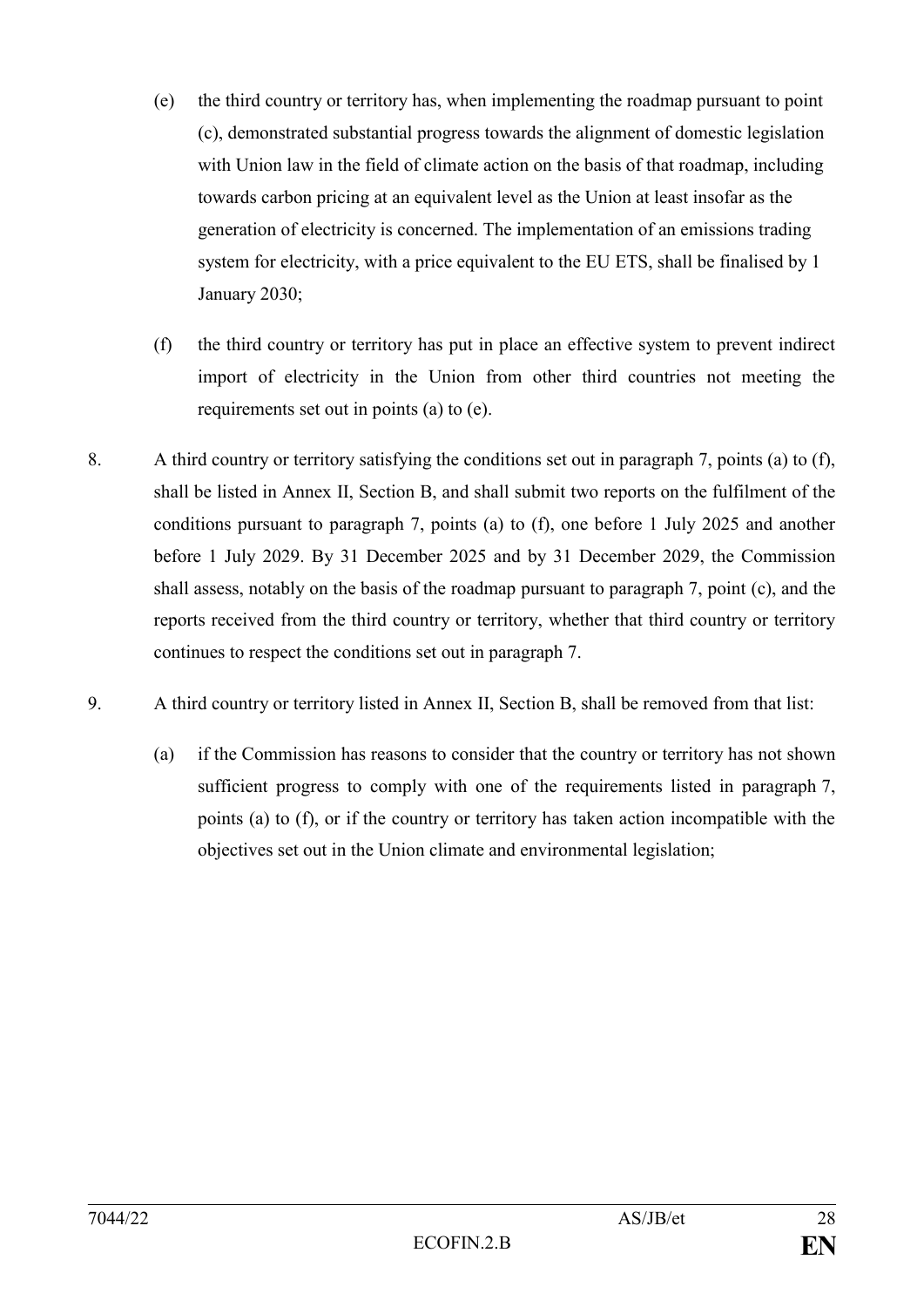- (e) the third country or territory has, when implementing the roadmap pursuant to point (c), demonstrated substantial progress towards the alignment of domestic legislation with Union law in the field of climate action on the basis of that roadmap, including towards carbon pricing at an equivalent level as the Union at least insofar as the generation of electricity is concerned. The implementation of an emissions trading system for electricity, with a price equivalent to the EU ETS, shall be finalised by 1 January 2030;
- (f) the third country or territory has put in place an effective system to prevent indirect import of electricity in the Union from other third countries not meeting the requirements set out in points (a) to (e).
- 8. A third country or territory satisfying the conditions set out in paragraph 7, points (a) to (f), shall be listed in Annex II, Section B, and shall submit two reports on the fulfilment of the conditions pursuant to paragraph 7, points (a) to (f), one before 1 July 2025 and another before 1 July 2029. By 31 December 2025 and by 31 December 2029, the Commission shall assess, notably on the basis of the roadmap pursuant to paragraph 7, point (c), and the reports received from the third country or territory, whether that third country or territory continues to respect the conditions set out in paragraph 7.
- 9. A third country or territory listed in Annex II, Section B, shall be removed from that list:
	- (a) if the Commission has reasons to consider that the country or territory has not shown sufficient progress to comply with one of the requirements listed in paragraph 7, points (a) to (f), or if the country or territory has taken action incompatible with the objectives set out in the Union climate and environmental legislation;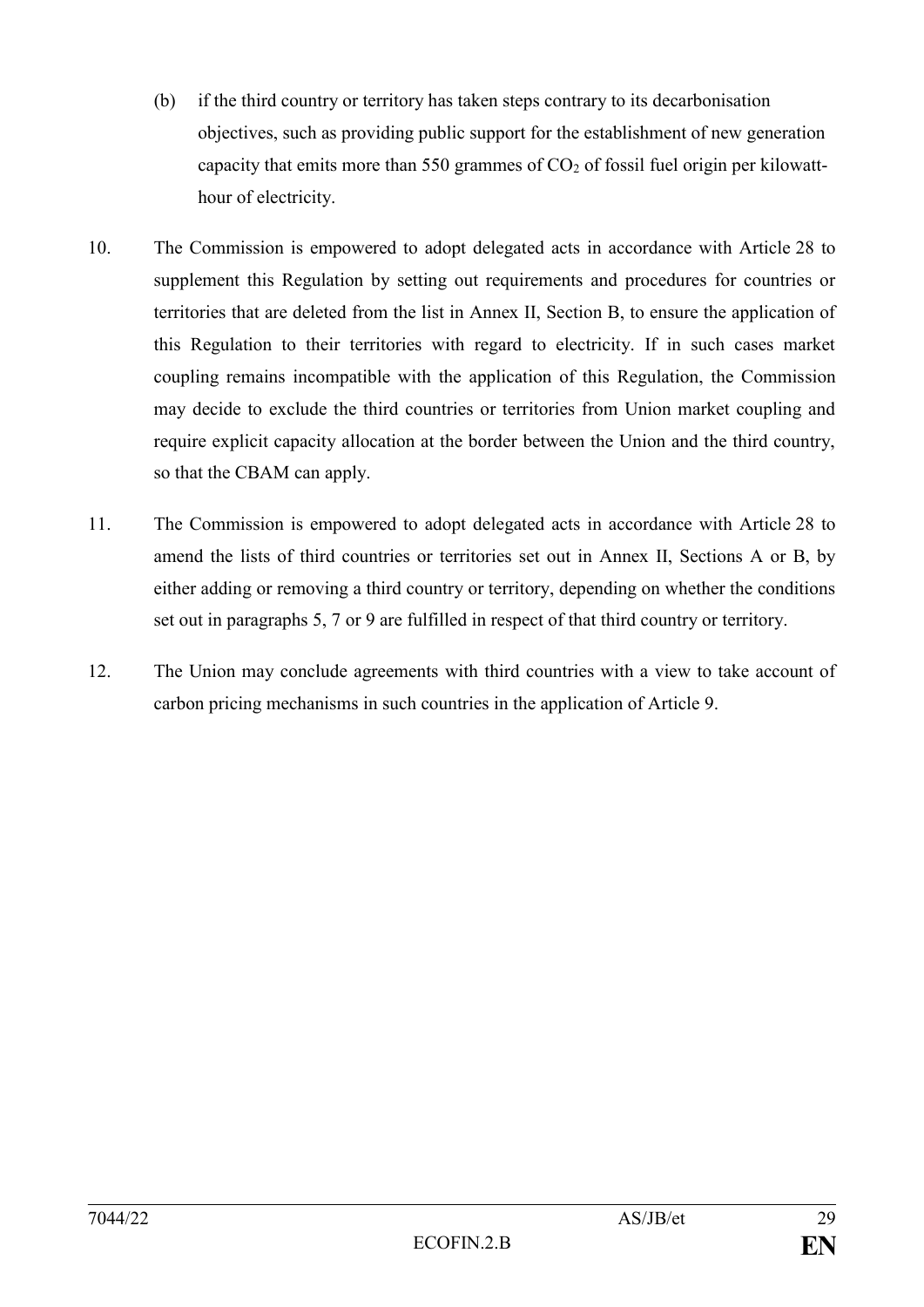- (b) if the third country or territory has taken steps contrary to its decarbonisation objectives, such as providing public support for the establishment of new generation capacity that emits more than 550 grammes of  $CO<sub>2</sub>$  of fossil fuel origin per kilowatthour of electricity.
- 10. The Commission is empowered to adopt delegated acts in accordance with Article 28 to supplement this Regulation by setting out requirements and procedures for countries or territories that are deleted from the list in Annex II, Section B, to ensure the application of this Regulation to their territories with regard to electricity. If in such cases market coupling remains incompatible with the application of this Regulation, the Commission may decide to exclude the third countries or territories from Union market coupling and require explicit capacity allocation at the border between the Union and the third country, so that the CBAM can apply.
- 11. The Commission is empowered to adopt delegated acts in accordance with Article 28 to amend the lists of third countries or territories set out in Annex II, Sections A or B, by either adding or removing a third country or territory, depending on whether the conditions set out in paragraphs 5, 7 or 9 are fulfilled in respect of that third country or territory.
- 12. The Union may conclude agreements with third countries with a view to take account of carbon pricing mechanisms in such countries in the application of Article 9.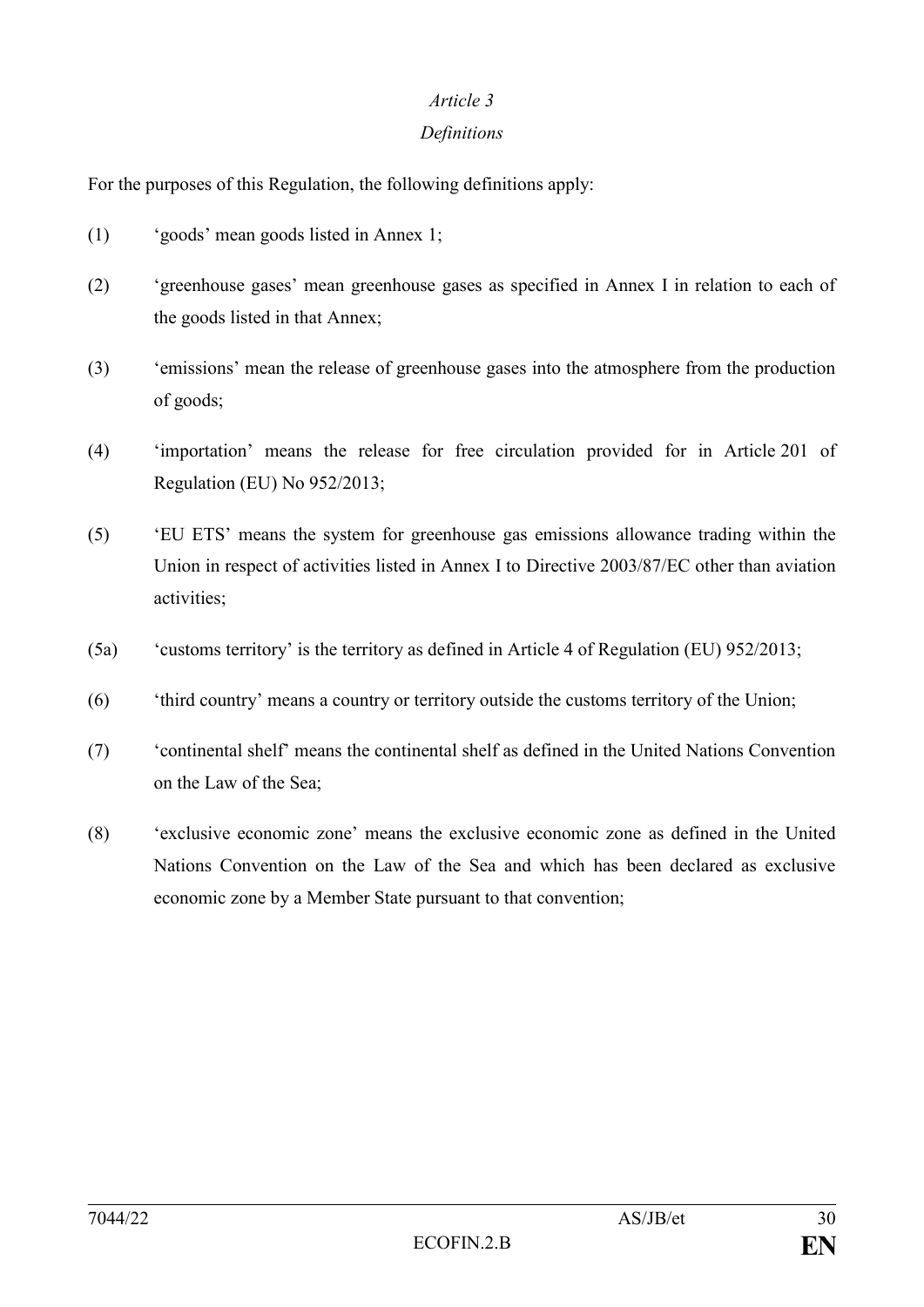### *Article 3*

## *Definitions*

For the purposes of this Regulation, the following definitions apply:

- (1) 'goods' mean goods listed in Annex 1;
- (2) 'greenhouse gases' mean greenhouse gases as specified in Annex I in relation to each of the goods listed in that Annex;
- (3) 'emissions' mean the release of greenhouse gases into the atmosphere from the production of goods;
- (4) 'importation' means the release for free circulation provided for in Article 201 of Regulation (EU) No 952/2013;
- (5) 'EU ETS' means the system for greenhouse gas emissions allowance trading within the Union in respect of activities listed in Annex I to Directive 2003/87/EC other than aviation activities;
- (5a) 'customs territory' is the territory as defined in Article 4 of Regulation (EU) 952/2013;
- (6) 'third country' means a country or territory outside the customs territory of the Union;
- (7) 'continental shelf' means the continental shelf as defined in the United Nations Convention on the Law of the Sea;
- (8) 'exclusive economic zone' means the exclusive economic zone as defined in the United Nations Convention on the Law of the Sea and which has been declared as exclusive economic zone by a Member State pursuant to that convention;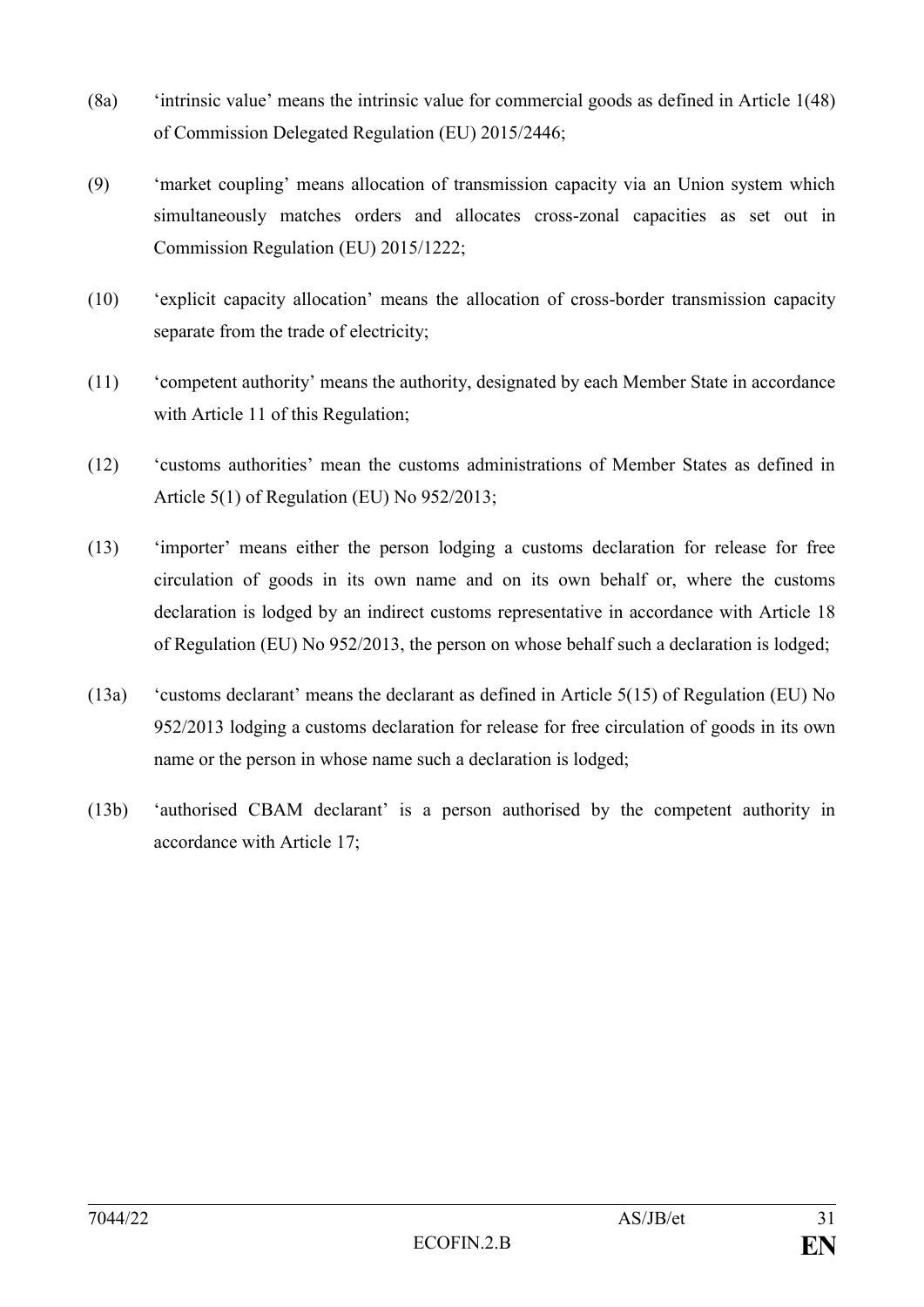- (8a) 'intrinsic value' means the intrinsic value for commercial goods as defined in Article 1(48) of Commission Delegated Regulation (EU) 2015/2446;
- (9) 'market coupling' means allocation of transmission capacity via an Union system which simultaneously matches orders and allocates cross-zonal capacities as set out in Commission Regulation (EU) 2015/1222;
- (10) 'explicit capacity allocation' means the allocation of cross-border transmission capacity separate from the trade of electricity;
- (11) 'competent authority' means the authority, designated by each Member State in accordance with Article 11 of this Regulation;
- (12) 'customs authorities' mean the customs administrations of Member States as defined in Article 5(1) of Regulation (EU) No 952/2013;
- (13) 'importer' means either the person lodging a customs declaration for release for free circulation of goods in its own name and on its own behalf or, where the customs declaration is lodged by an indirect customs representative in accordance with Article 18 of Regulation (EU) No 952/2013, the person on whose behalf such a declaration is lodged;
- (13a) 'customs declarant' means the declarant as defined in Article 5(15) of Regulation (EU) No 952/2013 lodging a customs declaration for release for free circulation of goods in its own name or the person in whose name such a declaration is lodged;
- (13b) 'authorised CBAM declarant' is a person authorised by the competent authority in accordance with Article 17;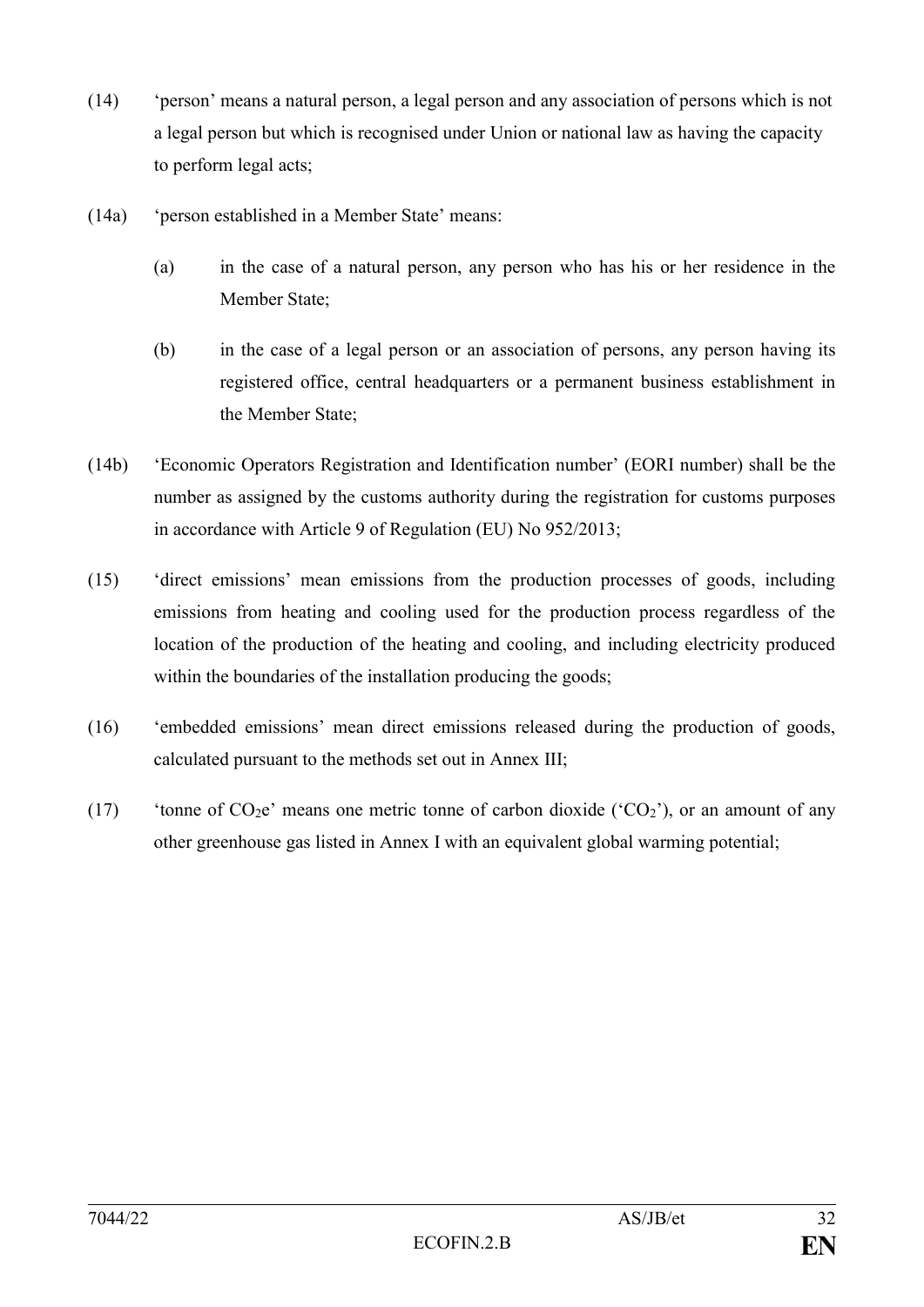- (14) 'person' means a natural person, a legal person and any association of persons which is not a legal person but which is recognised under Union or national law as having the capacity to perform legal acts;
- (14a) 'person established in a Member State' means:
	- (a) in the case of a natural person, any person who has his or her residence in the Member State;
	- (b) in the case of a legal person or an association of persons, any person having its registered office, central headquarters or a permanent business establishment in the Member State;
- (14b) 'Economic Operators Registration and Identification number' (EORI number) shall be the number as assigned by the customs authority during the registration for customs purposes in accordance with Article 9 of Regulation (EU) No 952/2013;
- (15) 'direct emissions' mean emissions from the production processes of goods, including emissions from heating and cooling used for the production process regardless of the location of the production of the heating and cooling, and including electricity produced within the boundaries of the installation producing the goods;
- (16) 'embedded emissions' mean direct emissions released during the production of goods, calculated pursuant to the methods set out in Annex III;
- (17) 'tonne of  $CO<sub>2</sub>e'$  means one metric tonne of carbon dioxide ( $^{\circ}CO_{2}$ ), or an amount of any other greenhouse gas listed in Annex I with an equivalent global warming potential;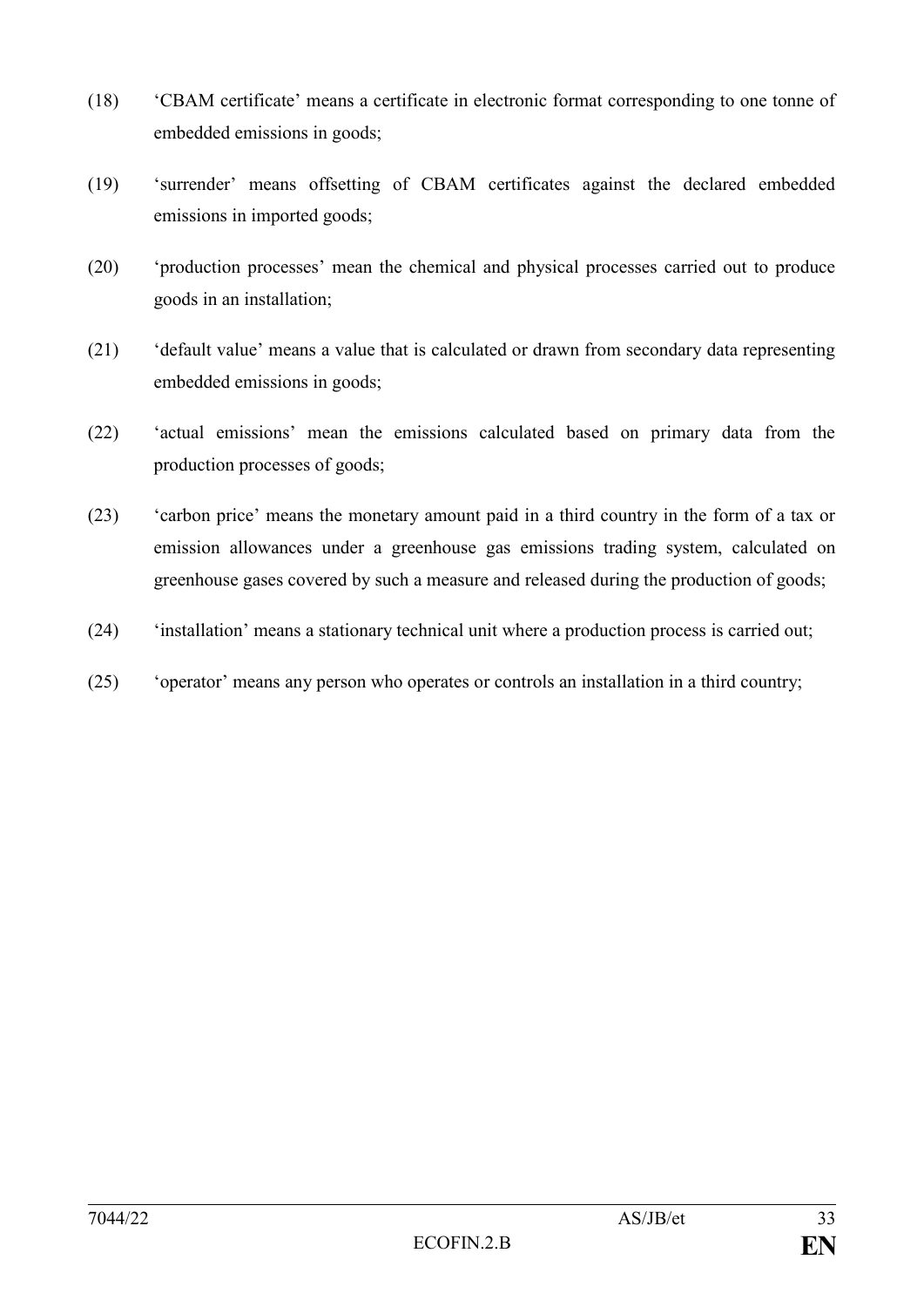- (18) 'CBAM certificate' means a certificate in electronic format corresponding to one tonne of embedded emissions in goods;
- (19) 'surrender' means offsetting of CBAM certificates against the declared embedded emissions in imported goods;
- (20) 'production processes' mean the chemical and physical processes carried out to produce goods in an installation;
- (21) 'default value' means a value that is calculated or drawn from secondary data representing embedded emissions in goods;
- (22) 'actual emissions' mean the emissions calculated based on primary data from the production processes of goods;
- (23) 'carbon price' means the monetary amount paid in a third country in the form of a tax or emission allowances under a greenhouse gas emissions trading system, calculated on greenhouse gases covered by such a measure and released during the production of goods;
- (24) 'installation' means a stationary technical unit where a production process is carried out;
- (25) 'operator' means any person who operates or controls an installation in a third country;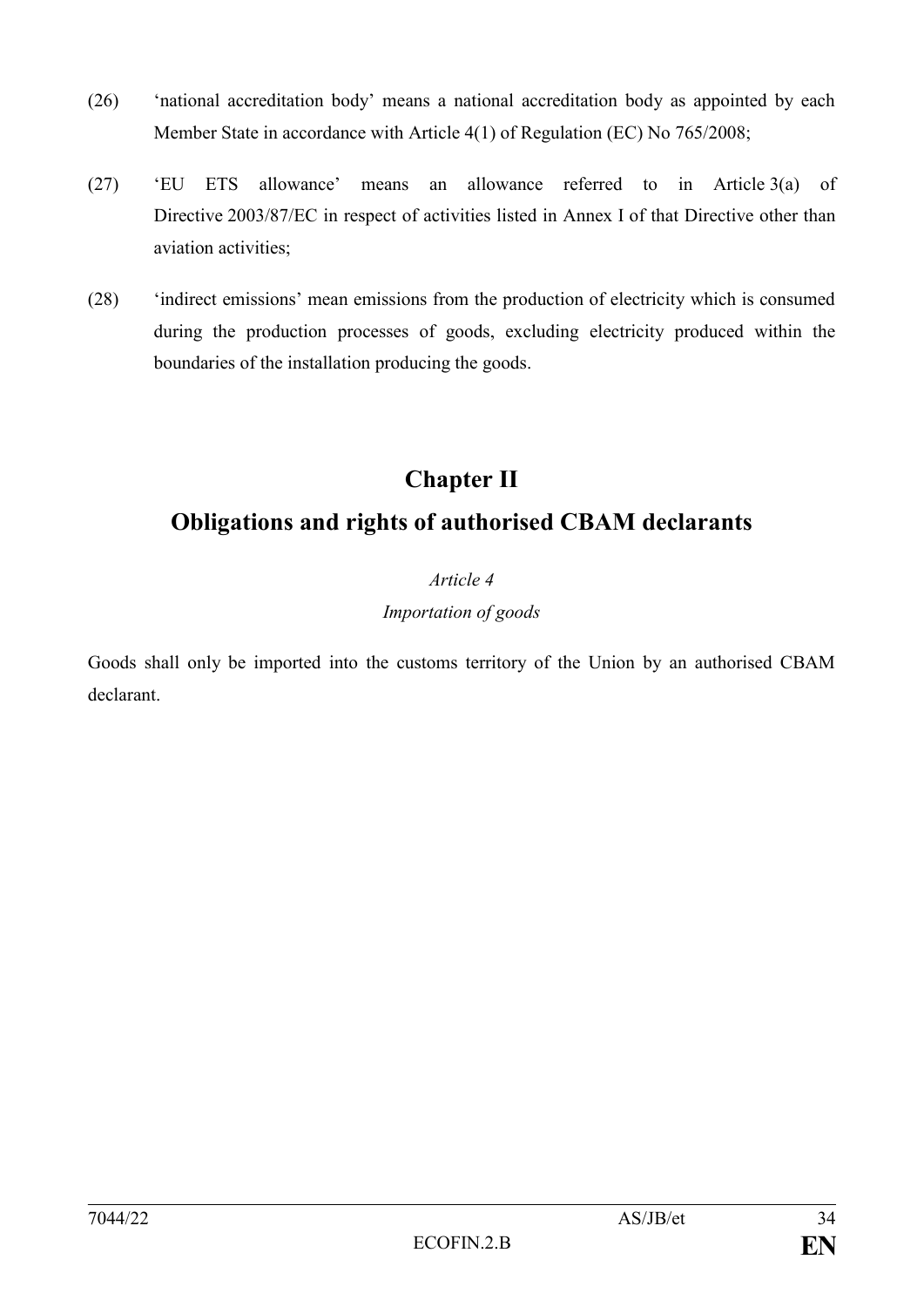- (26) 'national accreditation body' means a national accreditation body as appointed by each Member State in accordance with Article 4(1) of Regulation (EC) No 765/2008;
- (27) 'EU ETS allowance' means an allowance referred to in Article 3(a) of Directive 2003/87/EC in respect of activities listed in Annex I of that Directive other than aviation activities;
- (28) 'indirect emissions' mean emissions from the production of electricity which is consumed during the production processes of goods, excluding electricity produced within the boundaries of the installation producing the goods.

# **Chapter II**

# **Obligations and rights of authorised CBAM declarants**

## *Article 4*

## *Importation of goods*

Goods shall only be imported into the customs territory of the Union by an authorised CBAM declarant.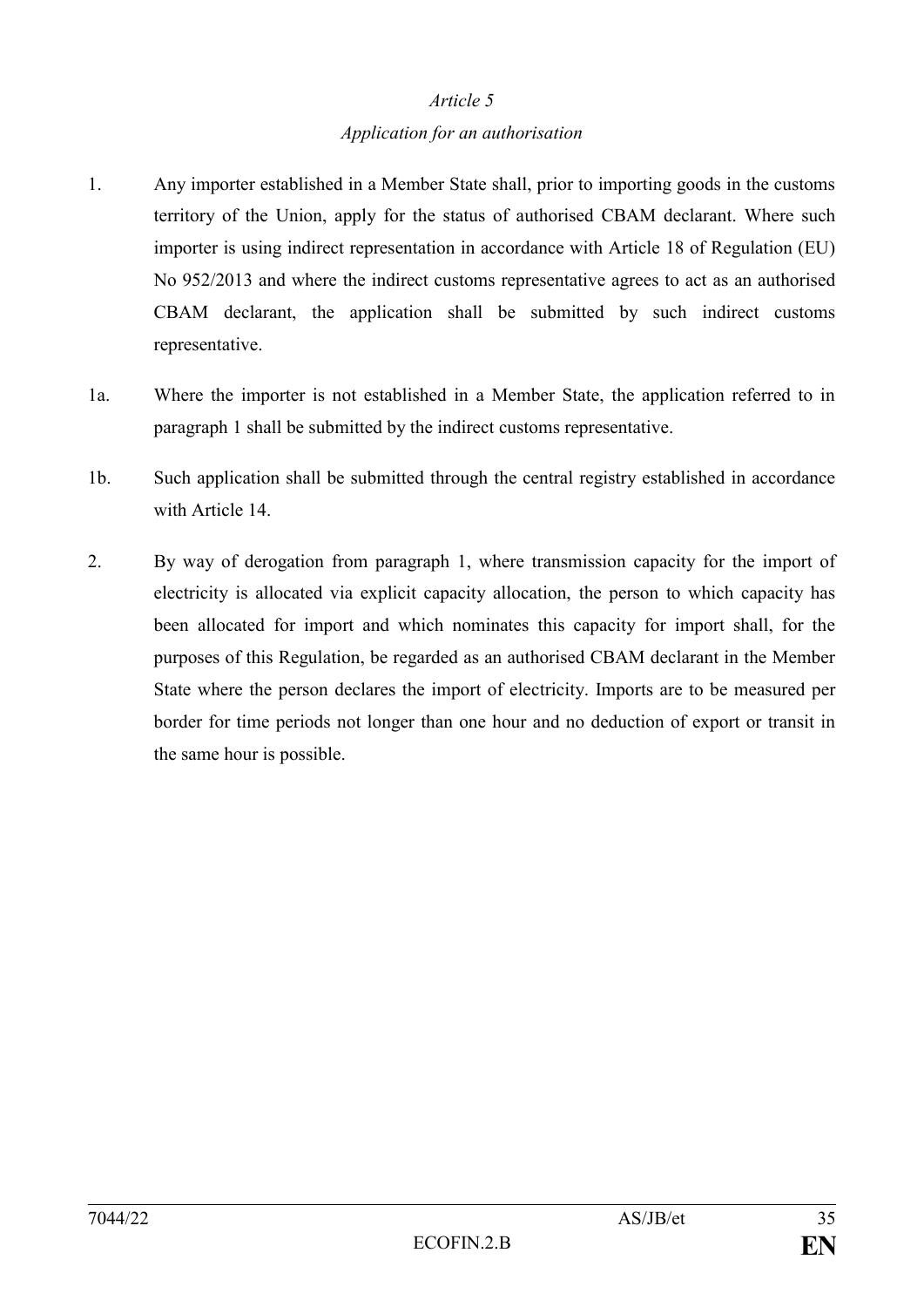#### *Article 5*

#### *Application for an authorisation*

- 1. Any importer established in a Member State shall, prior to importing goods in the customs territory of the Union, apply for the status of authorised CBAM declarant. Where such importer is using indirect representation in accordance with Article 18 of Regulation (EU) No 952/2013 and where the indirect customs representative agrees to act as an authorised CBAM declarant, the application shall be submitted by such indirect customs representative.
- 1a. Where the importer is not established in a Member State, the application referred to in paragraph 1 shall be submitted by the indirect customs representative.
- 1b. Such application shall be submitted through the central registry established in accordance with Article 14
- 2. By way of derogation from paragraph 1, where transmission capacity for the import of electricity is allocated via explicit capacity allocation, the person to which capacity has been allocated for import and which nominates this capacity for import shall, for the purposes of this Regulation, be regarded as an authorised CBAM declarant in the Member State where the person declares the import of electricity. Imports are to be measured per border for time periods not longer than one hour and no deduction of export or transit in the same hour is possible.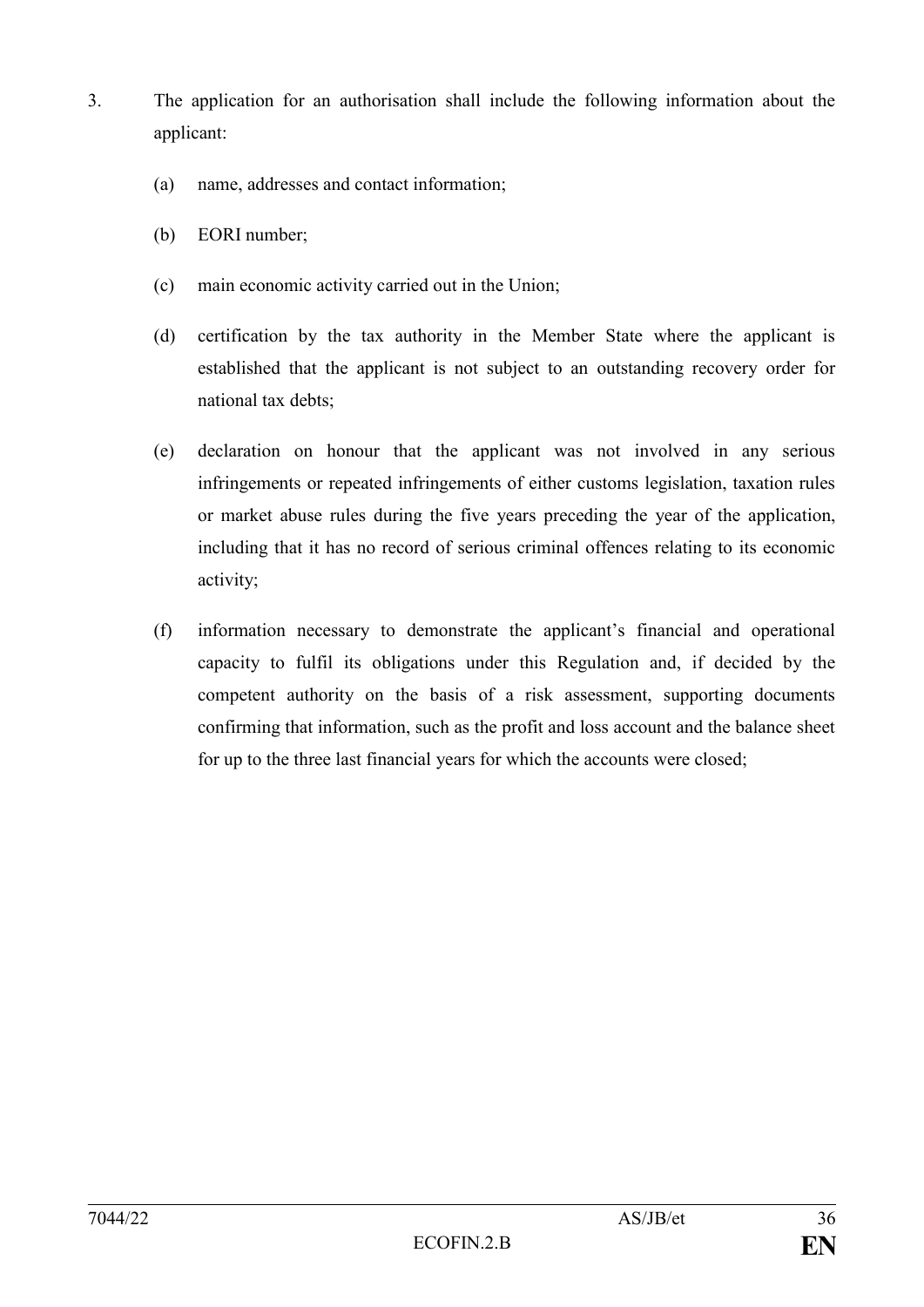- 3. The application for an authorisation shall include the following information about the applicant:
	- (a) name, addresses and contact information;
	- (b) EORI number;
	- (c) main economic activity carried out in the Union;
	- (d) certification by the tax authority in the Member State where the applicant is established that the applicant is not subject to an outstanding recovery order for national tax debts;
	- (e) declaration on honour that the applicant was not involved in any serious infringements or repeated infringements of either customs legislation, taxation rules or market abuse rules during the five years preceding the year of the application, including that it has no record of serious criminal offences relating to its economic activity;
	- (f) information necessary to demonstrate the applicant's financial and operational capacity to fulfil its obligations under this Regulation and, if decided by the competent authority on the basis of a risk assessment, supporting documents confirming that information, such as the profit and loss account and the balance sheet for up to the three last financial years for which the accounts were closed;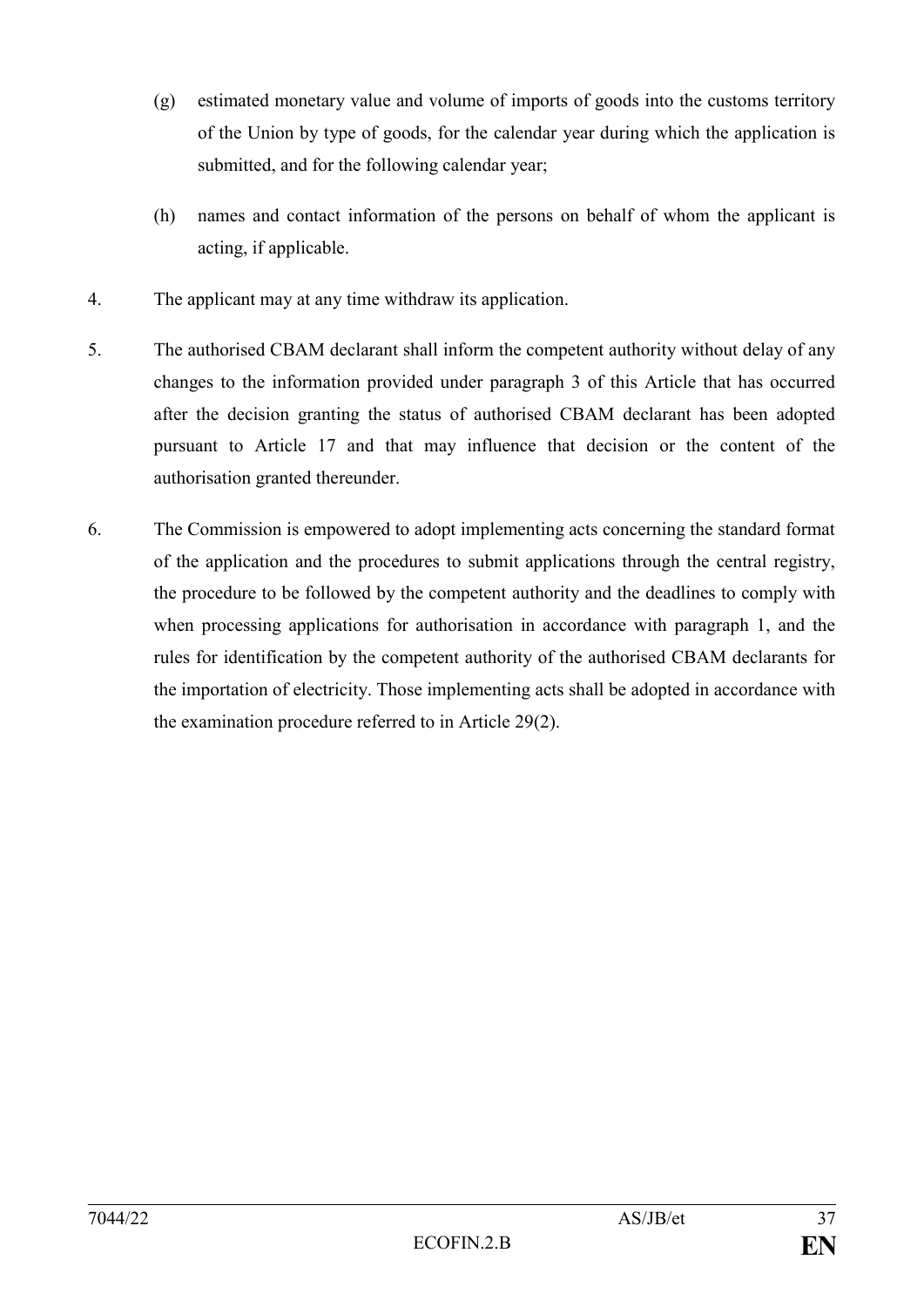- (g) estimated monetary value and volume of imports of goods into the customs territory of the Union by type of goods, for the calendar year during which the application is submitted, and for the following calendar year;
- (h) names and contact information of the persons on behalf of whom the applicant is acting, if applicable.
- 4. The applicant may at any time withdraw its application.
- 5. The authorised CBAM declarant shall inform the competent authority without delay of any changes to the information provided under paragraph 3 of this Article that has occurred after the decision granting the status of authorised CBAM declarant has been adopted pursuant to Article 17 and that may influence that decision or the content of the authorisation granted thereunder.
- 6. The Commission is empowered to adopt implementing acts concerning the standard format of the application and the procedures to submit applications through the central registry, the procedure to be followed by the competent authority and the deadlines to comply with when processing applications for authorisation in accordance with paragraph 1, and the rules for identification by the competent authority of the authorised CBAM declarants for the importation of electricity. Those implementing acts shall be adopted in accordance with the examination procedure referred to in Article 29(2).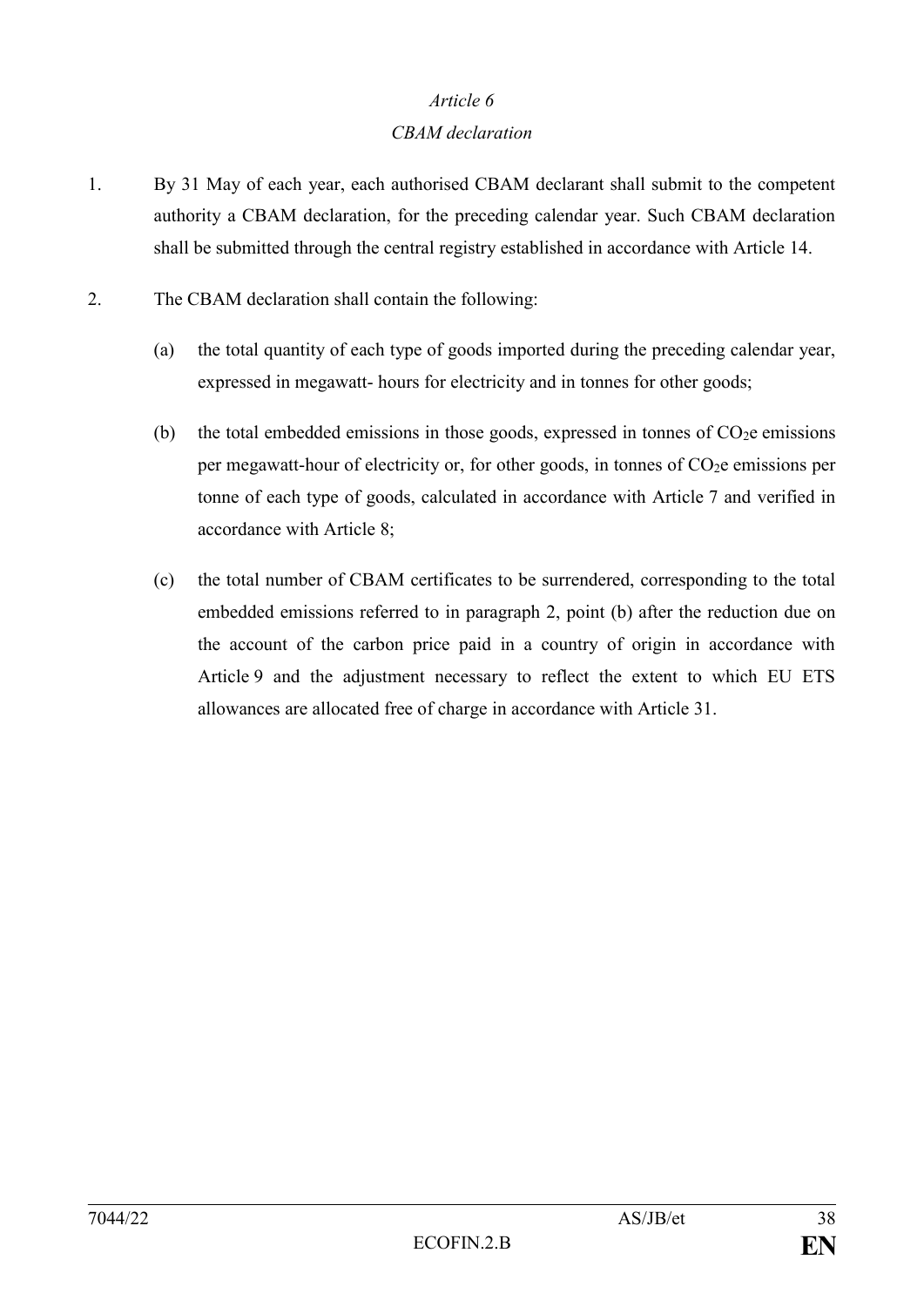#### *CBAM declaration*

- 1. By 31 May of each year, each authorised CBAM declarant shall submit to the competent authority a CBAM declaration, for the preceding calendar year. Such CBAM declaration shall be submitted through the central registry established in accordance with Article 14.
- 2. The CBAM declaration shall contain the following:
	- (a) the total quantity of each type of goods imported during the preceding calendar year, expressed in megawatt- hours for electricity and in tonnes for other goods;
	- (b) the total embedded emissions in those goods, expressed in tonnes of  $CO<sub>2</sub>e$  emissions per megawatt-hour of electricity or, for other goods, in tonnes of  $CO<sub>2</sub>e$  emissions per tonne of each type of goods, calculated in accordance with Article 7 and verified in accordance with Article 8;
	- (c) the total number of CBAM certificates to be surrendered, corresponding to the total embedded emissions referred to in paragraph 2, point (b) after the reduction due on the account of the carbon price paid in a country of origin in accordance with Article 9 and the adjustment necessary to reflect the extent to which EU ETS allowances are allocated free of charge in accordance with Article 31.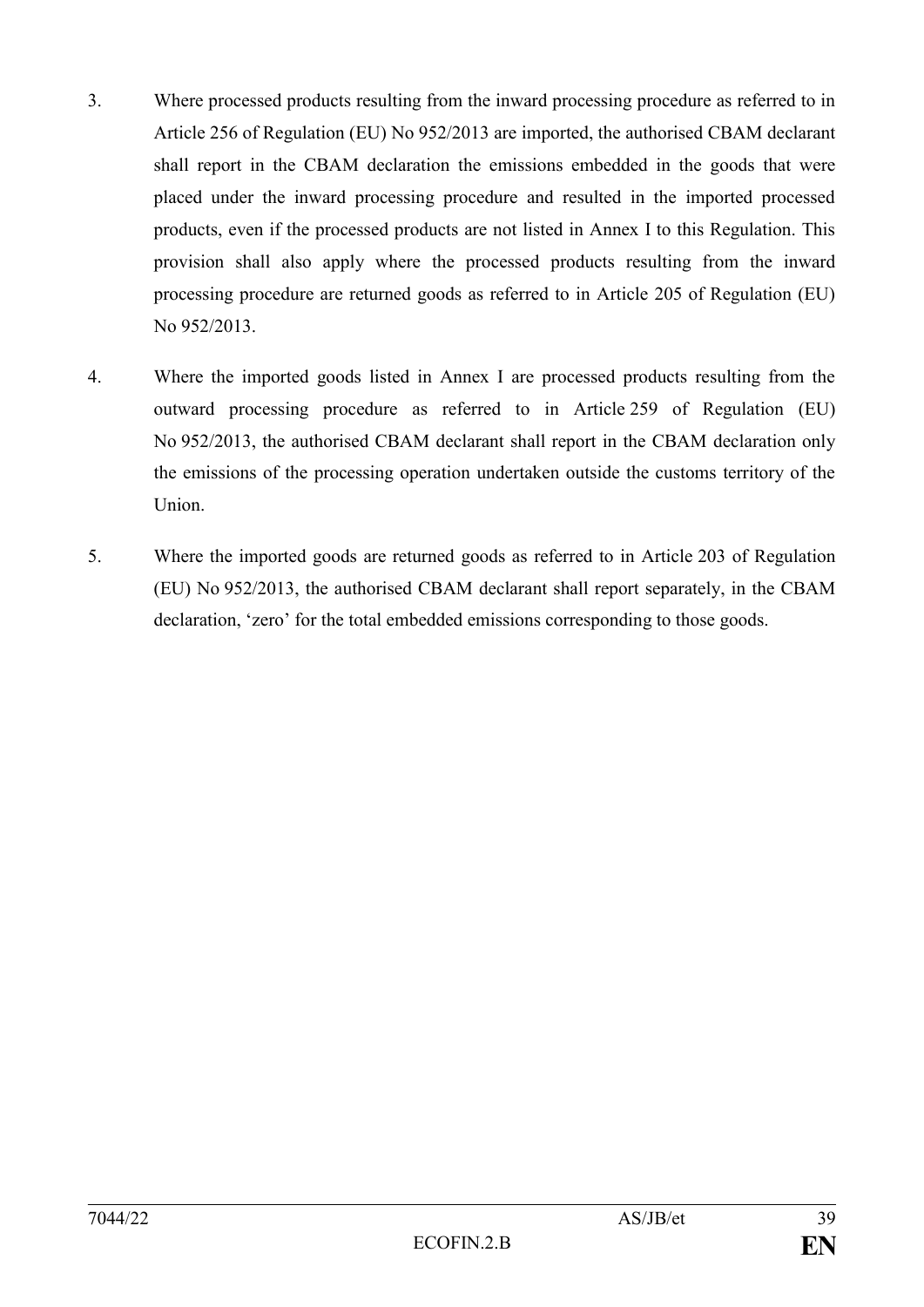- 3. Where processed products resulting from the inward processing procedure as referred to in Article 256 of Regulation (EU) No 952/2013 are imported, the authorised CBAM declarant shall report in the CBAM declaration the emissions embedded in the goods that were placed under the inward processing procedure and resulted in the imported processed products, even if the processed products are not listed in Annex I to this Regulation. This provision shall also apply where the processed products resulting from the inward processing procedure are returned goods as referred to in Article 205 of Regulation (EU) No 952/2013.
- 4. Where the imported goods listed in Annex I are processed products resulting from the outward processing procedure as referred to in Article 259 of Regulation (EU) No 952/2013, the authorised CBAM declarant shall report in the CBAM declaration only the emissions of the processing operation undertaken outside the customs territory of the **Union**
- 5. Where the imported goods are returned goods as referred to in Article 203 of Regulation (EU) No 952/2013, the authorised CBAM declarant shall report separately, in the CBAM declaration, 'zero' for the total embedded emissions corresponding to those goods.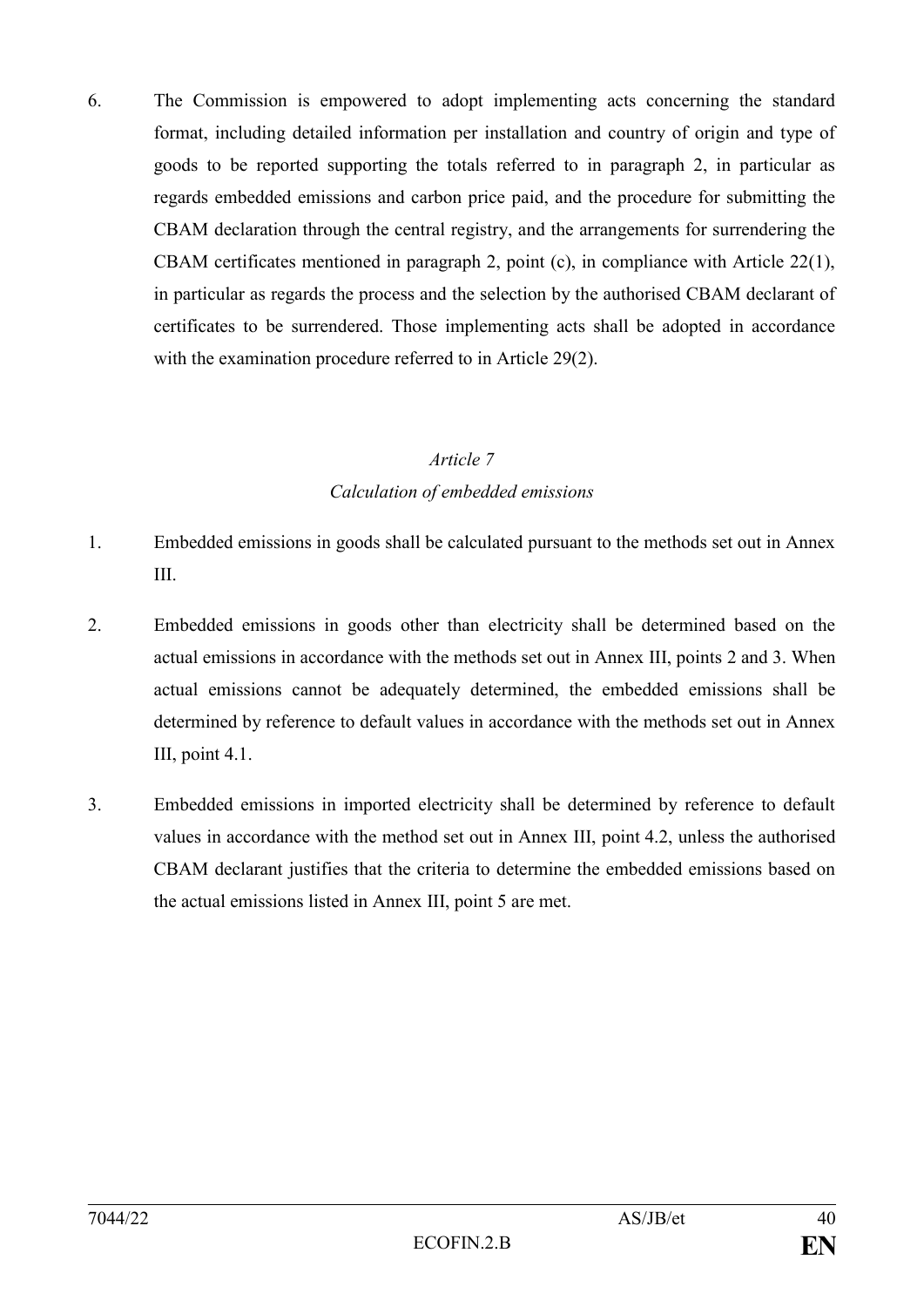6. The Commission is empowered to adopt implementing acts concerning the standard format, including detailed information per installation and country of origin and type of goods to be reported supporting the totals referred to in paragraph 2, in particular as regards embedded emissions and carbon price paid, and the procedure for submitting the CBAM declaration through the central registry, and the arrangements for surrendering the CBAM certificates mentioned in paragraph 2, point (c), in compliance with Article 22(1), in particular as regards the process and the selection by the authorised CBAM declarant of certificates to be surrendered. Those implementing acts shall be adopted in accordance with the examination procedure referred to in Article 29(2).

### *Article 7 Calculation of embedded emissions*

- 1. Embedded emissions in goods shall be calculated pursuant to the methods set out in Annex III.
- 2. Embedded emissions in goods other than electricity shall be determined based on the actual emissions in accordance with the methods set out in Annex III, points 2 and 3. When actual emissions cannot be adequately determined, the embedded emissions shall be determined by reference to default values in accordance with the methods set out in Annex III, point 4.1.
- 3. Embedded emissions in imported electricity shall be determined by reference to default values in accordance with the method set out in Annex III, point 4.2, unless the authorised CBAM declarant justifies that the criteria to determine the embedded emissions based on the actual emissions listed in Annex III, point 5 are met.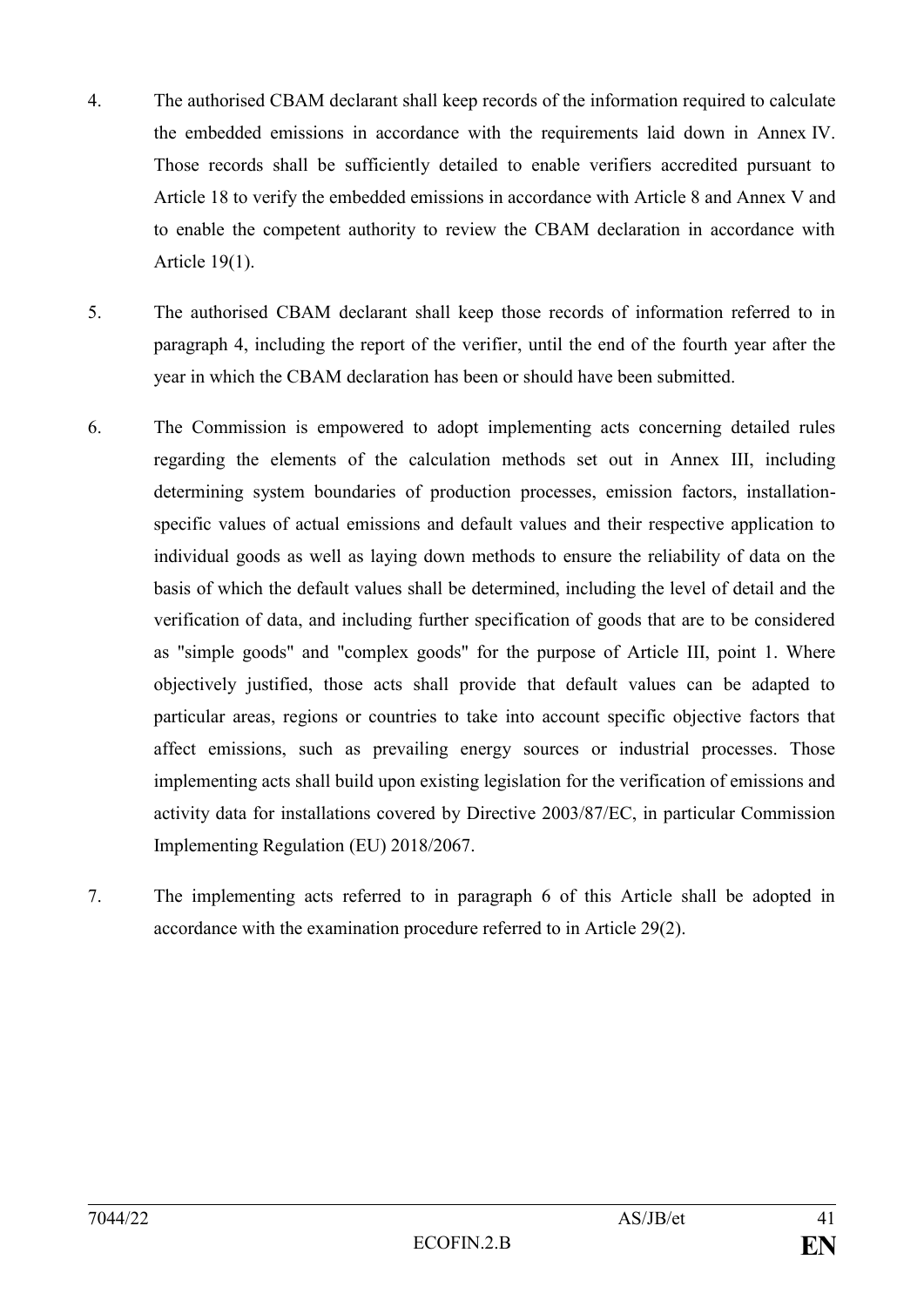- 4. The authorised CBAM declarant shall keep records of the information required to calculate the embedded emissions in accordance with the requirements laid down in Annex IV. Those records shall be sufficiently detailed to enable verifiers accredited pursuant to Article 18 to verify the embedded emissions in accordance with Article 8 and Annex V and to enable the competent authority to review the CBAM declaration in accordance with Article 19(1).
- 5. The authorised CBAM declarant shall keep those records of information referred to in paragraph 4, including the report of the verifier, until the end of the fourth year after the year in which the CBAM declaration has been or should have been submitted.
- 6. The Commission is empowered to adopt implementing acts concerning detailed rules regarding the elements of the calculation methods set out in Annex III, including determining system boundaries of production processes, emission factors, installationspecific values of actual emissions and default values and their respective application to individual goods as well as laying down methods to ensure the reliability of data on the basis of which the default values shall be determined, including the level of detail and the verification of data, and including further specification of goods that are to be considered as "simple goods" and "complex goods" for the purpose of Article III, point 1. Where objectively justified, those acts shall provide that default values can be adapted to particular areas, regions or countries to take into account specific objective factors that affect emissions, such as prevailing energy sources or industrial processes. Those implementing acts shall build upon existing legislation for the verification of emissions and activity data for installations covered by Directive 2003/87/EC, in particular Commission Implementing Regulation (EU) 2018/2067.
- 7. The implementing acts referred to in paragraph 6 of this Article shall be adopted in accordance with the examination procedure referred to in Article 29(2).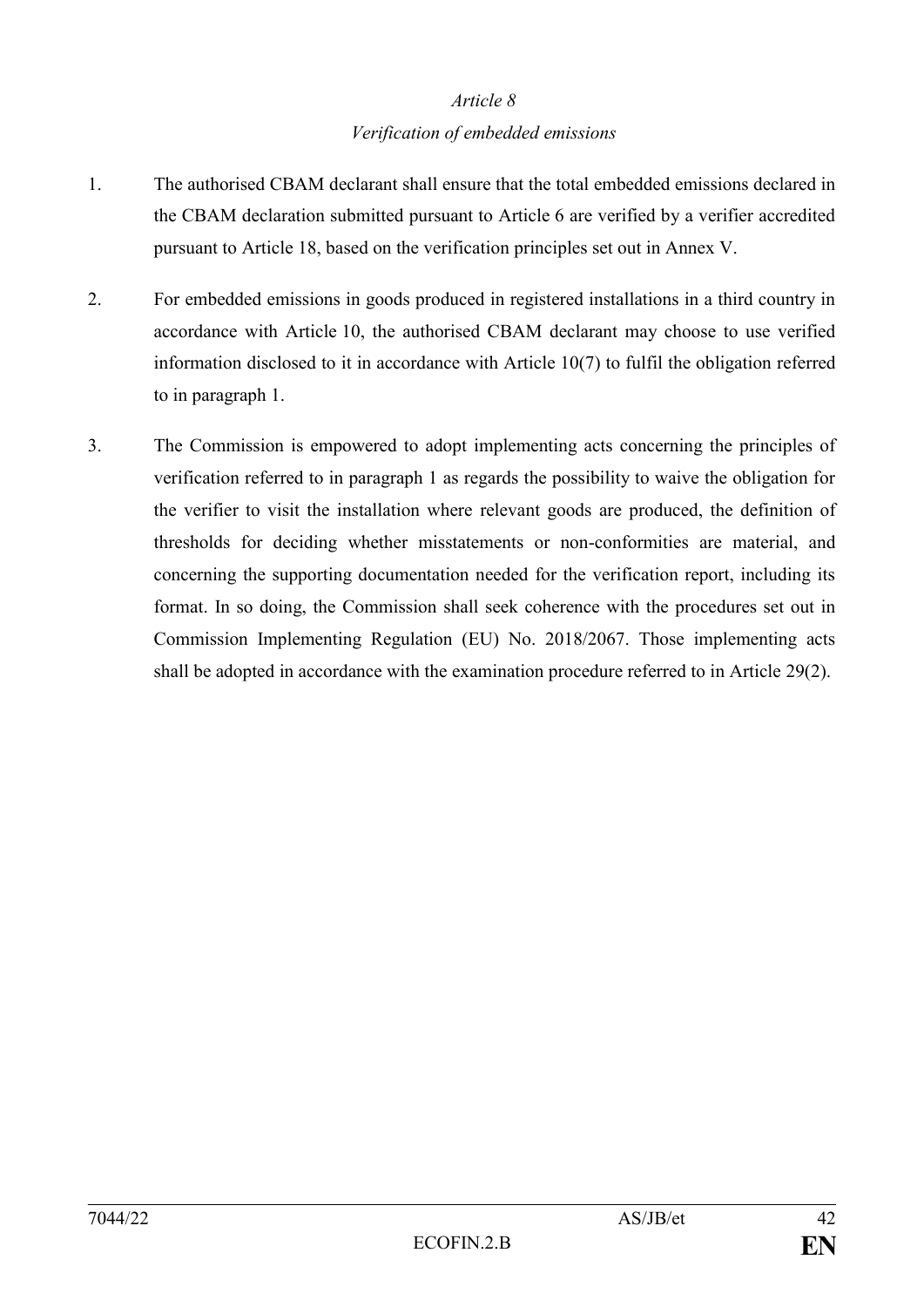#### *Verification of embedded emissions*

- 1. The authorised CBAM declarant shall ensure that the total embedded emissions declared in the CBAM declaration submitted pursuant to Article 6 are verified by a verifier accredited pursuant to Article 18, based on the verification principles set out in Annex V.
- 2. For embedded emissions in goods produced in registered installations in a third country in accordance with Article 10, the authorised CBAM declarant may choose to use verified information disclosed to it in accordance with Article 10(7) to fulfil the obligation referred to in paragraph 1.
- 3. The Commission is empowered to adopt implementing acts concerning the principles of verification referred to in paragraph 1 as regards the possibility to waive the obligation for the verifier to visit the installation where relevant goods are produced, the definition of thresholds for deciding whether misstatements or non-conformities are material, and concerning the supporting documentation needed for the verification report, including its format. In so doing, the Commission shall seek coherence with the procedures set out in Commission Implementing Regulation (EU) No. 2018/2067. Those implementing acts shall be adopted in accordance with the examination procedure referred to in Article 29(2).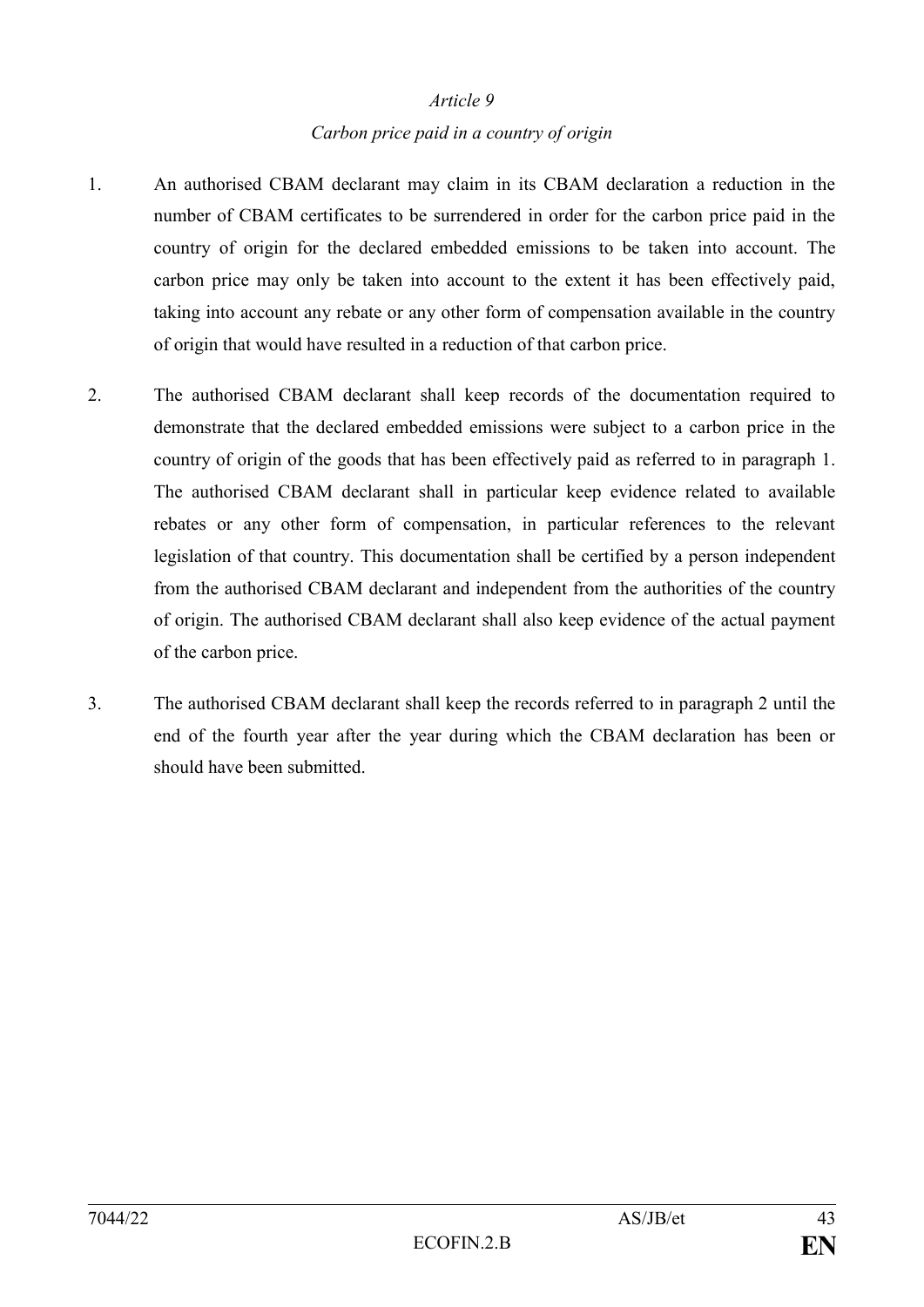#### *Carbon price paid in a country of origin*

- 1. An authorised CBAM declarant may claim in its CBAM declaration a reduction in the number of CBAM certificates to be surrendered in order for the carbon price paid in the country of origin for the declared embedded emissions to be taken into account. The carbon price may only be taken into account to the extent it has been effectively paid, taking into account any rebate or any other form of compensation available in the country of origin that would have resulted in a reduction of that carbon price.
- 2. The authorised CBAM declarant shall keep records of the documentation required to demonstrate that the declared embedded emissions were subject to a carbon price in the country of origin of the goods that has been effectively paid as referred to in paragraph 1. The authorised CBAM declarant shall in particular keep evidence related to available rebates or any other form of compensation, in particular references to the relevant legislation of that country. This documentation shall be certified by a person independent from the authorised CBAM declarant and independent from the authorities of the country of origin. The authorised CBAM declarant shall also keep evidence of the actual payment of the carbon price.
- 3. The authorised CBAM declarant shall keep the records referred to in paragraph 2 until the end of the fourth year after the year during which the CBAM declaration has been or should have been submitted.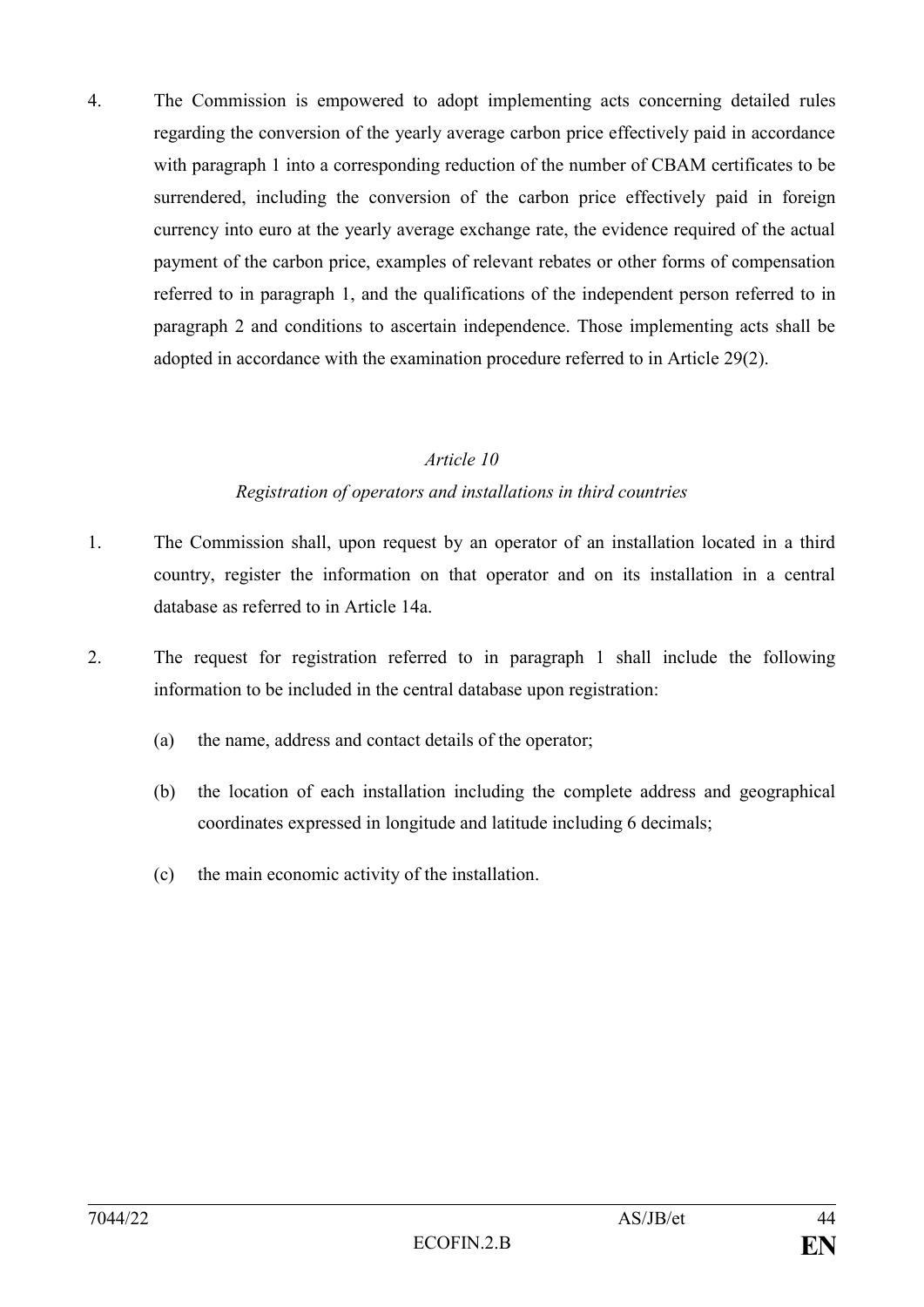4. The Commission is empowered to adopt implementing acts concerning detailed rules regarding the conversion of the yearly average carbon price effectively paid in accordance with paragraph 1 into a corresponding reduction of the number of CBAM certificates to be surrendered, including the conversion of the carbon price effectively paid in foreign currency into euro at the yearly average exchange rate, the evidence required of the actual payment of the carbon price, examples of relevant rebates or other forms of compensation referred to in paragraph 1, and the qualifications of the independent person referred to in paragraph 2 and conditions to ascertain independence. Those implementing acts shall be adopted in accordance with the examination procedure referred to in Article 29(2).

#### *Article 10*

#### *Registration of operators and installations in third countries*

- 1. The Commission shall, upon request by an operator of an installation located in a third country, register the information on that operator and on its installation in a central database as referred to in Article 14a.
- 2. The request for registration referred to in paragraph 1 shall include the following information to be included in the central database upon registration:
	- (a) the name, address and contact details of the operator;
	- (b) the location of each installation including the complete address and geographical coordinates expressed in longitude and latitude including 6 decimals;
	- (c) the main economic activity of the installation.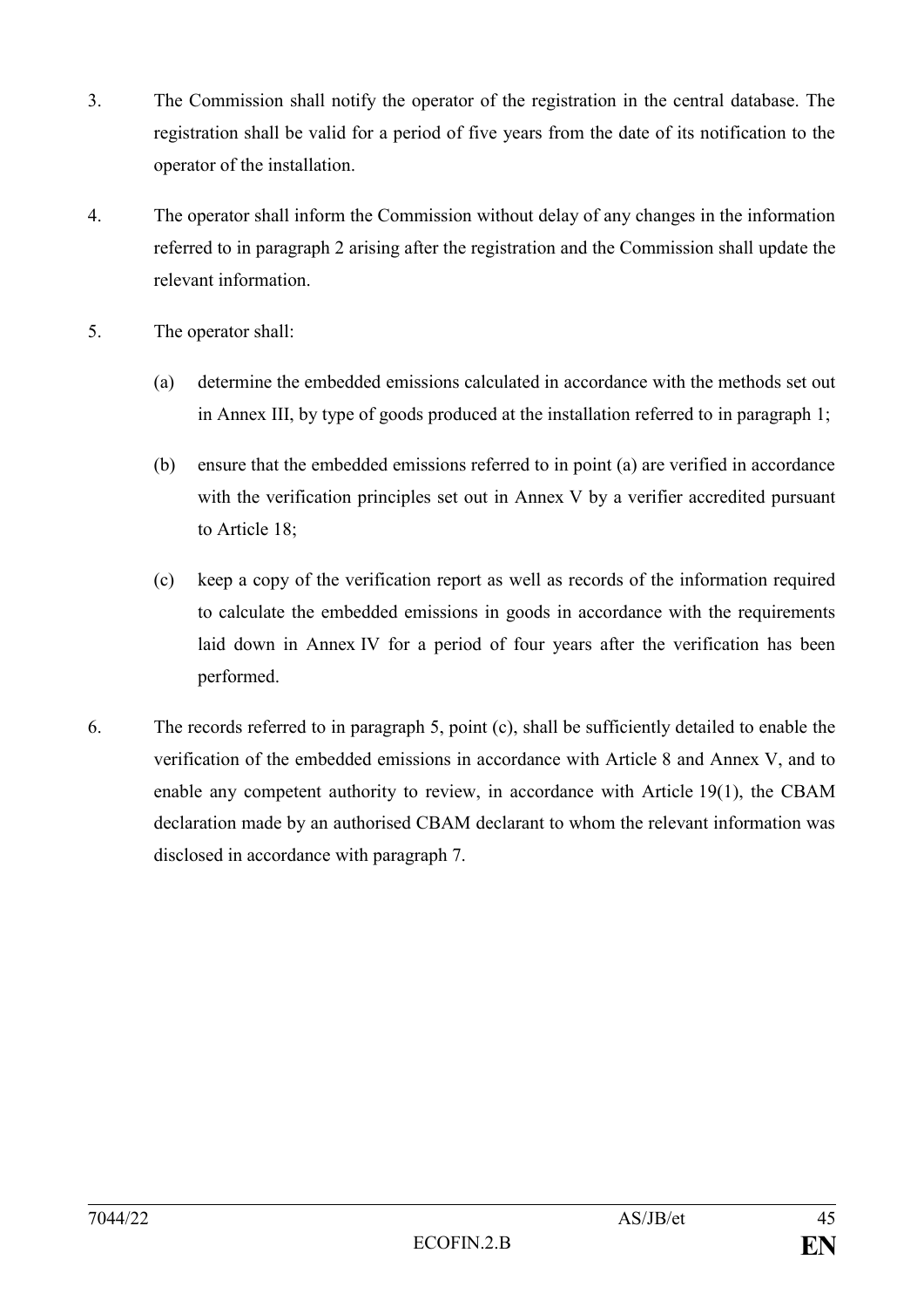- 3. The Commission shall notify the operator of the registration in the central database. The registration shall be valid for a period of five years from the date of its notification to the operator of the installation.
- 4. The operator shall inform the Commission without delay of any changes in the information referred to in paragraph 2 arising after the registration and the Commission shall update the relevant information.
- 5. The operator shall:
	- (a) determine the embedded emissions calculated in accordance with the methods set out in Annex III, by type of goods produced at the installation referred to in paragraph 1;
	- (b) ensure that the embedded emissions referred to in point (a) are verified in accordance with the verification principles set out in Annex V by a verifier accredited pursuant to Article 18;
	- (c) keep a copy of the verification report as well as records of the information required to calculate the embedded emissions in goods in accordance with the requirements laid down in Annex IV for a period of four years after the verification has been performed.
- 6. The records referred to in paragraph 5, point (c), shall be sufficiently detailed to enable the verification of the embedded emissions in accordance with Article 8 and Annex V, and to enable any competent authority to review, in accordance with Article 19(1), the CBAM declaration made by an authorised CBAM declarant to whom the relevant information was disclosed in accordance with paragraph 7.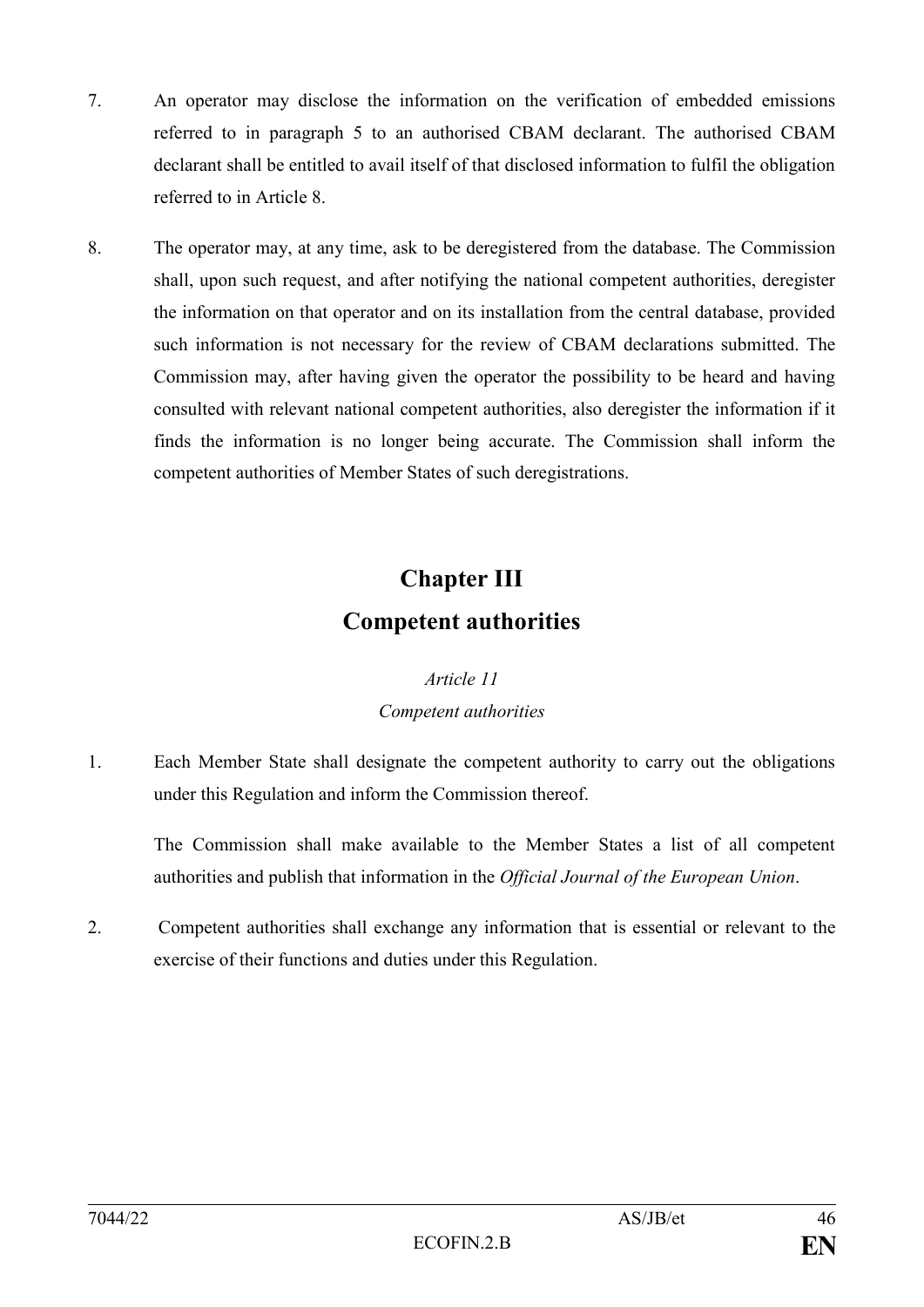- 7. An operator may disclose the information on the verification of embedded emissions referred to in paragraph 5 to an authorised CBAM declarant. The authorised CBAM declarant shall be entitled to avail itself of that disclosed information to fulfil the obligation referred to in Article 8.
- 8. The operator may, at any time, ask to be deregistered from the database. The Commission shall, upon such request, and after notifying the national competent authorities, deregister the information on that operator and on its installation from the central database, provided such information is not necessary for the review of CBAM declarations submitted. The Commission may, after having given the operator the possibility to be heard and having consulted with relevant national competent authorities, also deregister the information if it finds the information is no longer being accurate. The Commission shall inform the competent authorities of Member States of such deregistrations.

# **Chapter III Competent authorities**

### *Article 11 Competent authorities*

1. Each Member State shall designate the competent authority to carry out the obligations under this Regulation and inform the Commission thereof.

The Commission shall make available to the Member States a list of all competent authorities and publish that information in the *Official Journal of the European Union*.

2. Competent authorities shall exchange any information that is essential or relevant to the exercise of their functions and duties under this Regulation.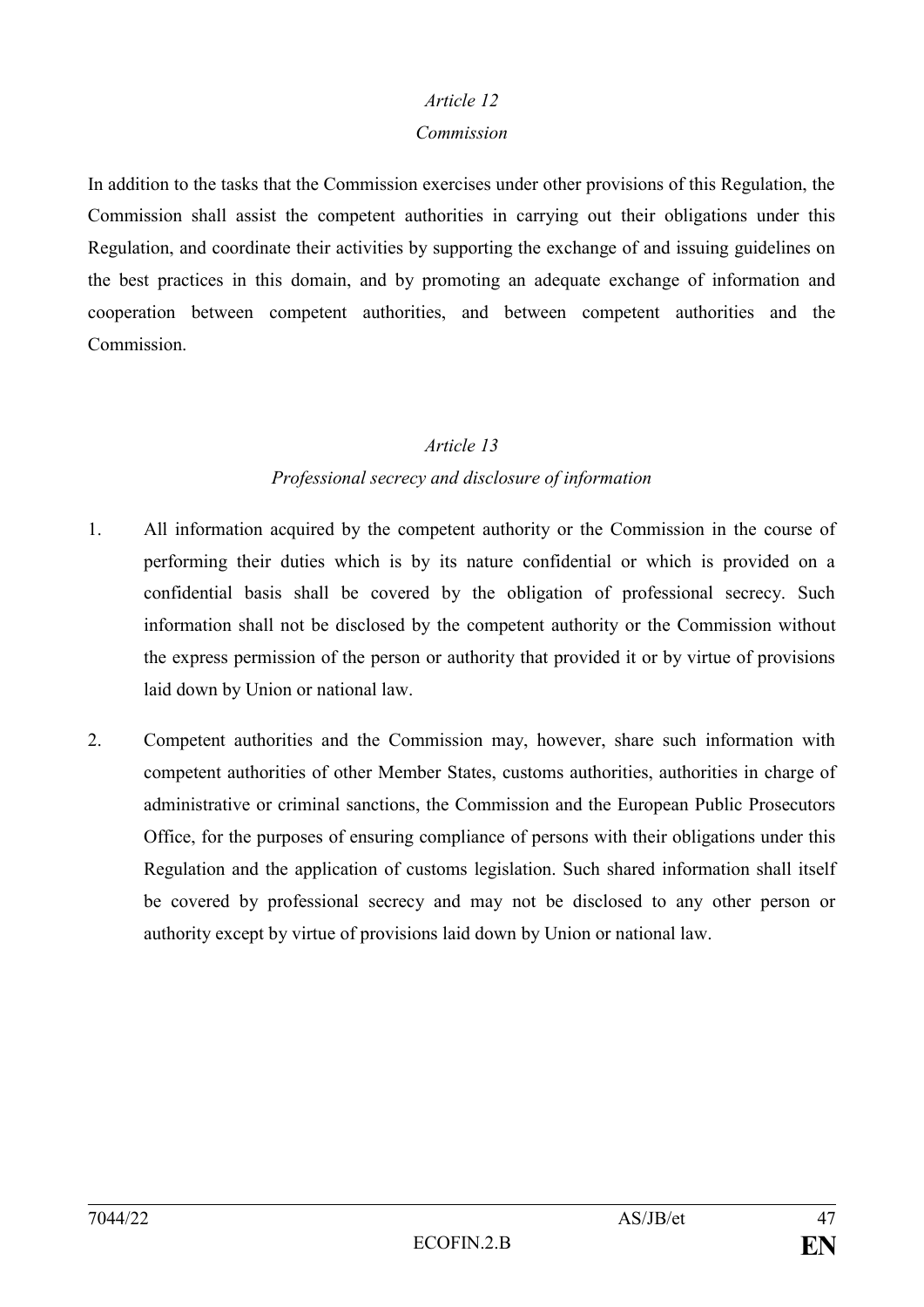#### *Commission*

In addition to the tasks that the Commission exercises under other provisions of this Regulation, the Commission shall assist the competent authorities in carrying out their obligations under this Regulation, and coordinate their activities by supporting the exchange of and issuing guidelines on the best practices in this domain, and by promoting an adequate exchange of information and cooperation between competent authorities, and between competent authorities and the **Commission** 

#### *Article 13*

### *Professional secrecy and disclosure of information*

- 1. All information acquired by the competent authority or the Commission in the course of performing their duties which is by its nature confidential or which is provided on a confidential basis shall be covered by the obligation of professional secrecy. Such information shall not be disclosed by the competent authority or the Commission without the express permission of the person or authority that provided it or by virtue of provisions laid down by Union or national law.
- 2. Competent authorities and the Commission may, however, share such information with competent authorities of other Member States, customs authorities, authorities in charge of administrative or criminal sanctions, the Commission and the European Public Prosecutors Office, for the purposes of ensuring compliance of persons with their obligations under this Regulation and the application of customs legislation. Such shared information shall itself be covered by professional secrecy and may not be disclosed to any other person or authority except by virtue of provisions laid down by Union or national law.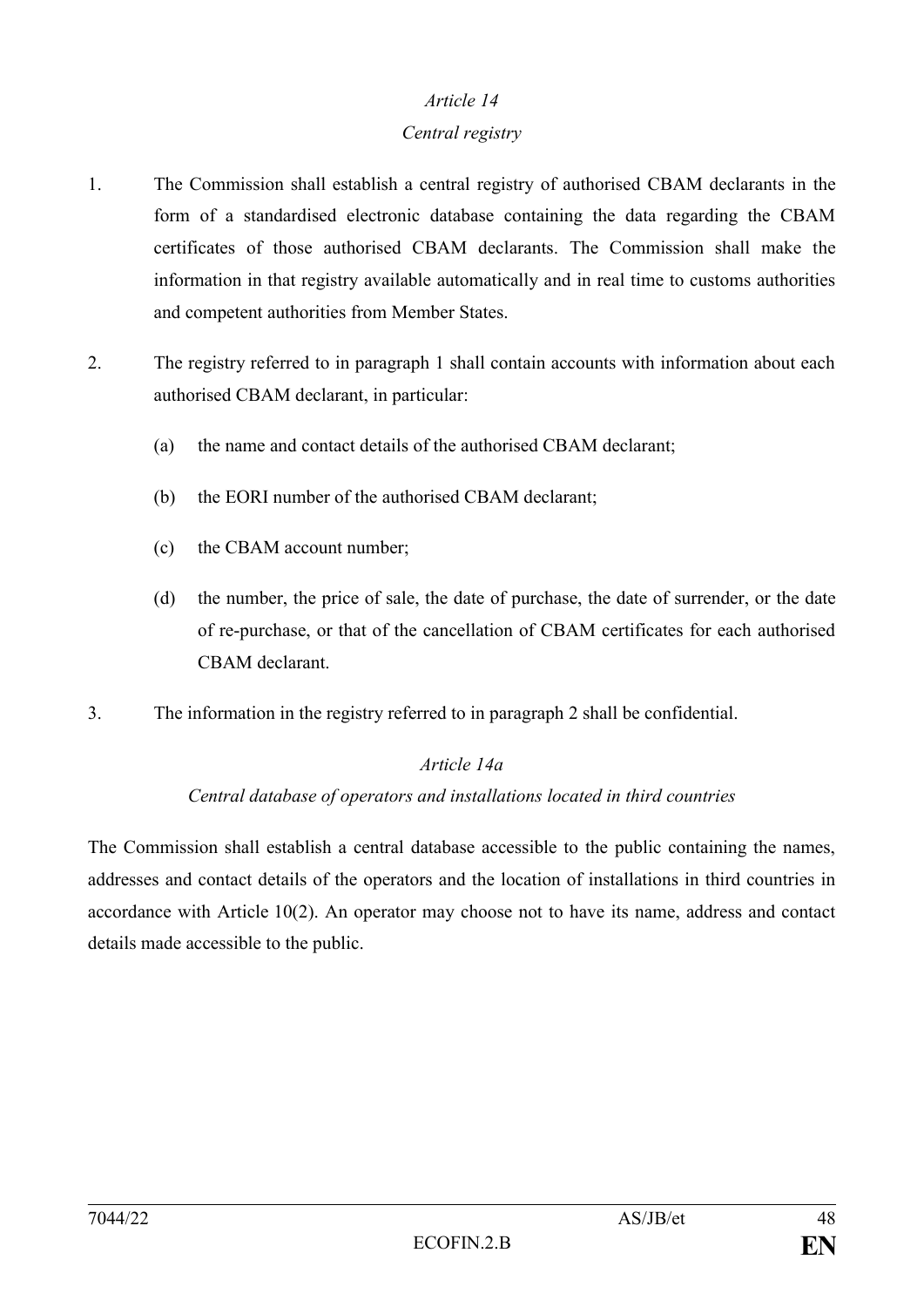#### *Central registry*

- 1. The Commission shall establish a central registry of authorised CBAM declarants in the form of a standardised electronic database containing the data regarding the CBAM certificates of those authorised CBAM declarants. The Commission shall make the information in that registry available automatically and in real time to customs authorities and competent authorities from Member States.
- 2. The registry referred to in paragraph 1 shall contain accounts with information about each authorised CBAM declarant, in particular:
	- (a) the name and contact details of the authorised CBAM declarant;
	- (b) the EORI number of the authorised CBAM declarant;
	- (c) the CBAM account number;
	- (d) the number, the price of sale, the date of purchase, the date of surrender, or the date of re-purchase, or that of the cancellation of CBAM certificates for each authorised CBAM declarant.
- 3. The information in the registry referred to in paragraph 2 shall be confidential.

#### *Article 14a*

#### *Central database of operators and installations located in third countries*

The Commission shall establish a central database accessible to the public containing the names, addresses and contact details of the operators and the location of installations in third countries in accordance with Article 10(2). An operator may choose not to have its name, address and contact details made accessible to the public.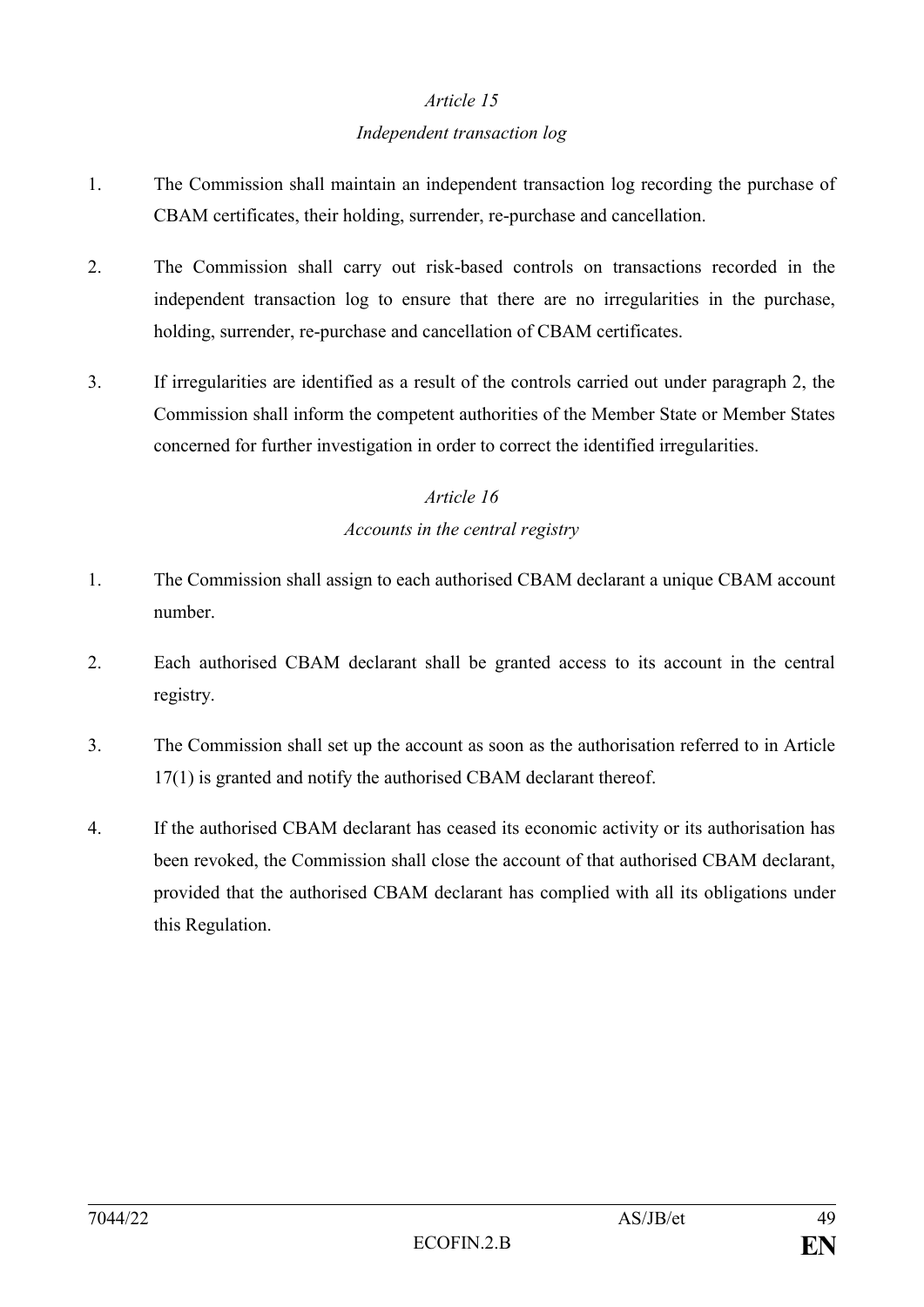#### *Independent transaction log*

- 1. The Commission shall maintain an independent transaction log recording the purchase of CBAM certificates, their holding, surrender, re-purchase and cancellation.
- 2. The Commission shall carry out risk-based controls on transactions recorded in the independent transaction log to ensure that there are no irregularities in the purchase, holding, surrender, re-purchase and cancellation of CBAM certificates.
- 3. If irregularities are identified as a result of the controls carried out under paragraph 2, the Commission shall inform the competent authorities of the Member State or Member States concerned for further investigation in order to correct the identified irregularities.

## *Article 16 Accounts in the central registry*

- 1. The Commission shall assign to each authorised CBAM declarant a unique CBAM account number.
- 2. Each authorised CBAM declarant shall be granted access to its account in the central registry.
- 3. The Commission shall set up the account as soon as the authorisation referred to in Article 17(1) is granted and notify the authorised CBAM declarant thereof.
- 4. If the authorised CBAM declarant has ceased its economic activity or its authorisation has been revoked, the Commission shall close the account of that authorised CBAM declarant, provided that the authorised CBAM declarant has complied with all its obligations under this Regulation.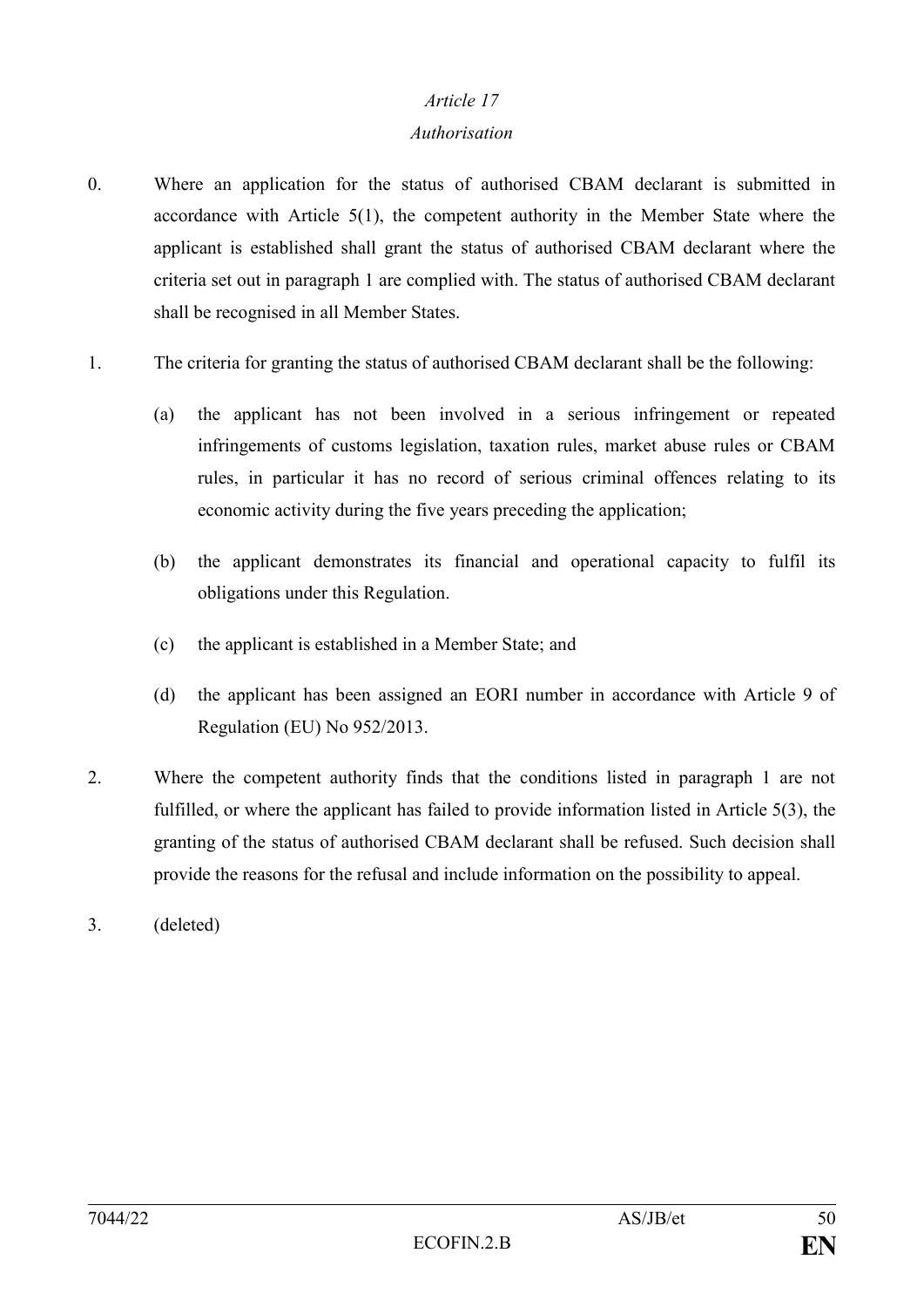#### *Authorisation*

- 0. Where an application for the status of authorised CBAM declarant is submitted in accordance with Article 5(1), the competent authority in the Member State where the applicant is established shall grant the status of authorised CBAM declarant where the criteria set out in paragraph 1 are complied with. The status of authorised CBAM declarant shall be recognised in all Member States.
- 1. The criteria for granting the status of authorised CBAM declarant shall be the following:
	- (a) the applicant has not been involved in a serious infringement or repeated infringements of customs legislation, taxation rules, market abuse rules or CBAM rules, in particular it has no record of serious criminal offences relating to its economic activity during the five years preceding the application;
	- (b) the applicant demonstrates its financial and operational capacity to fulfil its obligations under this Regulation.
	- (c) the applicant is established in a Member State; and
	- (d) the applicant has been assigned an EORI number in accordance with Article 9 of Regulation (EU) No 952/2013.
- 2. Where the competent authority finds that the conditions listed in paragraph 1 are not fulfilled, or where the applicant has failed to provide information listed in Article 5(3), the granting of the status of authorised CBAM declarant shall be refused. Such decision shall provide the reasons for the refusal and include information on the possibility to appeal.
- 3. (deleted)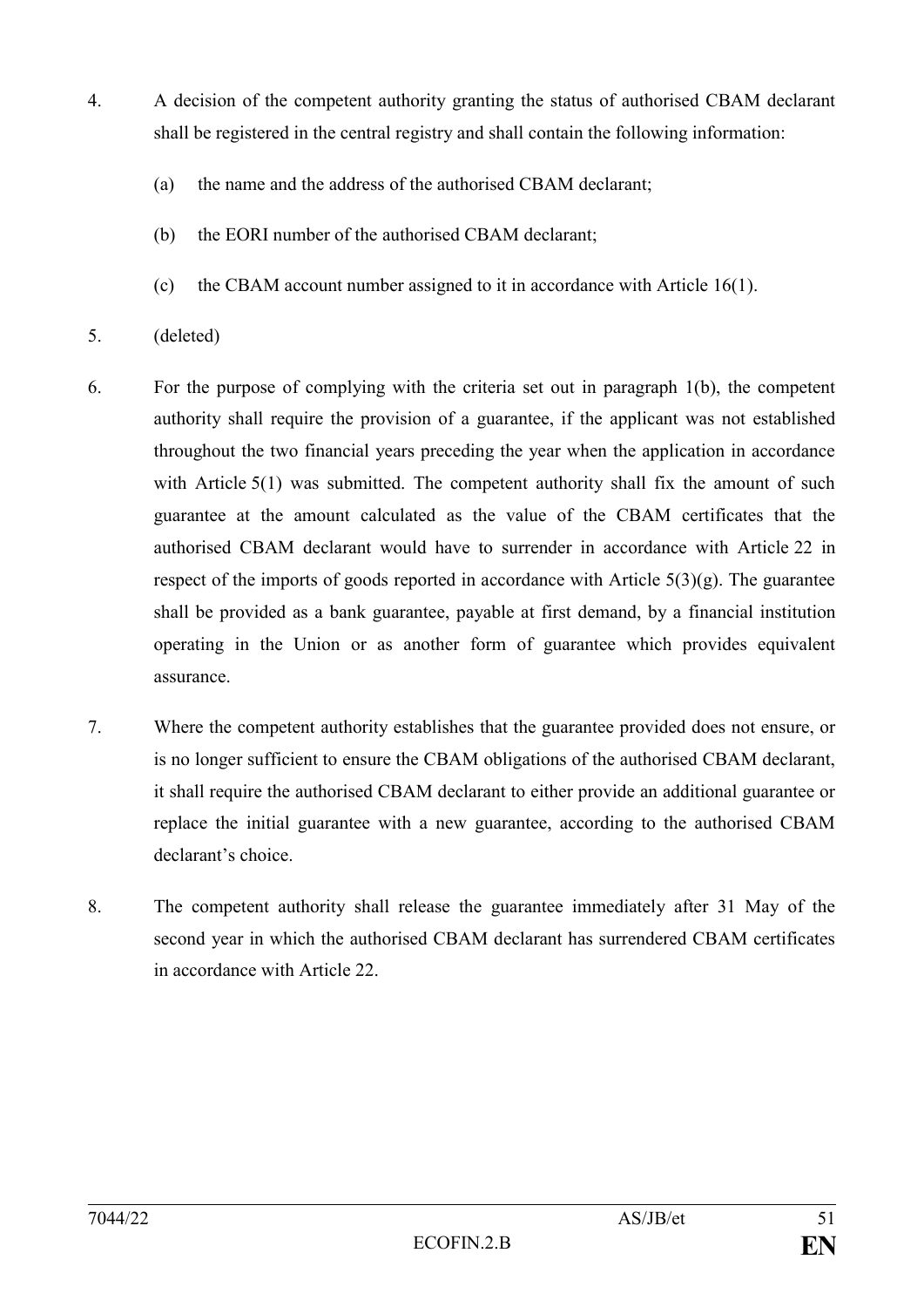- 4. A decision of the competent authority granting the status of authorised CBAM declarant shall be registered in the central registry and shall contain the following information:
	- (a) the name and the address of the authorised CBAM declarant;
	- (b) the EORI number of the authorised CBAM declarant;
	- (c) the CBAM account number assigned to it in accordance with Article 16(1).
- 5. (deleted)
- 6. For the purpose of complying with the criteria set out in paragraph 1(b), the competent authority shall require the provision of a guarantee, if the applicant was not established throughout the two financial years preceding the year when the application in accordance with Article 5(1) was submitted. The competent authority shall fix the amount of such guarantee at the amount calculated as the value of the CBAM certificates that the authorised CBAM declarant would have to surrender in accordance with Article 22 in respect of the imports of goods reported in accordance with Article  $5(3)(g)$ . The guarantee shall be provided as a bank guarantee, payable at first demand, by a financial institution operating in the Union or as another form of guarantee which provides equivalent assurance.
- 7. Where the competent authority establishes that the guarantee provided does not ensure, or is no longer sufficient to ensure the CBAM obligations of the authorised CBAM declarant, it shall require the authorised CBAM declarant to either provide an additional guarantee or replace the initial guarantee with a new guarantee, according to the authorised CBAM declarant's choice.
- 8. The competent authority shall release the guarantee immediately after 31 May of the second year in which the authorised CBAM declarant has surrendered CBAM certificates in accordance with Article 22.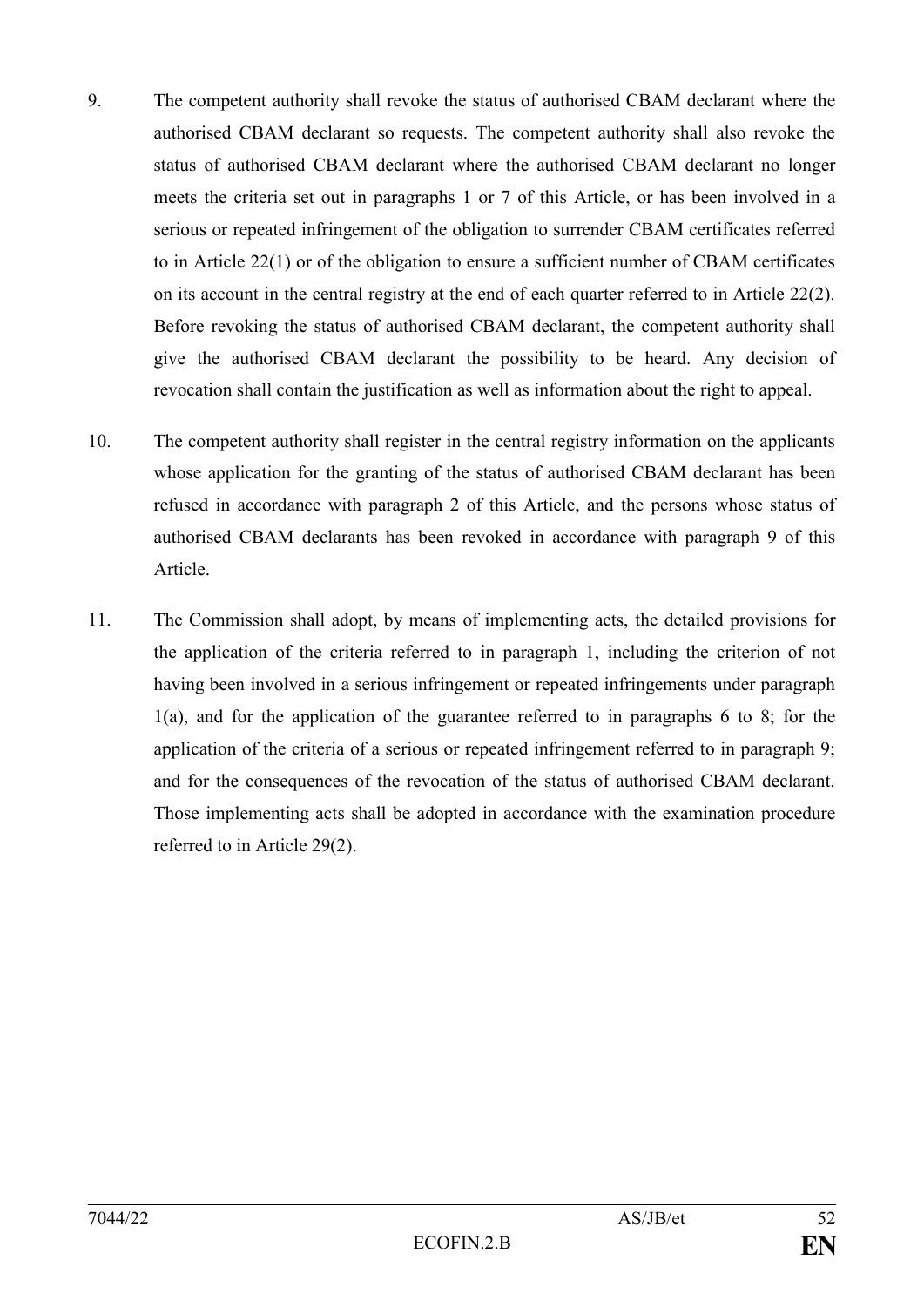- 9. The competent authority shall revoke the status of authorised CBAM declarant where the authorised CBAM declarant so requests. The competent authority shall also revoke the status of authorised CBAM declarant where the authorised CBAM declarant no longer meets the criteria set out in paragraphs 1 or 7 of this Article, or has been involved in a serious or repeated infringement of the obligation to surrender CBAM certificates referred to in Article 22(1) or of the obligation to ensure a sufficient number of CBAM certificates on its account in the central registry at the end of each quarter referred to in Article 22(2). Before revoking the status of authorised CBAM declarant, the competent authority shall give the authorised CBAM declarant the possibility to be heard. Any decision of revocation shall contain the justification as well as information about the right to appeal.
- 10. The competent authority shall register in the central registry information on the applicants whose application for the granting of the status of authorised CBAM declarant has been refused in accordance with paragraph 2 of this Article, and the persons whose status of authorised CBAM declarants has been revoked in accordance with paragraph 9 of this Article.
- 11. The Commission shall adopt, by means of implementing acts, the detailed provisions for the application of the criteria referred to in paragraph 1, including the criterion of not having been involved in a serious infringement or repeated infringements under paragraph 1(a), and for the application of the guarantee referred to in paragraphs 6 to 8; for the application of the criteria of a serious or repeated infringement referred to in paragraph 9; and for the consequences of the revocation of the status of authorised CBAM declarant. Those implementing acts shall be adopted in accordance with the examination procedure referred to in Article 29(2).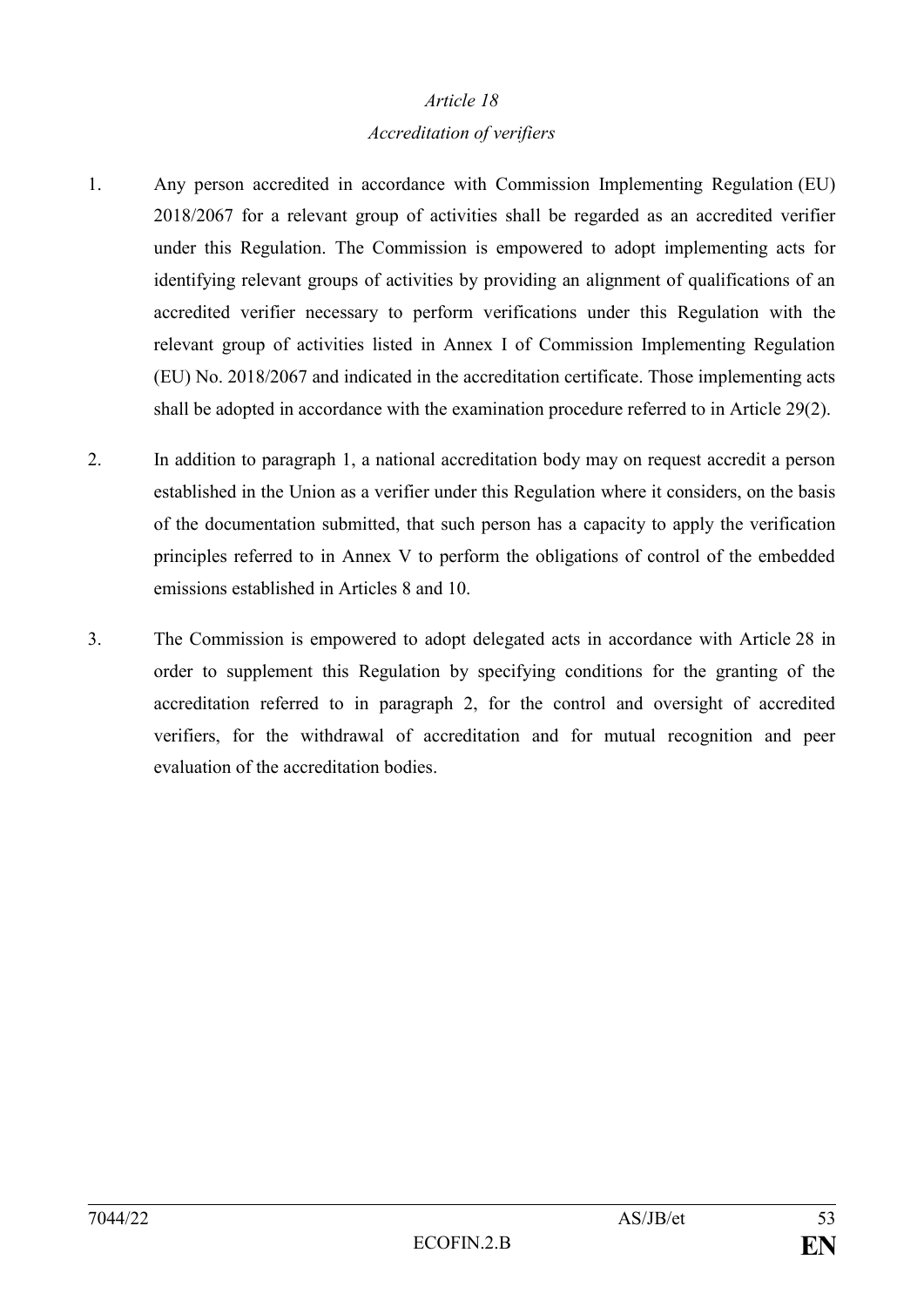#### *Accreditation of verifiers*

- 1. Any person accredited in accordance with Commission Implementing Regulation (EU) 2018/2067 for a relevant group of activities shall be regarded as an accredited verifier under this Regulation. The Commission is empowered to adopt implementing acts for identifying relevant groups of activities by providing an alignment of qualifications of an accredited verifier necessary to perform verifications under this Regulation with the relevant group of activities listed in Annex I of Commission Implementing Regulation (EU) No. 2018/2067 and indicated in the accreditation certificate. Those implementing acts shall be adopted in accordance with the examination procedure referred to in Article 29(2).
- 2. In addition to paragraph 1, a national accreditation body may on request accredit a person established in the Union as a verifier under this Regulation where it considers, on the basis of the documentation submitted, that such person has a capacity to apply the verification principles referred to in Annex V to perform the obligations of control of the embedded emissions established in Articles 8 and 10.
- 3. The Commission is empowered to adopt delegated acts in accordance with Article 28 in order to supplement this Regulation by specifying conditions for the granting of the accreditation referred to in paragraph 2, for the control and oversight of accredited verifiers, for the withdrawal of accreditation and for mutual recognition and peer evaluation of the accreditation bodies.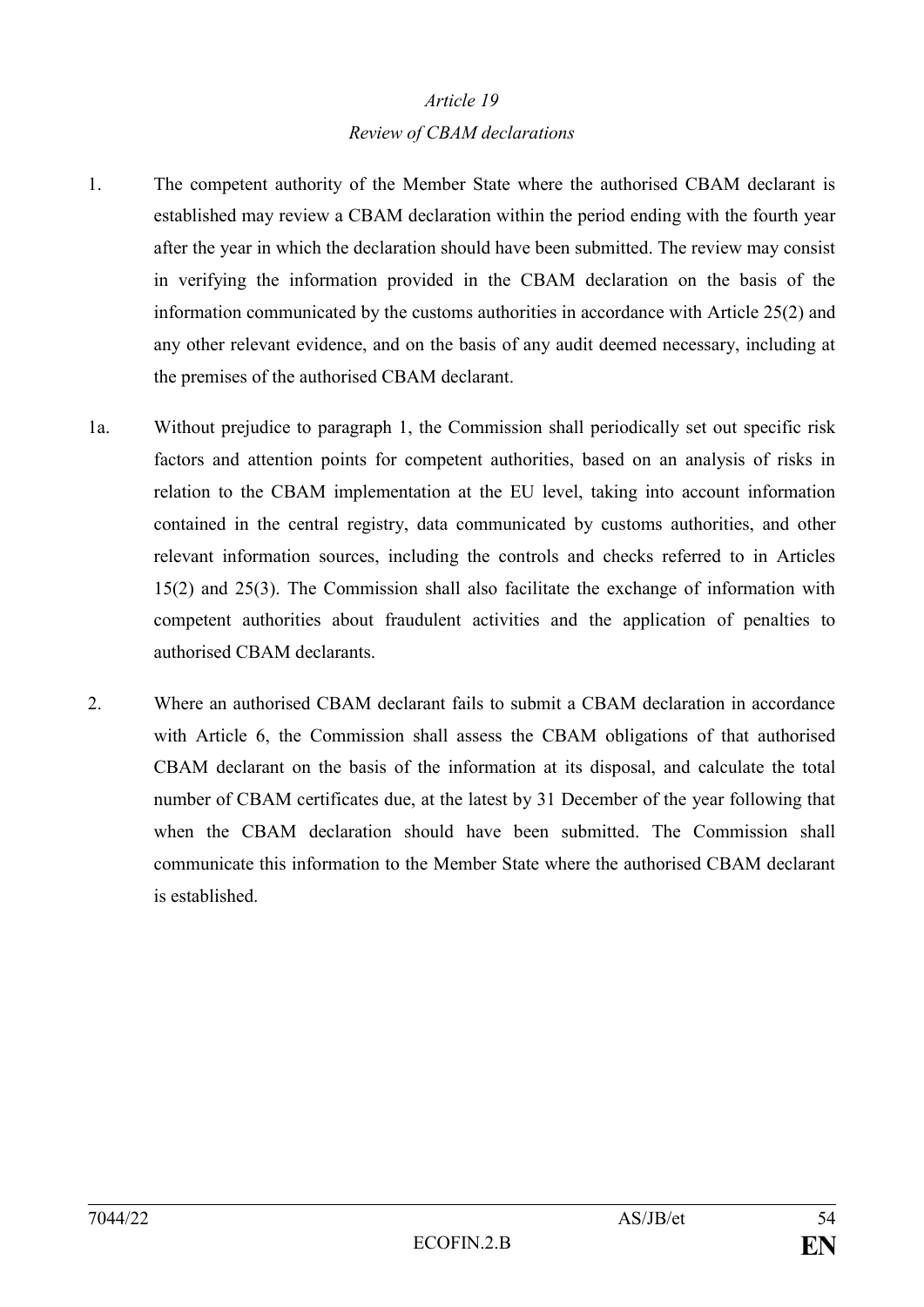#### *Review of CBAM declarations*

- 1. The competent authority of the Member State where the authorised CBAM declarant is established may review a CBAM declaration within the period ending with the fourth year after the year in which the declaration should have been submitted. The review may consist in verifying the information provided in the CBAM declaration on the basis of the information communicated by the customs authorities in accordance with Article 25(2) and any other relevant evidence, and on the basis of any audit deemed necessary, including at the premises of the authorised CBAM declarant.
- 1a. Without prejudice to paragraph 1, the Commission shall periodically set out specific risk factors and attention points for competent authorities, based on an analysis of risks in relation to the CBAM implementation at the EU level, taking into account information contained in the central registry, data communicated by customs authorities, and other relevant information sources, including the controls and checks referred to in Articles 15(2) and 25(3). The Commission shall also facilitate the exchange of information with competent authorities about fraudulent activities and the application of penalties to authorised CBAM declarants.
- 2. Where an authorised CBAM declarant fails to submit a CBAM declaration in accordance with Article 6, the Commission shall assess the CBAM obligations of that authorised CBAM declarant on the basis of the information at its disposal, and calculate the total number of CBAM certificates due, at the latest by 31 December of the year following that when the CBAM declaration should have been submitted. The Commission shall communicate this information to the Member State where the authorised CBAM declarant is established.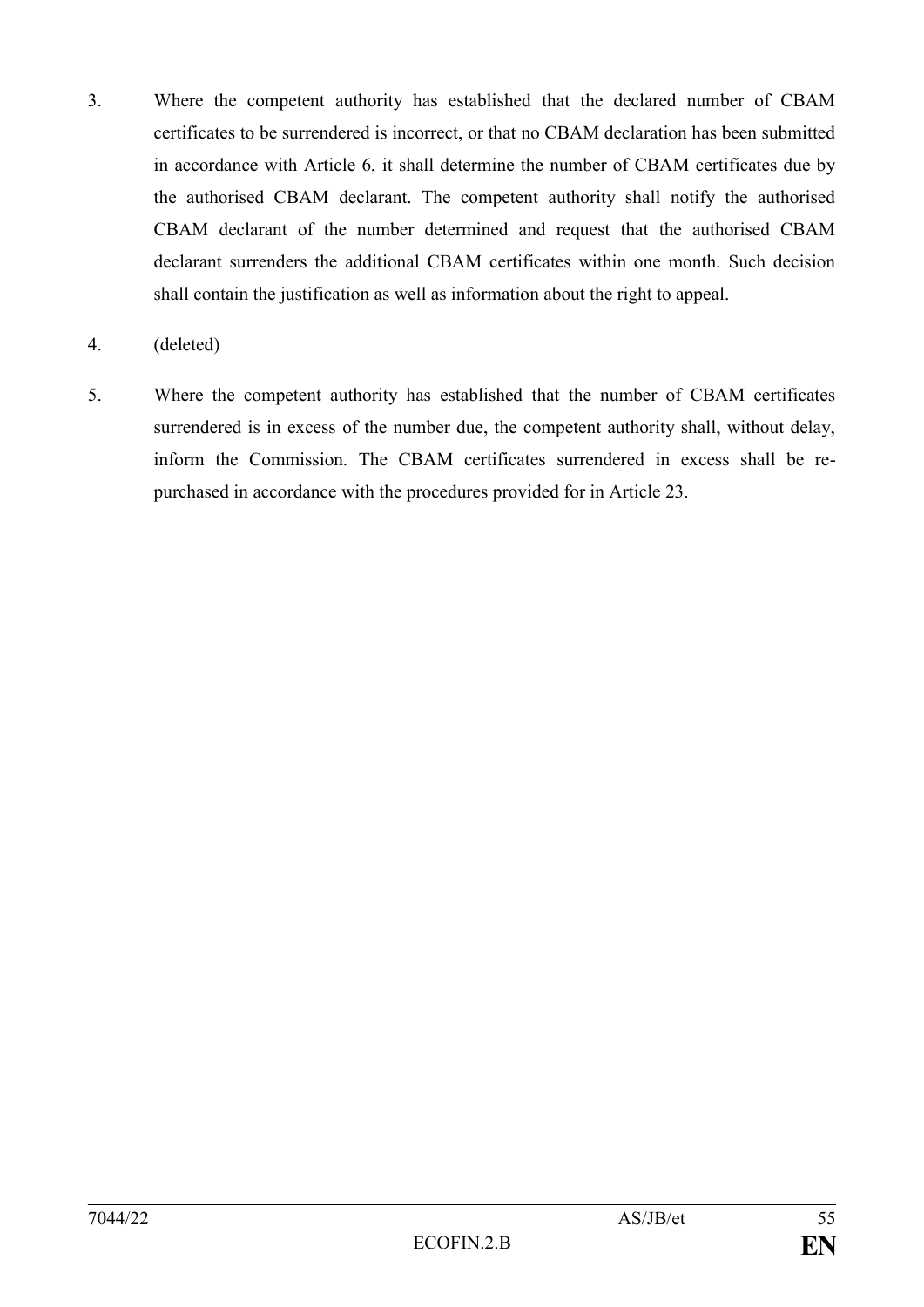- 3. Where the competent authority has established that the declared number of CBAM certificates to be surrendered is incorrect, or that no CBAM declaration has been submitted in accordance with Article 6, it shall determine the number of CBAM certificates due by the authorised CBAM declarant. The competent authority shall notify the authorised CBAM declarant of the number determined and request that the authorised CBAM declarant surrenders the additional CBAM certificates within one month. Such decision shall contain the justification as well as information about the right to appeal.
- 4. (deleted)
- 5. Where the competent authority has established that the number of CBAM certificates surrendered is in excess of the number due, the competent authority shall, without delay, inform the Commission. The CBAM certificates surrendered in excess shall be repurchased in accordance with the procedures provided for in Article 23.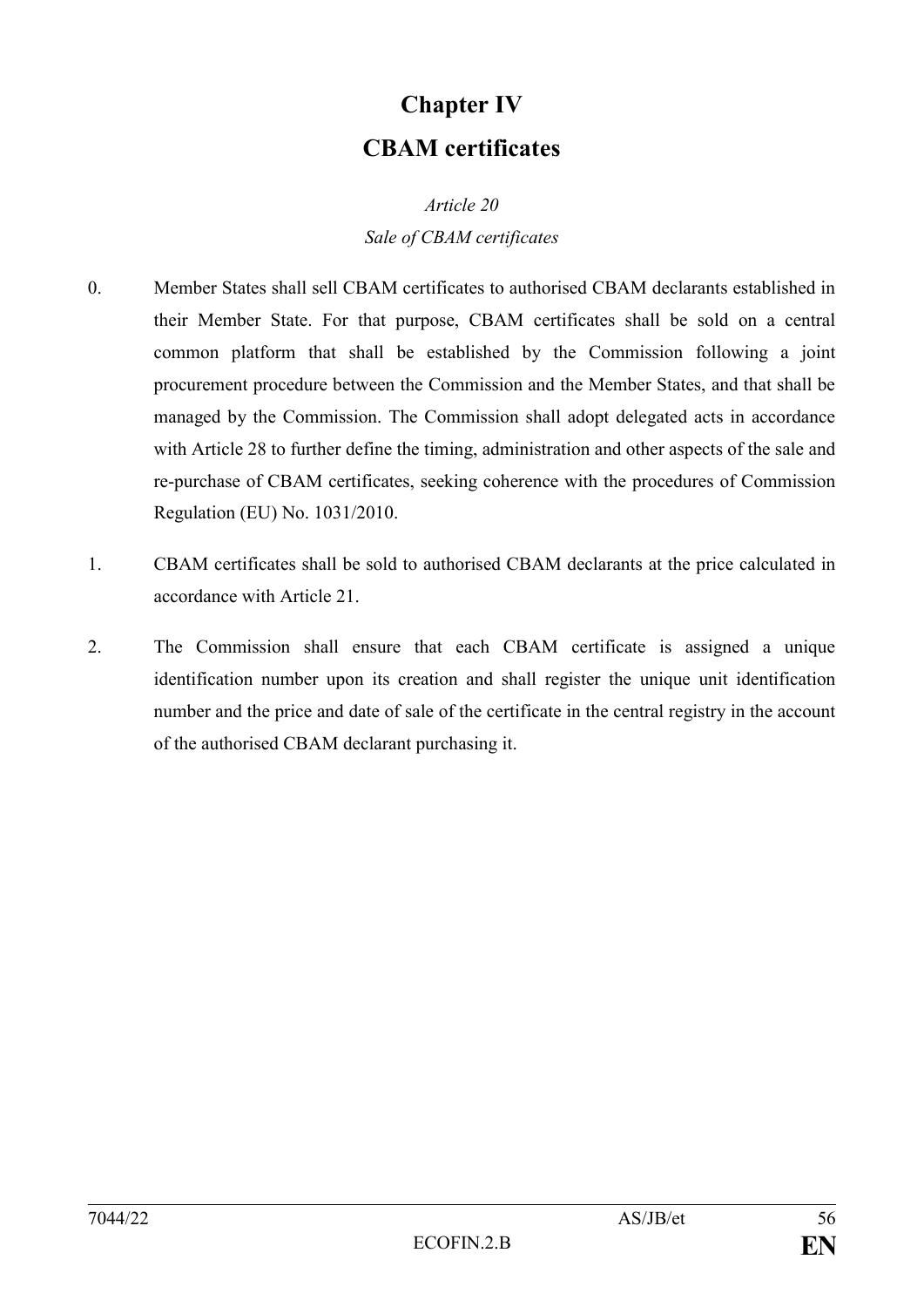# **Chapter IV CBAM certificates**

## *Article 20 Sale of CBAM certificates*

- 0. Member States shall sell CBAM certificates to authorised CBAM declarants established in their Member State. For that purpose, CBAM certificates shall be sold on a central common platform that shall be established by the Commission following a joint procurement procedure between the Commission and the Member States, and that shall be managed by the Commission. The Commission shall adopt delegated acts in accordance with Article 28 to further define the timing, administration and other aspects of the sale and re-purchase of CBAM certificates, seeking coherence with the procedures of Commission Regulation (EU) No. 1031/2010.
- 1. CBAM certificates shall be sold to authorised CBAM declarants at the price calculated in accordance with Article 21.
- 2. The Commission shall ensure that each CBAM certificate is assigned a unique identification number upon its creation and shall register the unique unit identification number and the price and date of sale of the certificate in the central registry in the account of the authorised CBAM declarant purchasing it.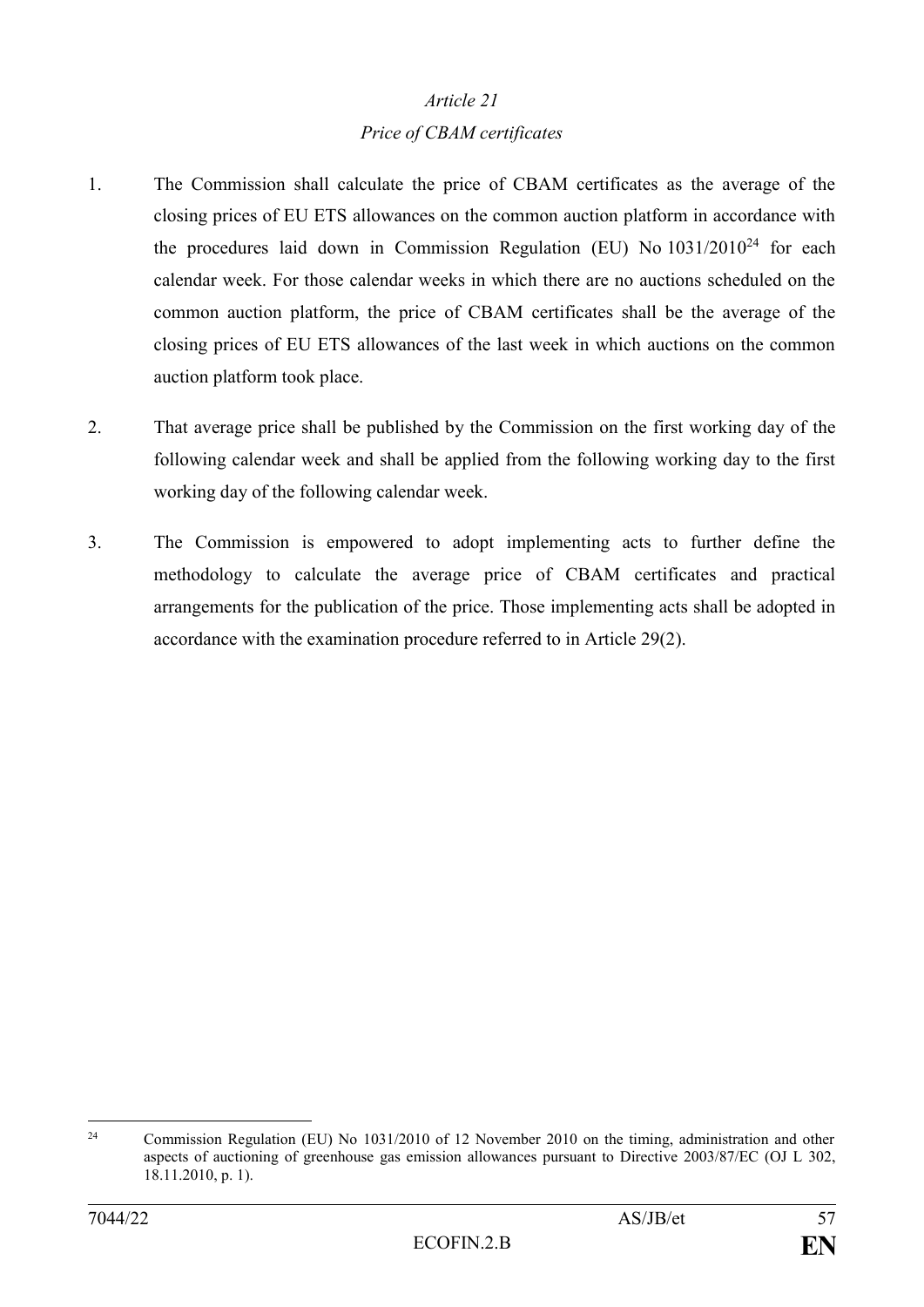#### *Price of CBAM certificates*

- 1. The Commission shall calculate the price of CBAM certificates as the average of the closing prices of EU ETS allowances on the common auction platform in accordance with the procedures laid down in Commission Regulation (EU) No  $1031/2010^{24}$  for each calendar week. For those calendar weeks in which there are no auctions scheduled on the common auction platform, the price of CBAM certificates shall be the average of the closing prices of EU ETS allowances of the last week in which auctions on the common auction platform took place.
- 2. That average price shall be published by the Commission on the first working day of the following calendar week and shall be applied from the following working day to the first working day of the following calendar week.
- 3. The Commission is empowered to adopt implementing acts to further define the methodology to calculate the average price of CBAM certificates and practical arrangements for the publication of the price. Those implementing acts shall be adopted in accordance with the examination procedure referred to in Article 29(2).

<sup>1</sup> <sup>24</sup> Commission Regulation (EU) No 1031/2010 of 12 November 2010 on the timing, administration and other aspects of auctioning of greenhouse gas emission allowances pursuant to Directive 2003/87/EC (OJ L 302, 18.11.2010, p. 1).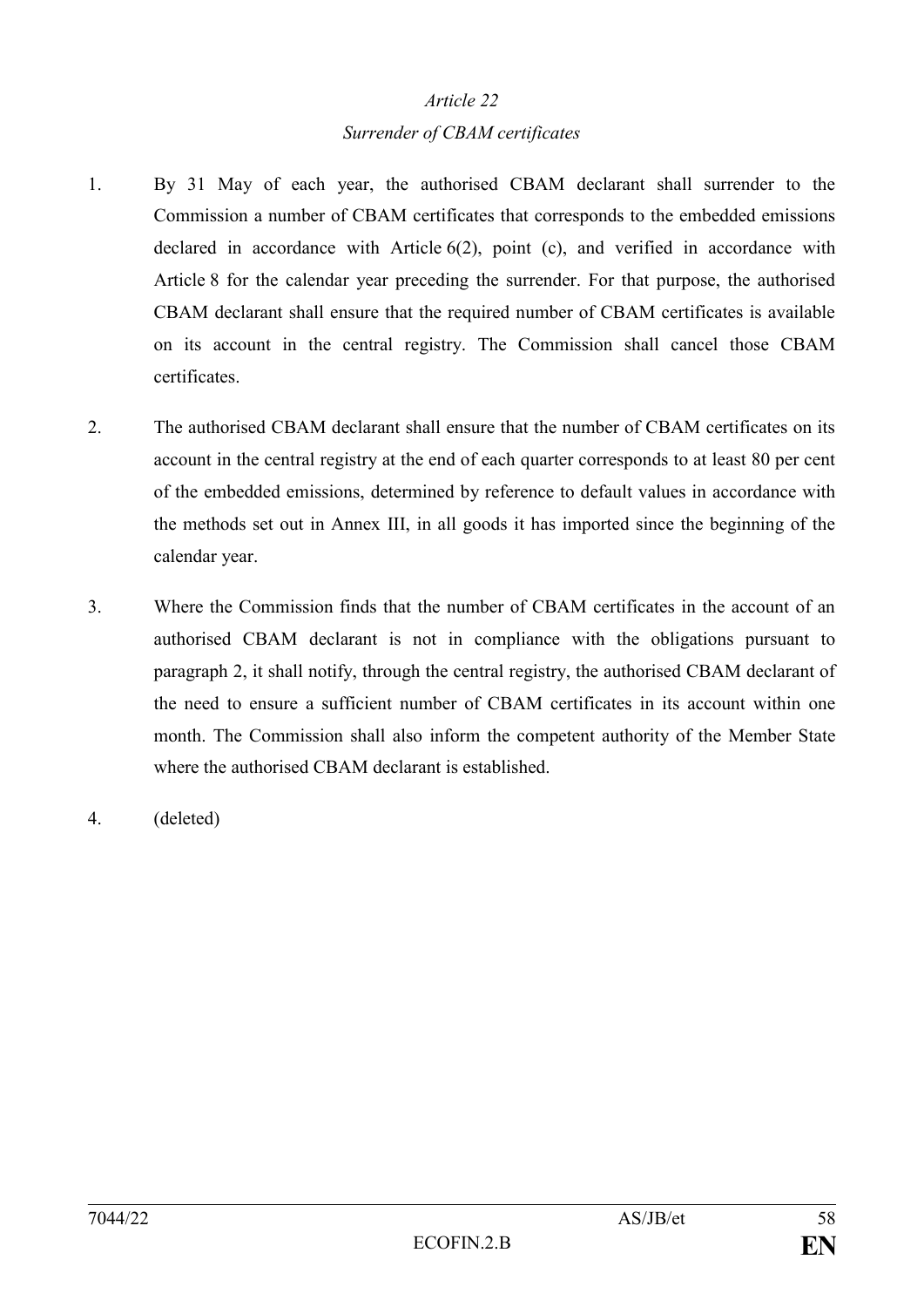#### *Surrender of CBAM certificates*

- 1. By 31 May of each year, the authorised CBAM declarant shall surrender to the Commission a number of CBAM certificates that corresponds to the embedded emissions declared in accordance with Article 6(2), point (c), and verified in accordance with Article 8 for the calendar year preceding the surrender. For that purpose, the authorised CBAM declarant shall ensure that the required number of CBAM certificates is available on its account in the central registry. The Commission shall cancel those CBAM certificates.
- 2. The authorised CBAM declarant shall ensure that the number of CBAM certificates on its account in the central registry at the end of each quarter corresponds to at least 80 per cent of the embedded emissions, determined by reference to default values in accordance with the methods set out in Annex III, in all goods it has imported since the beginning of the calendar year.
- 3. Where the Commission finds that the number of CBAM certificates in the account of an authorised CBAM declarant is not in compliance with the obligations pursuant to paragraph 2, it shall notify, through the central registry, the authorised CBAM declarant of the need to ensure a sufficient number of CBAM certificates in its account within one month. The Commission shall also inform the competent authority of the Member State where the authorised CBAM declarant is established.
- 4. (deleted)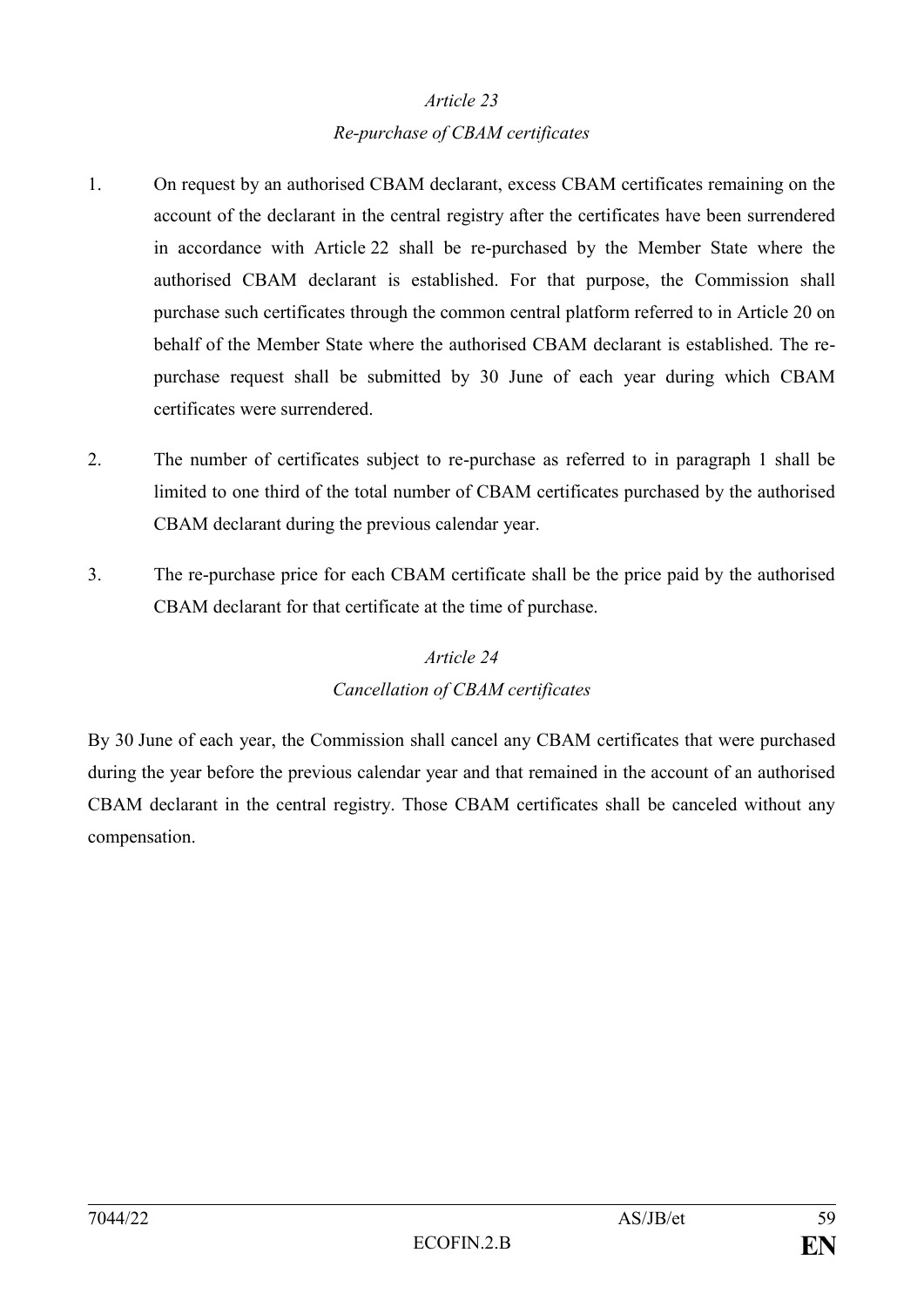#### *Re-purchase of CBAM certificates*

- 1. On request by an authorised CBAM declarant, excess CBAM certificates remaining on the account of the declarant in the central registry after the certificates have been surrendered in accordance with Article 22 shall be re-purchased by the Member State where the authorised CBAM declarant is established. For that purpose, the Commission shall purchase such certificates through the common central platform referred to in Article 20 on behalf of the Member State where the authorised CBAM declarant is established. The repurchase request shall be submitted by 30 June of each year during which CBAM certificates were surrendered.
- 2. The number of certificates subject to re-purchase as referred to in paragraph 1 shall be limited to one third of the total number of CBAM certificates purchased by the authorised CBAM declarant during the previous calendar year.
- 3. The re-purchase price for each CBAM certificate shall be the price paid by the authorised CBAM declarant for that certificate at the time of purchase.

### *Article 24 Cancellation of CBAM certificates*

By 30 June of each year, the Commission shall cancel any CBAM certificates that were purchased during the year before the previous calendar year and that remained in the account of an authorised CBAM declarant in the central registry. Those CBAM certificates shall be canceled without any compensation.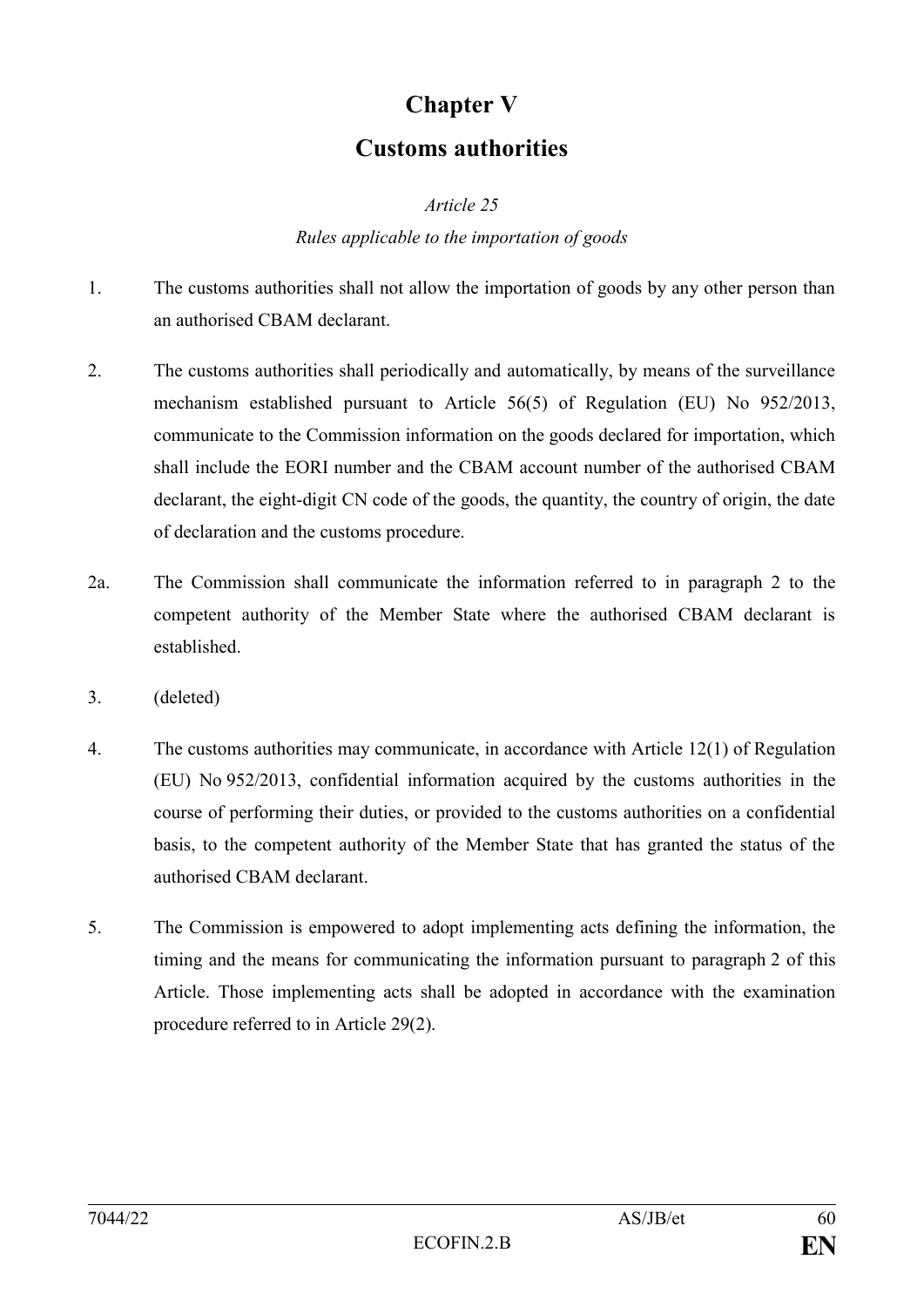# **Chapter V**

## **Customs authorities**

*Article 25*

#### *Rules applicable to the importation of goods*

- 1. The customs authorities shall not allow the importation of goods by any other person than an authorised CBAM declarant.
- 2. The customs authorities shall periodically and automatically, by means of the surveillance mechanism established pursuant to Article 56(5) of Regulation (EU) No 952/2013, communicate to the Commission information on the goods declared for importation, which shall include the EORI number and the CBAM account number of the authorised CBAM declarant, the eight-digit CN code of the goods, the quantity, the country of origin, the date of declaration and the customs procedure.
- 2a. The Commission shall communicate the information referred to in paragraph 2 to the competent authority of the Member State where the authorised CBAM declarant is established.
- 3. (deleted)
- 4. The customs authorities may communicate, in accordance with Article 12(1) of Regulation (EU) No 952/2013, confidential information acquired by the customs authorities in the course of performing their duties, or provided to the customs authorities on a confidential basis, to the competent authority of the Member State that has granted the status of the authorised CBAM declarant.
- 5. The Commission is empowered to adopt implementing acts defining the information, the timing and the means for communicating the information pursuant to paragraph 2 of this Article. Those implementing acts shall be adopted in accordance with the examination procedure referred to in Article 29(2).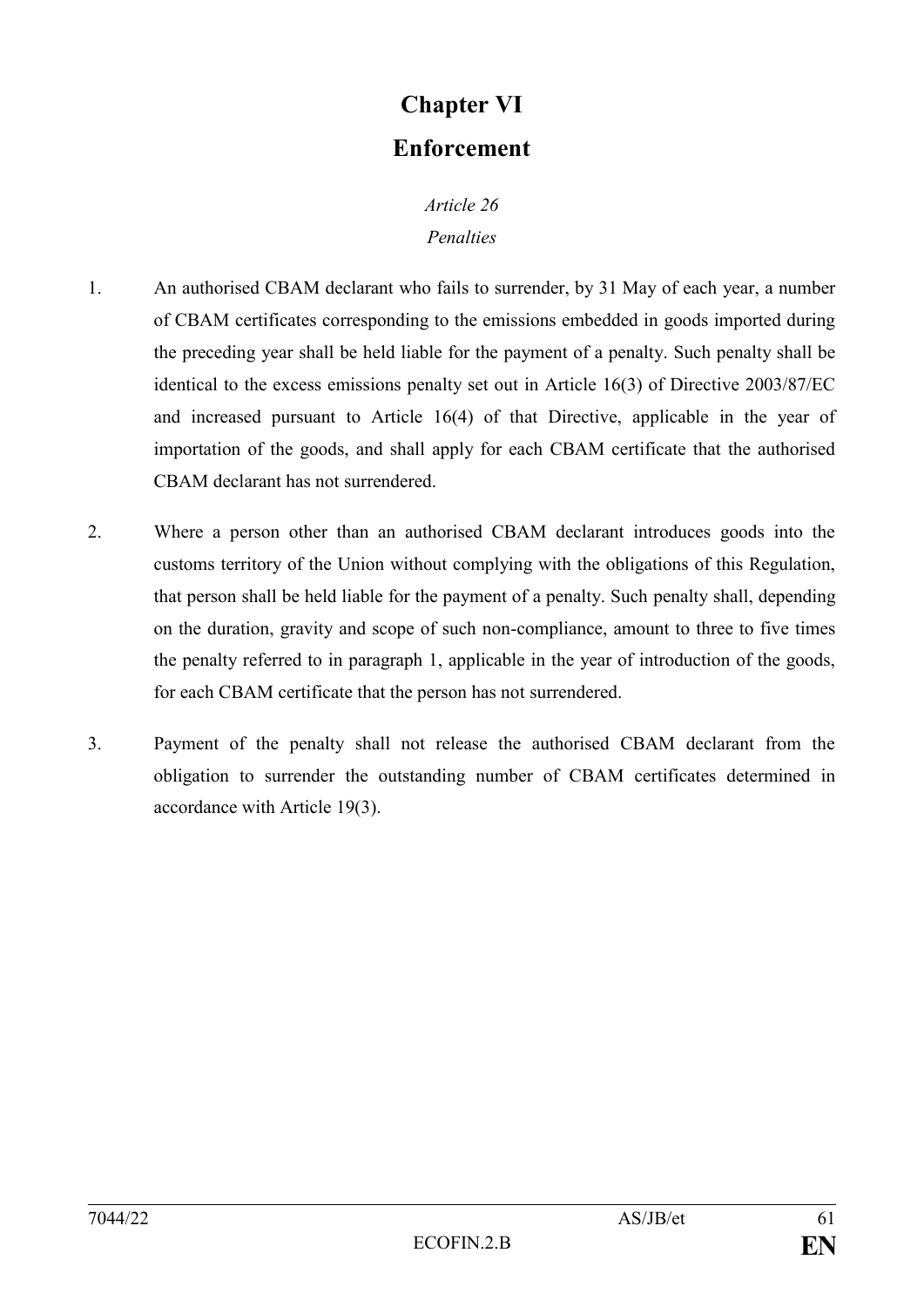# **Chapter VI Enforcement**

### *Article 26 Penalties*

- 1. An authorised CBAM declarant who fails to surrender, by 31 May of each year, a number of CBAM certificates corresponding to the emissions embedded in goods imported during the preceding year shall be held liable for the payment of a penalty. Such penalty shall be identical to the excess emissions penalty set out in Article 16(3) of Directive 2003/87/EC and increased pursuant to Article 16(4) of that Directive, applicable in the year of importation of the goods, and shall apply for each CBAM certificate that the authorised CBAM declarant has not surrendered.
- 2. Where a person other than an authorised CBAM declarant introduces goods into the customs territory of the Union without complying with the obligations of this Regulation, that person shall be held liable for the payment of a penalty. Such penalty shall, depending on the duration, gravity and scope of such non-compliance, amount to three to five times the penalty referred to in paragraph 1, applicable in the year of introduction of the goods, for each CBAM certificate that the person has not surrendered.
- 3. Payment of the penalty shall not release the authorised CBAM declarant from the obligation to surrender the outstanding number of CBAM certificates determined in accordance with Article 19(3).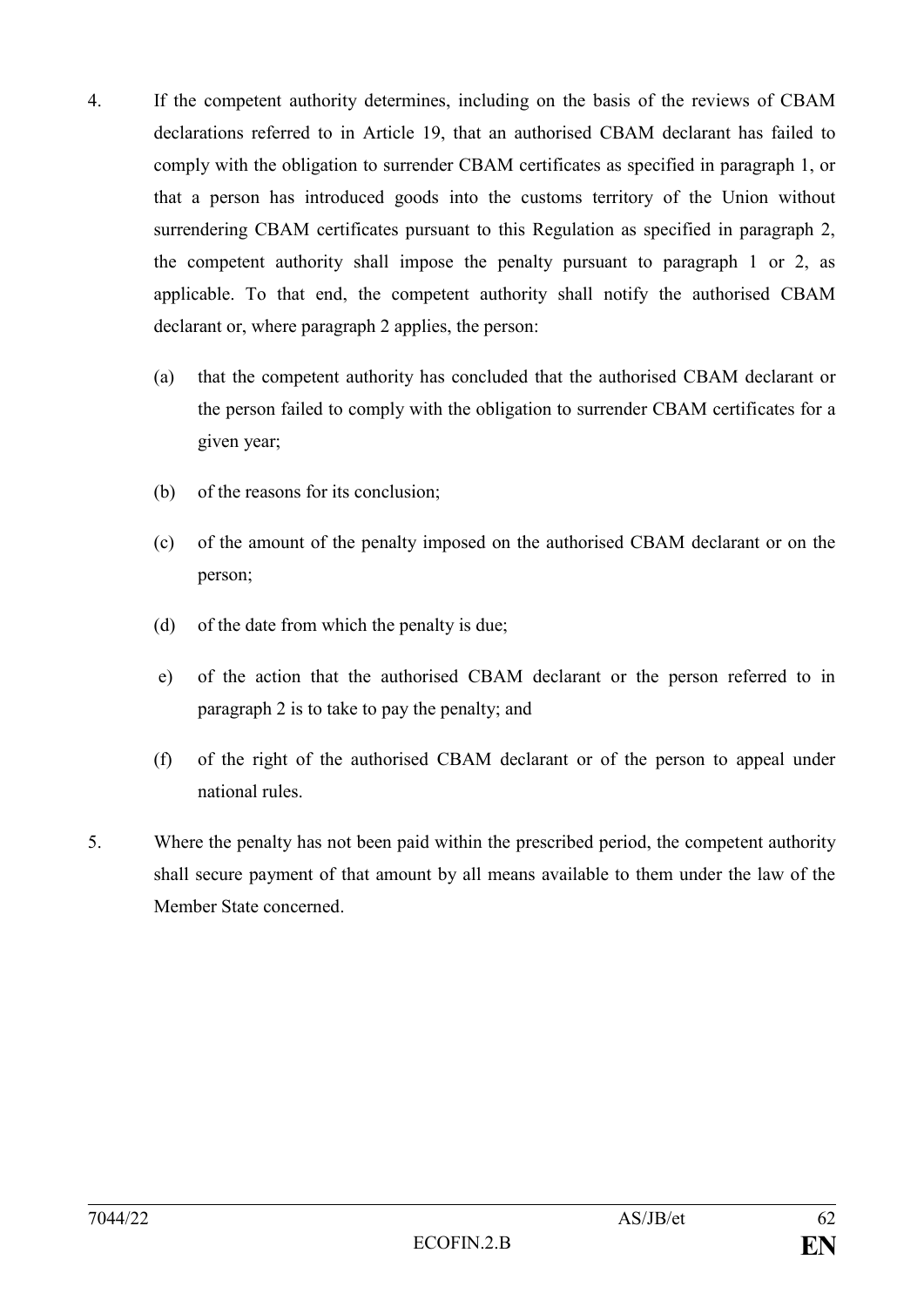- 4. If the competent authority determines, including on the basis of the reviews of CBAM declarations referred to in Article 19, that an authorised CBAM declarant has failed to comply with the obligation to surrender CBAM certificates as specified in paragraph 1, or that a person has introduced goods into the customs territory of the Union without surrendering CBAM certificates pursuant to this Regulation as specified in paragraph 2, the competent authority shall impose the penalty pursuant to paragraph 1 or 2, as applicable. To that end, the competent authority shall notify the authorised CBAM declarant or, where paragraph 2 applies, the person:
	- (a) that the competent authority has concluded that the authorised CBAM declarant or the person failed to comply with the obligation to surrender CBAM certificates for a given year;
	- (b) of the reasons for its conclusion;
	- (c) of the amount of the penalty imposed on the authorised CBAM declarant or on the person;
	- (d) of the date from which the penalty is due;
	- e) of the action that the authorised CBAM declarant or the person referred to in paragraph 2 is to take to pay the penalty; and
	- (f) of the right of the authorised CBAM declarant or of the person to appeal under national rules.
- 5. Where the penalty has not been paid within the prescribed period, the competent authority shall secure payment of that amount by all means available to them under the law of the Member State concerned.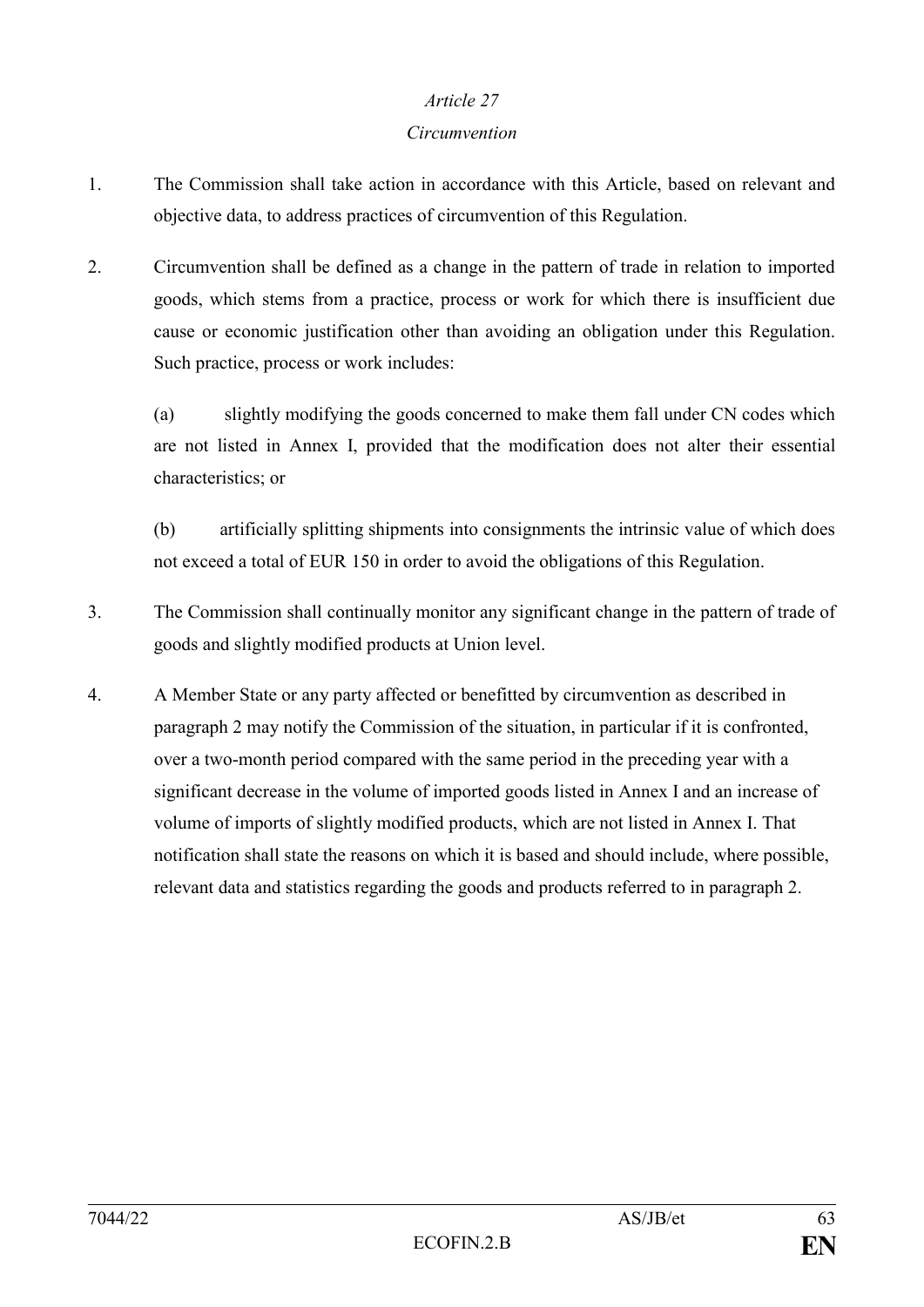#### *Circumvention*

- 1. The Commission shall take action in accordance with this Article, based on relevant and objective data, to address practices of circumvention of this Regulation.
- 2. Circumvention shall be defined as a change in the pattern of trade in relation to imported goods, which stems from a practice, process or work for which there is insufficient due cause or economic justification other than avoiding an obligation under this Regulation. Such practice, process or work includes:

(a) slightly modifying the goods concerned to make them fall under CN codes which are not listed in Annex I, provided that the modification does not alter their essential characteristics; or

(b) artificially splitting shipments into consignments the intrinsic value of which does not exceed a total of EUR 150 in order to avoid the obligations of this Regulation.

- 3. The Commission shall continually monitor any significant change in the pattern of trade of goods and slightly modified products at Union level.
- 4. A Member State or any party affected or benefitted by circumvention as described in paragraph 2 may notify the Commission of the situation, in particular if it is confronted, over a two-month period compared with the same period in the preceding year with a significant decrease in the volume of imported goods listed in Annex I and an increase of volume of imports of slightly modified products, which are not listed in Annex I. That notification shall state the reasons on which it is based and should include, where possible, relevant data and statistics regarding the goods and products referred to in paragraph 2.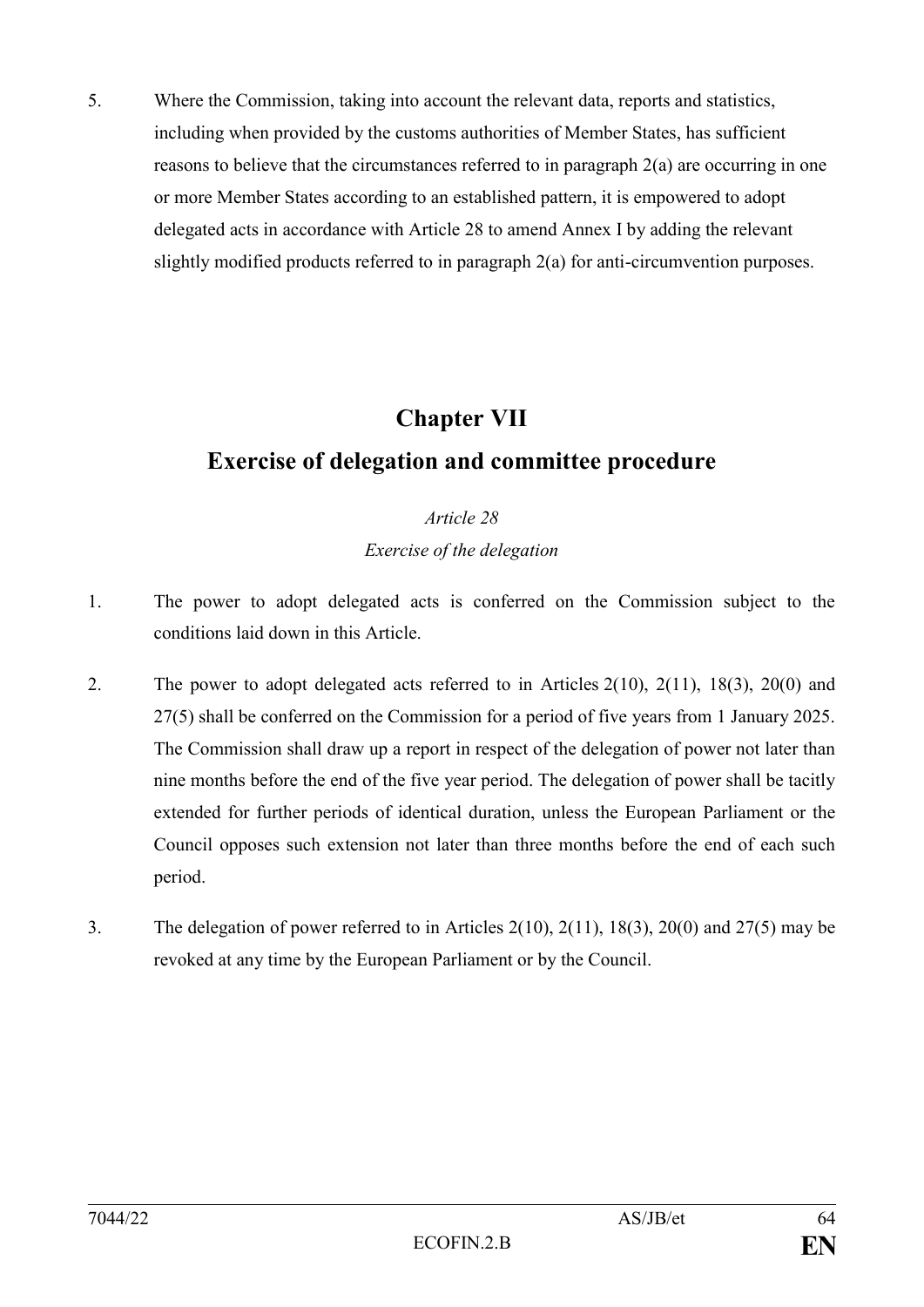5. Where the Commission, taking into account the relevant data, reports and statistics, including when provided by the customs authorities of Member States, has sufficient reasons to believe that the circumstances referred to in paragraph 2(a) are occurring in one or more Member States according to an established pattern, it is empowered to adopt delegated acts in accordance with Article 28 to amend Annex I by adding the relevant slightly modified products referred to in paragraph 2(a) for anti-circumvention purposes.

# **Chapter VII**

# **Exercise of delegation and committee procedure**

### *Article 28 Exercise of the delegation*

- 1. The power to adopt delegated acts is conferred on the Commission subject to the conditions laid down in this Article.
- 2. The power to adopt delegated acts referred to in Articles 2(10), 2(11), 18(3), 20(0) and 27(5) shall be conferred on the Commission for a period of five years from 1 January 2025. The Commission shall draw up a report in respect of the delegation of power not later than nine months before the end of the five year period. The delegation of power shall be tacitly extended for further periods of identical duration, unless the European Parliament or the Council opposes such extension not later than three months before the end of each such period.
- 3. The delegation of power referred to in Articles 2(10), 2(11), 18(3), 20(0) and 27(5) may be revoked at any time by the European Parliament or by the Council.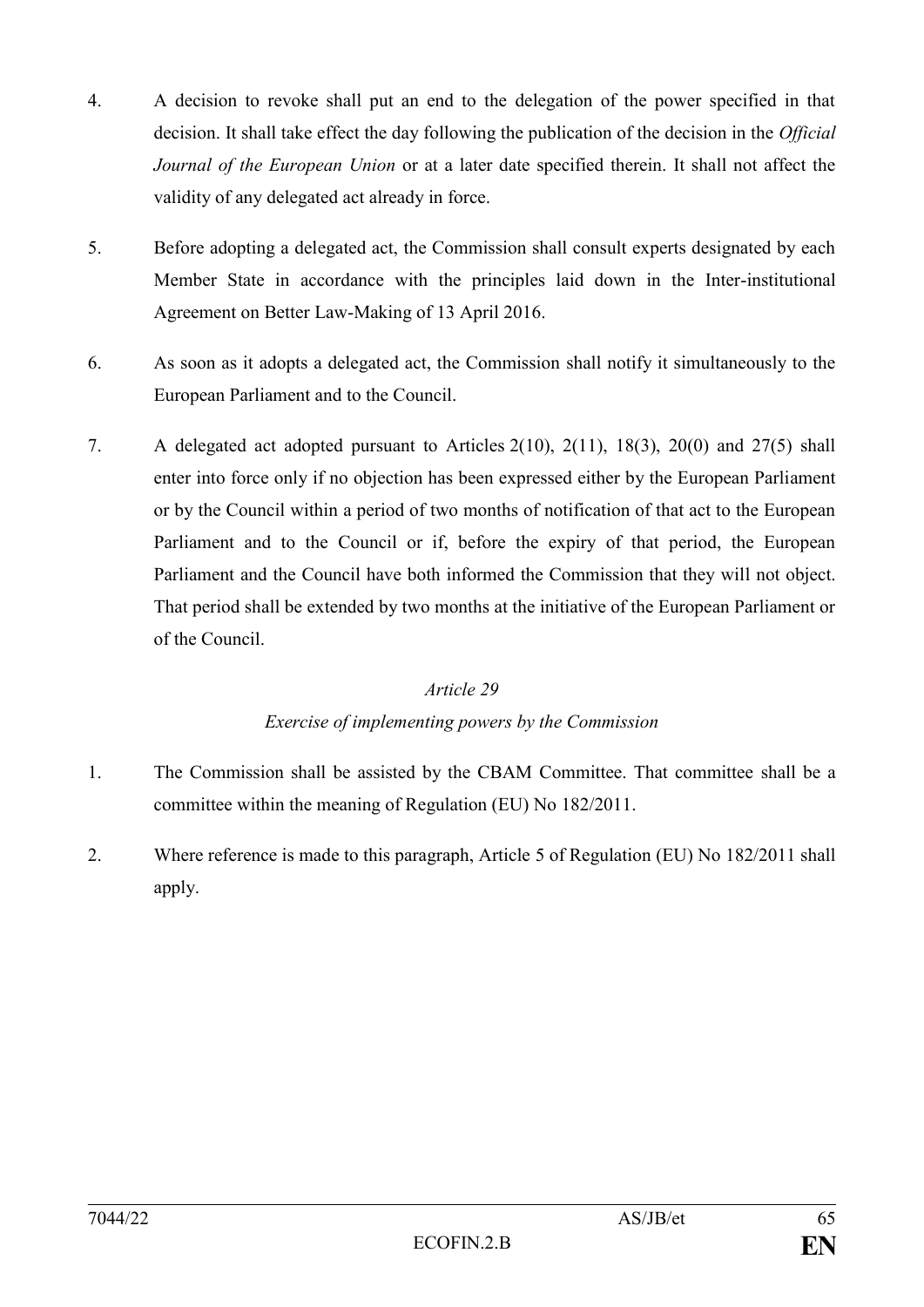- 4. A decision to revoke shall put an end to the delegation of the power specified in that decision. It shall take effect the day following the publication of the decision in the *Official Journal of the European Union* or at a later date specified therein. It shall not affect the validity of any delegated act already in force.
- 5. Before adopting a delegated act, the Commission shall consult experts designated by each Member State in accordance with the principles laid down in the Inter-institutional Agreement on Better Law-Making of 13 April 2016.
- 6. As soon as it adopts a delegated act, the Commission shall notify it simultaneously to the European Parliament and to the Council.
- 7. A delegated act adopted pursuant to Articles 2(10), 2(11), 18(3), 20(0) and 27(5) shall enter into force only if no objection has been expressed either by the European Parliament or by the Council within a period of two months of notification of that act to the European Parliament and to the Council or if, before the expiry of that period, the European Parliament and the Council have both informed the Commission that they will not object. That period shall be extended by two months at the initiative of the European Parliament or of the Council.

#### *Exercise of implementing powers by the Commission*

- 1. The Commission shall be assisted by the CBAM Committee. That committee shall be a committee within the meaning of Regulation (EU) No 182/2011.
- 2. Where reference is made to this paragraph, Article 5 of Regulation (EU) No 182/2011 shall apply.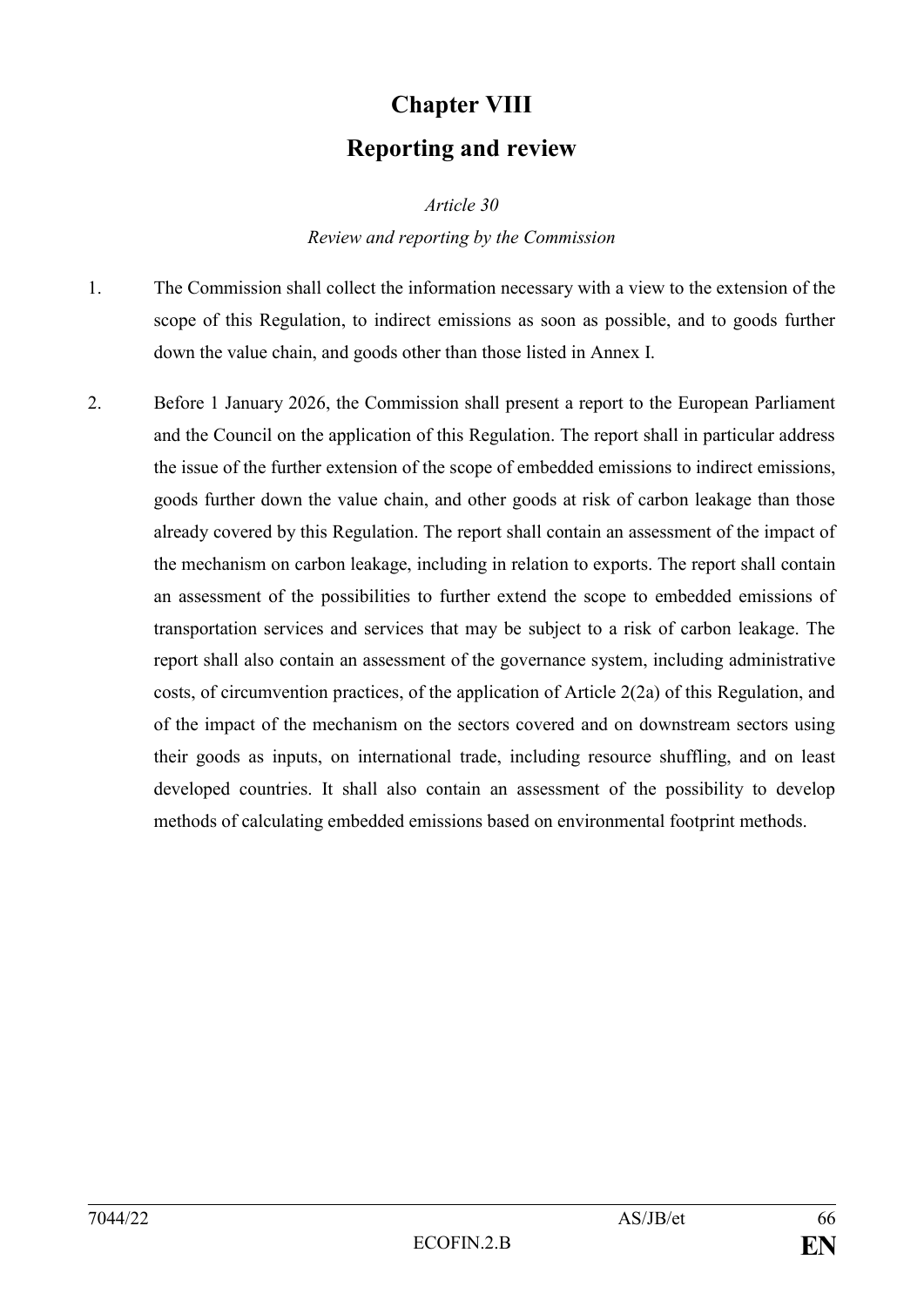# **Chapter VIII Reporting and review**

*Article 30*

#### *Review and reporting by the Commission*

- 1. The Commission shall collect the information necessary with a view to the extension of the scope of this Regulation, to indirect emissions as soon as possible, and to goods further down the value chain, and goods other than those listed in Annex I.
- 2. Before 1 January 2026, the Commission shall present a report to the European Parliament and the Council on the application of this Regulation. The report shall in particular address the issue of the further extension of the scope of embedded emissions to indirect emissions, goods further down the value chain, and other goods at risk of carbon leakage than those already covered by this Regulation. The report shall contain an assessment of the impact of the mechanism on carbon leakage, including in relation to exports. The report shall contain an assessment of the possibilities to further extend the scope to embedded emissions of transportation services and services that may be subject to a risk of carbon leakage. The report shall also contain an assessment of the governance system, including administrative costs, of circumvention practices, of the application of Article 2(2a) of this Regulation, and of the impact of the mechanism on the sectors covered and on downstream sectors using their goods as inputs, on international trade, including resource shuffling, and on least developed countries. It shall also contain an assessment of the possibility to develop methods of calculating embedded emissions based on environmental footprint methods.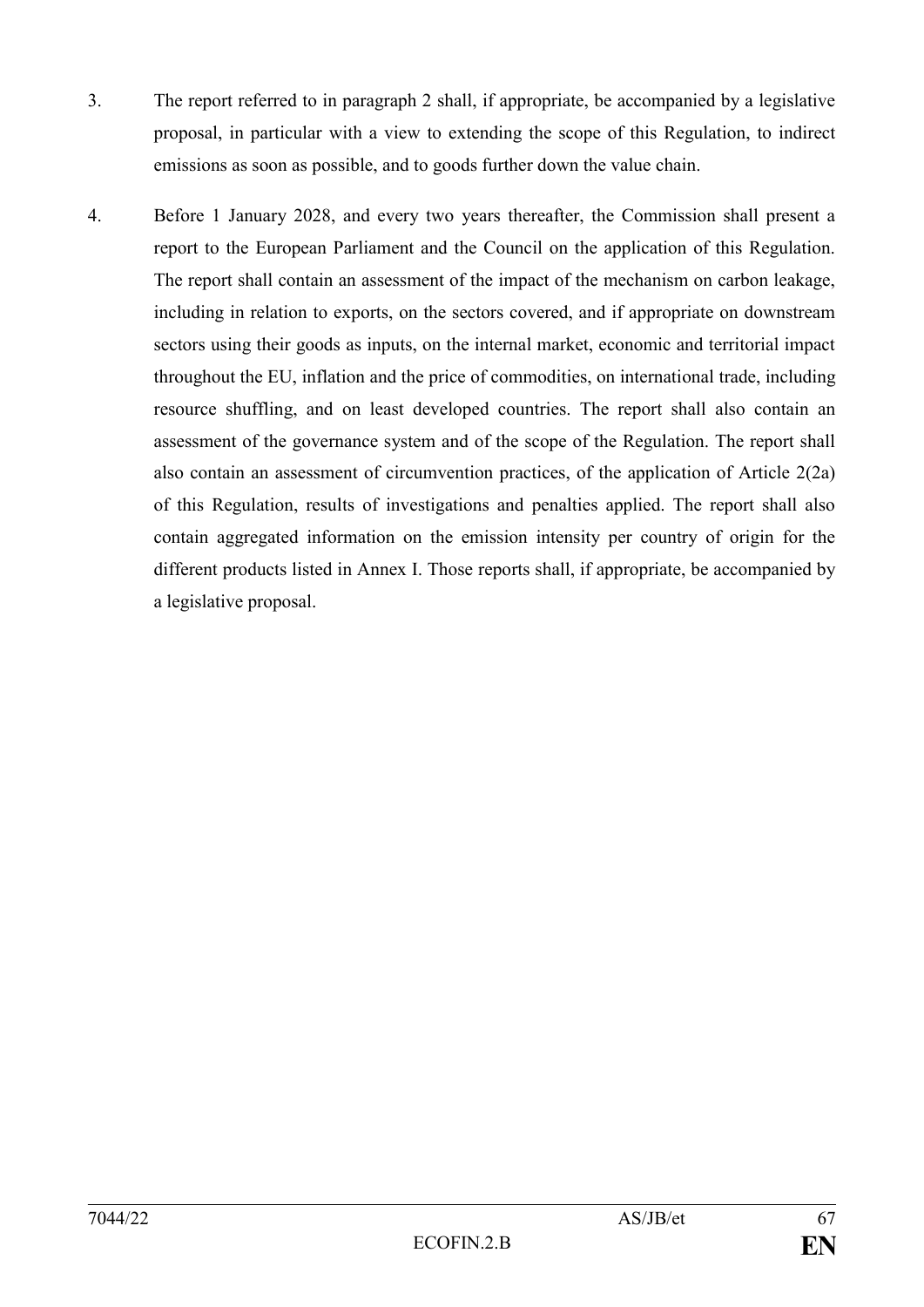- 3. The report referred to in paragraph 2 shall, if appropriate, be accompanied by a legislative proposal, in particular with a view to extending the scope of this Regulation, to indirect emissions as soon as possible, and to goods further down the value chain.
- 4. Before 1 January 2028, and every two years thereafter, the Commission shall present a report to the European Parliament and the Council on the application of this Regulation. The report shall contain an assessment of the impact of the mechanism on carbon leakage, including in relation to exports, on the sectors covered, and if appropriate on downstream sectors using their goods as inputs, on the internal market, economic and territorial impact throughout the EU, inflation and the price of commodities, on international trade, including resource shuffling, and on least developed countries. The report shall also contain an assessment of the governance system and of the scope of the Regulation. The report shall also contain an assessment of circumvention practices, of the application of Article 2(2a) of this Regulation, results of investigations and penalties applied. The report shall also contain aggregated information on the emission intensity per country of origin for the different products listed in Annex I. Those reports shall, if appropriate, be accompanied by a legislative proposal.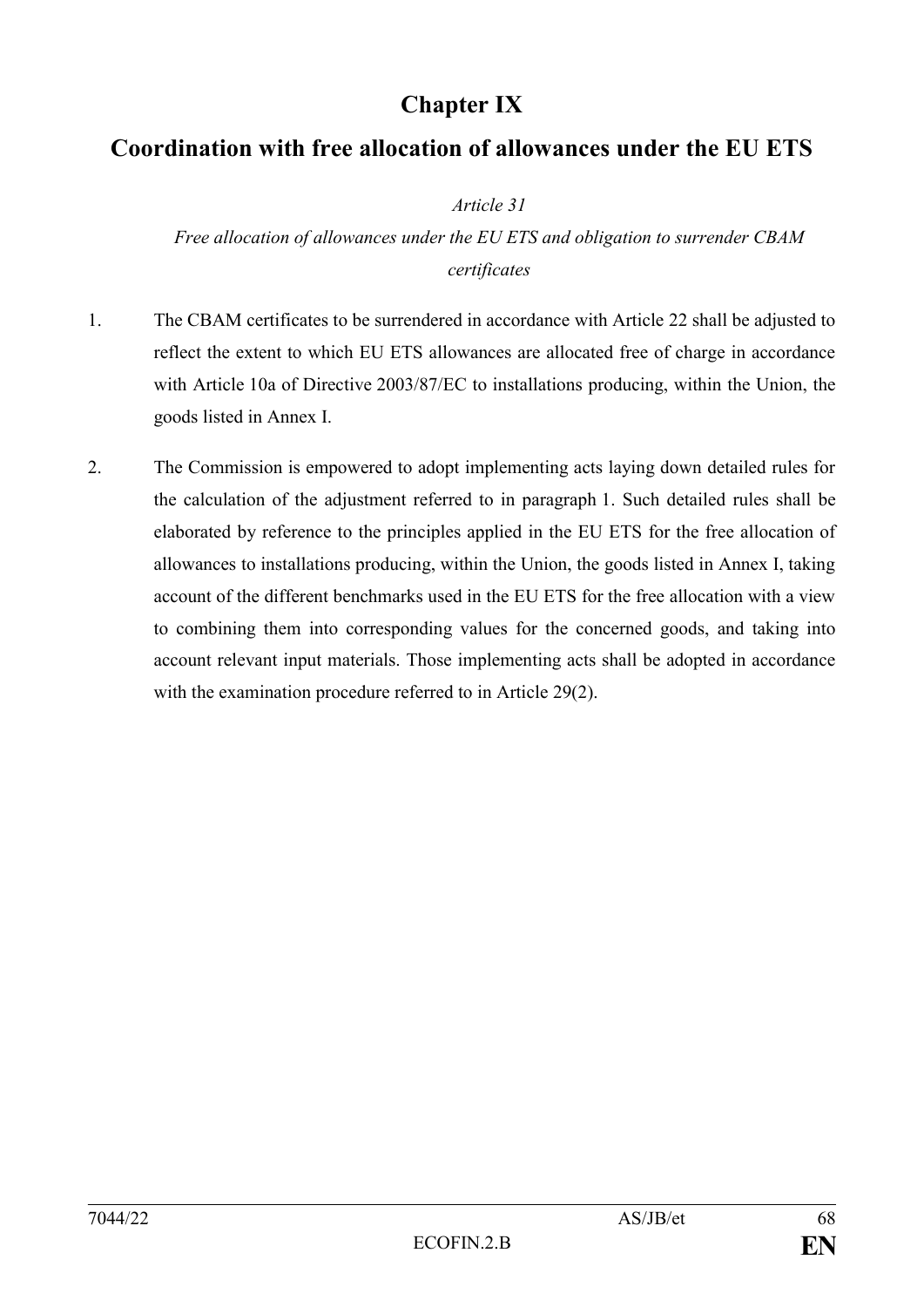## **Chapter IX**

## **Coordination with free allocation of allowances under the EU ETS**

*Article 31*

*Free allocation of allowances under the EU ETS and obligation to surrender CBAM certificates*

- 1. The CBAM certificates to be surrendered in accordance with Article 22 shall be adjusted to reflect the extent to which EU ETS allowances are allocated free of charge in accordance with Article 10a of Directive 2003/87/EC to installations producing, within the Union, the goods listed in Annex I.
- 2. The Commission is empowered to adopt implementing acts laying down detailed rules for the calculation of the adjustment referred to in paragraph 1. Such detailed rules shall be elaborated by reference to the principles applied in the EU ETS for the free allocation of allowances to installations producing, within the Union, the goods listed in Annex I, taking account of the different benchmarks used in the EU ETS for the free allocation with a view to combining them into corresponding values for the concerned goods, and taking into account relevant input materials. Those implementing acts shall be adopted in accordance with the examination procedure referred to in Article 29(2).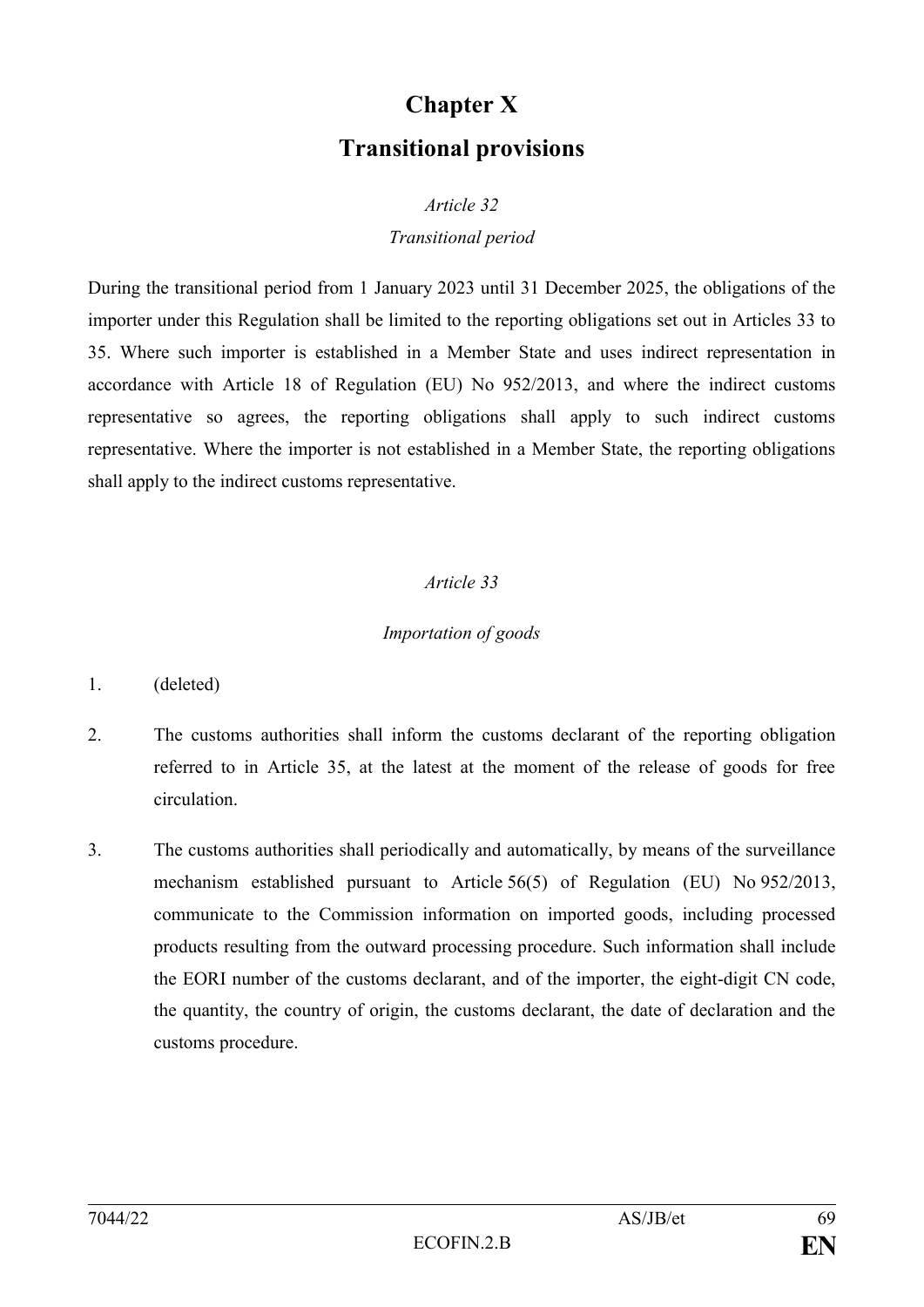# **Chapter X Transitional provisions**

#### *Article 32*

#### *Transitional period*

During the transitional period from 1 January 2023 until 31 December 2025, the obligations of the importer under this Regulation shall be limited to the reporting obligations set out in Articles 33 to 35. Where such importer is established in a Member State and uses indirect representation in accordance with Article 18 of Regulation (EU) No 952/2013, and where the indirect customs representative so agrees, the reporting obligations shall apply to such indirect customs representative. Where the importer is not established in a Member State, the reporting obligations shall apply to the indirect customs representative.

#### *Article 33*

#### *Importation of goods*

- 1. (deleted)
- 2. The customs authorities shall inform the customs declarant of the reporting obligation referred to in Article 35, at the latest at the moment of the release of goods for free circulation.
- 3. The customs authorities shall periodically and automatically, by means of the surveillance mechanism established pursuant to Article 56(5) of Regulation (EU) No 952/2013, communicate to the Commission information on imported goods, including processed products resulting from the outward processing procedure. Such information shall include the EORI number of the customs declarant, and of the importer, the eight-digit CN code, the quantity, the country of origin, the customs declarant, the date of declaration and the customs procedure.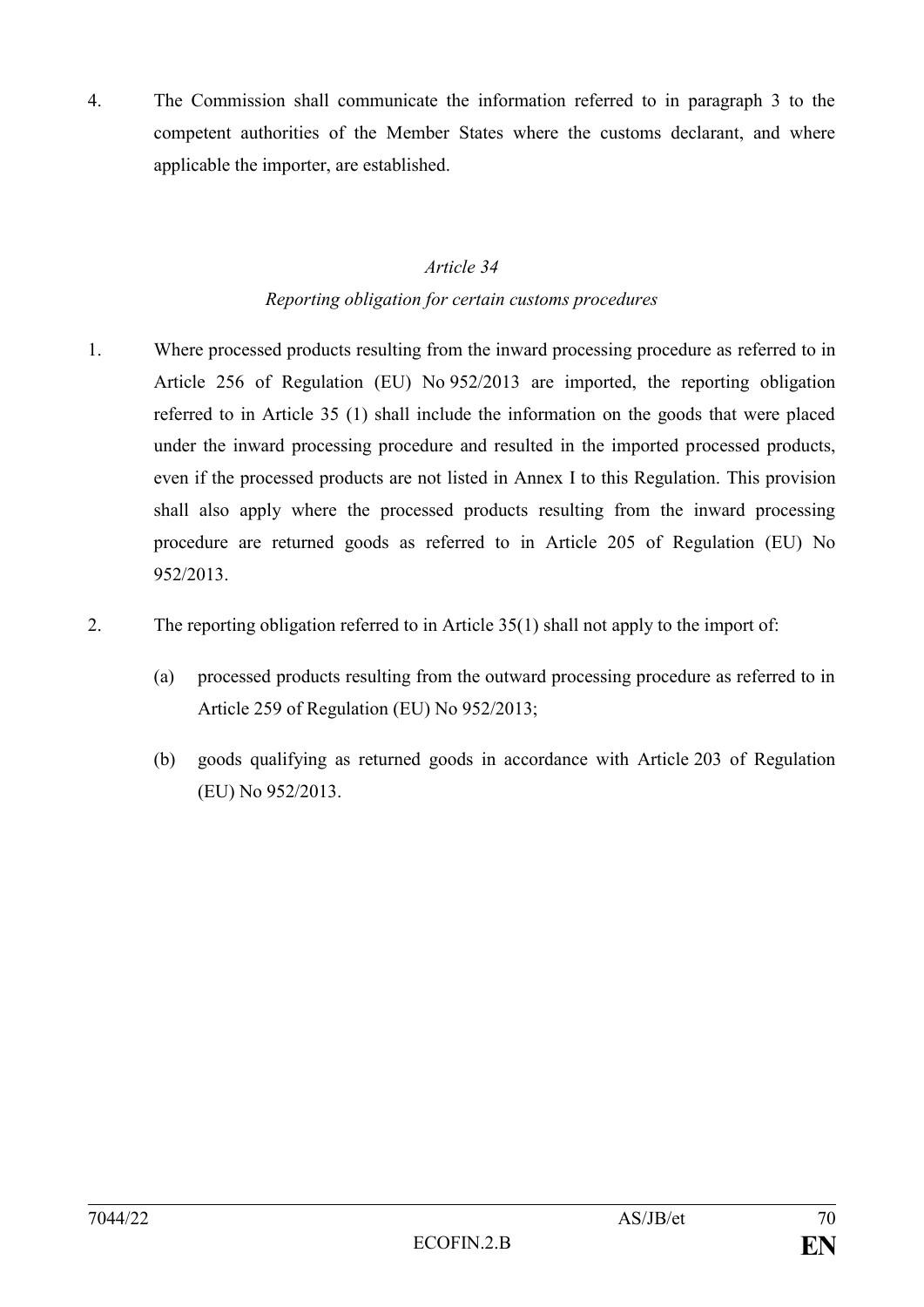4. The Commission shall communicate the information referred to in paragraph 3 to the competent authorities of the Member States where the customs declarant, and where applicable the importer, are established.

### *Article 34 Reporting obligation for certain customs procedures*

- 1. Where processed products resulting from the inward processing procedure as referred to in Article 256 of Regulation (EU) No 952/2013 are imported, the reporting obligation referred to in Article 35 (1) shall include the information on the goods that were placed under the inward processing procedure and resulted in the imported processed products, even if the processed products are not listed in Annex I to this Regulation. This provision shall also apply where the processed products resulting from the inward processing procedure are returned goods as referred to in Article 205 of Regulation (EU) No 952/2013.
- 2. The reporting obligation referred to in Article 35(1) shall not apply to the import of:
	- (a) processed products resulting from the outward processing procedure as referred to in Article 259 of Regulation (EU) No 952/2013;
	- (b) goods qualifying as returned goods in accordance with Article 203 of Regulation (EU) No 952/2013.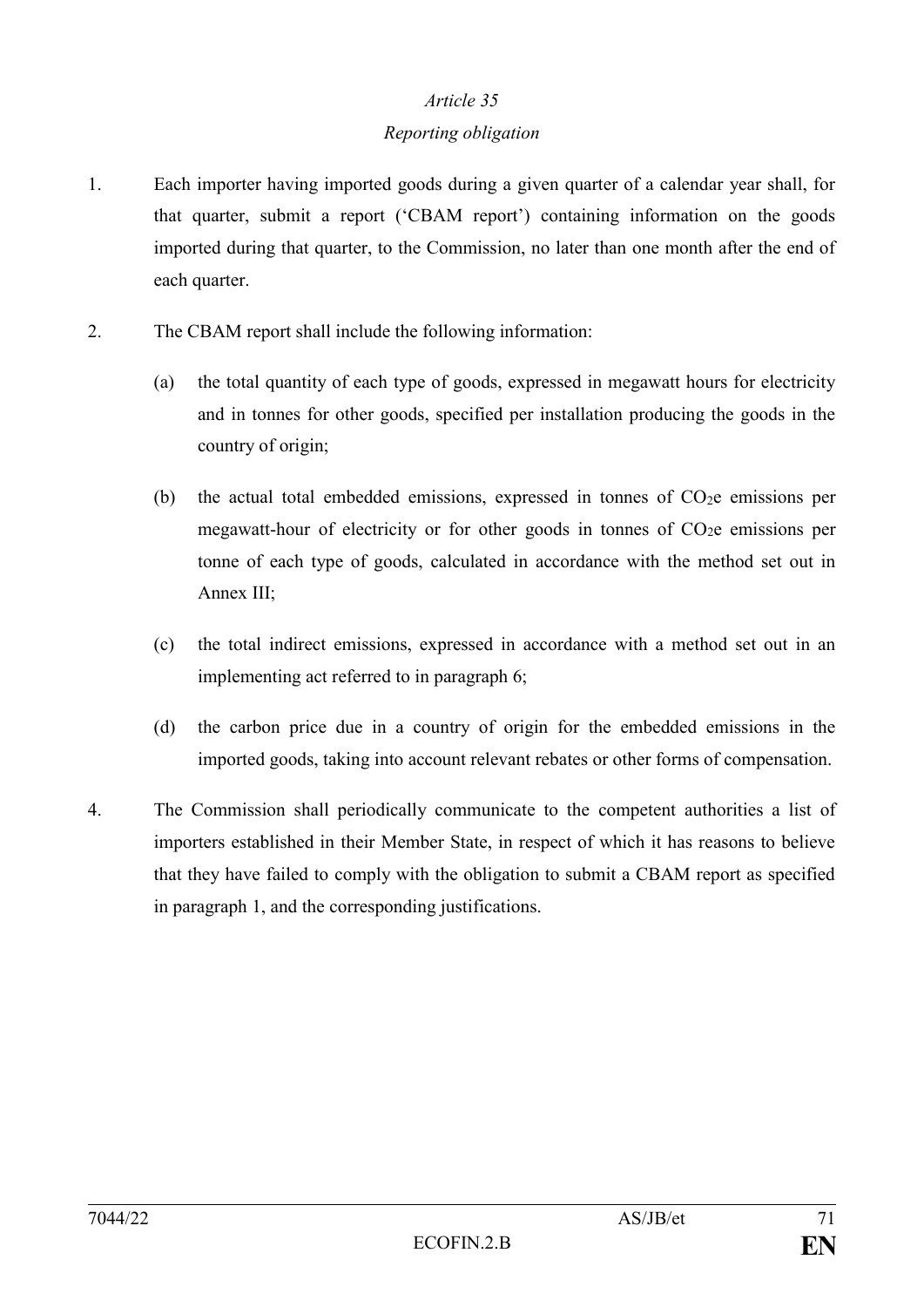#### *Reporting obligation*

- 1. Each importer having imported goods during a given quarter of a calendar year shall, for that quarter, submit a report ('CBAM report') containing information on the goods imported during that quarter, to the Commission, no later than one month after the end of each quarter.
- 2. The CBAM report shall include the following information:
	- (a) the total quantity of each type of goods, expressed in megawatt hours for electricity and in tonnes for other goods, specified per installation producing the goods in the country of origin;
	- (b) the actual total embedded emissions, expressed in tonnes of  $CO<sub>2</sub>e$  emissions per megawatt-hour of electricity or for other goods in tonnes of  $CO<sub>2</sub>e$  emissions per tonne of each type of goods, calculated in accordance with the method set out in Annex III;
	- (c) the total indirect emissions, expressed in accordance with a method set out in an implementing act referred to in paragraph 6;
	- (d) the carbon price due in a country of origin for the embedded emissions in the imported goods, taking into account relevant rebates or other forms of compensation.
- 4. The Commission shall periodically communicate to the competent authorities a list of importers established in their Member State, in respect of which it has reasons to believe that they have failed to comply with the obligation to submit a CBAM report as specified in paragraph 1, and the corresponding justifications.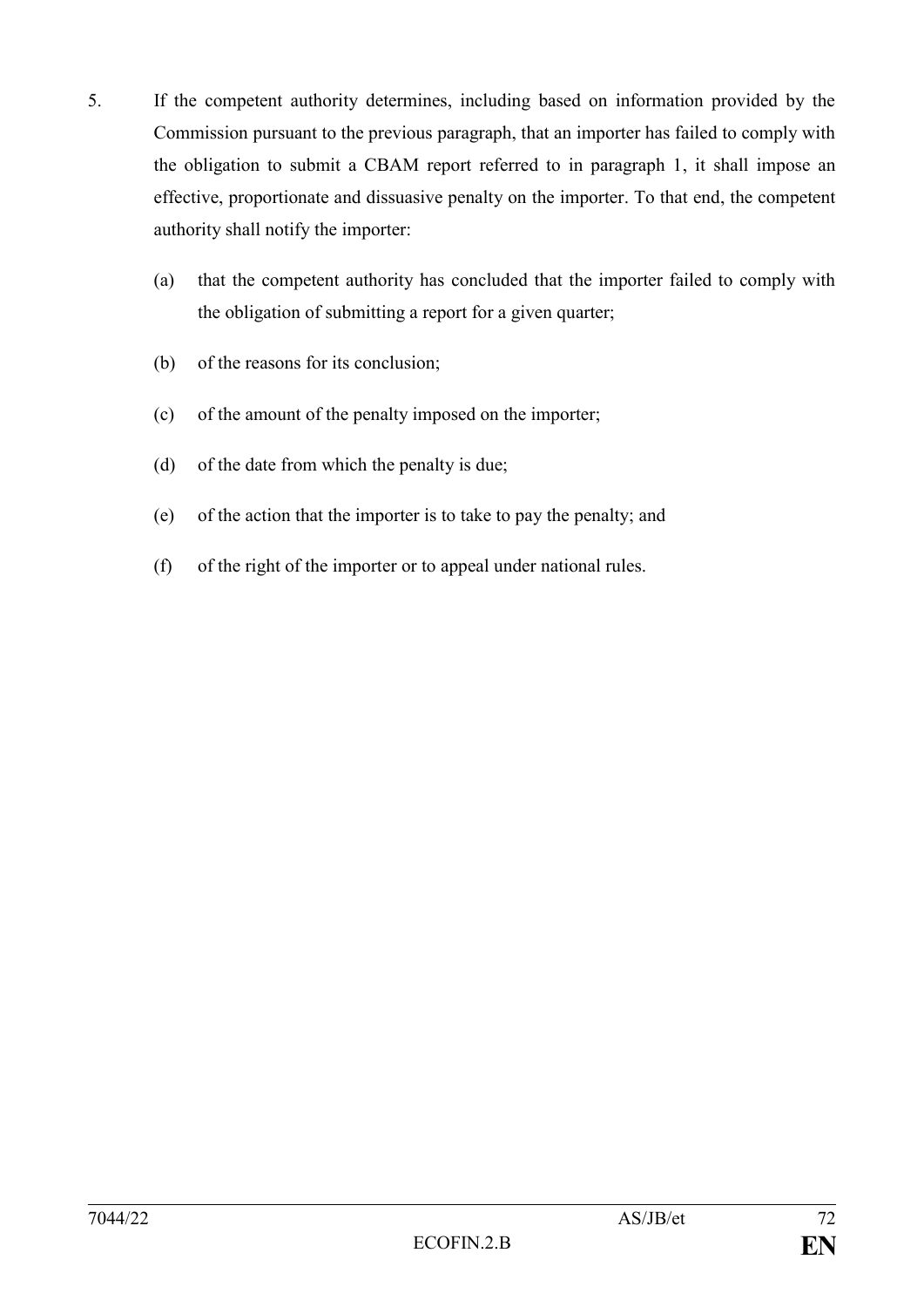- 5. If the competent authority determines, including based on information provided by the Commission pursuant to the previous paragraph, that an importer has failed to comply with the obligation to submit a CBAM report referred to in paragraph 1, it shall impose an effective, proportionate and dissuasive penalty on the importer. To that end, the competent authority shall notify the importer:
	- (a) that the competent authority has concluded that the importer failed to comply with the obligation of submitting a report for a given quarter;
	- (b) of the reasons for its conclusion;
	- (c) of the amount of the penalty imposed on the importer;
	- (d) of the date from which the penalty is due;
	- (e) of the action that the importer is to take to pay the penalty; and
	- (f) of the right of the importer or to appeal under national rules.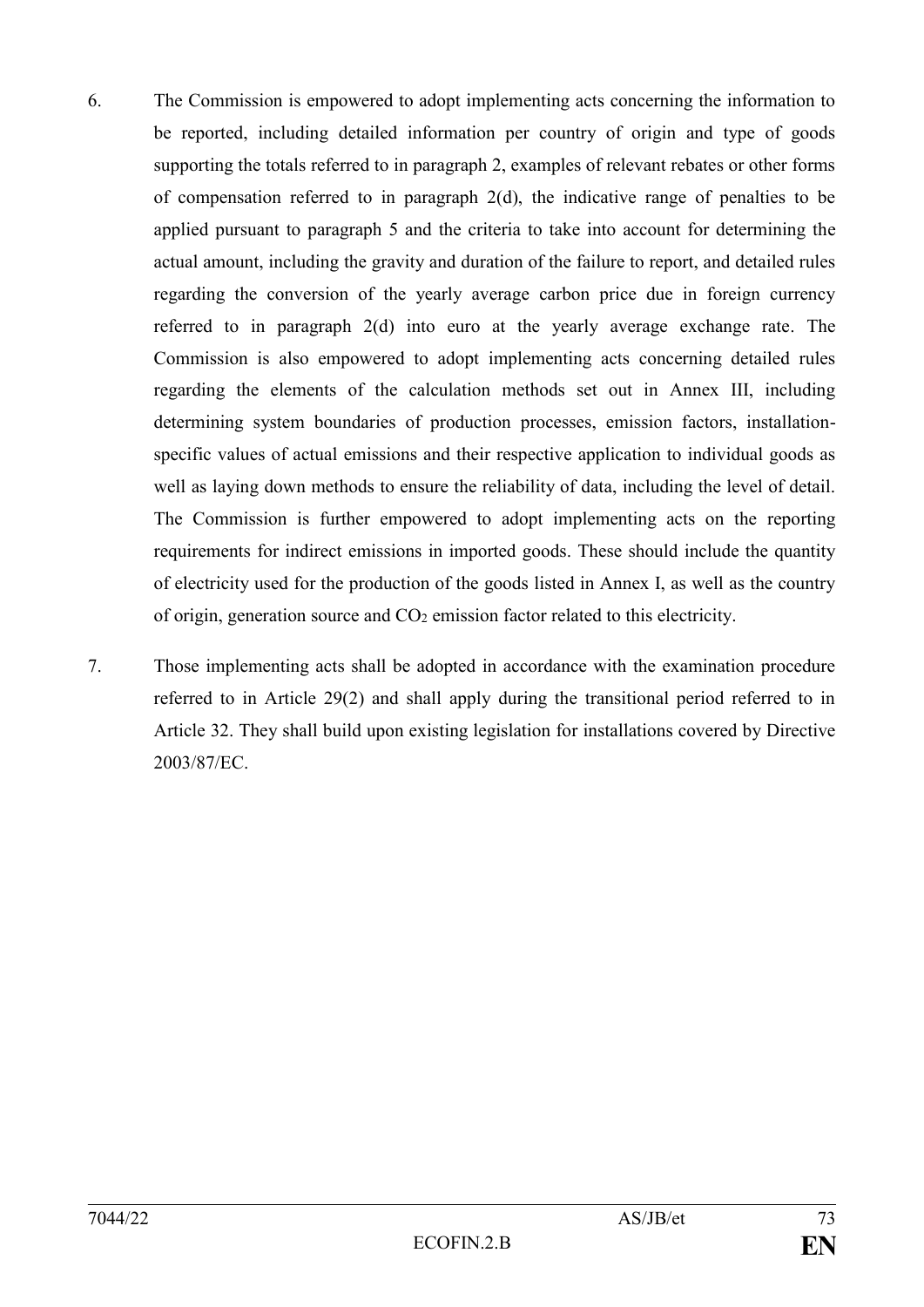- 6. The Commission is empowered to adopt implementing acts concerning the information to be reported, including detailed information per country of origin and type of goods supporting the totals referred to in paragraph 2, examples of relevant rebates or other forms of compensation referred to in paragraph 2(d), the indicative range of penalties to be applied pursuant to paragraph 5 and the criteria to take into account for determining the actual amount, including the gravity and duration of the failure to report, and detailed rules regarding the conversion of the yearly average carbon price due in foreign currency referred to in paragraph 2(d) into euro at the yearly average exchange rate. The Commission is also empowered to adopt implementing acts concerning detailed rules regarding the elements of the calculation methods set out in Annex III, including determining system boundaries of production processes, emission factors, installationspecific values of actual emissions and their respective application to individual goods as well as laying down methods to ensure the reliability of data, including the level of detail. The Commission is further empowered to adopt implementing acts on the reporting requirements for indirect emissions in imported goods. These should include the quantity of electricity used for the production of the goods listed in Annex I, as well as the country of origin, generation source and CO<sup>2</sup> emission factor related to this electricity.
- 7. Those implementing acts shall be adopted in accordance with the examination procedure referred to in Article 29(2) and shall apply during the transitional period referred to in Article 32. They shall build upon existing legislation for installations covered by Directive 2003/87/EC.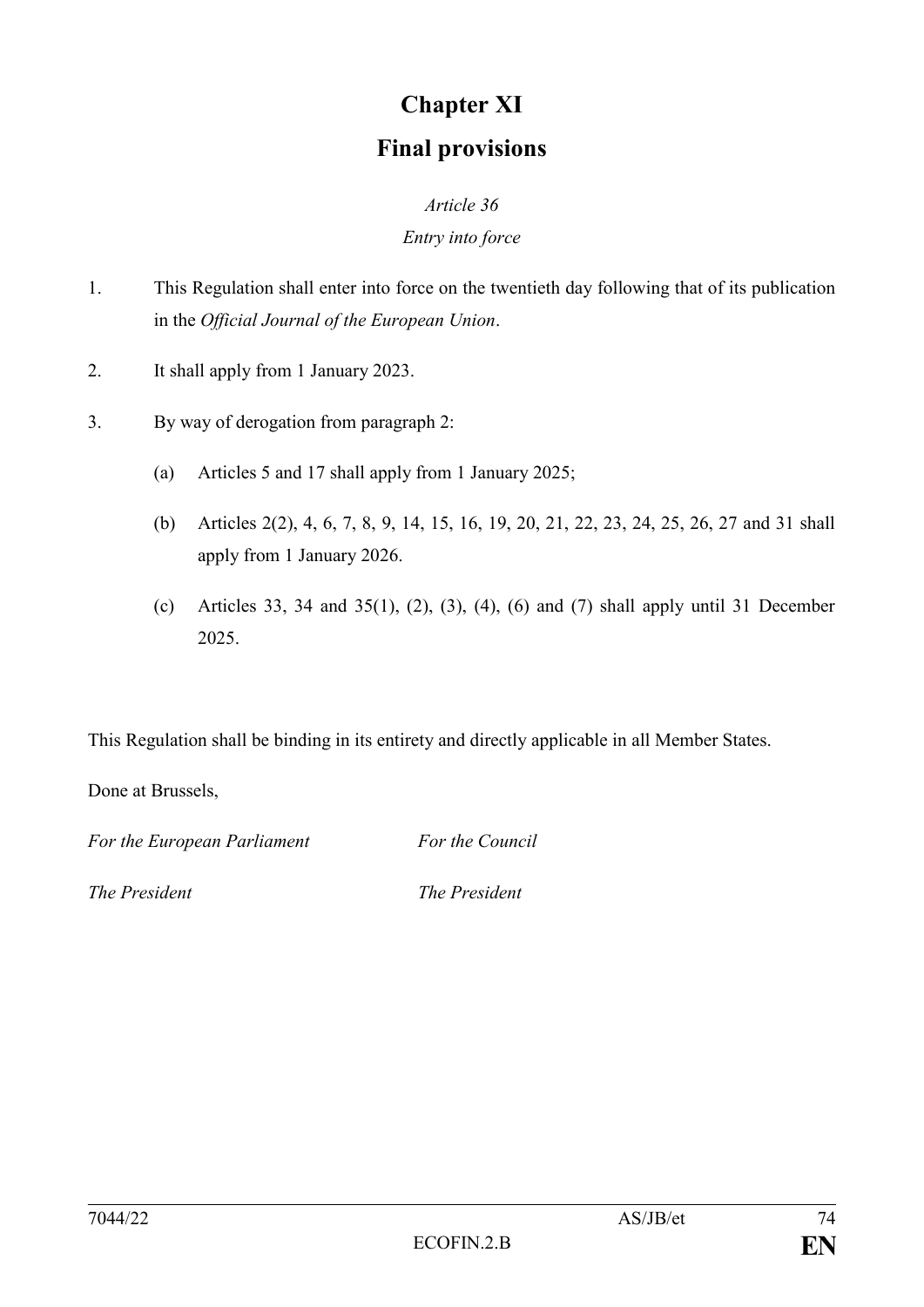# **Chapter XI Final provisions**

## *Article 36 Entry into force*

- 1. This Regulation shall enter into force on the twentieth day following that of its publication in the *Official Journal of the European Union*.
- 2. It shall apply from 1 January 2023.
- 3. By way of derogation from paragraph 2:
	- (a) Articles 5 and 17 shall apply from 1 January 2025;
	- (b) Articles 2(2), 4, 6, 7, 8, 9, 14, 15, 16, 19, 20, 21, 22, 23, 24, 25, 26, 27 and 31 shall apply from 1 January 2026.
	- (c) Articles 33, 34 and 35(1), (2), (3), (4), (6) and (7) shall apply until 31 December 2025.

This Regulation shall be binding in its entirety and directly applicable in all Member States.

Done at Brussels,

*For the European Parliament For the Council*

*The President The President*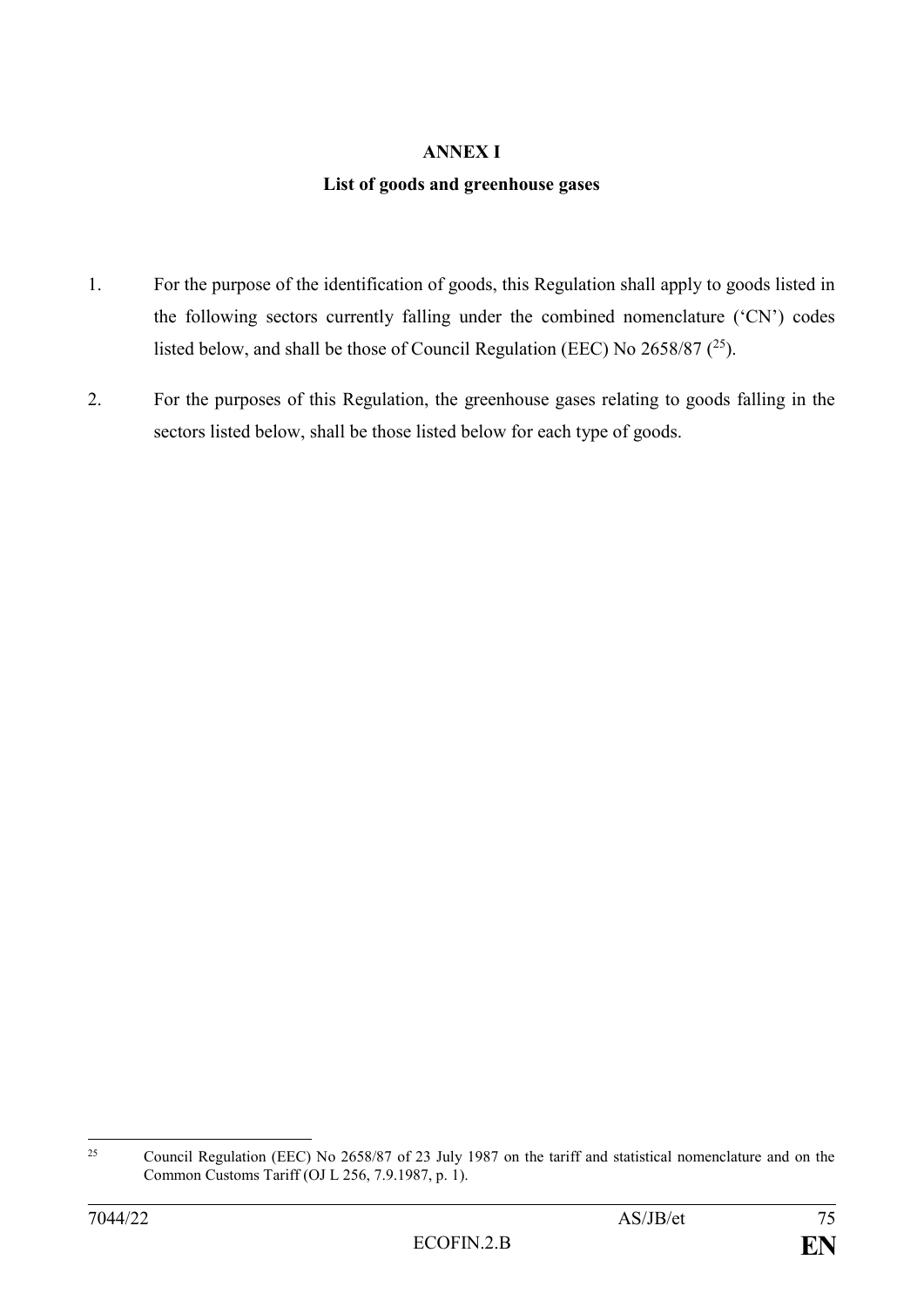#### **ANNEX I**

#### **List of goods and greenhouse gases**

- 1. For the purpose of the identification of goods, this Regulation shall apply to goods listed in the following sectors currently falling under the combined nomenclature ('CN') codes listed below, and shall be those of Council Regulation (EEC) No  $2658/87$  ( $^{25}$ ).
- 2. For the purposes of this Regulation, the greenhouse gases relating to goods falling in the sectors listed below, shall be those listed below for each type of goods.

 $25$ <sup>25</sup> Council Regulation (EEC) No 2658/87 of 23 July 1987 on the tariff and statistical nomenclature and on the Common Customs Tariff (OJ L 256, 7.9.1987, p. 1).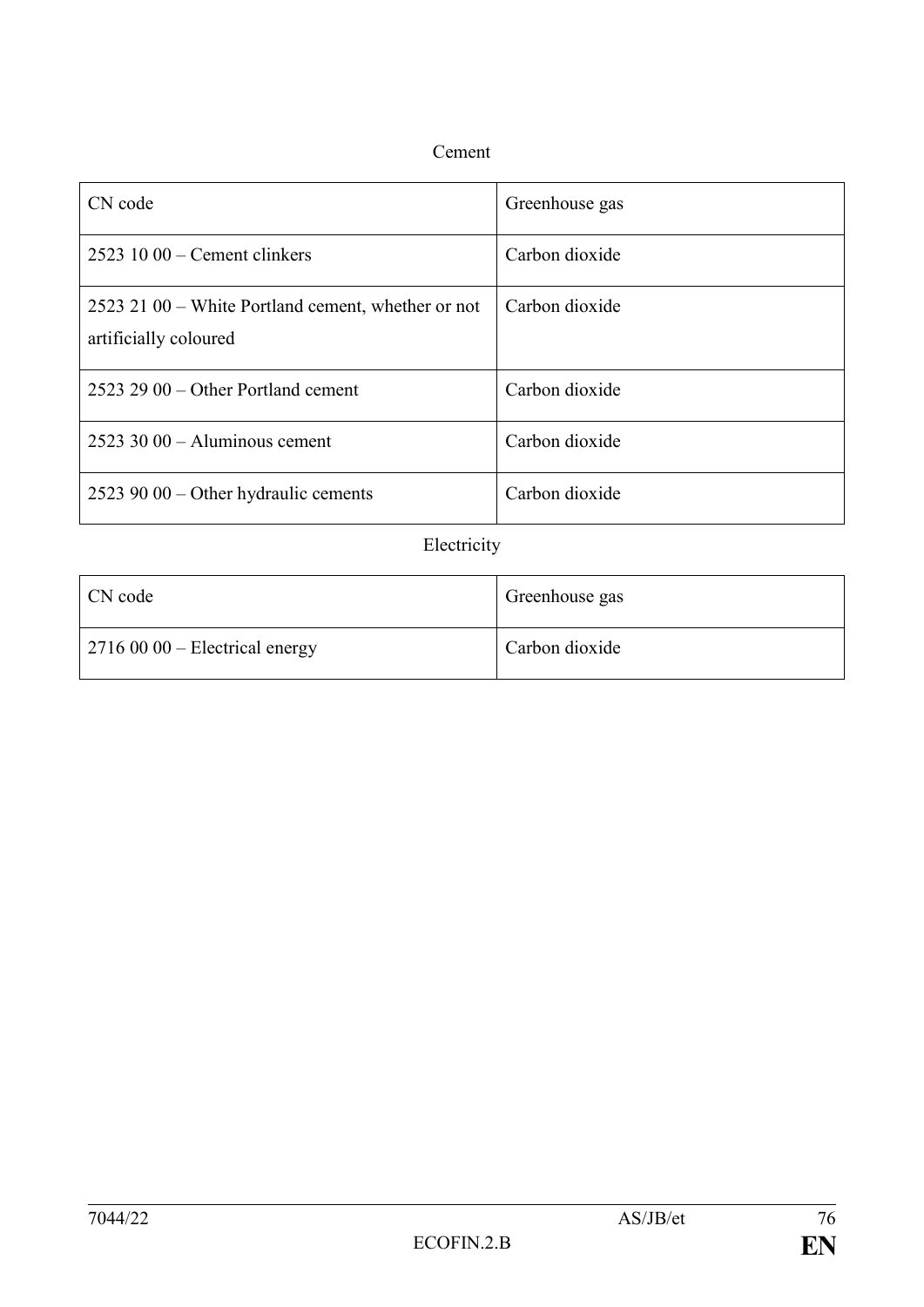### Cement

| CN code                                                                     | Greenhouse gas |
|-----------------------------------------------------------------------------|----------------|
| $25231000$ – Cement clinkers                                                | Carbon dioxide |
| 2523 21 00 – White Portland cement, whether or not<br>artificially coloured | Carbon dioxide |
| $2523$ 29 00 – Other Portland cement                                        | Carbon dioxide |
| $2523$ 30 00 – Aluminous cement                                             | Carbon dioxide |
| $25239000 -$ Other hydraulic cements                                        | Carbon dioxide |

## Electricity

| CN code                                | Greenhouse gas |
|----------------------------------------|----------------|
| $\vert$ 2716 00 00 – Electrical energy | Carbon dioxide |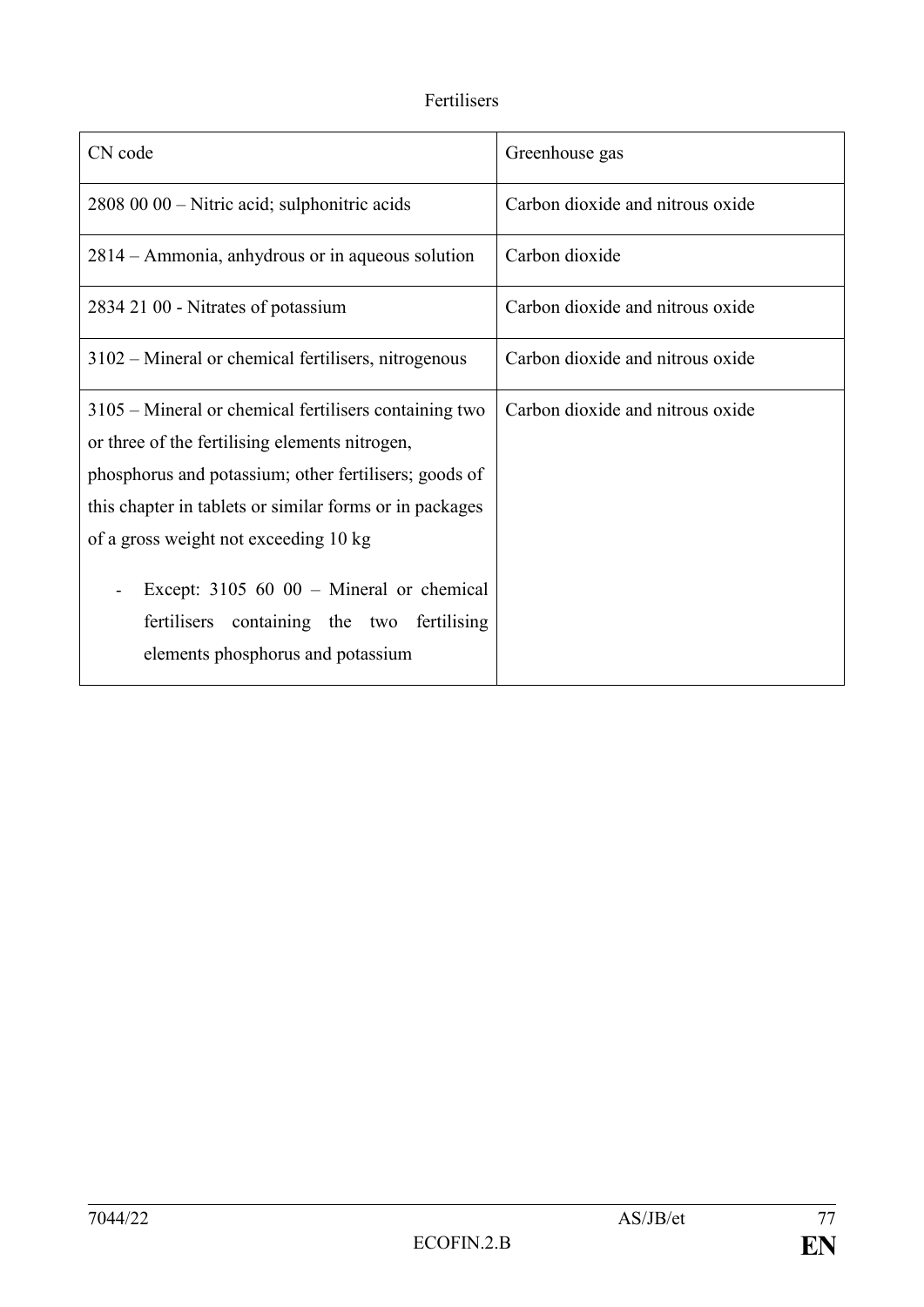## Fertilisers

| CN code                                                                                                                                                                                                                                                                                                                                                                                                    | Greenhouse gas                   |
|------------------------------------------------------------------------------------------------------------------------------------------------------------------------------------------------------------------------------------------------------------------------------------------------------------------------------------------------------------------------------------------------------------|----------------------------------|
| 2808 00 00 – Nitric acid; sulphonitric acids                                                                                                                                                                                                                                                                                                                                                               | Carbon dioxide and nitrous oxide |
| 2814 – Ammonia, anhydrous or in aqueous solution                                                                                                                                                                                                                                                                                                                                                           | Carbon dioxide                   |
| 2834 21 00 - Nitrates of potassium                                                                                                                                                                                                                                                                                                                                                                         | Carbon dioxide and nitrous oxide |
| 3102 – Mineral or chemical fertilisers, nitrogenous                                                                                                                                                                                                                                                                                                                                                        | Carbon dioxide and nitrous oxide |
| 3105 – Mineral or chemical fertilisers containing two<br>or three of the fertilising elements nitrogen,<br>phosphorus and potassium; other fertilisers; goods of<br>this chapter in tablets or similar forms or in packages<br>of a gross weight not exceeding 10 kg<br>Except: $3105\,60\,00$ – Mineral or chemical<br>containing the two fertilising<br>fertilisers<br>elements phosphorus and potassium | Carbon dioxide and nitrous oxide |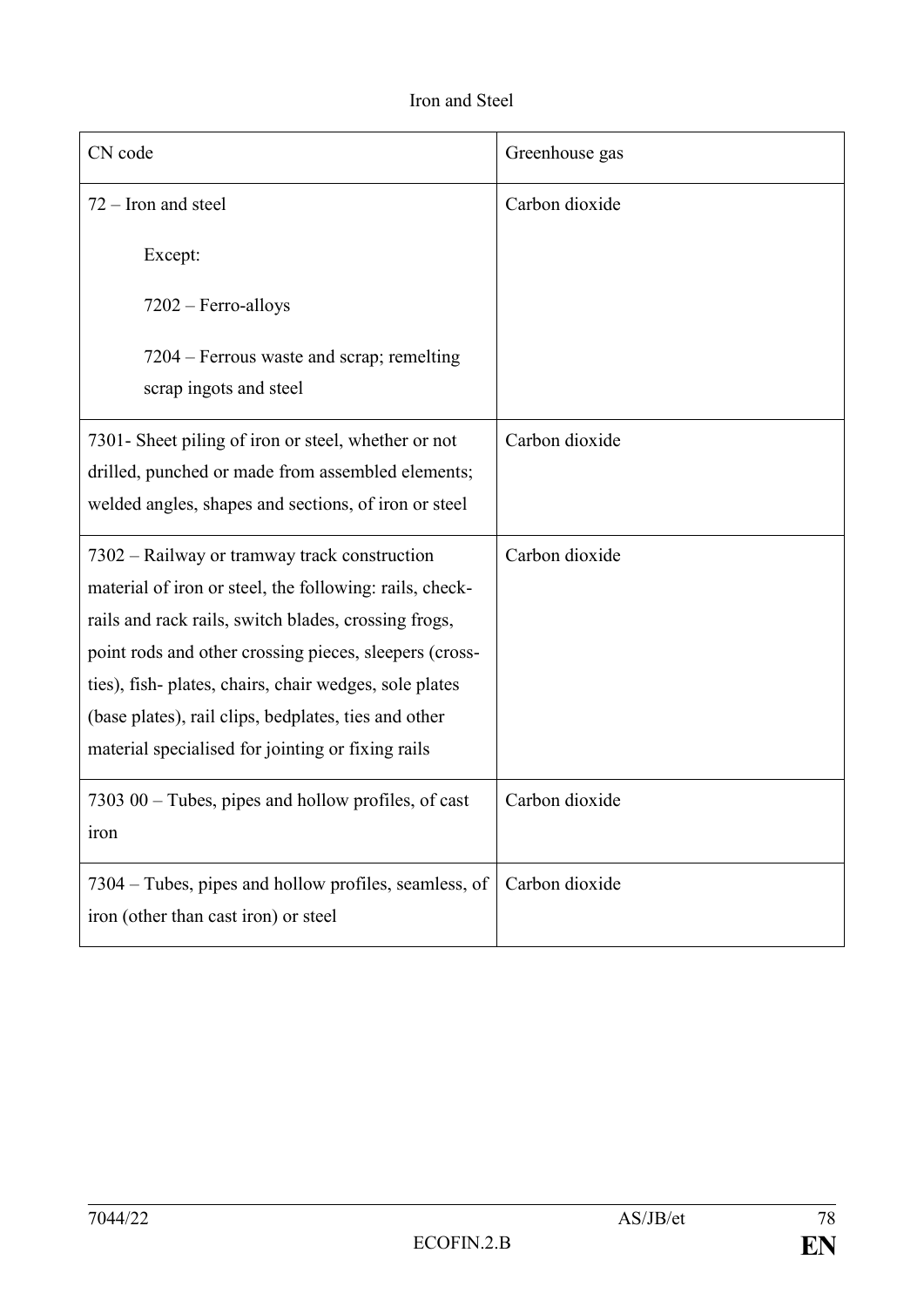| CN code                                                                                                                                                         | Greenhouse gas |
|-----------------------------------------------------------------------------------------------------------------------------------------------------------------|----------------|
| $72 -$ Iron and steel                                                                                                                                           | Carbon dioxide |
| Except:                                                                                                                                                         |                |
| $7202$ – Ferro-alloys                                                                                                                                           |                |
| 7204 – Ferrous waste and scrap; remelting<br>scrap ingots and steel                                                                                             |                |
| 7301 - Sheet piling of iron or steel, whether or not                                                                                                            | Carbon dioxide |
| drilled, punched or made from assembled elements;<br>welded angles, shapes and sections, of iron or steel                                                       |                |
| 7302 – Railway or tramway track construction<br>material of iron or steel, the following: rails, check-<br>rails and rack rails, switch blades, crossing frogs, | Carbon dioxide |
| point rods and other crossing pieces, sleepers (cross-                                                                                                          |                |
| ties), fish-plates, chairs, chair wedges, sole plates<br>(base plates), rail clips, bedplates, ties and other                                                   |                |
| material specialised for jointing or fixing rails                                                                                                               |                |
| $730300 -$ Tubes, pipes and hollow profiles, of cast<br><b>Iron</b>                                                                                             | Carbon dioxide |
| 7304 – Tubes, pipes and hollow profiles, seamless, of<br>iron (other than cast iron) or steel                                                                   | Carbon dioxide |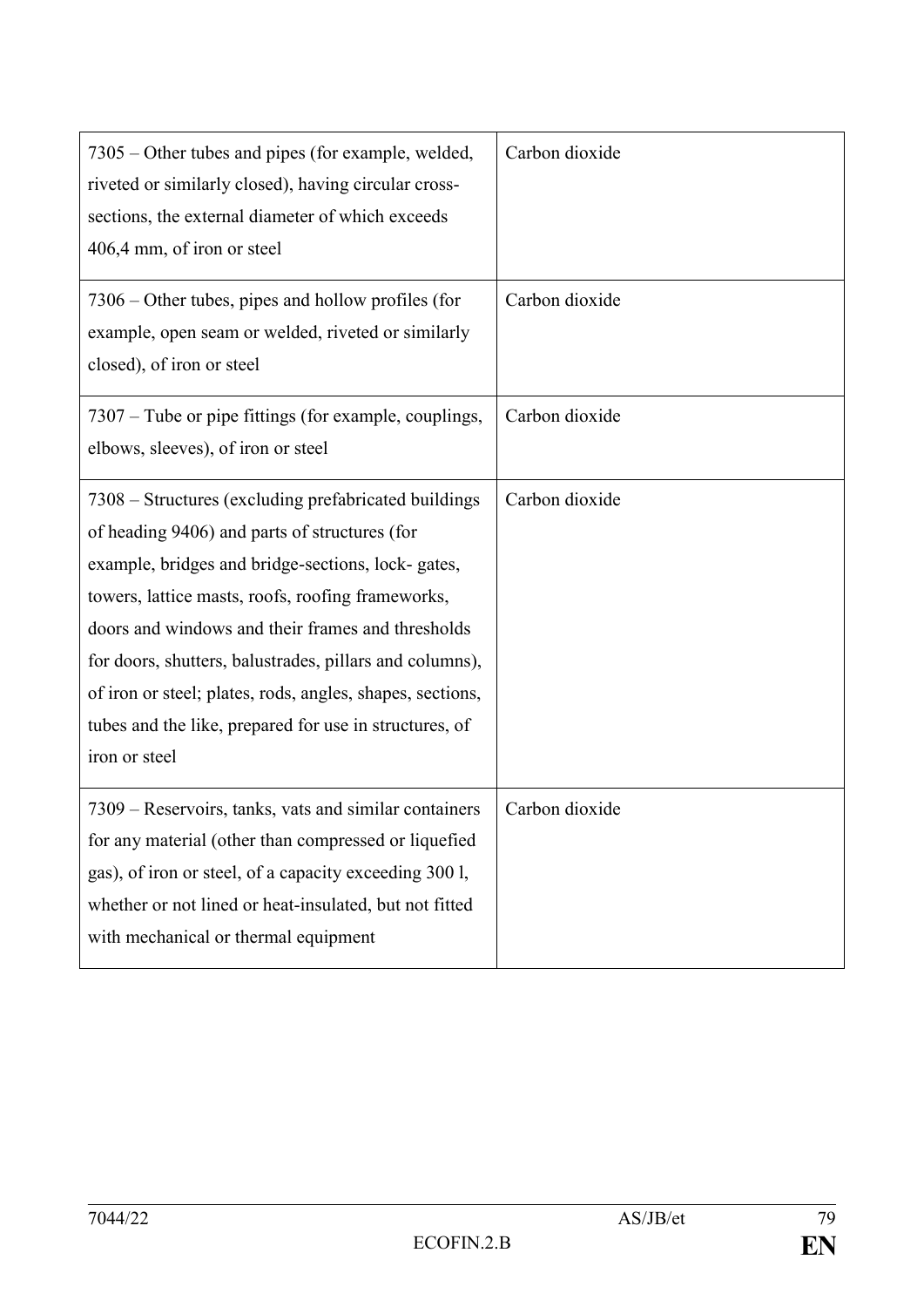| 7305 – Other tubes and pipes (for example, welded,<br>riveted or similarly closed), having circular cross-<br>sections, the external diameter of which exceeds<br>406,4 mm, of iron or steel                                                                                                                                                                                                                                                                              | Carbon dioxide |
|---------------------------------------------------------------------------------------------------------------------------------------------------------------------------------------------------------------------------------------------------------------------------------------------------------------------------------------------------------------------------------------------------------------------------------------------------------------------------|----------------|
| 7306 – Other tubes, pipes and hollow profiles (for<br>example, open seam or welded, riveted or similarly<br>closed), of iron or steel                                                                                                                                                                                                                                                                                                                                     | Carbon dioxide |
| 7307 – Tube or pipe fittings (for example, couplings,<br>elbows, sleeves), of iron or steel                                                                                                                                                                                                                                                                                                                                                                               | Carbon dioxide |
| 7308 – Structures (excluding prefabricated buildings)<br>of heading 9406) and parts of structures (for<br>example, bridges and bridge-sections, lock- gates,<br>towers, lattice masts, roofs, roofing frameworks,<br>doors and windows and their frames and thresholds<br>for doors, shutters, balustrades, pillars and columns),<br>of iron or steel; plates, rods, angles, shapes, sections,<br>tubes and the like, prepared for use in structures, of<br>iron or steel | Carbon dioxide |
| 7309 – Reservoirs, tanks, vats and similar containers<br>for any material (other than compressed or liquefied<br>gas), of iron or steel, of a capacity exceeding 300 l,<br>whether or not lined or heat-insulated, but not fitted<br>with mechanical or thermal equipment                                                                                                                                                                                                 | Carbon dioxide |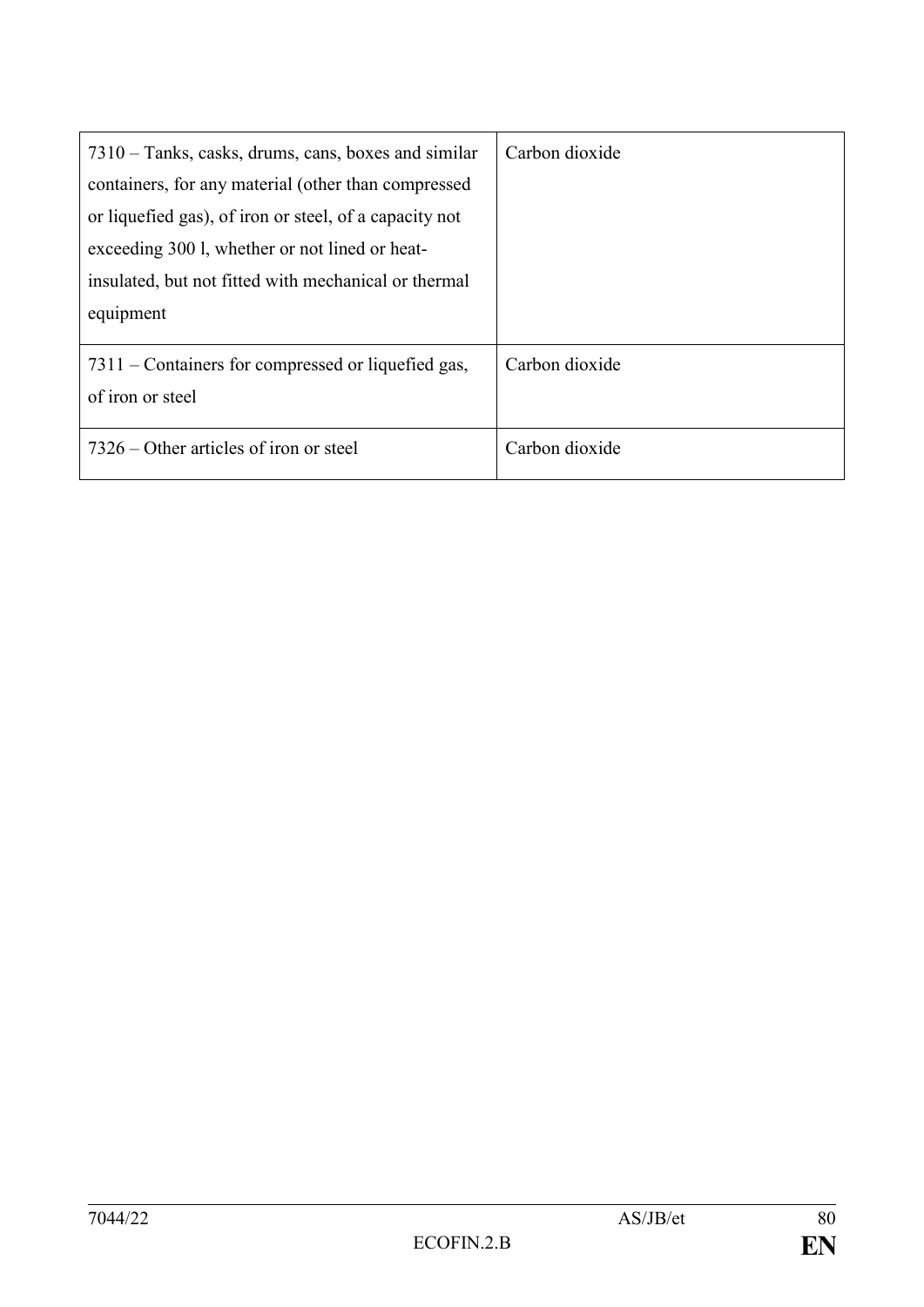| 7310 – Tanks, casks, drums, cans, boxes and similar<br>containers, for any material (other than compressed<br>or liquefied gas), of iron or steel, of a capacity not<br>exceeding 300 l, whether or not lined or heat-<br>insulated, but not fitted with mechanical or thermal<br>equipment | Carbon dioxide |
|---------------------------------------------------------------------------------------------------------------------------------------------------------------------------------------------------------------------------------------------------------------------------------------------|----------------|
| 7311 – Containers for compressed or liquefied gas,<br>of iron or steel                                                                                                                                                                                                                      | Carbon dioxide |
| 7326 – Other articles of iron or steel                                                                                                                                                                                                                                                      | Carbon dioxide |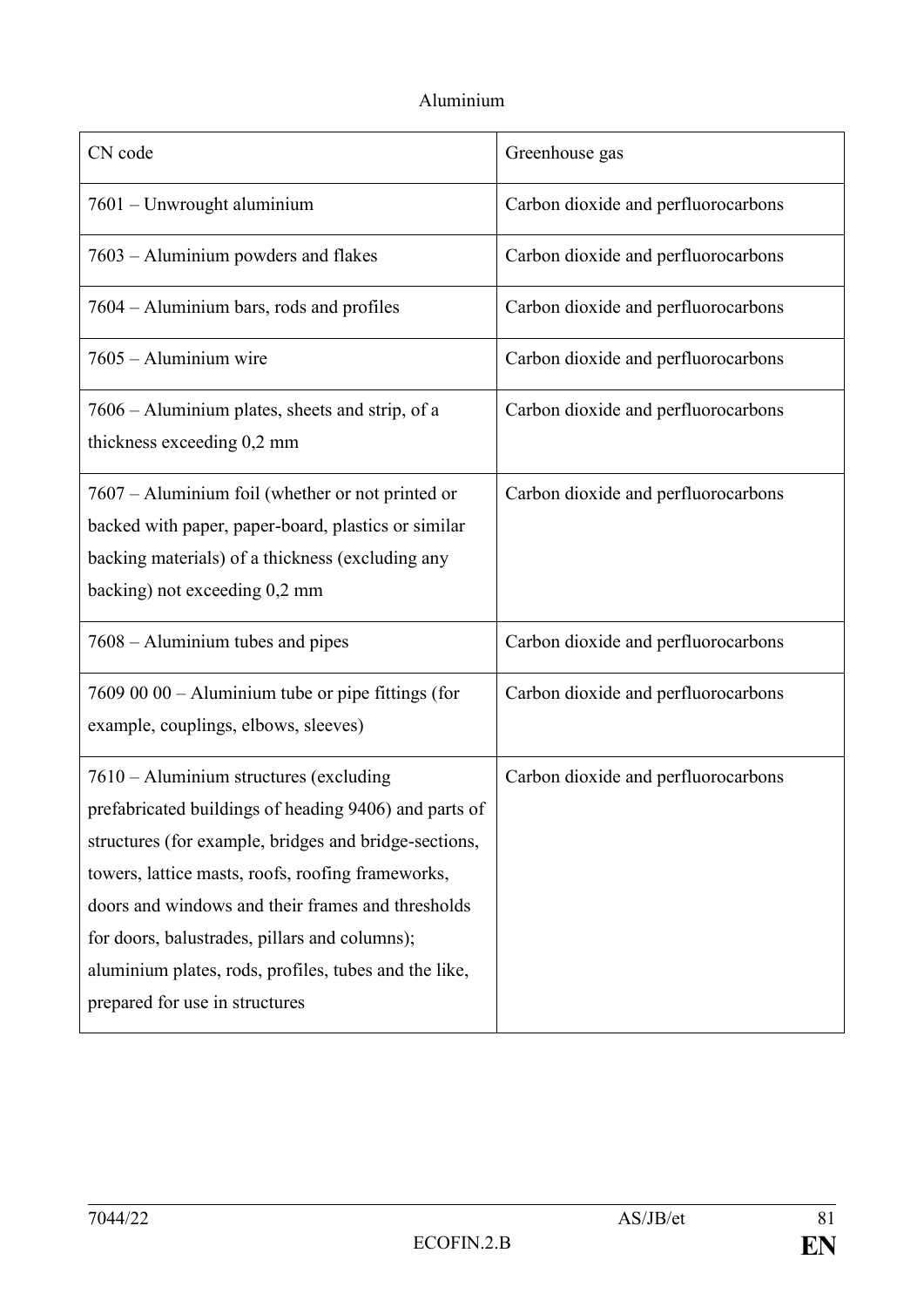## Aluminium

| CN code                                                                                                                                                                                                                                                                                                                                                                                                        | Greenhouse gas                      |
|----------------------------------------------------------------------------------------------------------------------------------------------------------------------------------------------------------------------------------------------------------------------------------------------------------------------------------------------------------------------------------------------------------------|-------------------------------------|
| 7601 - Unwrought aluminium                                                                                                                                                                                                                                                                                                                                                                                     | Carbon dioxide and perfluorocarbons |
| 7603 – Aluminium powders and flakes                                                                                                                                                                                                                                                                                                                                                                            | Carbon dioxide and perfluorocarbons |
| 7604 – Aluminium bars, rods and profiles                                                                                                                                                                                                                                                                                                                                                                       | Carbon dioxide and perfluorocarbons |
| 7605 - Aluminium wire                                                                                                                                                                                                                                                                                                                                                                                          | Carbon dioxide and perfluorocarbons |
| 7606 – Aluminium plates, sheets and strip, of a<br>thickness exceeding 0,2 mm                                                                                                                                                                                                                                                                                                                                  | Carbon dioxide and perfluorocarbons |
| 7607 – Aluminium foil (whether or not printed or<br>backed with paper, paper-board, plastics or similar<br>backing materials) of a thickness (excluding any<br>backing) not exceeding 0,2 mm                                                                                                                                                                                                                   | Carbon dioxide and perfluorocarbons |
| 7608 – Aluminium tubes and pipes                                                                                                                                                                                                                                                                                                                                                                               | Carbon dioxide and perfluorocarbons |
| 7609 00 00 - Aluminium tube or pipe fittings (for<br>example, couplings, elbows, sleeves)                                                                                                                                                                                                                                                                                                                      | Carbon dioxide and perfluorocarbons |
| 7610 – Aluminium structures (excluding<br>prefabricated buildings of heading 9406) and parts of<br>structures (for example, bridges and bridge-sections,<br>towers, lattice masts, roofs, roofing frameworks,<br>doors and windows and their frames and thresholds<br>for doors, balustrades, pillars and columns);<br>aluminium plates, rods, profiles, tubes and the like,<br>prepared for use in structures | Carbon dioxide and perfluorocarbons |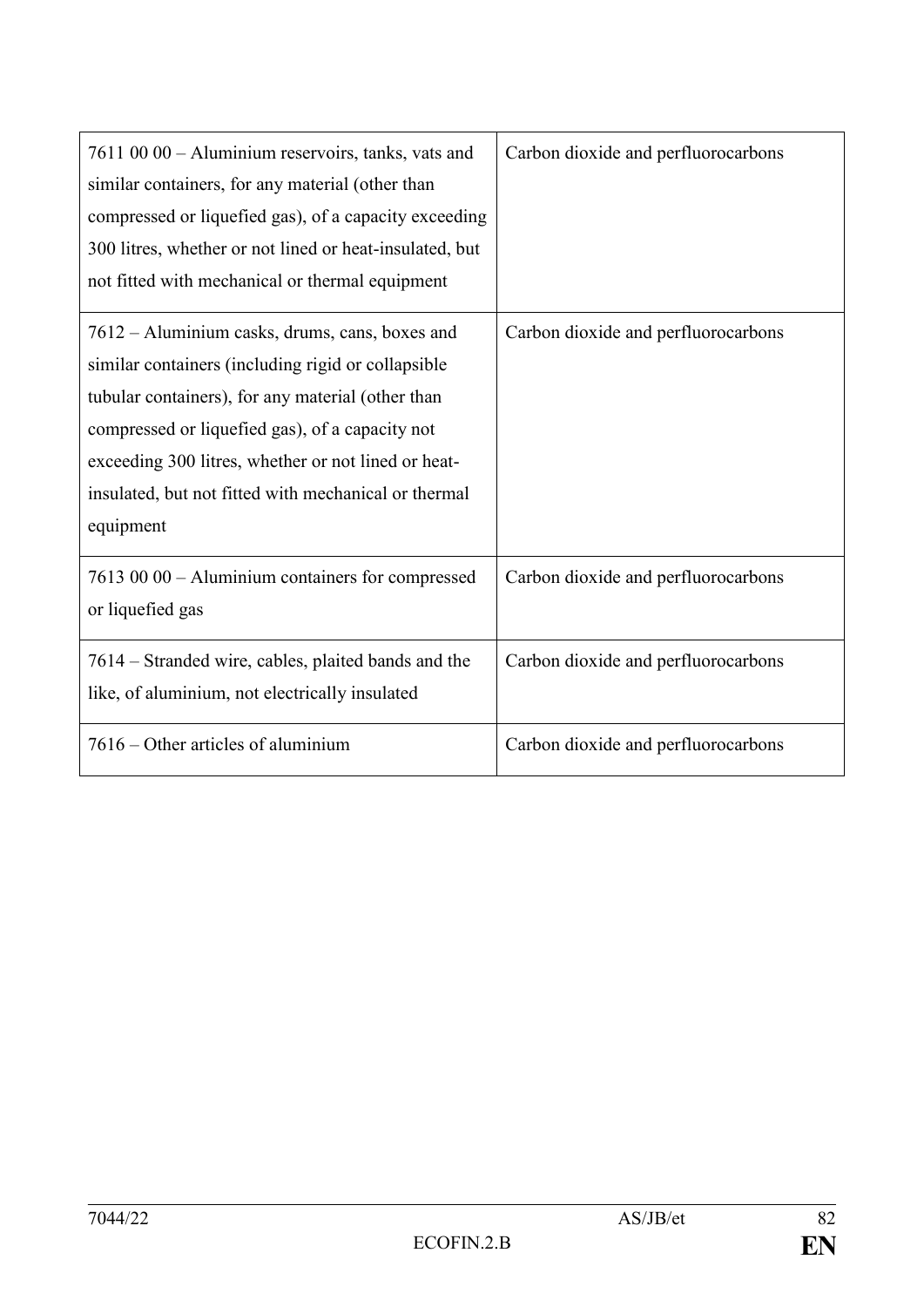| 7611 00 00 - Aluminium reservoirs, tanks, vats and<br>similar containers, for any material (other than<br>compressed or liquefied gas), of a capacity exceeding<br>300 litres, whether or not lined or heat-insulated, but<br>not fitted with mechanical or thermal equipment                                                            | Carbon dioxide and perfluorocarbons |
|------------------------------------------------------------------------------------------------------------------------------------------------------------------------------------------------------------------------------------------------------------------------------------------------------------------------------------------|-------------------------------------|
| 7612 – Aluminium casks, drums, cans, boxes and<br>similar containers (including rigid or collapsible<br>tubular containers), for any material (other than<br>compressed or liquefied gas), of a capacity not<br>exceeding 300 litres, whether or not lined or heat-<br>insulated, but not fitted with mechanical or thermal<br>equipment | Carbon dioxide and perfluorocarbons |
| 7613 00 00 - Aluminium containers for compressed<br>or liquefied gas                                                                                                                                                                                                                                                                     | Carbon dioxide and perfluorocarbons |
| 7614 – Stranded wire, cables, plaited bands and the<br>like, of aluminium, not electrically insulated                                                                                                                                                                                                                                    | Carbon dioxide and perfluorocarbons |
| 7616 – Other articles of aluminium                                                                                                                                                                                                                                                                                                       | Carbon dioxide and perfluorocarbons |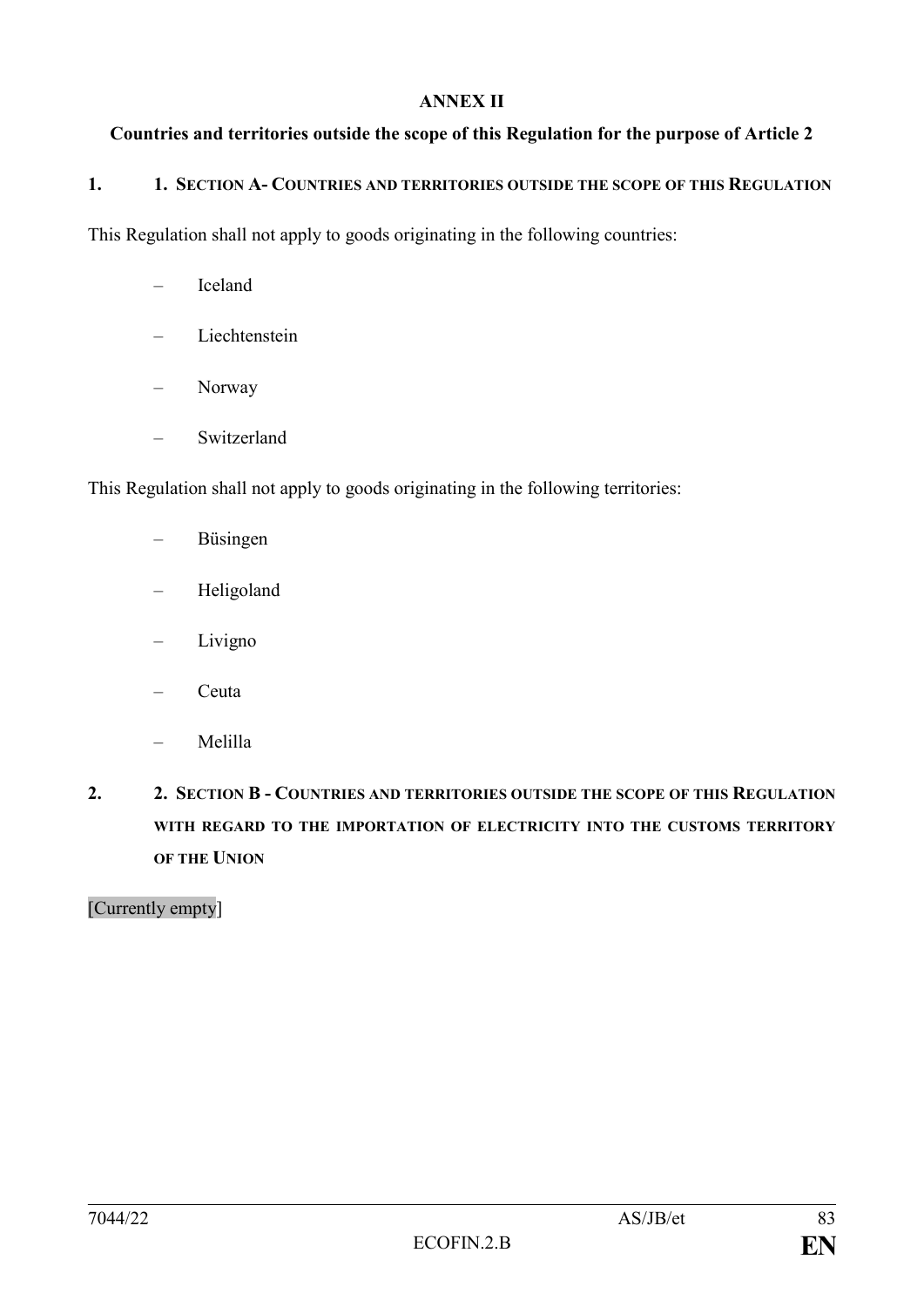#### **ANNEX II**

#### **Countries and territories outside the scope of this Regulation for the purpose of Article 2**

#### **1. 1. SECTION A- COUNTRIES AND TERRITORIES OUTSIDE THE SCOPE OF THIS REGULATION**

This Regulation shall not apply to goods originating in the following countries:

- Iceland
- Liechtenstein
- Norway
- Switzerland

This Regulation shall not apply to goods originating in the following territories:

- Büsingen
- Heligoland
- Livigno
- Ceuta
- Melilla
- **2. 2. SECTION B - COUNTRIES AND TERRITORIES OUTSIDE THE SCOPE OF THIS REGULATION WITH REGARD TO THE IMPORTATION OF ELECTRICITY INTO THE CUSTOMS TERRITORY OF THE UNION**

[Currently empty]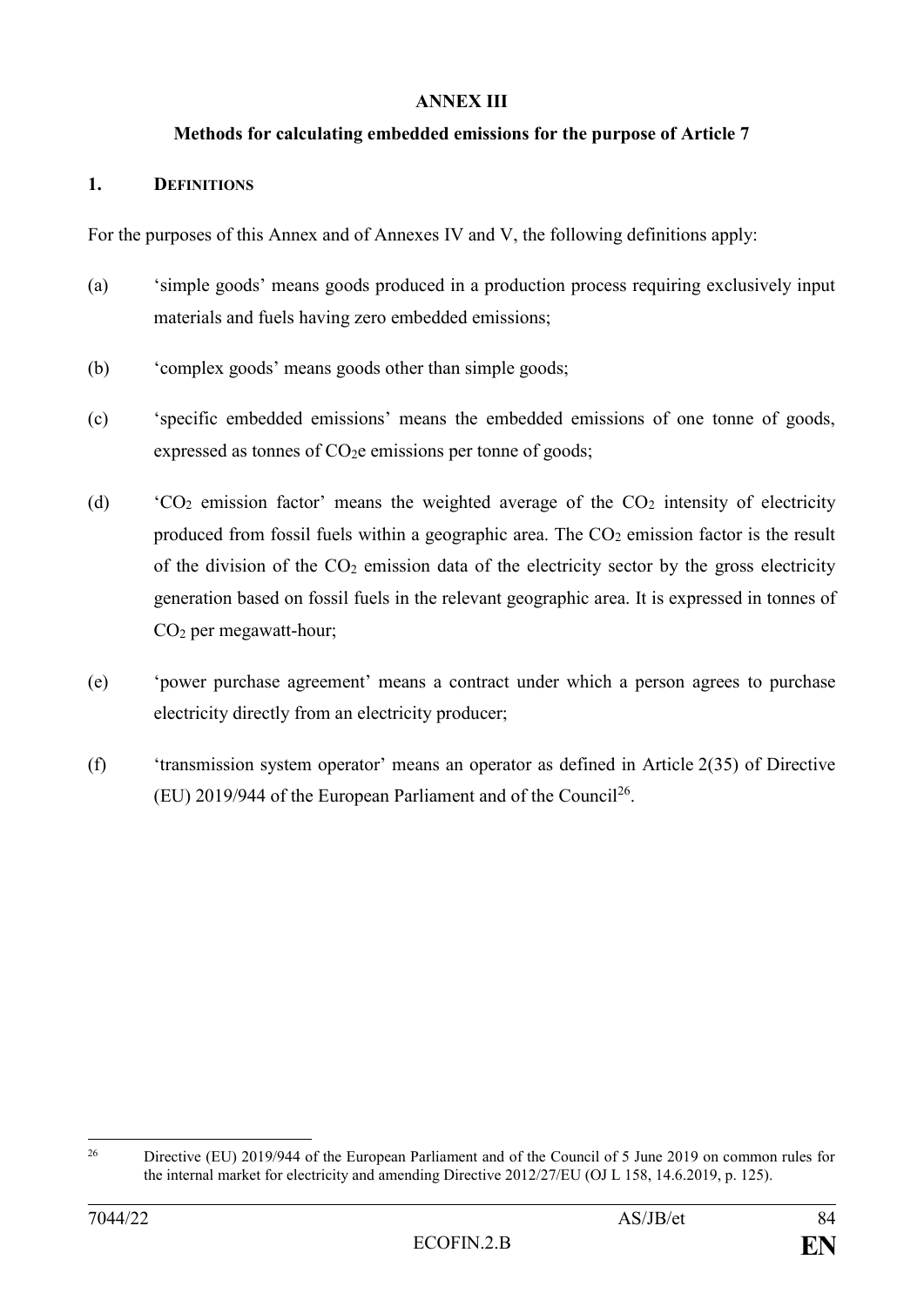#### **ANNEX III**

#### **Methods for calculating embedded emissions for the purpose of Article 7**

#### **1. DEFINITIONS**

For the purposes of this Annex and of Annexes IV and V, the following definitions apply:

- (a) 'simple goods' means goods produced in a production process requiring exclusively input materials and fuels having zero embedded emissions;
- (b) 'complex goods' means goods other than simple goods;
- (c) 'specific embedded emissions' means the embedded emissions of one tonne of goods, expressed as tonnes of  $CO<sub>2</sub>e$  emissions per tonne of goods;
- (d)  $\text{CO}_2$  emission factor' means the weighted average of the  $\text{CO}_2$  intensity of electricity produced from fossil fuels within a geographic area. The  $CO<sub>2</sub>$  emission factor is the result of the division of the  $CO<sub>2</sub>$  emission data of the electricity sector by the gross electricity generation based on fossil fuels in the relevant geographic area. It is expressed in tonnes of CO<sup>2</sup> per megawatt-hour;
- (e) 'power purchase agreement' means a contract under which a person agrees to purchase electricity directly from an electricity producer;
- (f) 'transmission system operator' means an operator as defined in Article 2(35) of Directive (EU) 2019/944 of the European Parliament and of the Council<sup>26</sup>.

1

<sup>&</sup>lt;sup>26</sup> Directive (EU) 2019/944 of the European Parliament and of the Council of 5 June 2019 on common rules for the internal market for electricity and amending Directive 2012/27/EU (OJ L 158, 14.6.2019, p. 125).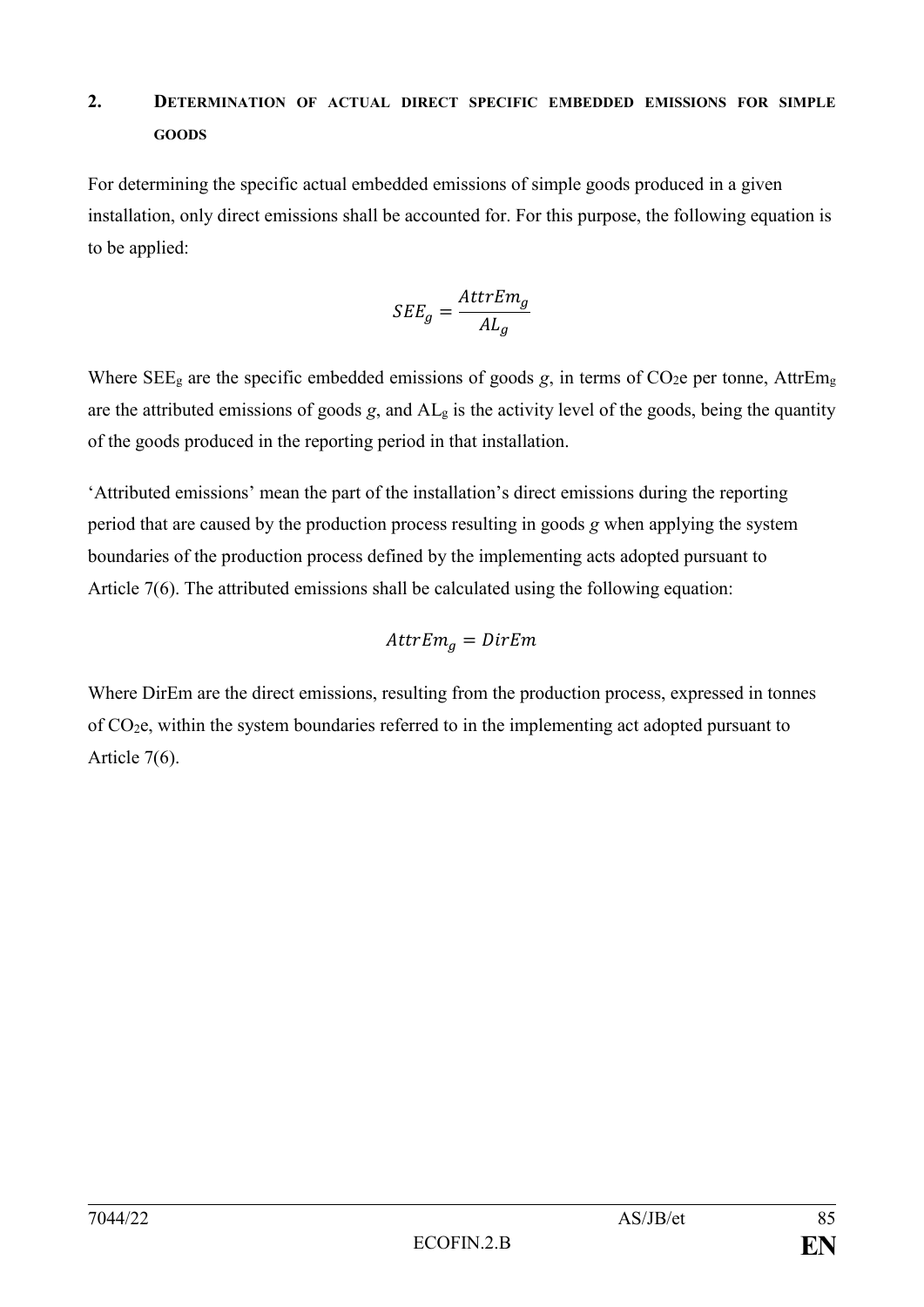## **2. DETERMINATION OF ACTUAL DIRECT SPECIFIC EMBEDDED EMISSIONS FOR SIMPLE GOODS**

For determining the specific actual embedded emissions of simple goods produced in a given installation, only direct emissions shall be accounted for. For this purpose, the following equation is to be applied:

$$
SEE_g = \frac{AttrEm_g}{AL_g}
$$

Where  $SEE<sub>g</sub>$  are the specific embedded emissions of goods *g*, in terms of CO<sub>2</sub>e per tonne, AttrEm<sub>g</sub> are the attributed emissions of goods  $g$ , and  $AL<sub>g</sub>$  is the activity level of the goods, being the quantity of the goods produced in the reporting period in that installation.

'Attributed emissions' mean the part of the installation's direct emissions during the reporting period that are caused by the production process resulting in goods *g* when applying the system boundaries of the production process defined by the implementing acts adopted pursuant to Article 7(6). The attributed emissions shall be calculated using the following equation:

$$
AttrEm_g = DirEm
$$

Where DirEm are the direct emissions, resulting from the production process, expressed in tonnes of CO2e, within the system boundaries referred to in the implementing act adopted pursuant to Article 7(6).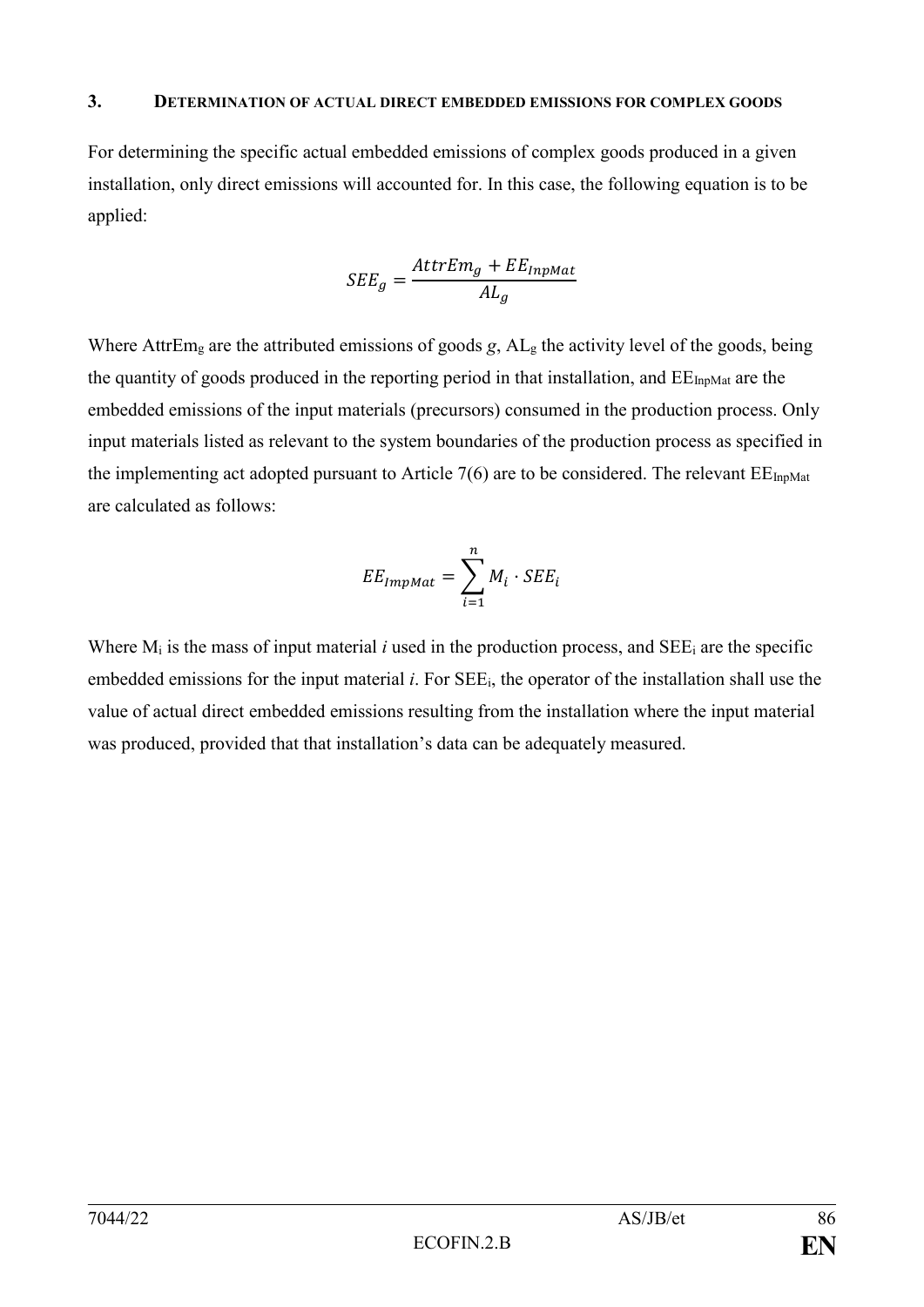#### **3. DETERMINATION OF ACTUAL DIRECT EMBEDDED EMISSIONS FOR COMPLEX GOODS**

For determining the specific actual embedded emissions of complex goods produced in a given installation, only direct emissions will accounted for. In this case, the following equation is to be applied:

$$
SEE_g = \frac{AttrEm_g + EE_{InpMat}}{AL_g}
$$

Where AttrEm<sub>g</sub> are the attributed emissions of goods *g*, AL<sub>g</sub> the activity level of the goods, being the quantity of goods produced in the reporting period in that installation, and  $EE_{InpMat}$  are the embedded emissions of the input materials (precursors) consumed in the production process. Only input materials listed as relevant to the system boundaries of the production process as specified in the implementing act adopted pursuant to Article  $7(6)$  are to be considered. The relevant  $EE_{InpMat}$ are calculated as follows:

$$
EE_{ImpMat} = \sum_{i=1}^{n} M_i \cdot SEE_i
$$

Where  $M_i$  is the mass of input material *i* used in the production process, and SEE<sub>i</sub> are the specific embedded emissions for the input material *i*. For SEEi, the operator of the installation shall use the value of actual direct embedded emissions resulting from the installation where the input material was produced, provided that that installation's data can be adequately measured.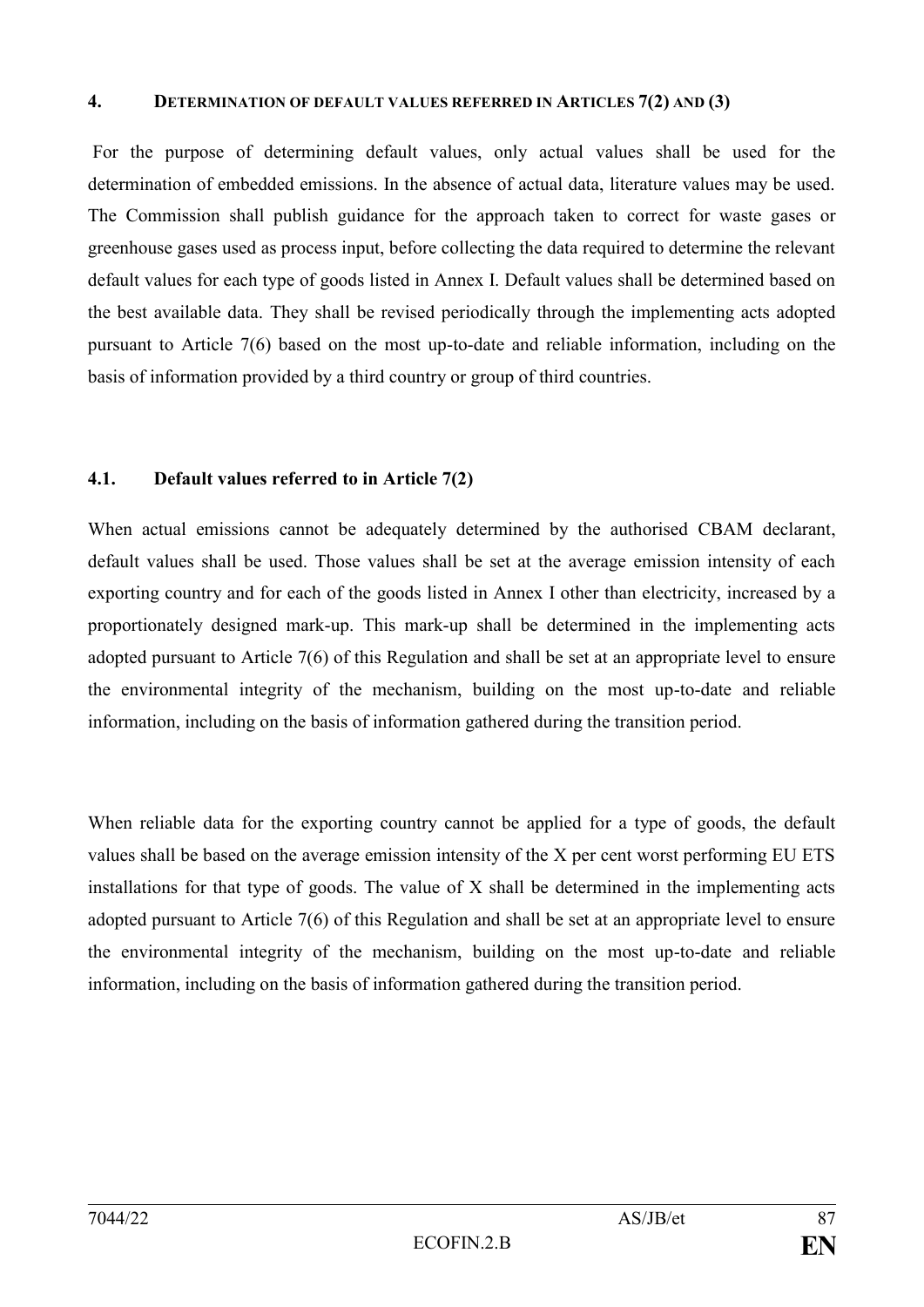#### **4. DETERMINATION OF DEFAULT VALUES REFERRED IN ARTICLES 7(2) AND (3)**

For the purpose of determining default values, only actual values shall be used for the determination of embedded emissions. In the absence of actual data, literature values may be used. The Commission shall publish guidance for the approach taken to correct for waste gases or greenhouse gases used as process input, before collecting the data required to determine the relevant default values for each type of goods listed in Annex I. Default values shall be determined based on the best available data. They shall be revised periodically through the implementing acts adopted pursuant to Article 7(6) based on the most up-to-date and reliable information, including on the basis of information provided by a third country or group of third countries.

#### **4.1. Default values referred to in Article 7(2)**

When actual emissions cannot be adequately determined by the authorised CBAM declarant, default values shall be used. Those values shall be set at the average emission intensity of each exporting country and for each of the goods listed in Annex I other than electricity, increased by a proportionately designed mark-up. This mark-up shall be determined in the implementing acts adopted pursuant to Article 7(6) of this Regulation and shall be set at an appropriate level to ensure the environmental integrity of the mechanism, building on the most up-to-date and reliable information, including on the basis of information gathered during the transition period.

When reliable data for the exporting country cannot be applied for a type of goods, the default values shall be based on the average emission intensity of the X per cent worst performing EU ETS installations for that type of goods. The value of X shall be determined in the implementing acts adopted pursuant to Article 7(6) of this Regulation and shall be set at an appropriate level to ensure the environmental integrity of the mechanism, building on the most up-to-date and reliable information, including on the basis of information gathered during the transition period.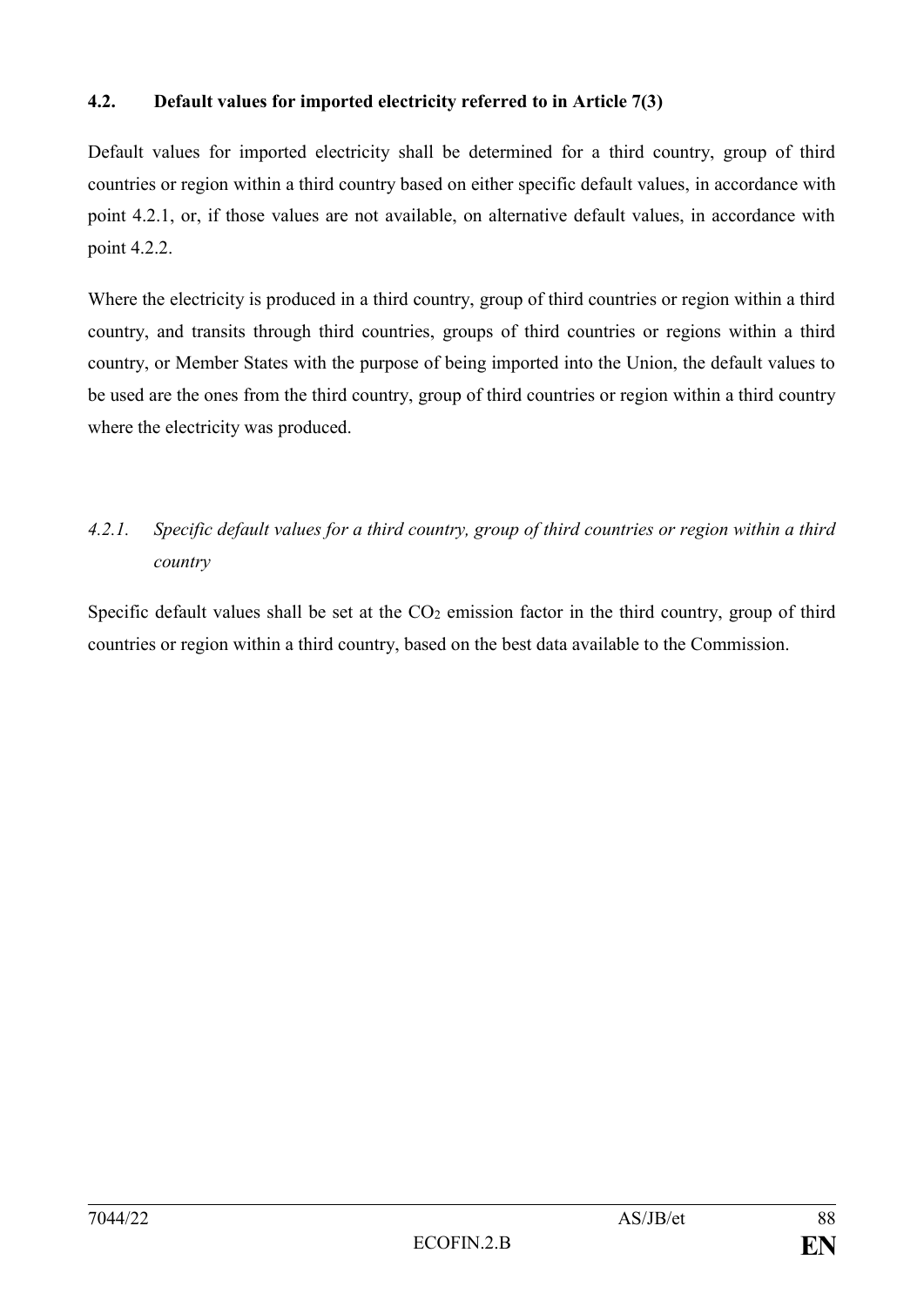#### **4.2. Default values for imported electricity referred to in Article 7(3)**

Default values for imported electricity shall be determined for a third country, group of third countries or region within a third country based on either specific default values, in accordance with point 4.2.1, or, if those values are not available, on alternative default values, in accordance with point 4.2.2.

Where the electricity is produced in a third country, group of third countries or region within a third country, and transits through third countries, groups of third countries or regions within a third country, or Member States with the purpose of being imported into the Union, the default values to be used are the ones from the third country, group of third countries or region within a third country where the electricity was produced.

## *4.2.1. Specific default values for a third country, group of third countries or region within a third country*

Specific default values shall be set at the  $CO<sub>2</sub>$  emission factor in the third country, group of third countries or region within a third country, based on the best data available to the Commission.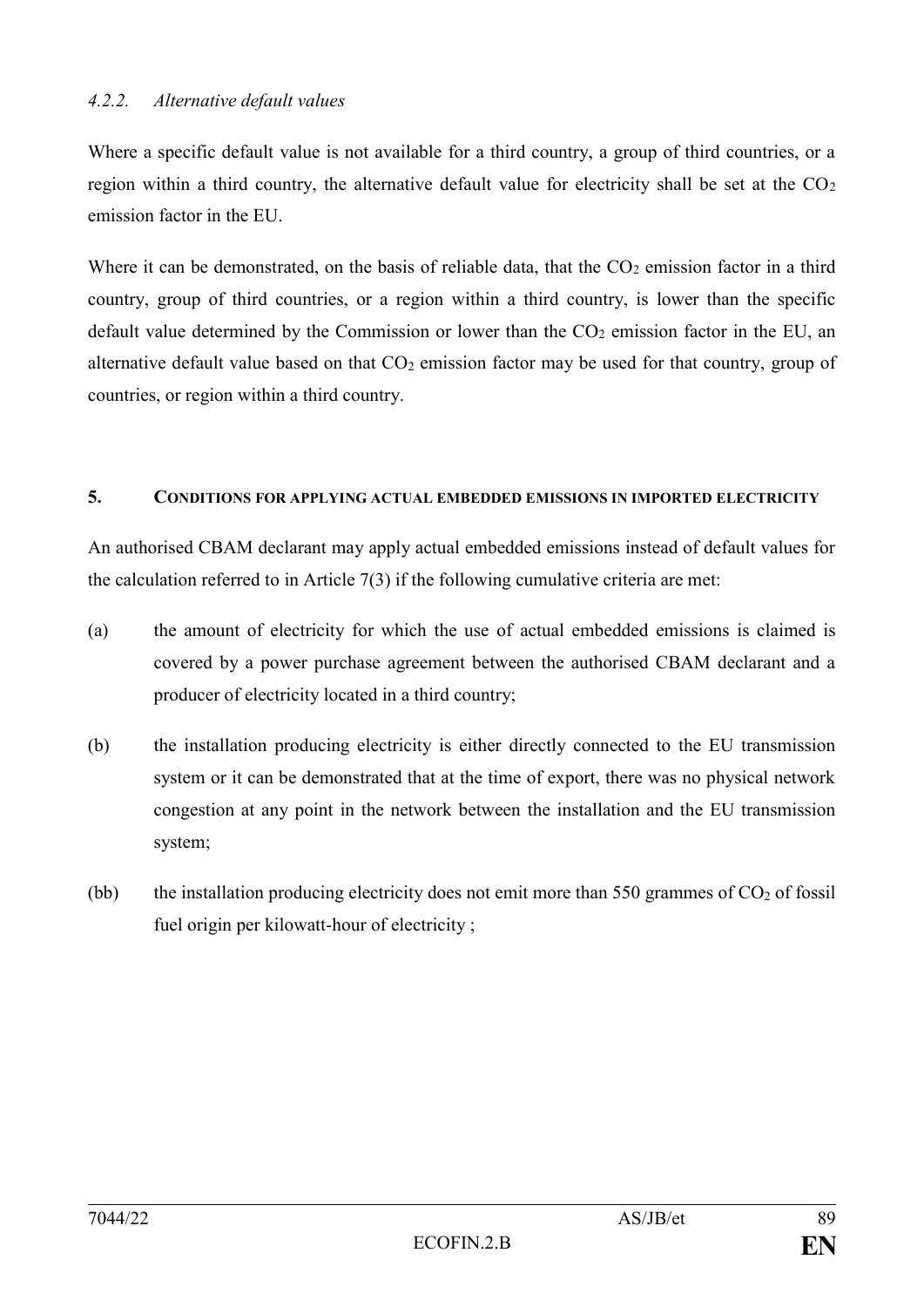Where a specific default value is not available for a third country, a group of third countries, or a region within a third country, the alternative default value for electricity shall be set at the  $CO<sub>2</sub>$ emission factor in the EU.

Where it can be demonstrated, on the basis of reliable data, that the  $CO<sub>2</sub>$  emission factor in a third country, group of third countries, or a region within a third country, is lower than the specific default value determined by the Commission or lower than the  $CO<sub>2</sub>$  emission factor in the EU, an alternative default value based on that  $CO<sub>2</sub>$  emission factor may be used for that country, group of countries, or region within a third country.

#### **5. CONDITIONS FOR APPLYING ACTUAL EMBEDDED EMISSIONS IN IMPORTED ELECTRICITY**

An authorised CBAM declarant may apply actual embedded emissions instead of default values for the calculation referred to in Article 7(3) if the following cumulative criteria are met:

- (a) the amount of electricity for which the use of actual embedded emissions is claimed is covered by a power purchase agreement between the authorised CBAM declarant and a producer of electricity located in a third country;
- (b) the installation producing electricity is either directly connected to the EU transmission system or it can be demonstrated that at the time of export, there was no physical network congestion at any point in the network between the installation and the EU transmission system;
- (bb) the installation producing electricity does not emit more than 550 grammes of  $CO<sub>2</sub>$  of fossil fuel origin per kilowatt-hour of electricity ;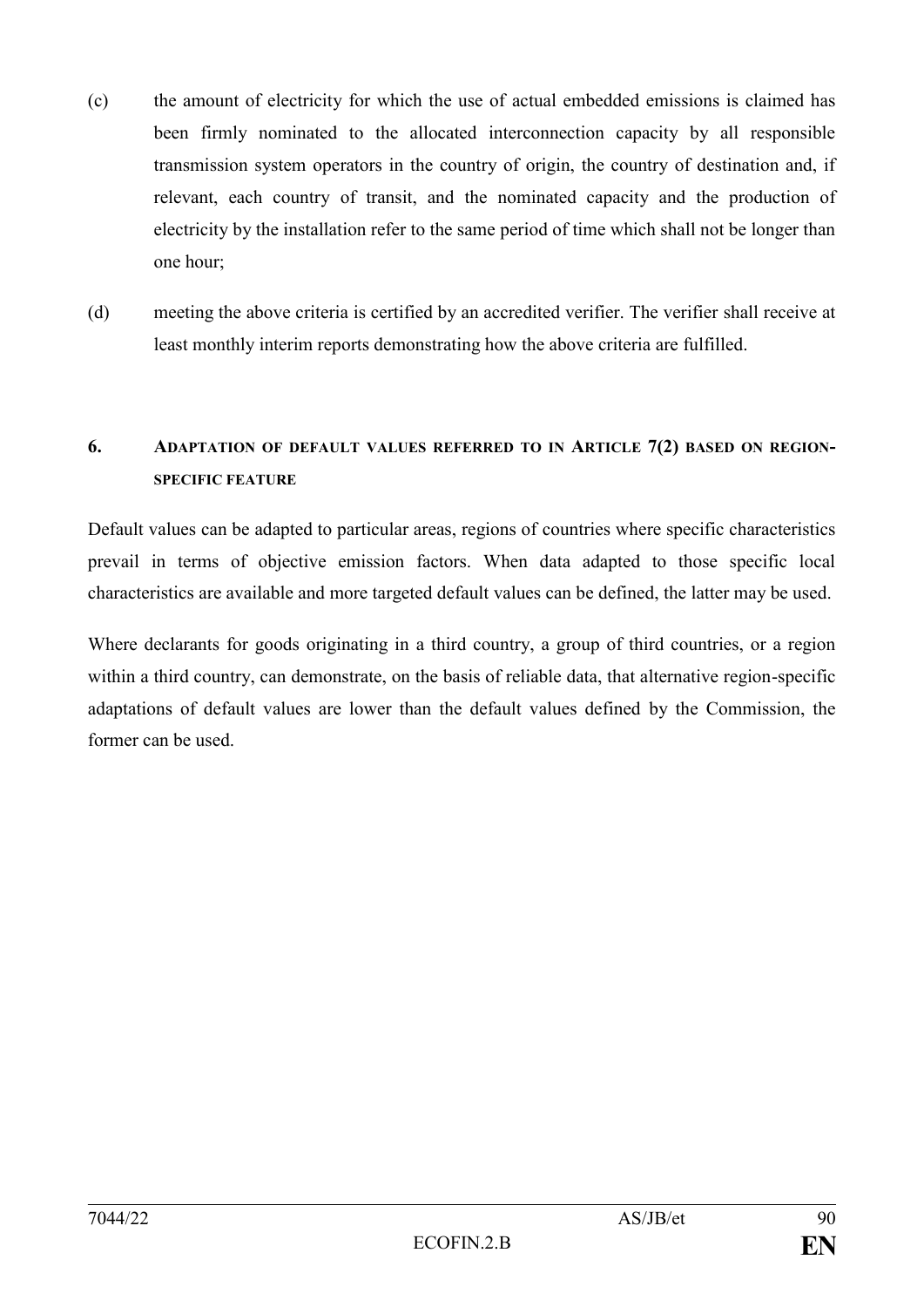- (c) the amount of electricity for which the use of actual embedded emissions is claimed has been firmly nominated to the allocated interconnection capacity by all responsible transmission system operators in the country of origin, the country of destination and, if relevant, each country of transit, and the nominated capacity and the production of electricity by the installation refer to the same period of time which shall not be longer than one hour;
- (d) meeting the above criteria is certified by an accredited verifier. The verifier shall receive at least monthly interim reports demonstrating how the above criteria are fulfilled.

## **6. ADAPTATION OF DEFAULT VALUES REFERRED TO IN ARTICLE 7(2) BASED ON REGION-SPECIFIC FEATURE**

Default values can be adapted to particular areas, regions of countries where specific characteristics prevail in terms of objective emission factors. When data adapted to those specific local characteristics are available and more targeted default values can be defined, the latter may be used.

Where declarants for goods originating in a third country, a group of third countries, or a region within a third country, can demonstrate, on the basis of reliable data, that alternative region-specific adaptations of default values are lower than the default values defined by the Commission, the former can be used.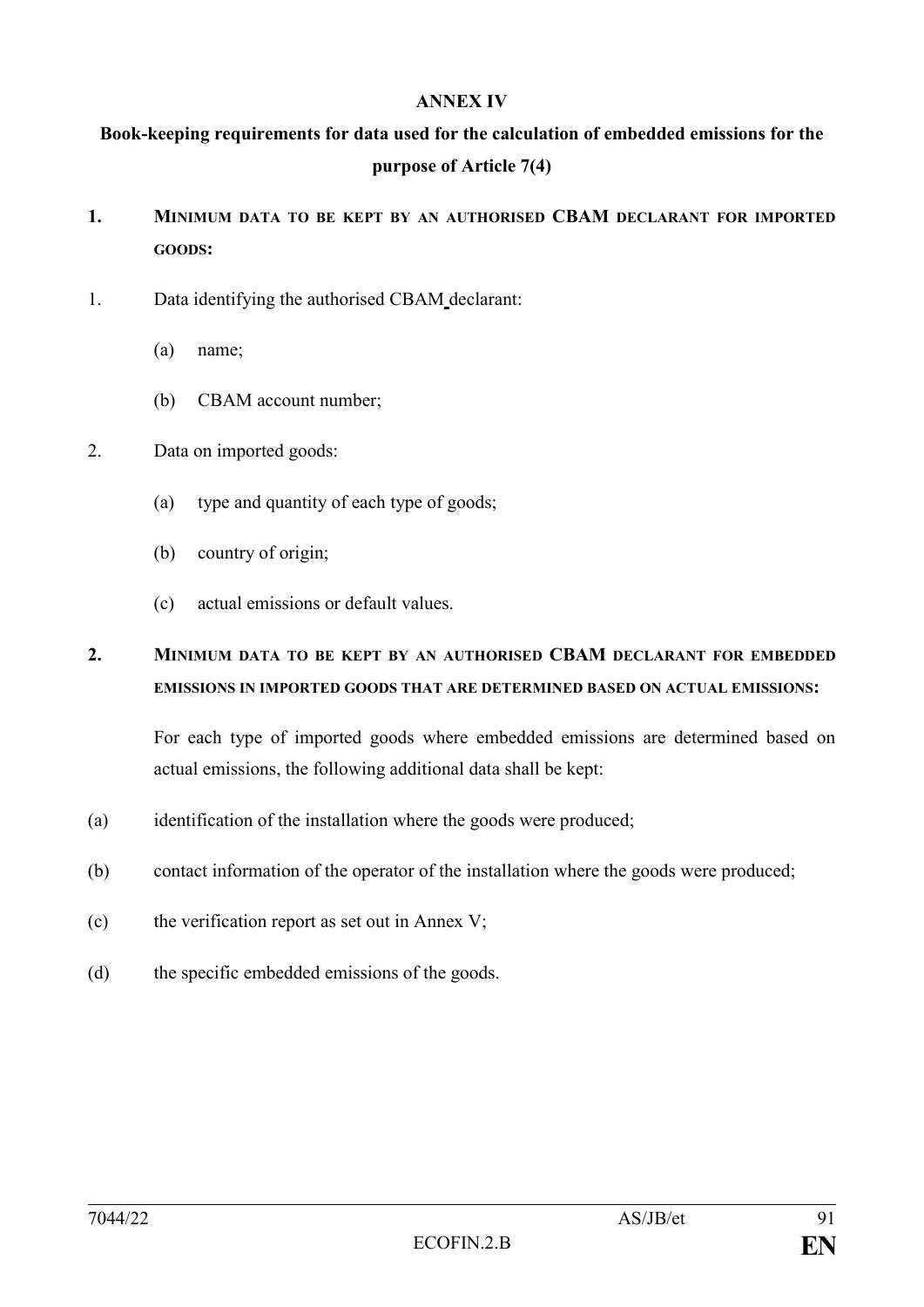#### **ANNEX IV**

**Book-keeping requirements for data used for the calculation of embedded emissions for the purpose of Article 7(4)**

- **1. MINIMUM DATA TO BE KEPT BY AN AUTHORISED CBAM DECLARANT FOR IMPORTED GOODS:**
- 1. Data identifying the authorised CBAM declarant:
	- (a) name;
	- (b) CBAM account number;
- 2. Data on imported goods:
	- (a) type and quantity of each type of goods;
	- (b) country of origin;
	- (c) actual emissions or default values.

## **2. MINIMUM DATA TO BE KEPT BY AN AUTHORISED CBAM DECLARANT FOR EMBEDDED EMISSIONS IN IMPORTED GOODS THAT ARE DETERMINED BASED ON ACTUAL EMISSIONS:**

For each type of imported goods where embedded emissions are determined based on actual emissions, the following additional data shall be kept:

- (a) identification of the installation where the goods were produced;
- (b) contact information of the operator of the installation where the goods were produced;
- (c) the verification report as set out in Annex V;
- (d) the specific embedded emissions of the goods.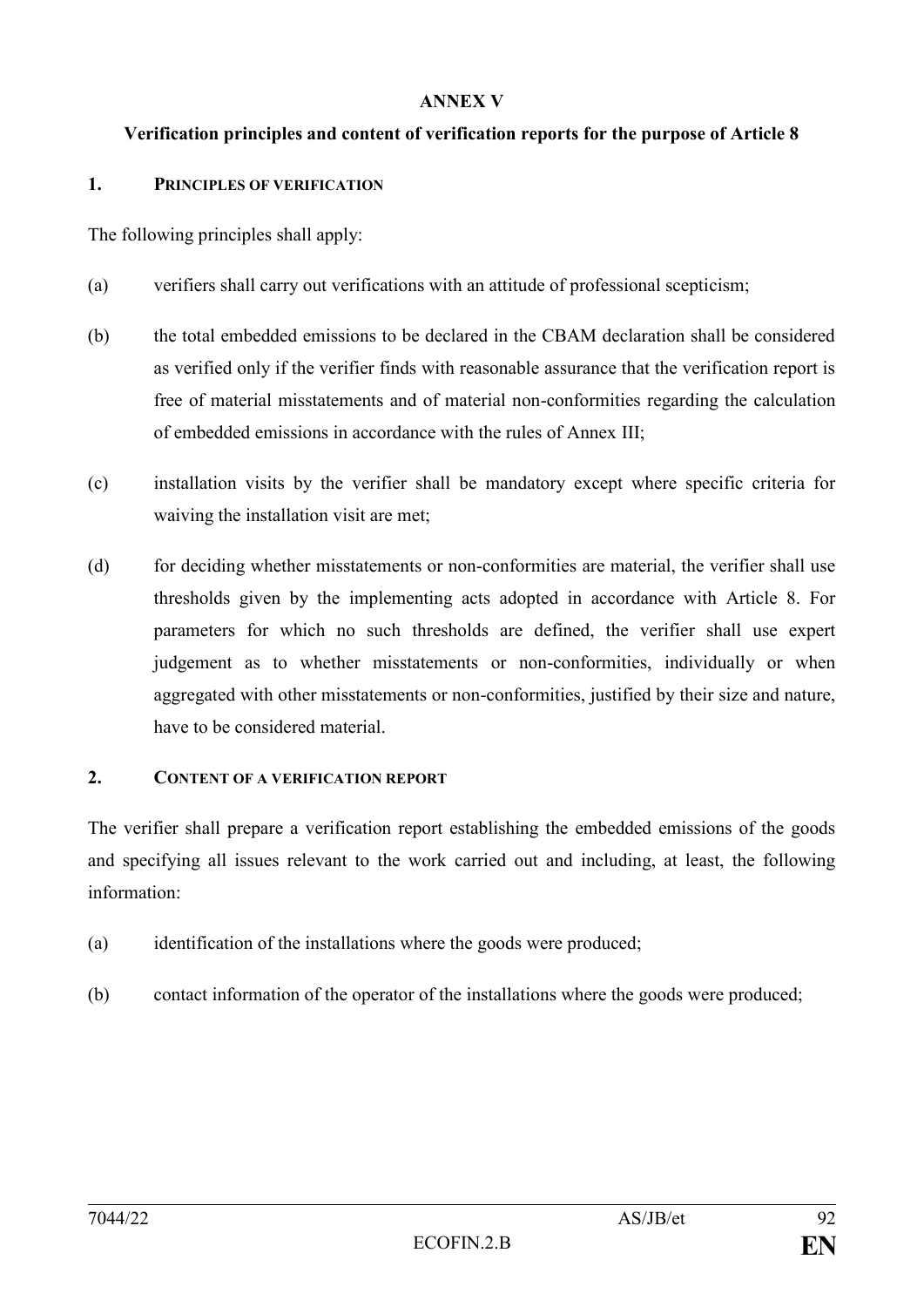#### **ANNEX V**

#### **Verification principles and content of verification reports for the purpose of Article 8**

#### **1. PRINCIPLES OF VERIFICATION**

The following principles shall apply:

- (a) verifiers shall carry out verifications with an attitude of professional scepticism;
- (b) the total embedded emissions to be declared in the CBAM declaration shall be considered as verified only if the verifier finds with reasonable assurance that the verification report is free of material misstatements and of material non-conformities regarding the calculation of embedded emissions in accordance with the rules of Annex III;
- (c) installation visits by the verifier shall be mandatory except where specific criteria for waiving the installation visit are met;
- (d) for deciding whether misstatements or non-conformities are material, the verifier shall use thresholds given by the implementing acts adopted in accordance with Article 8. For parameters for which no such thresholds are defined, the verifier shall use expert judgement as to whether misstatements or non-conformities, individually or when aggregated with other misstatements or non-conformities, justified by their size and nature, have to be considered material.

#### **2. CONTENT OF A VERIFICATION REPORT**

The verifier shall prepare a verification report establishing the embedded emissions of the goods and specifying all issues relevant to the work carried out and including, at least, the following information:

- (a) identification of the installations where the goods were produced;
- (b) contact information of the operator of the installations where the goods were produced;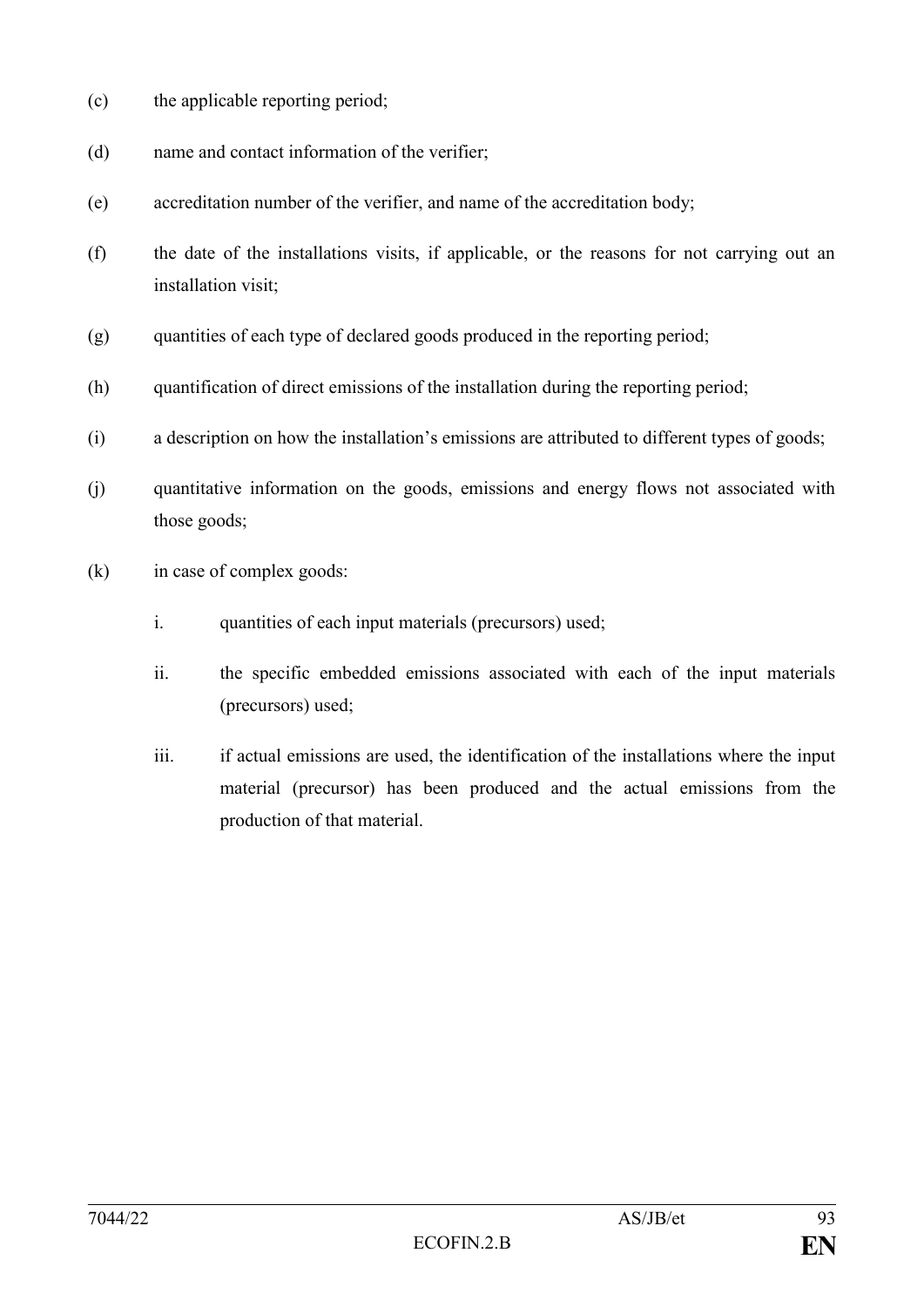- (c) the applicable reporting period;
- (d) name and contact information of the verifier;
- (e) accreditation number of the verifier, and name of the accreditation body;
- (f) the date of the installations visits, if applicable, or the reasons for not carrying out an installation visit;
- (g) quantities of each type of declared goods produced in the reporting period;
- (h) quantification of direct emissions of the installation during the reporting period;
- (i) a description on how the installation's emissions are attributed to different types of goods;
- (j) quantitative information on the goods, emissions and energy flows not associated with those goods;
- (k) in case of complex goods:
	- i. quantities of each input materials (precursors) used;
	- ii. the specific embedded emissions associated with each of the input materials (precursors) used;
	- iii. if actual emissions are used, the identification of the installations where the input material (precursor) has been produced and the actual emissions from the production of that material.